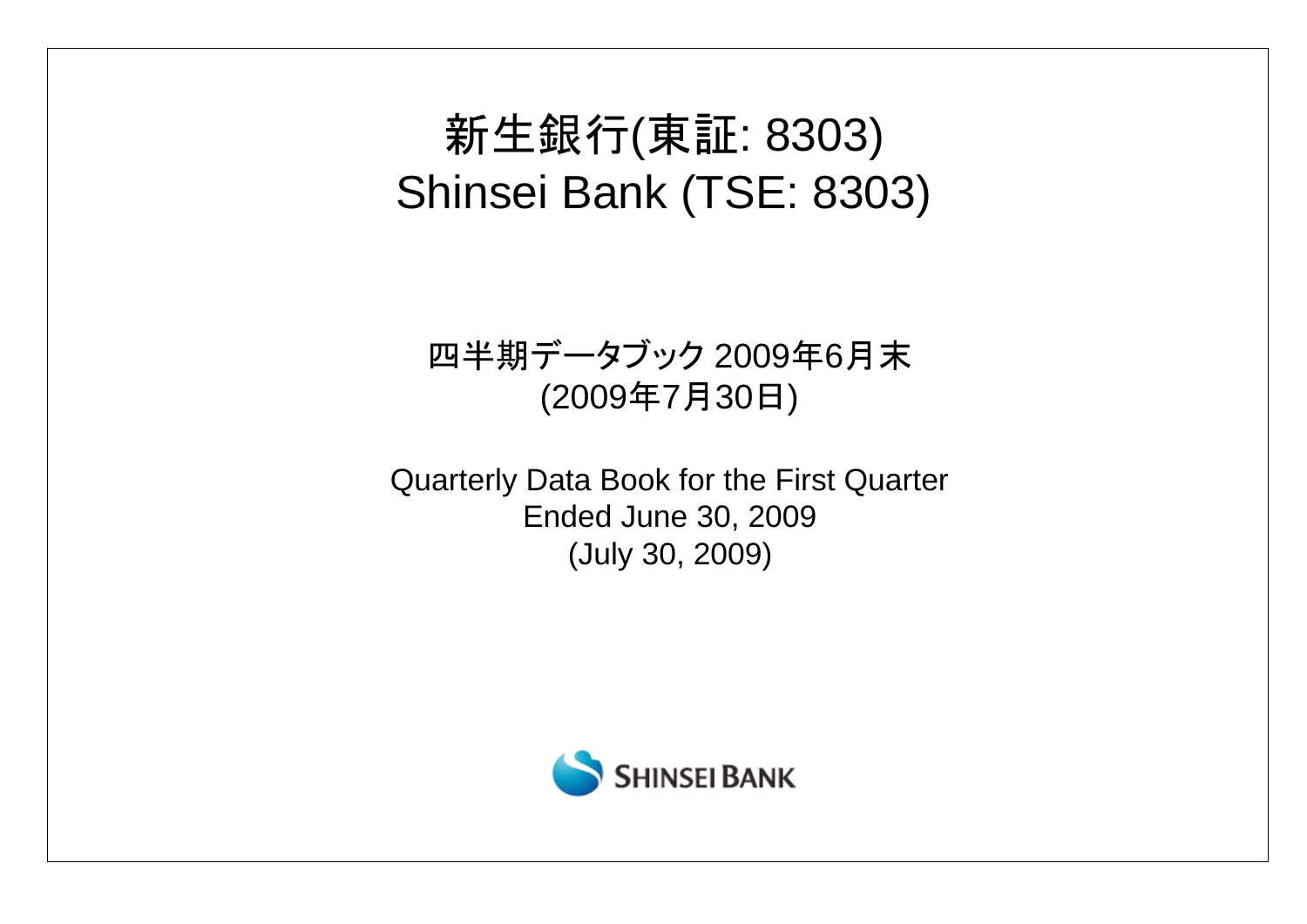# 新生銀行(東証: 8303) Shinsei Bank (TSE: 8303)

# 四半期データブック 2009年6月末 (2009年7月30日)

Quarterly Data Book for the First Quarter Ended June 30, 2009 (July 30, 2009)

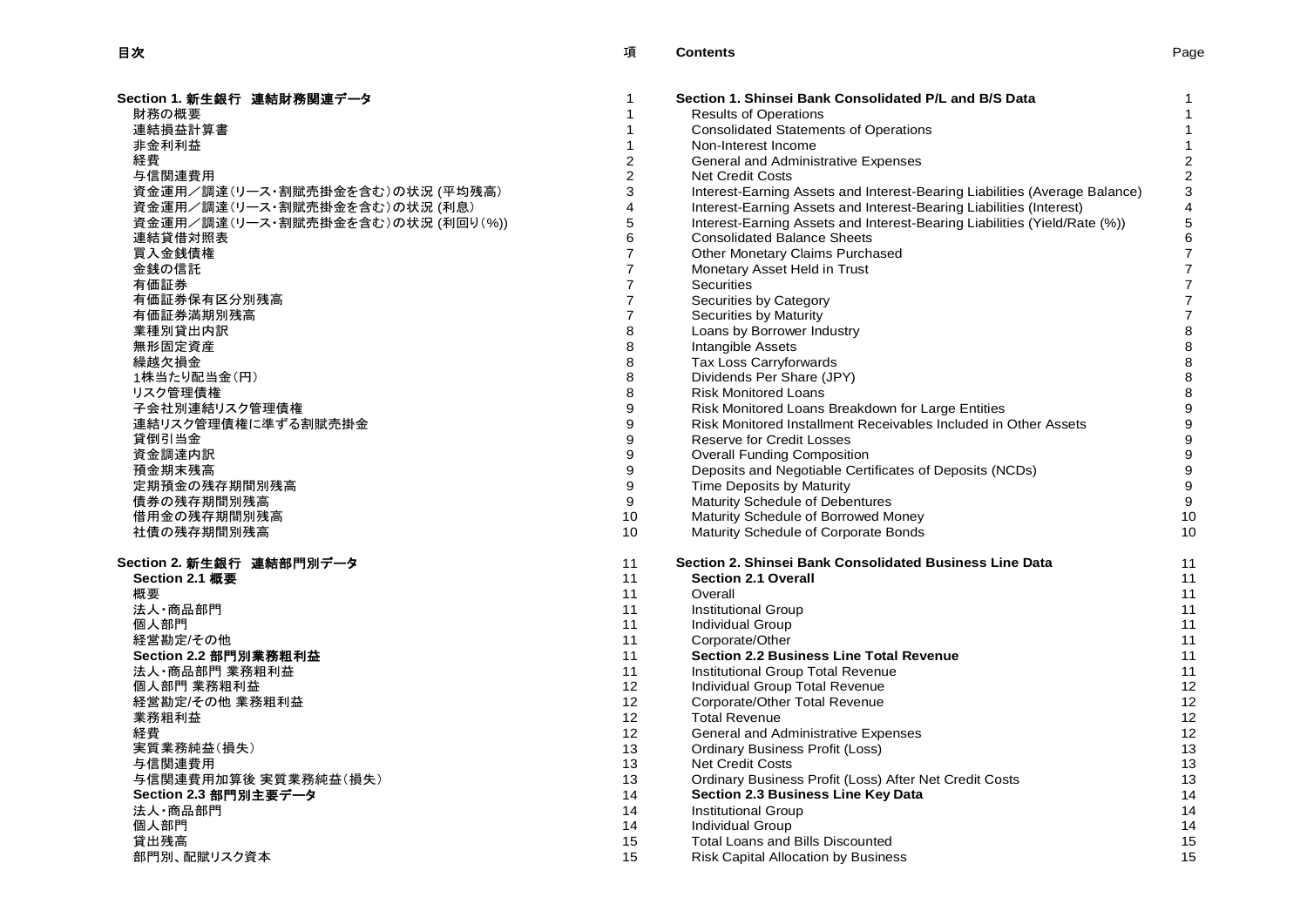| Section 1. 新生銀行 連結財務関連データ         | 1                | Section 1. Shinsei Bank Consolidated P/L and B/S Data                      |                |
|-----------------------------------|------------------|----------------------------------------------------------------------------|----------------|
| 財務の概要                             | 1                | <b>Results of Operations</b>                                               |                |
| 連結損益計算書                           | 1                | <b>Consolidated Statements of Operations</b>                               | $\mathbf{1}$   |
| 非金利利益                             | $\mathbf{1}$     | Non-Interest Income                                                        | $\mathbf{1}$   |
| 経費                                | $\overline{c}$   | General and Administrative Expenses                                        | $\overline{2}$ |
| 与信関連費用                            | $\boldsymbol{2}$ | <b>Net Credit Costs</b>                                                    | $\overline{c}$ |
| 資金運用/調達(リース・割賦売掛金を含む)の状況 (平均残高)   | 3                | Interest-Earning Assets and Interest-Bearing Liabilities (Average Balance) | 3              |
| 資金運用/調達(リース・割賦売掛金を含む)の状況 (利息)     | 4                | Interest-Earning Assets and Interest-Bearing Liabilities (Interest)        | 4              |
| 資金運用/調達(リース・割賦売掛金を含む)の状況 (利回り(%)) | 5                | Interest-Earning Assets and Interest-Bearing Liabilities (Yield/Rate (%))  | 5              |
| 連結貸借対照表                           | 6                | <b>Consolidated Balance Sheets</b>                                         | 6              |
| 買入金銭債権                            | $\overline{7}$   | Other Monetary Claims Purchased                                            | $\overline{7}$ |
| 金銭の信託                             | $\overline{7}$   | Monetary Asset Held in Trust                                               | $\overline{7}$ |
| 有価証券                              | $\overline{7}$   | Securities                                                                 | $\overline{7}$ |
| 有価証券保有区分別残高                       | $\overline{7}$   | Securities by Category                                                     | 7              |
| 有価証券満期別残高                         | $\overline{7}$   | Securities by Maturity                                                     | 7              |
| 業種別貸出内訳                           | 8                | Loans by Borrower Industry                                                 | 8              |
| 無形固定資産                            | 8                | Intangible Assets                                                          | 8              |
| 繰越欠損金                             | 8                | <b>Tax Loss Carryforwards</b>                                              | 8              |
| 1株当たり配当金(円)                       | 8                | Dividends Per Share (JPY)                                                  | 8              |
| リスク管理債権                           | 8                | <b>Risk Monitored Loans</b>                                                | 8              |
| 子会社別連結リスク管理債権                     | 9                | Risk Monitored Loans Breakdown for Large Entities                          | 9              |
| 連結リスク管理債権に準ずる割賦売掛金                | 9                | Risk Monitored Installment Receivables Included in Other Assets            | 9              |
| 貸倒引当金                             | 9                | <b>Reserve for Credit Losses</b>                                           | 9              |
| 資金調達内訳                            | 9                | <b>Overall Funding Composition</b>                                         | 9              |
| 預金期末残高                            | 9                | Deposits and Negotiable Certificates of Deposits (NCDs)                    | 9              |
| 定期預金の残存期間別残高                      | 9                | Time Deposits by Maturity                                                  | 9              |
| 債券の残存期間別残高                        | 9                | Maturity Schedule of Debentures                                            | 9              |
| 借用金の残存期間別残高                       | 10               | Maturity Schedule of Borrowed Money                                        | 1 <sup>1</sup> |
| 社債の残存期間別残高                        | 10               | Maturity Schedule of Corporate Bonds                                       | 1 <sup>1</sup> |
|                                   |                  |                                                                            |                |
| Section 2. 新生銀行 連結部門別データ          | 11               | Section 2. Shinsei Bank Consolidated Business Line Data                    | 11             |
| Section 2.1 概要                    | 11               | <b>Section 2.1 Overall</b>                                                 | 11             |
| 概要                                | 11               | Overall                                                                    | 11             |
| 法人·商品部門                           | 11               | <b>Institutional Group</b>                                                 | 11             |
| 個人部門                              | 11               | <b>Individual Group</b>                                                    | 11             |
| 経営勘定/その他                          | 11               | Corporate/Other                                                            | 11             |
| Section 2.2 部門別業務粗利益              | 11               | <b>Section 2.2 Business Line Total Revenue</b>                             | 11             |
| 法人·商品部門 業務粗利益                     | 11               | Institutional Group Total Revenue                                          | 11             |
| 個人部門 業務粗利益                        | 12               | Individual Group Total Revenue                                             | 12             |
| 経営勘定/その他 業務粗利益                    | 12               | Corporate/Other Total Revenue                                              | 12             |
| 業務粗利益                             | 12               | <b>Total Revenue</b>                                                       | 12             |
| 経費                                | 12 <sup>2</sup>  | General and Administrative Expenses                                        | 12             |
| 実質業務純益(損失)                        | 13               | <b>Ordinary Business Profit (Loss)</b>                                     | 13             |
| 与信関連費用                            | 13               | <b>Net Credit Costs</b>                                                    | 13             |
| 与信関連費用加算後 実質業務純益(損失)              | 13               | Ordinary Business Profit (Loss) After Net Credit Costs                     | 13             |
| Section 2.3 部門別主要データ              | 14               | <b>Section 2.3 Business Line Key Data</b>                                  | 14             |
| 法人·商品部門                           | 14               | <b>Institutional Group</b>                                                 | 14             |
| 個人部門                              | 14               | <b>Individual Group</b>                                                    | 14             |
| 貸出残高                              | 15               | <b>Total Loans and Bills Discounted</b>                                    | 15             |
| 部門別、配賦リスク資本                       | 15               | <b>Risk Capital Allocation by Business</b>                                 | 15             |

| ction 1. 新生銀行 連結財務関連データ           | 1              | Section 1. Shinsei Bank Consolidated P/L and B/S Data                      |                  |
|-----------------------------------|----------------|----------------------------------------------------------------------------|------------------|
| 財務の概要                             | $\overline{1}$ | <b>Results of Operations</b>                                               | 1                |
| 連結損益計算書                           | 1              | <b>Consolidated Statements of Operations</b>                               | 1                |
| 非金利利益                             | $\mathbf{1}$   | Non-Interest Income                                                        | $\mathbf{1}$     |
| 経費                                | 2              | General and Administrative Expenses                                        | $\overline{2}$   |
| 与信関連費用                            | $\mathbf{2}$   | <b>Net Credit Costs</b>                                                    | $\sqrt{2}$       |
| 資金運用/調達(リース・割賦売掛金を含む)の状況 (平均残高)   | 3              | Interest-Earning Assets and Interest-Bearing Liabilities (Average Balance) | 3                |
| 資金運用/調達(リース・割賦売掛金を含む)の状況 (利息)     | $\overline{4}$ | Interest-Earning Assets and Interest-Bearing Liabilities (Interest)        | 4                |
| 資金運用/調達(リース・割賦売掛金を含む)の状況 (利回り(%)) | 5              | Interest-Earning Assets and Interest-Bearing Liabilities (Yield/Rate (%))  | 5                |
| 連結貸借対照表                           | 6              | <b>Consolidated Balance Sheets</b>                                         | $\,6\,$          |
| 買入金銭債権                            | $\overline{7}$ | Other Monetary Claims Purchased                                            | $\overline{7}$   |
| 金銭の信託                             | $\overline{7}$ | Monetary Asset Held in Trust                                               | $\overline{7}$   |
| 有価証券                              | $\overline{7}$ | <b>Securities</b>                                                          | $\overline{7}$   |
| 有価証券保有区分別残高                       | $\overline{7}$ | Securities by Category                                                     | $\overline{7}$   |
| 有価証券満期別残高                         | $\overline{7}$ | Securities by Maturity                                                     | $\boldsymbol{7}$ |
| 業種別貸出内訳                           | 8              | Loans by Borrower Industry                                                 | $\bf 8$          |
| 無形固定資産                            | 8              | Intangible Assets                                                          | $\,8\,$          |
| 繰越欠損金                             | 8              | Tax Loss Carryforwards                                                     | $\bf 8$          |
| 1株当たり配当金(円)                       | 8              | Dividends Per Share (JPY)                                                  | $\bf 8$          |
| リスク管理債権                           | 8              | <b>Risk Monitored Loans</b>                                                | $\bf 8$          |
| 子会社別連結リスク管理債権                     | 9              | Risk Monitored Loans Breakdown for Large Entities                          | 9                |
| 連結リスク管理債権に準ずる割賦売掛金                | 9              | Risk Monitored Installment Receivables Included in Other Assets            | $\boldsymbol{9}$ |
| 貸倒引当金                             | 9              | <b>Reserve for Credit Losses</b>                                           | $\boldsymbol{9}$ |
| 資金調達内訳                            | 9              | <b>Overall Funding Composition</b>                                         | 9                |
| 預金期末残高                            | 9              | Deposits and Negotiable Certificates of Deposits (NCDs)                    | $\boldsymbol{9}$ |
| 定期預金の残存期間別残高                      | 9              | Time Deposits by Maturity                                                  | 9                |
| 債券の残存期間別残高                        | 9              | Maturity Schedule of Debentures                                            | $\boldsymbol{9}$ |
| 借用金の残存期間別残高                       | 10             | Maturity Schedule of Borrowed Money                                        | 10               |
| 社債の残存期間別残高                        | 10             | Maturity Schedule of Corporate Bonds                                       | 10               |
| ction 2. 新生銀行 連結部門別データ            | 11             | Section 2. Shinsei Bank Consolidated Business Line Data                    | 11               |
| Section 2.1 概要                    | 11             | <b>Section 2.1 Overall</b>                                                 | 11               |
| 概要                                | 11             | Overall                                                                    | 11               |
| 法人·商品部門                           | 11             | <b>Institutional Group</b>                                                 | 11               |
| 個人部門                              | 11             | <b>Individual Group</b>                                                    | 11               |
| 経営勘定/その他                          | 11             | Corporate/Other                                                            | 11               |
| Section 2.2 部門別業務粗利益              | 11             | <b>Section 2.2 Business Line Total Revenue</b>                             | 11               |
| 法人•商品部門 業務粗利益                     | 11             | Institutional Group Total Revenue                                          | 11               |
| 個人部門 業務粗利益                        | 12             | Individual Group Total Revenue                                             | 12               |
| 経営勘定/その他 業務粗利益                    | 12             | Corporate/Other Total Revenue                                              | 12               |
| 業務粗利益                             | 12             | <b>Total Revenue</b>                                                       | 12               |
| 経費                                | 12             | General and Administrative Expenses                                        | 12               |
| 実質業務純益(損失)                        | 13             | <b>Ordinary Business Profit (Loss)</b>                                     | 13               |
| 与信関連費用                            | 13             | <b>Net Credit Costs</b>                                                    | 13               |
| 与信関連費用加算後 実質業務純益(損失)              | 13             | Ordinary Business Profit (Loss) After Net Credit Costs                     | 13               |
| Section 2.3 部門別主要デ一タ              | 14             | Section 2.3 Business Line Key Data                                         | 14               |
| 法人・商品部門                           | 14             | <b>Institutional Group</b>                                                 | 14               |
| 個人部門                              | 14             | <b>Individual Group</b>                                                    | 14               |
| 貸出残高                              | 15             | <b>Total Loans and Bills Discounted</b>                                    | 15               |
| 部門別、配賦リスク資本                       | 15             | <b>Risk Capital Allocation by Business</b>                                 | 15               |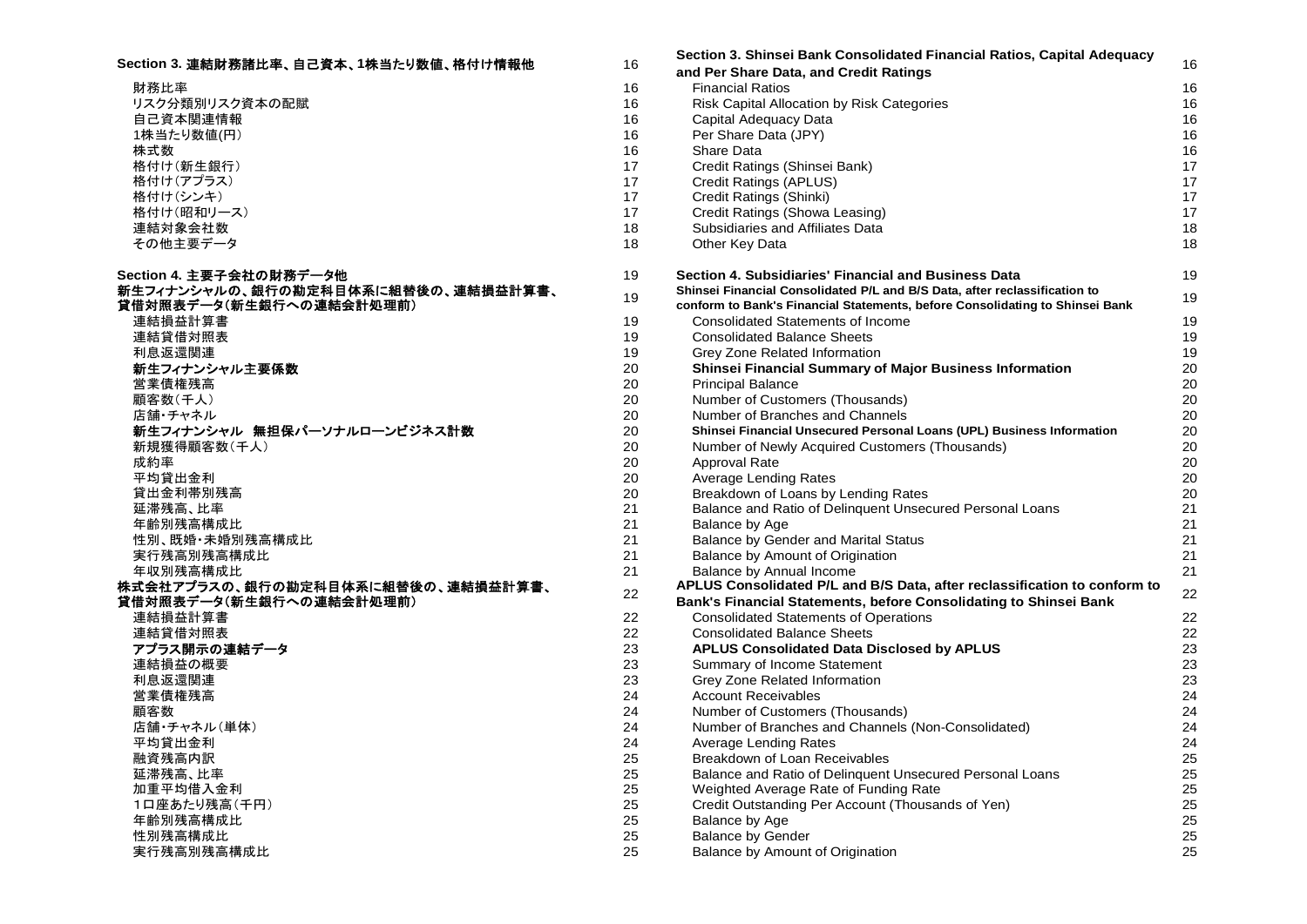| Section 3. 連結財務諸比率、自己資本、1株当たり数値、格付け情報他 | 16       | Section S. Shinsel Bank Consolidated Financial Katios, Capital Adequacy<br>and Per Share Data, and Credit Ratings | 16              |
|----------------------------------------|----------|-------------------------------------------------------------------------------------------------------------------|-----------------|
| 財務比率                                   | 16       | <b>Financial Ratios</b>                                                                                           | 16              |
| リスク分類別リスク資本の配賦                         | 16       | Risk Capital Allocation by Risk Categories                                                                        | 16              |
| 自己資本関連情報                               | 16       | Capital Adequacy Data                                                                                             | 16              |
| 1株当たり数値(円)                             | 16       | Per Share Data (JPY)                                                                                              | 16              |
| 株式数                                    | 16       | Share Data                                                                                                        | 16              |
| 格付け(新生銀行)                              | 17       | Credit Ratings (Shinsei Bank)                                                                                     | 17              |
| 格付け(アプラス)                              | 17       | Credit Ratings (APLUS)                                                                                            | 17              |
| 格付け(シンキ)                               | 17       | Credit Ratings (Shinki)                                                                                           | 17              |
| 格付け(昭和リース)                             | 17       | Credit Ratings (Showa Leasing)                                                                                    | 17              |
| 連結対象会社数                                | 18       | Subsidiaries and Affiliates Data                                                                                  | 18              |
| その他主要データ                               | 18       | Other Key Data                                                                                                    | 18              |
| Section 4. 主要子会社の財務データ他                | 19       | Section 4. Subsidiaries' Financial and Business Data                                                              | 19              |
| 新生フィナンシャルの、銀行の勘定科目体系に組替後の、連結損益計算書、     | 19       | Shinsei Financial Consolidated P/L and B/S Data, after reclassification to                                        | 19              |
| 貸借対照表データ(新生銀行への連結会計処理前)                |          | conform to Bank's Financial Statements, before Consolidating to Shinsei Bank                                      |                 |
| 連結損益計算書                                | 19       | Consolidated Statements of Income                                                                                 | 19              |
| 連結貸借対照表                                | 19       | <b>Consolidated Balance Sheets</b>                                                                                | 19              |
| 利息返還関連                                 | 19       | Grey Zone Related Information                                                                                     | 19              |
| 新生フィナンシャル主要係数                          | 20       | Shinsei Financial Summary of Major Business Information                                                           | 20              |
| 営業債権残高                                 | 20       | <b>Principal Balance</b>                                                                                          | 20              |
| 顧客数(千人)                                | 20       | Number of Customers (Thousands)                                                                                   | 20              |
| 店舗・チャネル                                | 20       | Number of Branches and Channels                                                                                   | 20              |
| 新生フィナンシャル 無担保パーソナルローンビジネス計数            | 20       | Shinsei Financial Unsecured Personal Loans (UPL) Business Information                                             | 20              |
| 新規獲得顧客数(千人)<br>成約率                     | 20<br>20 | Number of Newly Acquired Customers (Thousands)                                                                    | 20<br>20        |
| 平均貸出金利                                 | 20       | <b>Approval Rate</b>                                                                                              | 20              |
| 貸出金利帯別残高                               | 20       | <b>Average Lending Rates</b><br>Breakdown of Loans by Lending Rates                                               | 20              |
| 延滞残高、比率                                | 21       | Balance and Ratio of Delinquent Unsecured Personal Loans                                                          | 21              |
| 年齢別残高構成比                               | 21       | Balance by Age                                                                                                    | 21              |
| 性別、既婚・未婚別残高構成比                         | 21       | Balance by Gender and Marital Status                                                                              | 21              |
| 実行残高別残高構成比                             | 21       | Balance by Amount of Origination                                                                                  | 21              |
| 年収別残高構成比                               | 21       | Balance by Annual Income                                                                                          | 21              |
| 株式会社アプラスの、銀行の勘定科目体系に組替後の、連結損益計算書、      |          | APLUS Consolidated P/L and B/S Data, after reclassification to conform to                                         |                 |
| 貸借対照表データ(新生銀行への連結会計処理前)                | 22       | Bank's Financial Statements, before Consolidating to Shinsei Bank                                                 | $\overline{22}$ |
| 連結損益計算書                                | 22       | <b>Consolidated Statements of Operations</b>                                                                      | 22              |
| 連結貸借対照表                                | 22       | <b>Consolidated Balance Sheets</b>                                                                                | 22              |
| アプラス開示の連結データ                           | 23       | <b>APLUS Consolidated Data Disclosed by APLUS</b>                                                                 | 23              |
| 連結損益の概要                                | 23       | Summary of Income Statement                                                                                       | 23              |
| 利息返還関連                                 | 23       | Grey Zone Related Information                                                                                     | 23              |
| 営業債権残高                                 | 24       | <b>Account Receivables</b>                                                                                        | 24              |
| 顧客数                                    | 24       | Number of Customers (Thousands)                                                                                   | 24              |
| 店舗・チャネル(単体)                            | 24       | Number of Branches and Channels (Non-Consolidated)                                                                | 24              |
| 平均貸出金利                                 | 24       | Average Lending Rates                                                                                             | 24              |
| 融資残高内訳                                 | 25       | Breakdown of Loan Receivables                                                                                     | 25              |
| 延滞残高、比率                                | 25       | Balance and Ratio of Delinguent Unsecured Personal Loans                                                          | 25              |
| 加重平均借入金利                               | 25       | Weighted Average Rate of Funding Rate                                                                             | 25              |
| 1口座あたり残高(千円)                           | 25       | Credit Outstanding Per Account (Thousands of Yen)                                                                 | 25              |
| 年齢別残高構成比                               | 25       | Balance by Age                                                                                                    | 25              |
| 性別残高構成比                                | 25       | <b>Balance by Gender</b>                                                                                          | 25              |
| 実行残高別残高構成比                             | 25       | Balance by Amount of Origination                                                                                  | 25              |

| 目己資本、1株当たり数値、格付け情報他  | 16 | Section 3. Shinsei Bank Consolidated Financial Ratios, Capital Adequacy      | 16 |
|----------------------|----|------------------------------------------------------------------------------|----|
|                      | 16 | and Per Share Data, and Credit Ratings<br><b>Financial Ratios</b>            | 16 |
| 賦                    | 16 | Risk Capital Allocation by Risk Categories                                   | 16 |
|                      | 16 | Capital Adequacy Data                                                        | 16 |
|                      | 16 | Per Share Data (JPY)                                                         | 16 |
|                      | 16 | Share Data                                                                   | 16 |
|                      | 17 | Credit Ratings (Shinsei Bank)                                                | 17 |
|                      | 17 | Credit Ratings (APLUS)                                                       | 17 |
|                      | 17 | Credit Ratings (Shinki)                                                      | 17 |
|                      | 17 | Credit Ratings (Showa Leasing)                                               | 17 |
|                      | 18 | Subsidiaries and Affiliates Data                                             | 18 |
|                      | 18 | Other Key Data                                                               | 18 |
| データ他                 | 19 | Section 4. Subsidiaries' Financial and Business Data                         | 19 |
| カ定科目体系に組替後の、連結損益計算書、 | 19 | Shinsei Financial Consolidated P/L and B/S Data, after reclassification to   | 19 |
| の連結会計処理前)            |    | conform to Bank's Financial Statements, before Consolidating to Shinsei Bank |    |
|                      | 19 | Consolidated Statements of Income                                            | 19 |
|                      | 19 | <b>Consolidated Balance Sheets</b>                                           | 19 |
|                      | 19 | Grey Zone Related Information                                                | 19 |
|                      | 20 | <b>Shinsei Financial Summary of Major Business Information</b>               | 20 |
|                      | 20 | <b>Principal Balance</b>                                                     | 20 |
|                      | 20 | Number of Customers (Thousands)                                              | 20 |
|                      | 20 | Number of Branches and Channels                                              | 20 |
| パーソナルローンビジネス計数       | 20 | Shinsei Financial Unsecured Personal Loans (UPL) Business Information        | 20 |
|                      | 20 | Number of Newly Acquired Customers (Thousands)                               | 20 |
|                      | 20 | Approval Rate                                                                | 20 |
|                      | 20 | Average Lending Rates                                                        | 20 |
|                      | 20 | Breakdown of Loans by Lending Rates                                          | 20 |
|                      | 21 | Balance and Ratio of Delinquent Unsecured Personal Loans                     | 21 |
|                      | 21 | Balance by Age                                                               | 21 |
| 比                    | 21 | <b>Balance by Gender and Marital Status</b>                                  | 21 |
|                      | 21 | Balance by Amount of Origination                                             | 21 |
|                      | 21 | Balance by Annual Income                                                     | 21 |
| 定科目体系に組替後の、連結損益計算書、  | 22 | APLUS Consolidated P/L and B/S Data, after reclassification to conform to    | 22 |
| の連結会計処理前)            |    | Bank's Financial Statements, before Consolidating to Shinsei Bank            |    |
|                      | 22 | <b>Consolidated Statements of Operations</b>                                 | 22 |
|                      | 22 | <b>Consolidated Balance Sheets</b>                                           | 22 |
|                      | 23 | <b>APLUS Consolidated Data Disclosed by APLUS</b>                            | 23 |
|                      | 23 | Summary of Income Statement                                                  | 23 |
|                      | 23 | Grey Zone Related Information                                                | 23 |
|                      | 24 | <b>Account Receivables</b>                                                   | 24 |
|                      | 24 | Number of Customers (Thousands)                                              | 24 |
|                      | 24 | Number of Branches and Channels (Non-Consolidated)                           | 24 |
|                      | 24 | Average Lending Rates                                                        | 24 |
|                      | 25 | Breakdown of Loan Receivables                                                | 25 |
|                      | 25 | Balance and Ratio of Delinquent Unsecured Personal Loans                     | 25 |
|                      | 25 | Weighted Average Rate of Funding Rate                                        | 25 |
|                      | 25 | Credit Outstanding Per Account (Thousands of Yen)                            | 25 |
|                      | 25 | Balance by Age                                                               | 25 |
|                      | 25 | <b>Balance by Gender</b>                                                     | 25 |
|                      | つに | Ralance by Amount of Origination                                             | つに |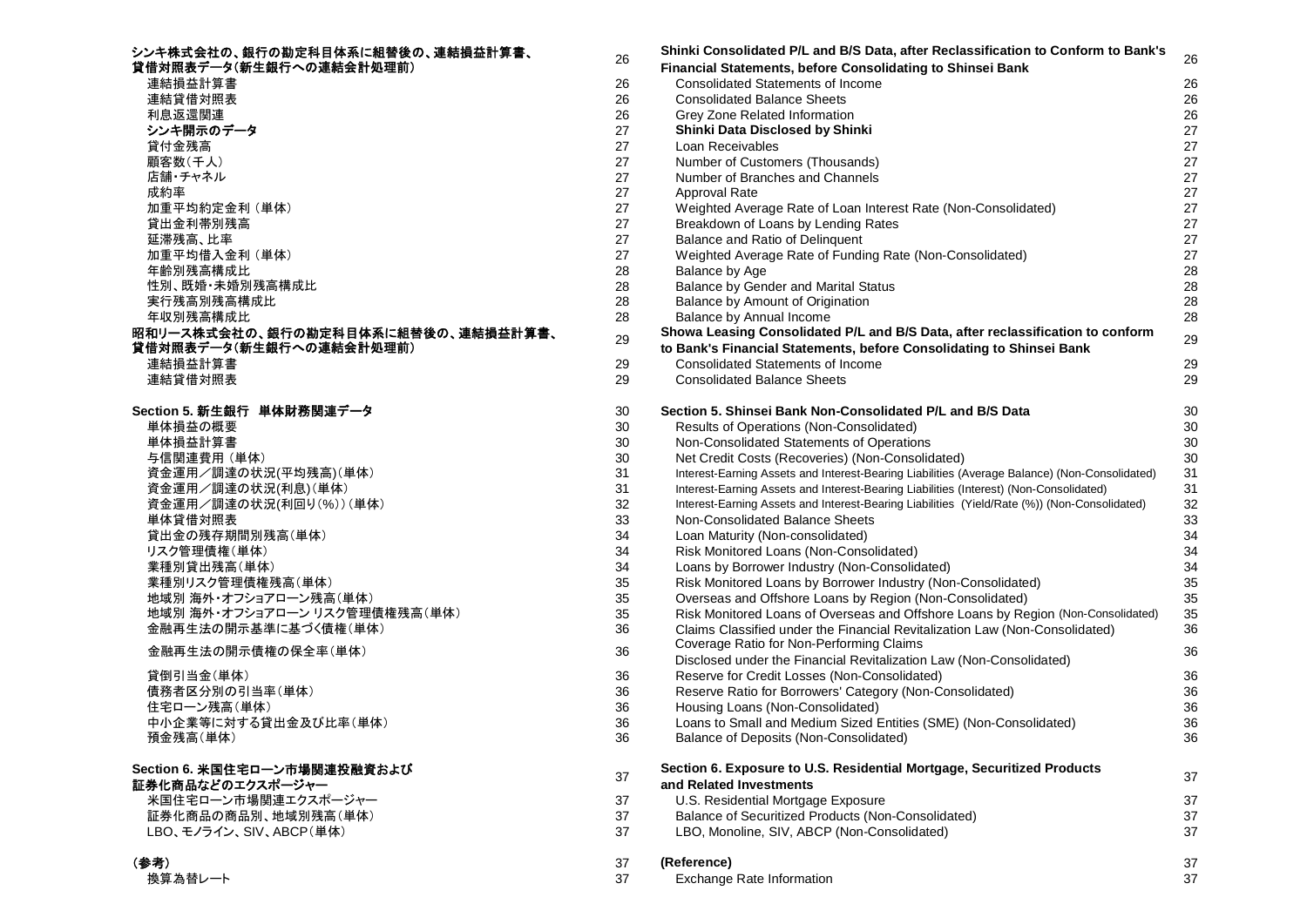| シンキ株式会社の、銀行の勘定科目体系に組替後の、連結損益計算書、<br>貸借対照表データ(新生銀行への連結会計処理前)   | 26       |  |
|---------------------------------------------------------------|----------|--|
| 連結損益計算書                                                       | 26       |  |
| 連結貸借対照表                                                       | 26       |  |
| 利息返還関連                                                        | 26       |  |
| シンキ開示のデータ                                                     | 27       |  |
| 貸付金残高                                                         | 27       |  |
| 顧客数(千人)                                                       | 27       |  |
| 店舗・チャネル                                                       | 27       |  |
| 成約率                                                           | 27       |  |
| 加重平均約定金利 (単体)                                                 | 27       |  |
| 貸出金利帯別残高                                                      | 27       |  |
| 延滞残高、比率                                                       | 27       |  |
| 加重平均借入金利 (単体)                                                 | 27       |  |
| 年齢別残高構成比                                                      | 28       |  |
| 性別、既婚·未婚別残高構成比                                                | 28       |  |
| 実行残高別残高構成比                                                    | 28       |  |
| 年収別残高構成比                                                      | 28       |  |
| 昭和リース株式会社の、銀行の勘定科目体系に組替後の、連結損益計算書、<br>貸借対照表データ(新生銀行への連結会計処理前) | 29       |  |
|                                                               |          |  |
| 連結損益計算書                                                       | 29       |  |
| 連結貸借対照表                                                       | 29       |  |
| Section 5. 新生銀行 単体財務関連データ                                     | 30       |  |
| 単体損益の概要                                                       | 30       |  |
| 単体損益計算書                                                       | 30       |  |
| 与信関連費用 (単体)                                                   | 30       |  |
| 資金運用/調達の状況(平均残高)(単体)                                          | 31       |  |
| 資金運用/調達の状況(利息)(単体)                                            | 31       |  |
| 資金運用/調達の状況(利回り(%))(単体)                                        | 32       |  |
| 単体貸借対照表                                                       | 33       |  |
| 貸出金の残存期間別残高(単体)                                               | 34       |  |
| リスク管理債権(単体)                                                   | 34       |  |
| 業種別貸出残高(単体)                                                   | 34       |  |
| 業種別リスク管理債権残高(単体)                                              | 35       |  |
| 地域別海外・オフショアローン残高(単体)                                          | 35       |  |
| 地域別 海外・オフショアローン リスク管理債権残高(単体)                                 | 35       |  |
| 金融再生法の開示基準に基づく債権(単体)                                          | 36       |  |
| 金融再生法の開示債権の保全率(単体)                                            | 36       |  |
| 貸倒引当金(単体)                                                     | 36       |  |
| 債務者区分別の引当率(単体)                                                | 36       |  |
|                                                               |          |  |
| 住宅ローン残高(単体)<br>中小企業等に対する貸出金及び比率(単体)                           | 36<br>36 |  |
|                                                               |          |  |
| 預金残高(単体)                                                      | 36       |  |
| Section 6. 米国住宅ローン市場関連投融資および                                  |          |  |
| 証券化商品などのエクスポージャー                                              | 37       |  |
| 米国住宅ローン市場関連エクスポージャー                                           | 37       |  |
| 証券化商品の商品別、地域別残高(単体)                                           | 37       |  |
| LBO、モノライン、SIV、ABCP(単体)                                        | 37       |  |
|                                                               |          |  |
| (参考)                                                          | 37       |  |
| <b>*******</b>                                                | $\sim$   |  |

| シンキ株式会社の、銀行の勘定科目体系に組替後の、連結損益計算書、   |    | Shinki Consolidated P/L and B/S Data, after Reclassification to Conform to Bank's             |        |
|------------------------------------|----|-----------------------------------------------------------------------------------------------|--------|
| 貸借対照表データ(新生銀行への連結会計処理前)            | 26 | <b>Financial Statements, before Consolidating to Shinsei Bank</b>                             | 26     |
| 連結損益計算書                            | 26 | <b>Consolidated Statements of Income</b>                                                      | 26     |
| 連結貸借対照表                            | 26 | <b>Consolidated Balance Sheets</b>                                                            | 26     |
| 利息返還関連                             | 26 | Grey Zone Related Information                                                                 | 26     |
| シンキ開示のデータ                          | 27 | Shinki Data Disclosed by Shinki                                                               | 27     |
| 貸付金残高                              | 27 | Loan Receivables                                                                              | 27     |
| 顧客数(千人)                            | 27 | Number of Customers (Thousands)                                                               | 27     |
| 店舗・チャネル                            | 27 | Number of Branches and Channels                                                               | 27     |
| 成約率                                | 27 | <b>Approval Rate</b>                                                                          | 27     |
| 加重平均約定金利 (単体)                      | 27 | Weighted Average Rate of Loan Interest Rate (Non-Consolidated)                                | 27     |
| 貸出金利帯別残高                           | 27 | Breakdown of Loans by Lending Rates                                                           | 27     |
| 延滞残高、比率                            | 27 | Balance and Ratio of Delinquent                                                               | 27     |
| 加重平均借入金利 (単体)                      | 27 | Weighted Average Rate of Funding Rate (Non-Consolidated)                                      | 27     |
| 年齡別残高構成比                           | 28 | Balance by Age                                                                                | 28     |
| 性別、既婚・未婚別残高構成比                     | 28 | Balance by Gender and Marital Status                                                          | 28     |
| 実行残高別残高構成比                         | 28 | Balance by Amount of Origination                                                              | 28     |
| 年収別残高構成比                           | 28 | Balance by Annual Income                                                                      | 28     |
| 昭和リース株式会社の、銀行の勘定科目体系に組替後の、連結損益計算書、 |    | Showa Leasing Consolidated P/L and B/S Data, after reclassification to conform                |        |
| 貸借対照表データ(新生銀行への連結会計処理前)            | 29 | to Bank's Financial Statements, before Consolidating to Shinsei Bank                          | 29     |
| 連結損益計算書                            | 29 | <b>Consolidated Statements of Income</b>                                                      | 29     |
| 連結貸借対照表                            | 29 | <b>Consolidated Balance Sheets</b>                                                            | 29     |
| Section 5. 新生銀行 単体財務関連データ          | 30 | Section 5, Shinsei Bank Non-Consolidated P/L and B/S Data                                     | 30     |
| 単体損益の概要                            | 30 | Results of Operations (Non-Consolidated)                                                      | 30     |
| 単体損益計算書                            | 30 | Non-Consolidated Statements of Operations                                                     | 30     |
| 与信関連費用 (単体)                        | 30 | Net Credit Costs (Recoveries) (Non-Consolidated)                                              | $30\,$ |
| 資金運用/調達の状況(平均残高)(単体)               | 31 | Interest-Earning Assets and Interest-Bearing Liabilities (Average Balance) (Non-Consolidated) | 31     |
| 資金運用/調達の状況(利息)(単体)                 | 31 | Interest-Earning Assets and Interest-Bearing Liabilities (Interest) (Non-Consolidated)        | 31     |
| 資金運用/調達の状況(利回り(%))(単体)             | 32 | Interest-Earning Assets and Interest-Bearing Liabilities (Yield/Rate (%)) (Non-Consolidated)  | $32\,$ |
| 単体貸借対照表                            | 33 | Non-Consolidated Balance Sheets                                                               | 33     |
| 貸出金の残存期間別残高(単体)                    | 34 | Loan Maturity (Non-consolidated)                                                              | 34     |
| リスク管理債権(単体)                        | 34 | Risk Monitored Loans (Non-Consolidated)                                                       | 34     |
| 業種別貸出残高(単体)                        | 34 | Loans by Borrower Industry (Non-Consolidated)                                                 | 34     |
| 業種別リスク管理債権残高(単体)                   | 35 | Risk Monitored Loans by Borrower Industry (Non-Consolidated)                                  | 35     |
| 地域別 海外・オフショアローン残高(単体)              | 35 | Overseas and Offshore Loans by Region (Non-Consolidated)                                      | 35     |
| 地域別 海外・オフショアローン リスク管理債権残高(単体)      | 35 | Risk Monitored Loans of Overseas and Offshore Loans by Region (Non-Consolidated)              | 35     |
| 金融再生法の開示基準に基づく債権(単体)               | 36 | Claims Classified under the Financial Revitalization Law (Non-Consolidated)                   | 36     |
|                                    |    | Coverage Ratio for Non-Performing Claims                                                      |        |
| 金融再生法の開示債権の保全率(単体)                 | 36 | Disclosed under the Financial Revitalization Law (Non-Consolidated)                           | 36     |
| 貸倒引当金(単体)                          | 36 | Reserve for Credit Losses (Non-Consolidated)                                                  | 36     |
| 債務者区分別の引当率(単体)                     | 36 | Reserve Ratio for Borrowers' Category (Non-Consolidated)                                      | 36     |
| 住宅ローン残高(単体)                        | 36 | Housing Loans (Non-Consolidated)                                                              | 36     |
| 中小企業等に対する貸出金及び比率(単体)               | 36 | Loans to Small and Medium Sized Entities (SME) (Non-Consolidated)                             | 36     |
| 預金残高(単体)                           | 36 | Balance of Deposits (Non-Consolidated)                                                        | 36     |
| Section 6. 米国住宅ローン市場関連投融資および       |    | Section 6. Exposure to U.S. Residential Mortgage, Securitized Products                        |        |
| 証券化商品などのエクスポージャー                   | 37 | and Related Investments                                                                       | 37     |
| 米国住宅ローン市場関連エクスポージャー                | 37 | U.S. Residential Mortgage Exposure                                                            | 37     |
| 証券化商品の商品別、地域別残高(単体)                | 37 | Balance of Securitized Products (Non-Consolidated)                                            | 37     |
| LBO、モノライン、SIV、ABCP(単体)             | 37 | LBO, Monoline, SIV, ABCP (Non-Consolidated)                                                   | 37     |
| (参考)                               | 37 | (Reference)                                                                                   | 37     |
| 換算為替レート                            | 37 | Exchange Rate Information                                                                     | 37     |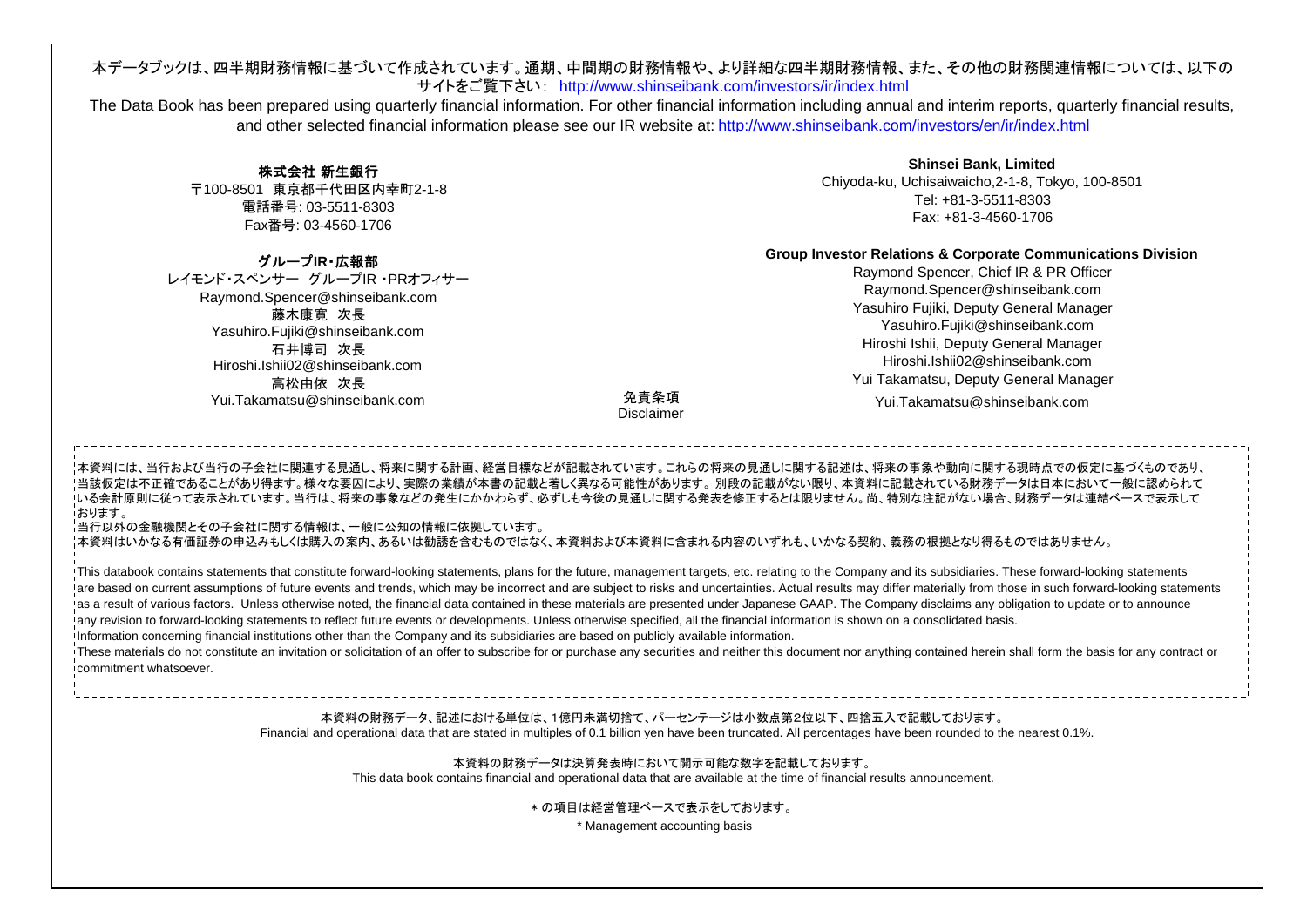# 本データブックは、四半期財務情報に基づいて作成されています。通期、中間期の財務情報や、より詳細な四半期財務情報、また、その他の財務関連情報については、以下のサイトをご覧下さい: http://www.shinseibank.com/investors/ir/index.html

The Data Book has been prepared using quarterly financial information. For other financial information including annual and interim reports, quarterly financial results, and other selected financial information please see our IR website at: http://www.shinseibank.com/investors/en/ir/index.html

# 株式会社 新生銀行

〒100-8501 東京都千代田区内幸町2-1-8 電話番号: 03-5511-8303 Fax番号: 03-4560-1706

**Shinsei Bank, Limited** Chiyoda-ku, Uchisaiwaicho,2-1-8, Tokyo, 100-8501 Tel: +81-3-5511-8303Fax: +81-3-4560-1706

# **Group Investor Relations & Corporate Communications Division**

Raymond Spencer, Chief IR & PR Officer Raymond.Spencer@shinseibank.com Yasuhiro Fujiki, Deputy General Manager Yasuhiro.Fujiki@shinseibank.com Hiroshi Ishii, Deputy General Manager Hiroshi.Ishii02@shinseibank.comYui Takamatsu, Deputy General Manager

Yui.Takamatsu@shinseibank.com

グループ**IR**・広報部レイモンド・スペンサー グループIR ・PRオフィサーRaymond.Spencer@shinseibank.com 藤木康寛 次長 Yasuhiro.Fujiki@shinseibank.com 石井博司 次長 Hiroshi.Ishii02@shinseibank.com 高松由依 次長 Yui.Takamatsu@shinseibank.com

# 免責条項Disclaimer

本資料には、当行および当行の子会社に関連する見通し、将来に関する計画、経営目標などが記載されています。これらの将来の見通しに関する記述は、将来の事象や動向に関する現時点での仮定に基づくものであり、 <sup>・</sup>当該仮定は不正確であることがあり得ます。様々な要因により、実際の業績が本書の記載と著しく異なる可能性があります。 別段の記載がない限り、本資料に記載されている財務データは日本において一般に認められて いる会計原則に従って表示されています。当行は、将来の事象などの発生にかかわらず、必ずしも今後の見通しに関する発表を修正するとは限りません。尚、特別な注記がない場合、財務データは連結ベースで表示して **おります。** 

当行以外の金融機関とその子会社に関する情報は、一般に公知の情報に依拠しています。

本資料はいかなる有価証券の申込みもしくは購入の案内、あるいは勧誘を含むものではなく、本資料および本資料に含まれる内容のいずれも、いかなる契約、義務の根拠となり得るものではありません。

This databook contains statements that constitute forward-looking statements, plans for the future, management targets, etc. relating to the Company and its subsidiaries. These forward-looking statements <sup>1</sup>are based on current assumptions of future events and trends, which may be incorrect and are subject to risks and uncertainties. Actual results may differ materially from those in such forward-looking statements I as a result of various factors. Unless otherwise noted, the financial data contained in these materials are presented under Japanese GAAP. The Company disclaims any obligation to update or to announce any revision to forward-looking statements to reflect future events or developments. Unless otherwise specified, all the financial information is shown on a consolidated basis.

Information concerning financial institutions other than the Company and its subsidiaries are based on publicly available information.

These materials do not constitute an invitation or solicitation of an offer to subscribe for or purchase any securities and neither this document nor anything contained herein shall form the basis for any contract or commitment whatsoever.

# 本資料の財務データ、記述における単位は、1億円未満切捨て、パーセンテージは小数点第2位以下、四捨五入で記載しております。 Financial and operational data that are stated in multiples of 0.1 billion yen have been truncated. All percentages have been rounded to the nearest 0.1%.

本資料の財務データは決算発表時において開示可能な数字を記載しております。

This data book contains financial and operational data that are available at the time of financial results announcement.

\* の項目は経営管理ベースで表示をしております。

\* Management accounting basis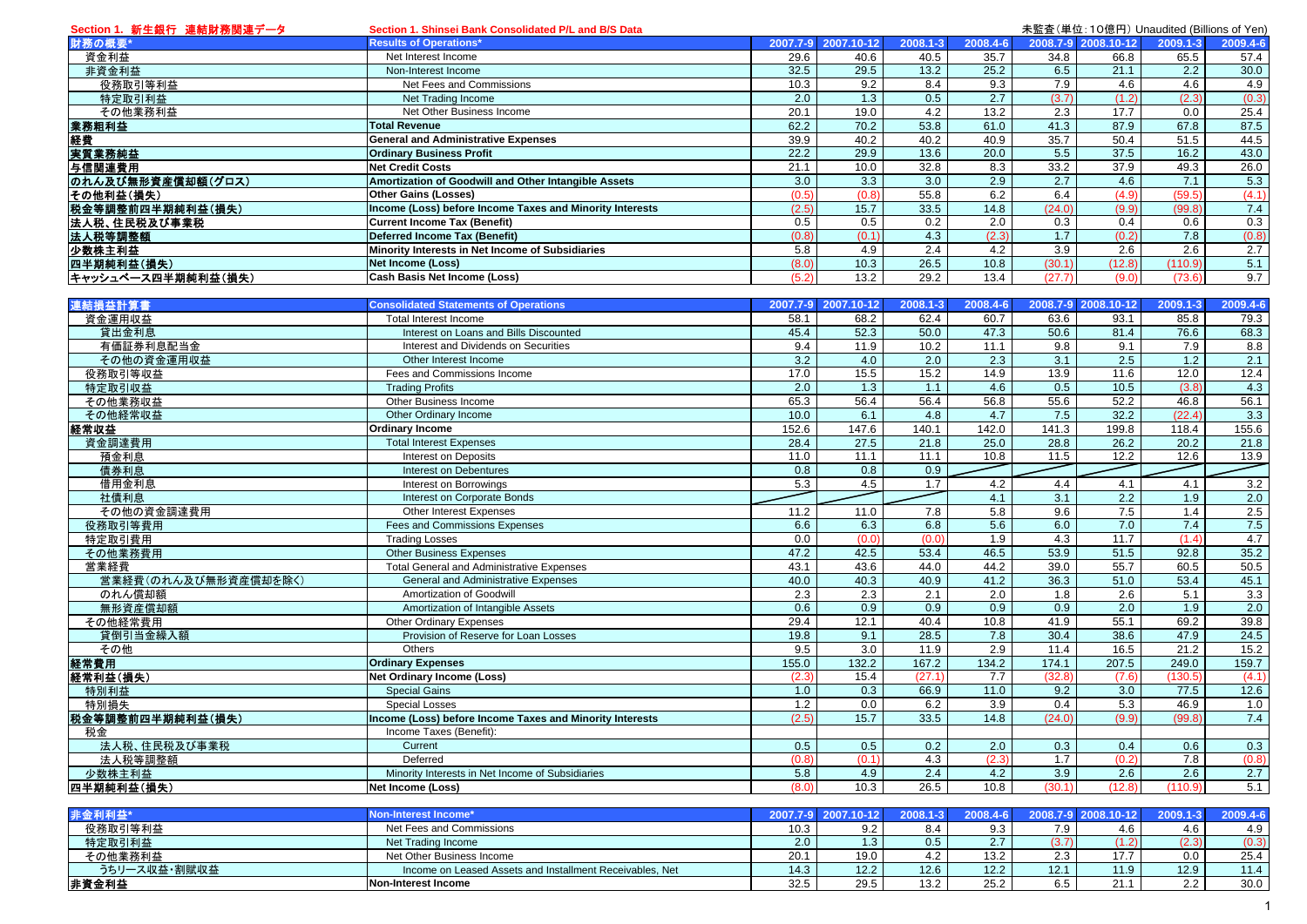| Section 1. 新生銀行 連結財務関連データ | Section 1. Shinsei Bank Consolidated P/L and B/S Data    |          |            |          |                  |                  |                     | 未監査(単位:10億円) Unaudited (Billions of Yen) |                  |
|---------------------------|----------------------------------------------------------|----------|------------|----------|------------------|------------------|---------------------|------------------------------------------|------------------|
| 財務の概要*                    | <b>Results of Operations*</b>                            | 2007.7-9 | 2007.10-12 | 2008.1-3 | 2008.4-6         |                  | 2008.7-9 2008.10-12 | 2009.1-3                                 | 2009.4-6         |
| 資金利益                      | Net Interest Income                                      | 29.6     | 40.6       | 40.5     | 35.7             | 34.8             | 66.8                | 65.5                                     | 57.4             |
| 非資金利益                     | Non-Interest Income                                      | 32.5     | 29.5       | 13.2     | 25.2             | 6.5              | 21.1                | 2.2                                      | 30.0             |
| 役務取引等利益                   | Net Fees and Commissions                                 | 10.3     | 9.2        | 8.4      | 9.3              | 7.9              | 4.6                 | 4.6                                      | 4.9              |
| 特定取引利益                    | Net Trading Income                                       | 2.0      | 1.3        | 0.5      | $\overline{2.7}$ | (3.7)            | (1.2)               | (2.3)                                    | (0.3)            |
| その他業務利益                   | Net Other Business Income                                | 20.1     | 19.0       | 4.2      | 13.2             | 2.3              | 17.7                | 0.0                                      | 25.4             |
| 業務粗利益                     | <b>Total Revenue</b>                                     | 62.2     | 70.2       | 53.8     | 61.0             | 41.3             | 87.9                | 67.8                                     | 87.5             |
| 経費                        | <b>General and Administrative Expenses</b>               | 39.9     | 40.2       | 40.2     | 40.9             | 35.7             | 50.4                | 51.5                                     | 44.5             |
| 実質業務純益                    | <b>Ordinary Business Profit</b>                          | 22.2     | 29.9       | 13.6     | 20.0             | 5.5              | 37.5                | $\overline{16.2}$                        | 43.0             |
|                           |                                                          |          |            | 32.8     | 8.3              | 33.2             | 37.9                | 49.3                                     |                  |
| 与信関連費用                    | <b>Net Credit Costs</b>                                  | 21.1     | 10.0       |          |                  |                  |                     |                                          | 26.0             |
| のれん及び無形資産償却額(グロス)         | Amortization of Goodwill and Other Intangible Assets     | 3.0      | 3.3        | 3.0      | 2.9              | $\overline{2.7}$ | 4.6                 | 7.1                                      | 5.3              |
| その他利益(損失)                 | <b>Other Gains (Losses)</b>                              | (0.5)    | (0.8)      | 55.8     | 6.2              | 6.4              | (4.9)               | (59.5)                                   | (4.1)            |
| 税金等調整前四半期純利益(損失)          | Income (Loss) before Income Taxes and Minority Interests | (2.5)    | 15.7       | 33.5     | 14.8             | (24.0)           | (9.9)               | (99.8)                                   | 7.4              |
| 法人税、住民税及び事業税              | <b>Current Income Tax (Benefit)</b>                      | 0.5      | 0.5        | 0.2      | 2.0              | 0.3              | 0.4                 | 0.6                                      | 0.3              |
| 法人税等調整額                   | Deferred Income Tax (Benefit)                            | (0.8)    | (0.1)      | 4.3      | (2.3)            | 1.7              | (0.2)               | 7.8                                      | (0.8)            |
| 少数株主利益                    | Minority Interests in Net Income of Subsidiaries         | 5.8      | 4.9        | 2.4      | 4.2              | 3.9              | 2.6                 | 2.6                                      | $\overline{2.7}$ |
| 四半期純利益(損失)                | <b>Net Income (Loss)</b>                                 | (8.0)    | 10.3       | 26.5     | 10.8             | (30.1)           | (12.8)              | (110.9)                                  | 5.1              |
| キャッシュベース四半期純利益(損失)        | <b>Cash Basis Net Income (Loss)</b>                      | (5.2)    | 13.2       | 29.2     | 13.4             | (27.7)           | (9.0)               | (73.6)                                   | 9.7              |
|                           |                                                          |          |            |          |                  |                  |                     |                                          |                  |
| 連結損益計算書                   | <b>Consolidated Statements of Operations</b>             | 2007.7-9 | 2007.10-12 | 2008.1-3 | 2008.4-6         |                  | 2008.7-9 2008.10-12 | 2009.1-3                                 | 2009.4-6         |
| 資金運用収益                    | Total Interest Income                                    | 58.1     | 68.2       | 62.4     | 60.7             | 63.6             | 93.1                | 85.8                                     | 79.3             |
| 貸出金利息                     | Interest on Loans and Bills Discounted                   | 45.4     | 52.3       | 50.0     | 47.3             | 50.6             | 81.4                | 76.6                                     | 68.3             |
| 有価証券利息配当金                 | Interest and Dividends on Securities                     | 9.4      | 11.9       | 10.2     | 11.1             | 9.8              | 9.1                 | 7.9                                      | 8.8              |
| その他の資金運用収益                | Other Interest Income                                    | 3.2      | 4.0        | 2.0      | 2.3              | 3.1              | 2.5                 | 1.2                                      | 2.1              |
| 役務取引等収益                   | Fees and Commissions Income                              | 17.0     | 15.5       | 15.2     | 14.9             | 13.9             | 11.6                | 12.0                                     | 12.4             |
| 特定取引収益                    | <b>Trading Profits</b>                                   | 2.0      | 1.3        | 1.1      | 4.6              | 0.5              | $\overline{10.5}$   | (3.8)                                    | 4.3              |
| その他業務収益                   | Other Business Income                                    | 65.3     | 56.4       | 56.4     | 56.8             | 55.6             | 52.2                | 46.8                                     | 56.1             |
| その他経常収益                   | Other Ordinary Income                                    | 10.0     | 6.1        | 4.8      | 4.7              | 7.5              | 32.2                | (22.4)                                   | 3.3              |
|                           |                                                          |          |            |          |                  |                  |                     |                                          |                  |
| 経常収益                      | <b>Ordinary Income</b>                                   | 152.6    | 147.6      | 140.1    | 142.0            | 141.3            | 199.8               | 118.4                                    | 155.6            |
| 資金調達費用                    | <b>Total Interest Expenses</b>                           | 28.4     | 27.5       | 21.8     | 25.0             | 28.8             | 26.2                | 20.2                                     | 21.8             |
| 預金利息                      | Interest on Deposits                                     | 11.0     | 11.1       | 11.1     | 10.8             | 11.5             | 12.2                | 12.6                                     | 13.9             |
| 債券利息                      | <b>Interest on Debentures</b>                            | 0.8      | 0.8        | 0.9      |                  |                  |                     |                                          |                  |
| 借用金利息                     | Interest on Borrowings                                   | 5.3      | 4.5        | 1.7      | 4.2              | 4.4              | 4.1                 | 4.1                                      | 3.2              |
| 社債利息                      | Interest on Corporate Bonds                              |          |            |          | 4.1              | 3.1              | 2.2                 | 1.9                                      | 2.0              |
| その他の資金調達費用                | Other Interest Expenses                                  | 11.2     | 11.0       | 7.8      | 5.8              | 9.6              | 7.5                 | 1.4                                      | 2.5              |
| 役務取引等費用                   | Fees and Commissions Expenses                            | 6.6      | 6.3        | 6.8      | 5.6              | 6.0              | 7.0                 | 7.4                                      | 7.5              |
| 特定取引費用                    | <b>Trading Losses</b>                                    | 0.0      | (0.0)      | (0.0)    | 1.9              | 4.3              | 11.7                | (1.4)                                    | 4.7              |
| その他業務費用                   | <b>Other Business Expenses</b>                           | 47.2     | 42.5       | 53.4     | 46.5             | 53.9             | 51.5                | 92.8                                     | 35.2             |
| 営業経費                      | <b>Total General and Administrative Expenses</b>         | 43.1     | 43.6       | 44.0     | 44.2             | 39.0             | 55.7                | 60.5                                     | 50.5             |
| 営業経費(のれん及び無形資産償却を除く)      | General and Administrative Expenses                      | 40.0     | 40.3       | 40.9     | 41.2             | 36.3             | 51.0                | 53.4                                     | 45.1             |
| のれん償却額                    | Amortization of Goodwill                                 | 2.3      | 2.3        | 2.1      | 2.0              | 1.8              | 2.6                 | 5.1                                      | 3.3              |
| 無形資産償却額                   | Amortization of Intangible Assets                        | 0.6      | 0.9        | 0.9      | 0.9              | 0.9              | $\overline{2.0}$    | 1.9                                      | 2.0              |
| その他経常費用                   | <b>Other Ordinary Expenses</b>                           | 29.4     | 12.1       | 40.4     | 10.8             | 41.9             | 55.1                | 69.2                                     | 39.8             |
| 貸倒引当金繰入額                  | Provision of Reserve for Loan Losses                     | 19.8     | 9.1        | 28.5     | 7.8              | 30.4             | 38.6                | 47.9                                     | 24.5             |
| その他                       | Others                                                   | 9.5      | 3.0        | 11.9     | 2.9              | 11.4             | 16.5                | 21.2                                     | 15.2             |
| 経常費用                      | <b>Ordinary Expenses</b>                                 | 155.0    | 132.2      | 167.2    | 134.2            | 174.1            | 207.5               | 249.0                                    | 159.7            |
| 経常利益(損失)                  | <b>Net Ordinary Income (Loss)</b>                        | (2.3)    | 15.4       | (27.1)   | 7.7              | (32.8)           | (7.6)               | (130.5)                                  | (4.1)            |
| 特別利益                      | <b>Special Gains</b>                                     | 1.0      | 0.3        |          | 11.0             | 9.2              | 3.0                 |                                          | 12.6             |
|                           |                                                          |          |            | 66.9     |                  |                  |                     | 77.5                                     |                  |
| 特別損失                      | <b>Special Losses</b>                                    | 1.2      | 0.0        | 6.2      | 3.9              | 0.4              | 5.3                 | 46.9                                     | 1.0              |
| 税金等調整前四半期純利益(損失)          | Income (Loss) before Income Taxes and Minority Interests | (2.5)    | 15.7       | 33.5     | 14.8             | (24.0)           | (9.9)               | (99.8)                                   | 7.4              |
| 税金                        | Income Taxes (Benefit):                                  |          |            |          |                  |                  |                     |                                          |                  |
| 法人税、住民税及び事業税              | Current                                                  | 0.5      | 0.5        | 0.2      | 2.0              | 0.3              | 0.4                 | 0.6                                      | 0.3              |
| 法人税等調整額                   | Deferred                                                 | (0.8)    | (0.1)      | 4.3      | (2.3)            | 1.7              | (0.2)               | 7.8                                      | (0.8)            |
| 少数株主利益                    | Minority Interests in Net Income of Subsidiaries         | 5.8      | 4.9        | 2.4      | 4.2              | 3.9              | 2.6                 | 2.6                                      | 2.7              |
| 四半期純利益(損失)                | Net Income (Loss)                                        | (8.0)    | 10.3       | 26.5     | 10.8             | (30.1)           | (12.8)              | (110.9)                                  | 5.1              |
|                           |                                                          |          |            |          |                  |                  |                     |                                          |                  |
| 非金利利益*                    | Non-Interest Income*                                     | 2007.7-9 | 2007.10-12 | 2008.1-3 | 2008.4-6         |                  | 2008.7-9 2008.10-12 | 2009.1-3                                 | 2009.4-6         |
| 役務取引等利益                   | Net Fees and Commissions                                 | 10.3     | 9.2        | 8.4      | 9.3              | 7.9              | 4.6                 | 4.6                                      | 4.9              |
| 特定取引利益                    | Net Trading Income                                       | 2.0      | 1.3        | 0.5      | 2.7              | (3.7)            | (1.2)               | (2.3)                                    | (0.3)            |
|                           |                                                          |          |            |          |                  |                  |                     |                                          |                  |

Net Other Business Income<br>
Income on Leased Assets and Installment Receivables, Net 14.3 12.2 12.6 12.2 12.1 1.9 12.9 1.4.4

その他業務利益

非資金利益

うちリース収益・割賦収益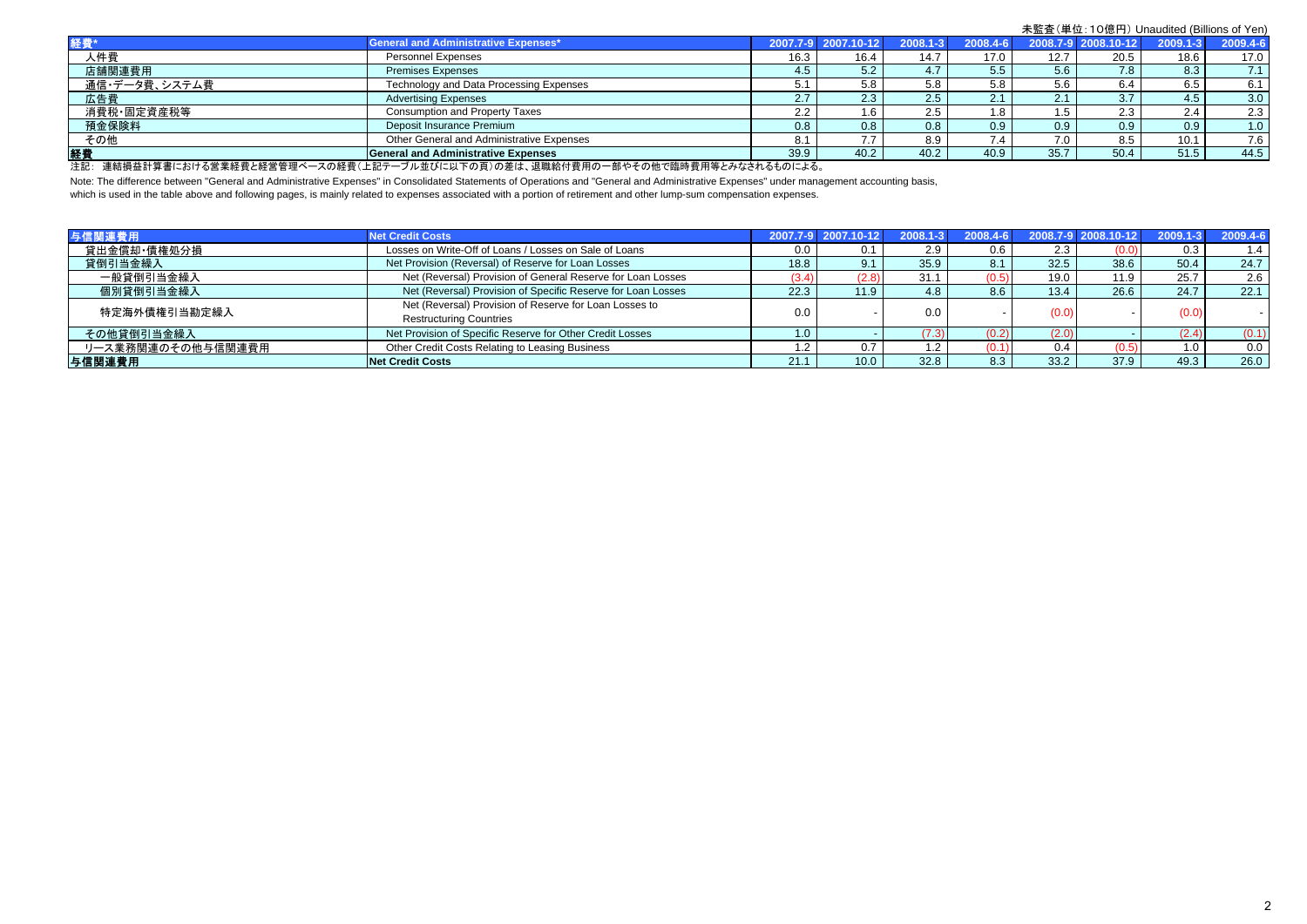|               |                                            |               |                     |                  |                  |                  | .                   |              |          |
|---------------|--------------------------------------------|---------------|---------------------|------------------|------------------|------------------|---------------------|--------------|----------|
| 経費"           | General and Administrative Expenses*       |               | 2007.7-9 2007.10-12 | 2008.1-3         | 2008.4-6         |                  | 2008.7-9 2008.10-12 | $2009.1 - 3$ | 2009.4-6 |
| 人件費           | <b>Personnel Expenses</b>                  | 16.3          | 16.4                | 14.7             | 17.0             | 12.7             | 20.5                | 18.6         | 17.0     |
| 店舗関連費用        | <b>Premises Expenses</b>                   | 4.5           | 5.2                 | 4.7              | 5.5              | 5.6              | 7.8 <sub>1</sub>    | 8.3          | 7.1      |
| 通信・データ費、システム費 | Technology and Data Processing Expenses    |               | 5.8                 | 5.8              | 5.8              | 5.6              | 6.4                 | 6.5          | 6.1      |
| 広告費           | <b>Advertising Expenses</b>                |               | 2.3                 | 2.5              | 2.1              |                  |                     | 4.5          | 3.0      |
| 消費税·固定資産税等    | <b>Consumption and Property Taxes</b>      | $\sim$<br>2.2 | l.6                 | 2.5              | 8. ا             | l.5              | 2.3                 | 2.4          | 2.3      |
| 預金保険料         | Deposit Insurance Premium                  | 0.8           | 0.8                 | 0.8 <sub>0</sub> | 0.9 <sub>0</sub> | 0.9 <sup>°</sup> | 0.9 <sup>°</sup>    | 0.9          | 1.0      |
| その他           | Other General and Administrative Expenses  |               | 77                  | 8.9              | 7.4              | 7.0              | 8.5                 | 10.1         | 7.6      |
| 経費            | <b>General and Administrative Expenses</b> | 39.9          | 40.2                | 40.2             | 40.9             | 35.7             | 50.4                | 51.5         | 44.5     |

注記: 連結損益計算書における営業経費と経営管理ベースの経費(上記テーブル並びに以下の頁)の差は、退職給付費用の一部やその他で臨時費用等とみなされるものによる。

Note: The difference between "General and Administrative Expenses" in Consolidated Statements of Operations and "General and Administrative Expenses" under management accounting basis,

which is used in the table above and following pages, is mainly related to expenses associated with a portion of retirement and other lump-sum compensation expenses.

| 与信関連費用            | <b>Net Credit Costs</b>                                      |      | 2007.7-9 2007.10-12 | $2008.1 - 3$ | 2008.4-6 |       | $2008.7 - 92008.10 - 12$ | $2009.1 - 3$ | 2009.4-6 |
|-------------------|--------------------------------------------------------------|------|---------------------|--------------|----------|-------|--------------------------|--------------|----------|
| 貸出金償却·債権処分損       | Losses on Write-Off of Loans / Losses on Sale of Loans       | 0.0  |                     | 2.9          | 0.6      | 2.3   | (0.0)                    | 0.3          | 1.4      |
| 貸倒引当金繰入           | Net Provision (Reversal) of Reserve for Loan Losses          | 18.8 |                     | 35.9         | 8.1      | 32.5  | 38.6                     | 50.4         | 24.7     |
| 一般貸倒引当金繰入         | Net (Reversal) Provision of General Reserve for Loan Losses  | (3.4 | (2.8)               | 31.1         | (0.5)    | 19.0  | 11.9                     | 25.7         | 2.6      |
| 個別貸倒引当金繰入         | Net (Reversal) Provision of Specific Reserve for Loan Losses | 22.3 | 11.9                | 4.8          | 8.6      | 13.4  | 26.6                     | 24.7         | 22.1     |
| 特定海外債権引当勘定繰入      | Net (Reversal) Provision of Reserve for Loan Losses to       | 0.0  |                     | 0.0          |          |       |                          | (0.0)        |          |
|                   | <b>Restructuring Countries</b>                               |      |                     |              |          | (0.0) |                          |              |          |
| その他貸倒引当金繰入        | Net Provision of Specific Reserve for Other Credit Losses    | .0   |                     | (7.3)        | (0.2)    | (2.0) |                          | (2.4)        | (0.1)    |
| リース業務関連のその他与信関連費用 | Other Credit Costs Relating to Leasing Business              |      |                     | . 2          |          | 0.4   | (0.5)                    | 1.0          | 0.0      |
| 与信関連費用            | <b>Net Credit Costs</b>                                      | 21.1 | 10.0                | 32.8         | 8.3      | 33.2  | 37.9                     | 49.3         | 26.0     |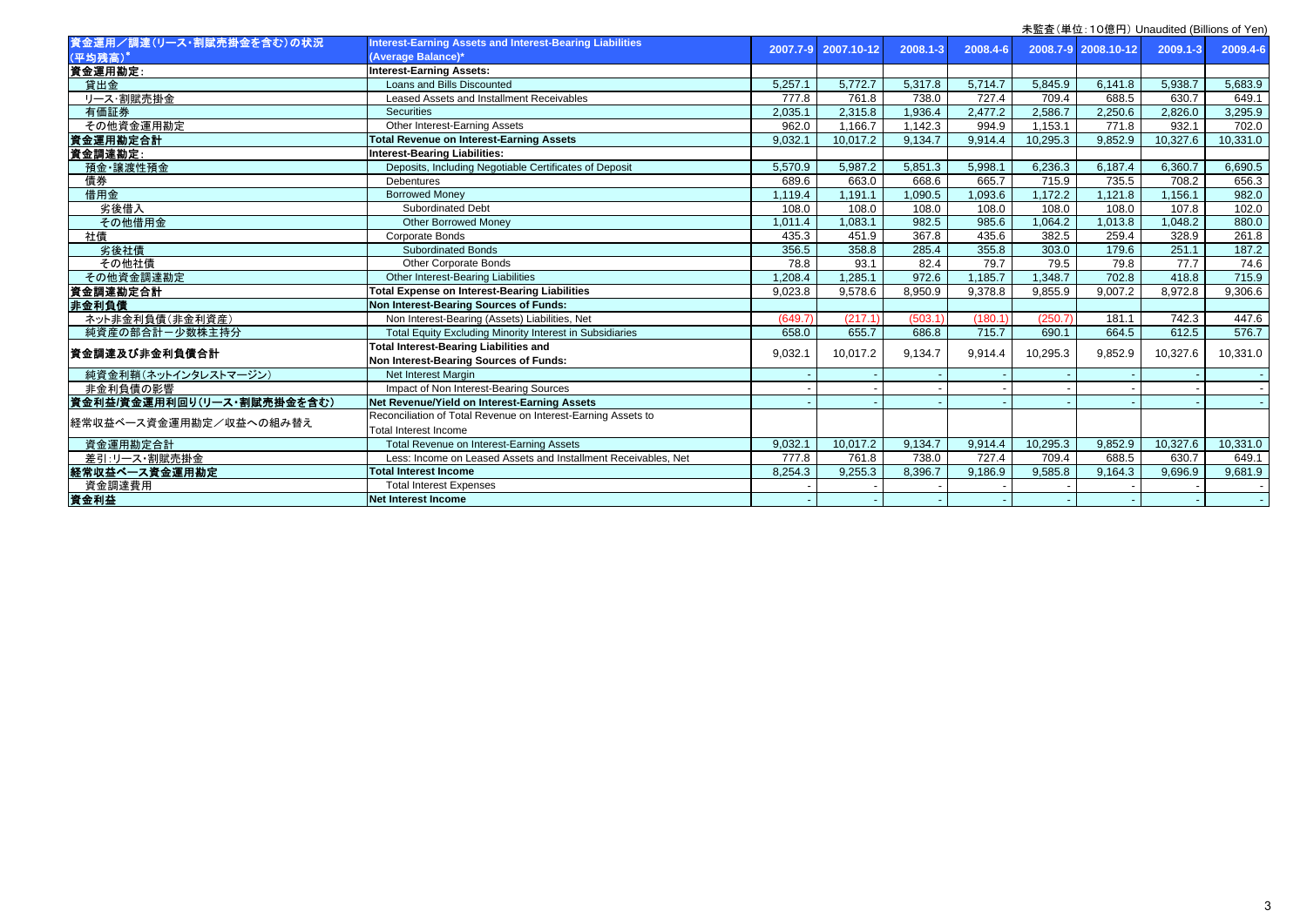|                            |                                                                 |          | 木皿且 \丰 Ш. TO is [ ] / Urlaudited (Dillions Of Terr) |          |          |          |                     |              |          |  |  |
|----------------------------|-----------------------------------------------------------------|----------|-----------------------------------------------------|----------|----------|----------|---------------------|--------------|----------|--|--|
| 資金運用/調達(リース・割賦売掛金を含む)の状況   | Interest-Earning Assets and Interest-Bearing Liabilities        | 2007.7-9 | 2007.10-12                                          | 2008.1-3 | 2008.4-6 |          | 2008.7-9 2008.10-12 | $2009.1 - 3$ | 2009.4-6 |  |  |
| (平均残高)                     | (Average Balance)*                                              |          |                                                     |          |          |          |                     |              |          |  |  |
| 資金運用勘定:                    | <b>Interest-Earning Assets:</b>                                 |          |                                                     |          |          |          |                     |              |          |  |  |
| 貸出金                        | Loans and Bills Discounted                                      | 5,257.1  | 5,772.7                                             | 5,317.8  | 5,714.7  | 5,845.9  | 6,141.8             | 5,938.7      | 5,683.9  |  |  |
| リース・割賦売掛金                  | Leased Assets and Installment Receivables                       | 777.8    | 761.8                                               | 738.0    | 727.4    | 709.4    | 688.5               | 630.7        | 649.1    |  |  |
| 有価証券                       | <b>Securities</b>                                               | 2.035.1  | 2,315.8                                             | 1,936.4  | 2,477.2  | 2,586.7  | 2.250.6             | 2.826.0      | 3,295.9  |  |  |
| その他資金運用勘定                  | Other Interest-Earning Assets                                   | 962.0    | 1,166.7                                             | 1,142.3  | 994.9    | 1,153.1  | 771.8               | 932.1        | 702.0    |  |  |
| 資金運用勘定合計                   | <b>Total Revenue on Interest-Earning Assets</b>                 | 9,032.1  | 10,017.2                                            | 9,134.7  | 9,914.4  | 10,295.3 | 9,852.9             | 10,327.6     | 10,331.0 |  |  |
| 資金調達勘定:                    | <b>Interest-Bearing Liabilities:</b>                            |          |                                                     |          |          |          |                     |              |          |  |  |
| 預金·讓渡性預金                   | Deposits, Including Negotiable Certificates of Deposit          | 5.570.9  | 5.987.2                                             | 5.851.3  | 5,998.1  | 6.236.3  | 6.187.4             | 6.360.7      | 6,690.5  |  |  |
| 債券                         | <b>Debentures</b>                                               | 689.6    | 663.0                                               | 668.6    | 665.7    | 715.9    | 735.5               | 708.2        | 656.3    |  |  |
| 借用金                        | <b>Borrowed Money</b>                                           | 1,119.4  | 1,191.1                                             | .090.5   | .093.6   | 1,172.2  | 1,121.8             | 1,156.1      | 982.0    |  |  |
| 劣後借入                       | <b>Subordinated Debt</b>                                        | 108.0    | 108.0                                               | 108.0    | 108.0    | 108.0    | 108.0               | 107.8        | 102.0    |  |  |
| その他借用金                     | <b>Other Borrowed Money</b>                                     | 1,011.4  | 1,083.1                                             | 982.5    | 985.6    | .064.2   | 1,013.8             | 1.048.2      | 880.0    |  |  |
| 社債                         | Corporate Bonds                                                 | 435.3    | 451.9                                               | 367.8    | 435.6    | 382.5    | 259.4               | 328.9        | 261.8    |  |  |
| 劣後社債                       | <b>Subordinated Bonds</b>                                       | 356.5    | 358.8                                               | 285.4    | 355.8    | 303.0    | 179.6               | 251.1        | 187.2    |  |  |
| その他社債                      | <b>Other Corporate Bonds</b>                                    | 78.8     | 93.1                                                | 82.4     | 79.7     | 79.5     | 79.8                | 77.7         | 74.6     |  |  |
| その他資金調達勘定                  | Other Interest-Bearing Liabilities                              | 1,208.4  | 1.285.1                                             | 972.6    | 185.7    | 1,348.7  | 702.8               | 418.8        | 715.9    |  |  |
| 資金調達勘定合計                   | <b>Total Expense on Interest-Bearing Liabilities</b>            | 9,023.8  | 9,578.6                                             | 8,950.9  | 9,378.8  | 9,855.9  | 9,007.2             | 8,972.8      | 9,306.6  |  |  |
| 非金利負債                      | Non Interest-Bearing Sources of Funds:                          |          |                                                     |          |          |          |                     |              |          |  |  |
| ネット非金利負債(非金利資産)            | Non Interest-Bearing (Assets) Liabilities, Net                  | (649.7)  | (217.1)                                             | (503.1)  | (180.1)  | (250.7)  | 181.1               | 742.3        | 447.6    |  |  |
| 純資産の部合計ー少数株主持分             | <b>Total Equity Excluding Minority Interest in Subsidiaries</b> | 658.0    | 655.7                                               | 686.8    | 715.7    | 690.1    | 664.5               | 612.5        | 576.7    |  |  |
| 資金調達及び非金利負債合計              | <b>Total Interest-Bearing Liabilities and</b>                   | 9,032.1  | 10,017.2                                            | 9,134.7  | 9,914.4  | 10,295.3 | 9,852.9             | 10,327.6     | 10,331.0 |  |  |
|                            | Non Interest-Bearing Sources of Funds:                          |          |                                                     |          |          |          |                     |              |          |  |  |
| 純資金利鞘(ネットインタレストマージン)       | <b>Net Interest Margin</b>                                      |          |                                                     |          |          |          |                     |              |          |  |  |
| 非金利負債の影響                   | Impact of Non Interest-Bearing Sources                          |          |                                                     |          |          |          |                     |              |          |  |  |
| 資金利益/資金運用利回り(リース・割賦売掛金を含む) | Net Revenue/Yield on Interest-Earning Assets                    |          |                                                     |          |          |          |                     |              |          |  |  |
| 経常収益ベース資金運用勘定/収益への組み替え     | Reconciliation of Total Revenue on Interest-Earning Assets to   |          |                                                     |          |          |          |                     |              |          |  |  |
|                            | <b>Total Interest Income</b>                                    |          |                                                     |          |          |          |                     |              |          |  |  |
| 資金運用勘定合計                   | Total Revenue on Interest-Earning Assets                        | 9,032.   | 10,017.2                                            | 9,134.7  | 9,914.4  | 10,295.3 | 9,852.9             | 10,327.6     | 10,331.0 |  |  |
| 差引:リース・割賦売掛金               | Less: Income on Leased Assets and Installment Receivables, Net  | 777.8    | 761.8                                               | 738.0    | 727.4    | 709.4    | 688.5               | 630.7        | 649.1    |  |  |
| 経常収益ベース資金運用勘定              | <b>Total Interest Income</b>                                    | 8,254.3  | 9,255.3                                             | 8,396.7  | 9,186.9  | 9,585.8  | 9,164.3             | 9.696.9      | 9,681.9  |  |  |
| 資金調達費用                     | <b>Total Interest Expenses</b>                                  |          |                                                     |          |          |          |                     |              |          |  |  |
| 資金利益                       | Net Interest Income                                             |          |                                                     |          |          |          |                     |              |          |  |  |
|                            |                                                                 |          |                                                     |          |          |          |                     |              |          |  |  |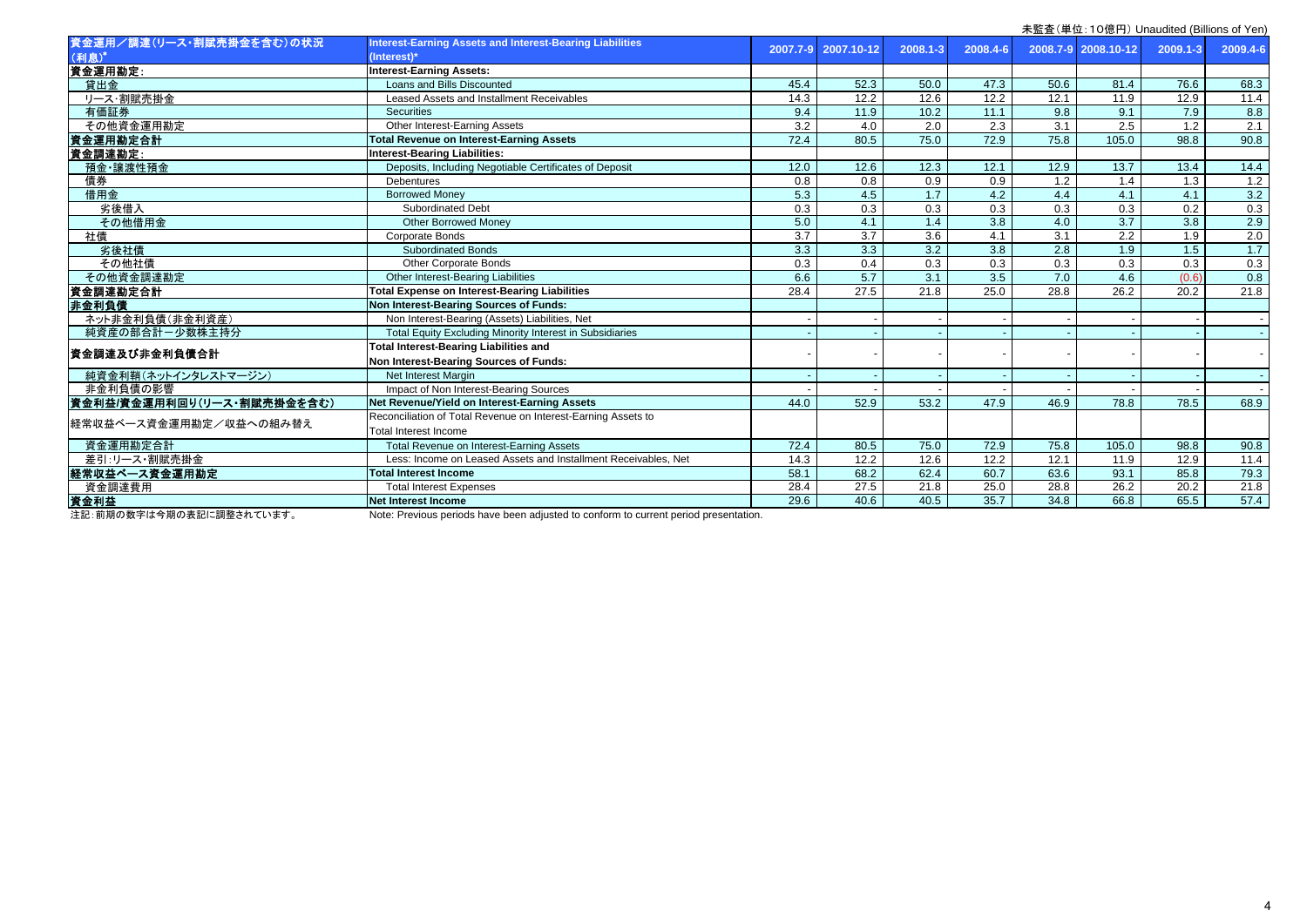|                            |                                                                 |                  |                   |          |                  |                  | 木血宜\芈位. TO混口/ Urlaudited (Dillions of Terr) |                   |          |
|----------------------------|-----------------------------------------------------------------|------------------|-------------------|----------|------------------|------------------|---------------------------------------------|-------------------|----------|
| 資金運用/調達(リース・割賦売掛金を含む)の状況   | <b>Interest-Earning Assets and Interest-Bearing Liabilities</b> | 2007.7-9         | 2007.10-12        | 2008.1-3 | 2008.4-6         |                  | 2008.7-9 2008.10-12                         | 2009.1-3          | 2009.4-6 |
| (利息)*                      | (Interest)*                                                     |                  |                   |          |                  |                  |                                             |                   |          |
| 資金運用勘定:                    | <b>Interest-Earning Assets:</b>                                 |                  |                   |          |                  |                  |                                             |                   |          |
| 貸出金                        | Loans and Bills Discounted                                      | 45.4             | 52.3              | 50.0     | 47.3             | 50.6             | 81.4                                        | 76.6              | 68.3     |
| リース・割賦売掛金                  | Leased Assets and Installment Receivables                       | 14.3             | 12.2              | 12.6     | 12.2             | 12.1             | 11.9                                        | 12.9              | 11.4     |
| 有価証券                       | <b>Securities</b>                                               | 9.4              | 11.9              | 10.2     | 11.1             | 9.8              | 9.1                                         | 7.9               | 8.8      |
| その他資金運用勘定                  | Other Interest-Earning Assets                                   | $\overline{3.2}$ | 4.0               | 2.0      | 2.3              | $\overline{3.1}$ | 2.5                                         | 1.2               | 2.1      |
| 資金運用勘定合計                   | <b>Total Revenue on Interest-Earning Assets</b>                 | 72.4             | 80.5              | 75.0     | 72.9             | 75.8             | 105.0                                       | 98.8              | 90.8     |
| 資金調達勘定:                    | <b>Interest-Bearing Liabilities:</b>                            |                  |                   |          |                  |                  |                                             |                   |          |
| 預金·讓渡性預金                   | Deposits, Including Negotiable Certificates of Deposit          | 12.0             | 12.6              | 12.3     | 12.1             | 12.9             | 13.7                                        | 13.4              | 14.4     |
| 債券                         | Debentures                                                      | 0.8              | 0.8               | 0.9      | 0.9              | 1.2              | 1.4                                         | 1.3               | 1.2      |
| 借用金                        | <b>Borrowed Money</b>                                           | 5.3              | 4.5               | 1.7      | 4.2              | 4.4              | 4.1                                         | 4.1               | 3.2      |
| 劣後借入                       | <b>Subordinated Debt</b>                                        | 0.3              | 0.3               | 0.3      | 0.3              | 0.3              | 0.3                                         | 0.2               | 0.3      |
| その他借用金                     | <b>Other Borrowed Money</b>                                     | 5.0              | 4.1               | 1.4      | $\overline{3.8}$ | 4.0              | $\overline{3.7}$                            | $\overline{3.8}$  | 2.9      |
| 社債                         | Corporate Bonds                                                 | 3.7              | $\overline{3.7}$  | 3.6      | 4.1              | 3.1              | $\overline{2.2}$                            | 1.9               | 2.0      |
| 劣後社債                       | <b>Subordinated Bonds</b>                                       | 3.3              | 3.3               | 3.2      | 3.8              | 2.8              | 1.9                                         | 1.5               | 1.7      |
| その他社債                      | <b>Other Corporate Bonds</b>                                    | 0.3              | 0.4               | 0.3      | 0.3              | 0.3              | 0.3                                         | 0.3               | 0.3      |
| その他資金調達勘定                  | Other Interest-Bearing Liabilities                              | 6.6              | 5.7               | 3.1      | 3.5              | 7.0              | 4.6                                         | (0.6)             | 0.8      |
| 資金調達勘定合計                   | <b>Total Expense on Interest-Bearing Liabilities</b>            | 28.4             | $\overline{27.5}$ | 21.8     | 25.0             | 28.8             | 26.2                                        | $\overline{20.2}$ | 21.8     |
| 非金利負債                      | Non Interest-Bearing Sources of Funds:                          |                  |                   |          |                  |                  |                                             |                   |          |
| ネット非金利負債(非金利資産)            | Non Interest-Bearing (Assets) Liabilities, Net                  |                  |                   |          |                  |                  |                                             |                   |          |
| 純資産の部合計ー少数株主持分             | Total Equity Excluding Minority Interest in Subsidiaries        |                  |                   |          |                  |                  |                                             |                   |          |
| 資金調達及び非金利負債合計              | <b>Total Interest-Bearing Liabilities and</b>                   |                  |                   |          |                  |                  |                                             |                   |          |
|                            | Non Interest-Bearing Sources of Funds:                          |                  |                   |          |                  |                  |                                             |                   |          |
| 純資金利鞘(ネットインタレストマージン)       | <b>Net Interest Margin</b>                                      |                  |                   |          |                  |                  |                                             |                   |          |
| 非金利負債の影響                   | Impact of Non Interest-Bearing Sources                          |                  |                   |          |                  |                  |                                             |                   |          |
| 資金利益/資金運用利回り(リース・割賦売掛金を含む) | Net Revenue/Yield on Interest-Earning Assets                    | 44.0             | 52.9              | 53.2     | 47.9             | 46.9             | 78.8                                        | 78.5              | 68.9     |
|                            | Reconciliation of Total Revenue on Interest-Earning Assets to   |                  |                   |          |                  |                  |                                             |                   |          |
| 経常収益ベース資金運用勘定/収益への組み替え     | <b>Total Interest Income</b>                                    |                  |                   |          |                  |                  |                                             |                   |          |
| 資金運用勘定合計                   | Total Revenue on Interest-Earning Assets                        | 72.4             | 80.5              | 75.0     | 72.9             | 75.8             | 105.0                                       | 98.8              | 90.8     |
| 差引:リース・割賦売掛金               | Less: Income on Leased Assets and Installment Receivables. Net  | 14.3             | 12.2              | 12.6     | 12.2             | 12.1             | 11.9                                        | 12.9              | 11.4     |
| 経常収益ベース資金運用勘定              | <b>Total Interest Income</b>                                    | 58.1             | 68.2              | 62.4     | 60.7             | 63.6             | 93.1                                        | 85.8              | 79.3     |
| 資金調達費用                     | <b>Total Interest Expenses</b>                                  | 28.4             | 27.5              | 21.8     | 25.0             | 28.8             | 26.2                                        | 20.2              | 21.8     |
| 資金利益                       | <b>Net Interest Income</b>                                      | 29.6             | 40.6              | 40.5     | 35.7             | 34.8             | 66.8                                        | 65.5              | 57.4     |
|                            |                                                                 |                  |                   |          |                  |                  |                                             |                   |          |

注記:前期の数字は今期の表記に調整されています。 Note: Previous periods have been adjusted to conform to current period presentation.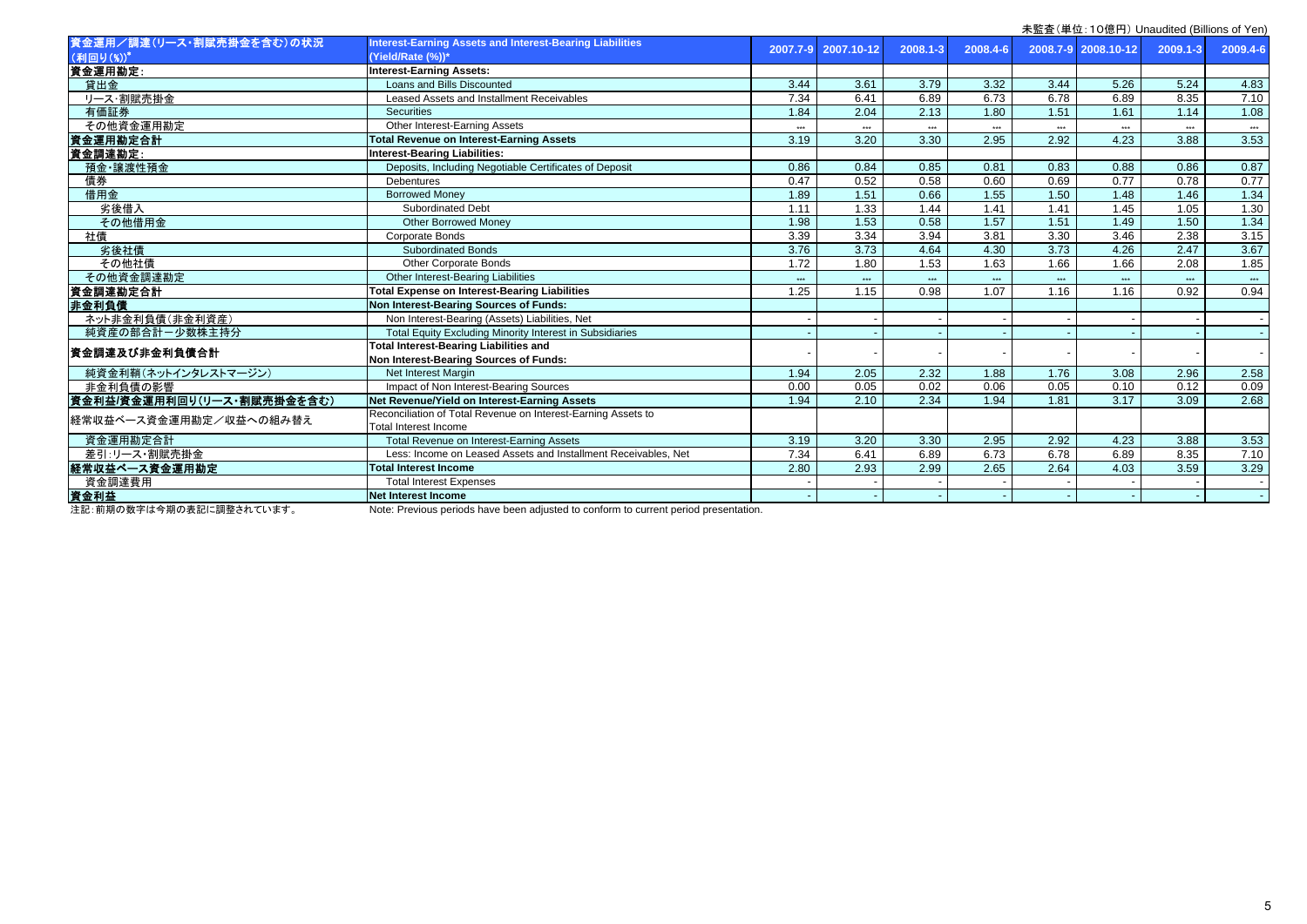|                            |                                                                                         |            |            |          |                      |       | 木血且\丰��. TO忌门/ Orladdited (Dillions of Terr) |              |          |
|----------------------------|-----------------------------------------------------------------------------------------|------------|------------|----------|----------------------|-------|----------------------------------------------|--------------|----------|
| 資金運用/調達(リース・割賦売掛金を含む)の状況   | <b>Interest-Earning Assets and Interest-Bearing Liabilities</b>                         | 2007.7-9   | 2007.10-12 | 2008.1-3 | 2008.4-6             |       | 2008.7-9 2008.10-12                          | $2009.1 - 3$ | 2009.4-6 |
| (利回り(%))*                  | (Yield/Rate (%))*                                                                       |            |            |          |                      |       |                                              |              |          |
| 資金運用勘定                     | <b>Interest-Earning Assets:</b>                                                         |            |            |          |                      |       |                                              |              |          |
| 貸出金                        | Loans and Bills Discounted                                                              | 3.44       | 3.61       | 3.79     | 3.32                 | 3.44  | 5.26                                         | 5.24         | 4.83     |
| リース・割賦売掛金                  | Leased Assets and Installment Receivables                                               | 7.34       | 6.41       | 6.89     | 6.73                 | 6.78  | 6.89                                         | 8.35         | 7.10     |
| 有価証券                       | <b>Securities</b>                                                                       | 1.84       | 2.04       | 2.13     | 1.80                 | 1.51  | 1.61                                         | 1.14         | 1.08     |
| その他資金運用勘定                  | Other Interest-Earning Assets                                                           | <b>SAN</b> | eee.       | $***$    | $\ddot{\phantom{0}}$ | $***$ | $***$                                        | $***$        | $***$    |
| 資金運用勘定合計                   | <b>Total Revenue on Interest-Earning Assets</b>                                         | 3.19       | 3.20       | 3.30     | 2.95                 | 2.92  | 4.23                                         | 3.88         | 3.53     |
| 資金調達勘定:                    | <b>Interest-Bearing Liabilities:</b>                                                    |            |            |          |                      |       |                                              |              |          |
| 預金·讓渡性預金                   | Deposits, Including Negotiable Certificates of Deposit                                  | 0.86       | 0.84       | 0.85     | 0.81                 | 0.83  | 0.88                                         | 0.86         | 0.87     |
| 債券                         | <b>Debentures</b>                                                                       | 0.47       | 0.52       | 0.58     | 0.60                 | 0.69  | 0.77                                         | 0.78         | 0.77     |
| 借用金                        | <b>Borrowed Money</b>                                                                   | 1.89       | 1.51       | 0.66     | 1.55                 | 1.50  | 1.48                                         | 1.46         | 1.34     |
| 劣後借入                       | <b>Subordinated Debt</b>                                                                | 1.11       | 1.33       | 1.44     | 1.41                 | 1.41  | 1.45                                         | 1.05         | 1.30     |
| その他借用金                     | <b>Other Borrowed Money</b>                                                             | 1.98       | 1.53       | 0.58     | $\overline{1.57}$    | 1.51  | 1.49                                         | 1.50         | 1.34     |
| 社債                         | Corporate Bonds                                                                         | 3.39       | 3.34       | 3.94     | 3.81                 | 3.30  | 3.46                                         | 2.38         | 3.15     |
| 劣後社債                       | <b>Subordinated Bonds</b>                                                               | 3.76       | 3.73       | 4.64     | 4.30                 | 3.73  | 4.26                                         | 2.47         | 3.67     |
| その他社債                      | Other Corporate Bonds                                                                   | 1.72       | 1.80       | 1.53     | 1.63                 | 1.66  | 1.66                                         | 2.08         | 1.85     |
| その他資金調達勘定                  | Other Interest-Bearing Liabilities                                                      | ***        | $***$      | $***$    | $\ddot{x}$           | $***$ | $***$                                        | eek.         | $***$    |
| 資金調達勘定合計                   | <b>Total Expense on Interest-Bearing Liabilities</b>                                    | 1.25       | 1.15       | 0.98     | 1.07                 | 1.16  | 1.16                                         | 0.92         | 0.94     |
| 非金利負債                      | Non Interest-Bearing Sources of Funds:                                                  |            |            |          |                      |       |                                              |              |          |
| ネット非金利負債(非金利資産)            | Non Interest-Bearing (Assets) Liabilities, Net                                          |            |            |          |                      |       |                                              |              |          |
| 純資産の部合計ー少数株主持分             | Total Equity Excluding Minority Interest in Subsidiaries                                |            |            |          |                      |       |                                              |              |          |
|                            | <b>Total Interest-Bearing Liabilities and</b>                                           |            |            |          |                      |       |                                              |              |          |
| 資金調達及び非金利負債合計              | Non Interest-Bearing Sources of Funds:                                                  |            |            |          |                      |       |                                              |              |          |
| 純資金利鞘(ネットインタレストマージン)       | Net Interest Margin                                                                     | 1.94       | 2.05       | 2.32     | 1.88                 | 1.76  | 3.08                                         | 2.96         | 2.58     |
| 非金利負債の影響                   | Impact of Non Interest-Bearing Sources                                                  | 0.00       | 0.05       | 0.02     | 0.06                 | 0.05  | 0.10                                         | 0.12         | 0.09     |
| 資金利益/資金運用利回り(リース・割賦売掛金を含む) | Net Revenue/Yield on Interest-Earning Assets                                            | 1.94       | 2.10       | 2.34     | 1.94                 | 1.81  | 3.17                                         | 3.09         | 2.68     |
| 経常収益ベース資金運用勘定/収益への組み替え     | Reconciliation of Total Revenue on Interest-Earning Assets to                           |            |            |          |                      |       |                                              |              |          |
|                            | <b>Total Interest Income</b>                                                            |            |            |          |                      |       |                                              |              |          |
| 資金運用勘定合計                   | Total Revenue on Interest-Earning Assets                                                | 3.19       | 3.20       | 3.30     | 2.95                 | 2.92  | 4.23                                         | 3.88         | 3.53     |
| 差引:リース・割賦売掛金               | Less: Income on Leased Assets and Installment Receivables, Net                          | 7.34       | 6.41       | 6.89     | 6.73                 | 6.78  | 6.89                                         | 8.35         | 7.10     |
| 経常収益ベース資金運用勘定              | <b>Total Interest Income</b>                                                            | 2.80       | 2.93       | 2.99     | 2.65                 | 2.64  | 4.03                                         | 3.59         | 3.29     |
| 資金調達費用                     | <b>Total Interest Expenses</b>                                                          |            |            |          |                      |       |                                              |              |          |
| 資金利益                       | <b>Net Interest Income</b>                                                              |            |            |          |                      |       |                                              |              |          |
| 注印 苦世の對南庄公也の主印に調教されていナナ    | Nata: Desideria maghada berra baga adiriatad ta agafago ta argument maghad mgagantation |            |            |          |                      |       |                                              |              |          |

注記: 前期の数字は今期の表記に調整されています。 Note: Previous periods have been adjusted to conform to current period presentation.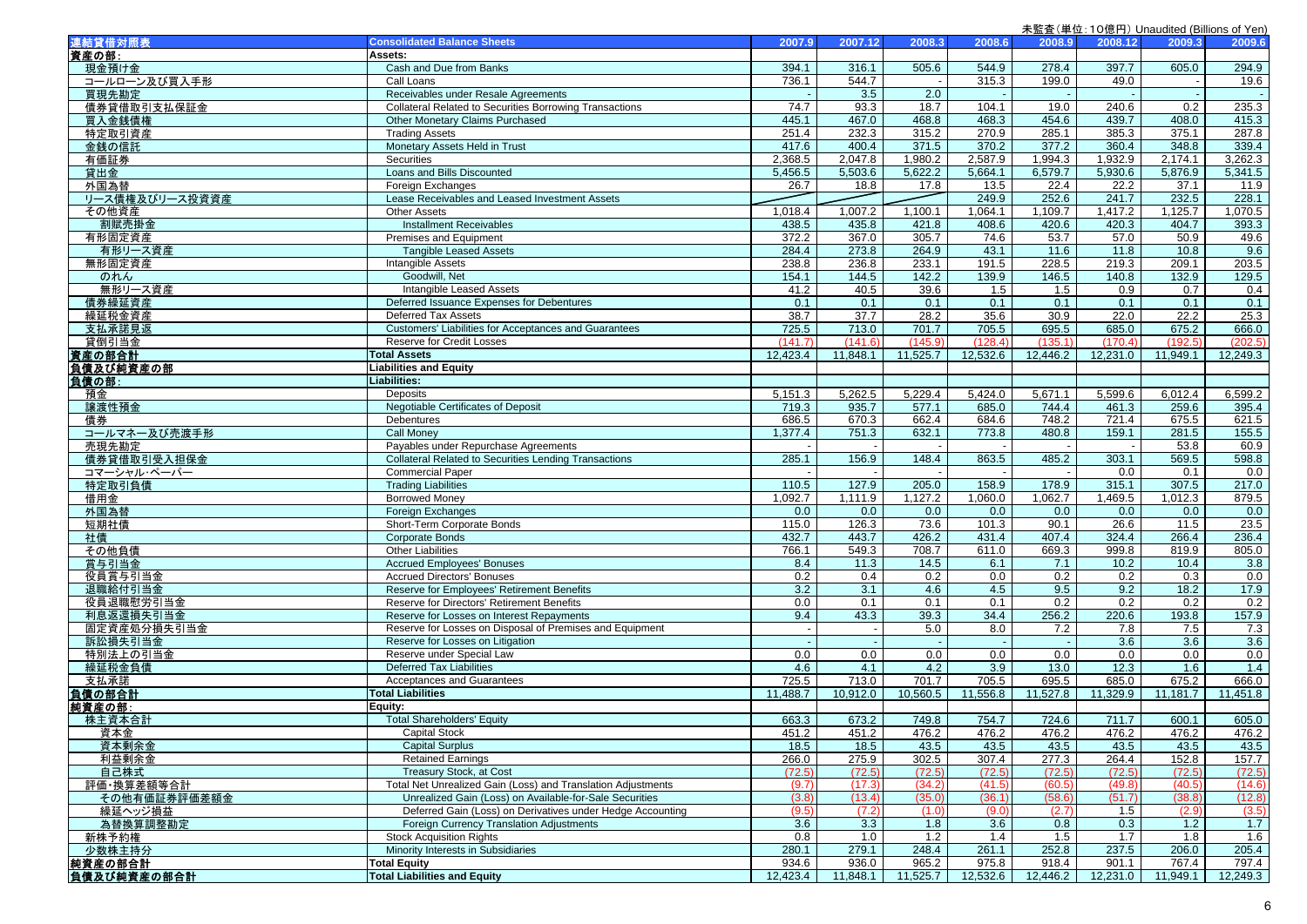| 連結貸借対照表          | <b>Consolidated Balance Sheets</b>                             | 2007.9       | 2007.12       | 2008.3        | 2008.6            | 2008.9        | 2008.12       | 2009.3       | 2009.6        |
|------------------|----------------------------------------------------------------|--------------|---------------|---------------|-------------------|---------------|---------------|--------------|---------------|
| 資産の部:            | Assets:                                                        |              |               |               |                   |               |               |              |               |
| 現金預け金            | Cash and Due from Banks                                        | 394.1        | 316.1         | 505.6         | 544.9             | 278.4         | 397.7         | 605.0        | 294.9         |
| コールローン及び買入手形     | Call Loans                                                     | 736.1        | 544.7         |               | 315.3             | 199.0         | 49.0          |              | 19.6          |
| 買現先勘定            | Receivables under Resale Agreements                            |              | 3.5           | 2.0           |                   |               |               |              | $\sim$        |
| 債券貸借取引支払保証金      | <b>Collateral Related to Securities Borrowing Transactions</b> | 74.7         | 93.3          | 18.7          | 104.1             | 19.0          | 240.6         | 0.2          | 235.3         |
| 買入金銭債権           | Other Monetary Claims Purchased                                | 445.1        | 467.0         | 468.8         | 468.3             | 454.6         | 439.7         | 408.0        | 415.3         |
| 特定取引資産           | <b>Trading Assets</b>                                          | 251.4        | 232.3         | 315.2         | 270.9             | 285.1         | 385.3         | 375.1        | 287.8         |
| 金銭の信託            | Monetary Assets Held in Trust                                  | 417.6        | 400.4         | 371.5         | 370.2             | 377.2         | 360.4         | 348.8        | 339.4         |
| 有価証券             | Securities                                                     | 2,368.5      | 2,047.8       | 1,980.2       | 2,587.9           | 1,994.3       | 1,932.9       | 2,174.1      | 3,262.3       |
| 貸出金              | Loans and Bills Discounted                                     | 5,456.5      | 5,503.6       | 5,622.2       | 5,664.1           | 6,579.7       | 5,930.6       | 5,876.9      | 5,341.5       |
| 外国為替             | Foreign Exchanges                                              | 26.7         | 18.8          | 17.8          | 13.5              | 22.4          | 22.2          | 37.1         | 11.9          |
| リース債権及びリース投資資産   | Lease Receivables and Leased Investment Assets                 |              |               |               | 249.9             | 252.6         | 241.7         | 232.5        | 228.1         |
| その他資産            | <b>Other Assets</b>                                            | 1,018.4      | 1,007.2       | 1,100.1       | 1,064.1           | 1,109.7       | 1,417.2       | 1,125.7      | 1,070.5       |
| 割賦売掛金            | <b>Installment Receivables</b>                                 | 438.5        | 435.8         | 421.8         | 408.6             | 420.6         | 420.3         | 404.7        | 393.3         |
| 有形固定資産           | Premises and Equipment                                         | 372.2        | 367.0         | 305.7         | 74.6              | 53.7          | 57.0          | 50.9         | 49.6          |
| 有形リース資産          | <b>Tangible Leased Assets</b>                                  | 284.4        | 273.8         | 264.9         | 43.1              | 11.6          | 11.8          | 10.8         | 9.6           |
| 無形固定資産           | Intangible Assets                                              | 238.8        | 236.8         | 233.1         | 191.5             | 228.5         | 219.3         | 209.1        | 203.5         |
| のれん              | Goodwill, Net                                                  | 154.1        | 144.5         | 142.2         | 139.9             | 146.5         | 140.8         | 132.9        | 129.5         |
| 無形リース資産          | Intangible Leased Assets                                       | 41.2         | 40.5          | 39.6          | 1.5               | 1.5           | 0.9           | 0.7          | 0.4           |
| 債券繰延資産           | Deferred Issuance Expenses for Debentures                      | 0.1          | 0.1           | 0.1           | 0.1               | 0.1           | 0.1           | 0.1          | 0.1           |
| 繰延税金資産           | Deferred Tax Assets                                            | 38.7         | 37.7          | 28.2          | 35.6              | 30.9          | 22.0          | 22.2         | 25.3          |
| 支払承諾見返           | Customers' Liabilities for Acceptances and Guarantees          | 725.5        | 713.0         | 701.7         | 705.5             | 695.5         | 685.0         | 675.2        | 666.0         |
| 貸倒引当金            | Reserve for Credit Losses                                      | (141.7)      | (141.6)       | (145.9)       | (128.4)           | (135.1)       | (170.4)       | (192.5)      | (202.5)       |
| 資産の部合計           | <b>Total Assets</b>                                            | 12,423.4     | 11,848.1      | 11,525.7      | 12,532.6          | 12,446.2      | 12,231.0      | 11,949.1     | 12,249.3      |
| 負債及び純資産の部        | <b>Liabilities and Equity</b>                                  |              |               |               |                   |               |               |              |               |
| 負債の部:            | Liabilities:                                                   |              |               |               |                   |               |               |              |               |
| 預金               | Deposits                                                       | 5,151.3      | 5,262.5       | 5,229.4       | 5,424.0           | 5,671.1       | 5,599.6       | 6,012.4      | 6,599.2       |
| 讓渡性預金            | Negotiable Certificates of Deposit                             | 719.3        | 935.7         | 577.1         | 685.0             | 744.4         | 461.3         | 259.6        | 395.4         |
| 債券               | Debentures                                                     | 686.5        | 670.3         | 662.4         | 684.6             | 748.2         | 721.4         | 675.5        | 621.5         |
| コールマネー及び売渡手形     | <b>Call Money</b>                                              | 1,377.4      | 751.3         | 632.1         | 773.8             | 480.8         | 159.1         | 281.5        | 155.5         |
| 売現先勘定            | Payables under Repurchase Agreements                           |              |               | $\sim$        |                   |               |               | 53.8         | 60.9          |
| 債券貸借取引受入担保金      | <b>Collateral Related to Securities Lending Transactions</b>   | 285.1        | 156.9         | 148.4         | 863.5             | 485.2         | 303.1         | 569.5        | 598.8         |
| コマーシャル・ペーパー      | <b>Commercial Paper</b>                                        |              |               |               |                   |               | 0.0           | 0.1          | 0.0           |
| 特定取引負債           | <b>Trading Liabilities</b>                                     | 110.5        | 127.9         | 205.0         | 158.9             | 178.9         | 315.1         | 307.5        | 217.0         |
| 借用金              | <b>Borrowed Money</b>                                          | 1,092.7      | 1,111.9       | 1,127.2       | 1,060.0           | 1,062.7       | 1,469.5       | 1,012.3      | 879.5         |
| 外国為替             | <b>Foreign Exchanges</b>                                       | 0.0          | 0.0           | 0.0           | 0.0               | 0.0           | 0.0           | 0.0          | 0.0           |
| 短期社債             | Short-Term Corporate Bonds                                     | 115.0        | 126.3         | 73.6          | 101.3             | 90.1          | 26.6          | 11.5         | 23.5          |
| 社債               | <b>Corporate Bonds</b>                                         | 432.7        | 443.7         | 426.2         | 431.4             | 407.4         | 324.4         | 266.4        | 236.4         |
| その他負債            | <b>Other Liabilities</b>                                       | 766.1        | 549.3         | 708.7         | 611.0             | 669.3         | 999.8         | 819.9        | 805.0         |
| 賞与引当金            | <b>Accrued Employees' Bonuses</b>                              | 8.4          | 11.3          | 14.5          | 6.1               | 7.1           | 10.2          | 10.4         | 3.8           |
| 役員賞与引当金          | <b>Accrued Directors' Bonuses</b>                              | 0.2          | 0.4           | 0.2           | 0.0               | 0.2           | 0.2           | 0.3          | 0.0           |
| 退職給付引当金          | Reserve for Employees' Retirement Benefits                     | 3.2          | 3.1           | 4.6           | 4.5               | 9.5           | 9.2           | 18.2         | 17.9          |
| 役員退職慰労引当金        | Reserve for Directors' Retirement Benefits                     | 0.0          | 0.1           | 0.1           | 0.1               | 0.2           | 0.2           | 0.2          | 0.2           |
| 利息返還損失引当金        | Reserve for Losses on Interest Repayments                      | 9.4          | 43.3          | 39.3          | 34.4              | 256.2         | 220.6         | 193.8        | 157.9         |
| 固定資産処分損失引当金      | Reserve for Losses on Disposal of Premises and Equipment       |              |               | 5.0           | 8.0               | 7.2           | 7.8           | 7.5          | 7.3           |
| 訴訟損失引当金          | Reserve for Losses on Litigation<br>Reserve under Special Law  | 0.0          |               | $\sim$        |                   |               | 3.6<br>0.0    | 3.6<br>0.0   | 3.6           |
| 特別法上の引当金         |                                                                |              | 0.0           | 0.0           | 0.0               | 0.0           |               |              | 0.0           |
| 繰延税金負債           | <b>Deferred Tax Liabilities</b><br>Acceptances and Guarantees  | 4.6<br>725.5 | 4.1<br>713.0  | 4.2<br>701.7  | 3.9               | 13.0<br>695.5 | 12.3<br>685.0 | 1.6<br>675.2 | 1.4           |
| 支払承諾             | <b>Total Liabilities</b>                                       |              | 10,912.0      | 10,560.5      | 705.5<br>11,556.8 | 11,527.8      | 11,329.9      |              | 666.0         |
| 負債の部合計           |                                                                | 11,488.7     |               |               |                   |               |               | 11,181.7     | 11,451.8      |
| 純資産の部:<br>株主資本合計 | Equity:<br><b>Total Shareholders' Equity</b>                   | 663.3        | 673.2         | 749.8         | 754.7             | 724.6         | 711.7         | 600.1        | 605.0         |
|                  |                                                                | 451.2        |               |               |                   |               | 476.2         | 476.2        |               |
| <u> 貸本金</u>      | Capital Stock<br><b>Capital Surplus</b>                        | 18.5         | 451.2<br>18.5 | 476.2<br>43.5 | 476.2<br>43.5     | 476.2<br>43.5 | 43.5          | 43.5         | 476.2<br>43.5 |
| 資本剰余金<br>利益剰余金   | <b>Retained Earnings</b>                                       | 266.0        | 275.9         | 302.5         | 307.4             | 277.3         | 264.4         | 152.8        | 157.7         |
| 自己株式             | Treasury Stock, at Cost                                        | (72.5)       | (72.5)        | (72.5)        | (72.5)            | (72.5)        | (72.5)        | (72.5)       | (72.5)        |
| 評価・換算差額等合計       | Total Net Unrealized Gain (Loss) and Translation Adjustments   | (9.7)        | (17.3)        | (34.2)        | (41.5)            | (60.5)        | (49.8)        | (40.5)       | (14.6)        |
| その他有価証券評価差額金     | Unrealized Gain (Loss) on Available-for-Sale Securities        | (3.8)        | (13.4)        | (35.0)        | (36.1)            | (58.6)        | (51.7)        | (38.8)       | (12.8)        |
| 繰延ヘッジ損益          | Deferred Gain (Loss) on Derivatives under Hedge Accounting     | (9.5)        | (7.2)         | (1.0)         | (9.0)             | (2.7)         | 1.5           | (2.9)        | (3.5)         |
| 為替換算調整勘定         | Foreign Currency Translation Adjustments                       | 3.6          | 3.3           | 1.8           | 3.6               | 0.8           | 0.3           | 1.2          | 1.7           |
| 新株予約権            | <b>Stock Acquisition Rights</b>                                | 0.8          | 1.0           | 1.2           | 1.4               | 1.5           | 1.7           | 1.8          | 1.6           |
| 少数株主持分           | Minority Interests in Subsidiaries                             | 280.1        | 279.1         | 248.4         | 261.1             | 252.8         | 237.5         | 206.0        | 205.4         |
| 純資産の部合計          | <b>Total Equity</b>                                            | 934.6        | 936.0         | 965.2         | 975.8             | 918.4         | 901.1         | 767.4        | 797.4         |
| 負債及び純資産の部合計      | <b>Total Liabilities and Equity</b>                            | 12,423.4     | 11,848.1      | 11,525.7      | 12,532.6          | 12,446.2      | 12,231.0      | 11,949.1     | 12,249.3      |
|                  |                                                                |              |               |               |                   |               |               |              |               |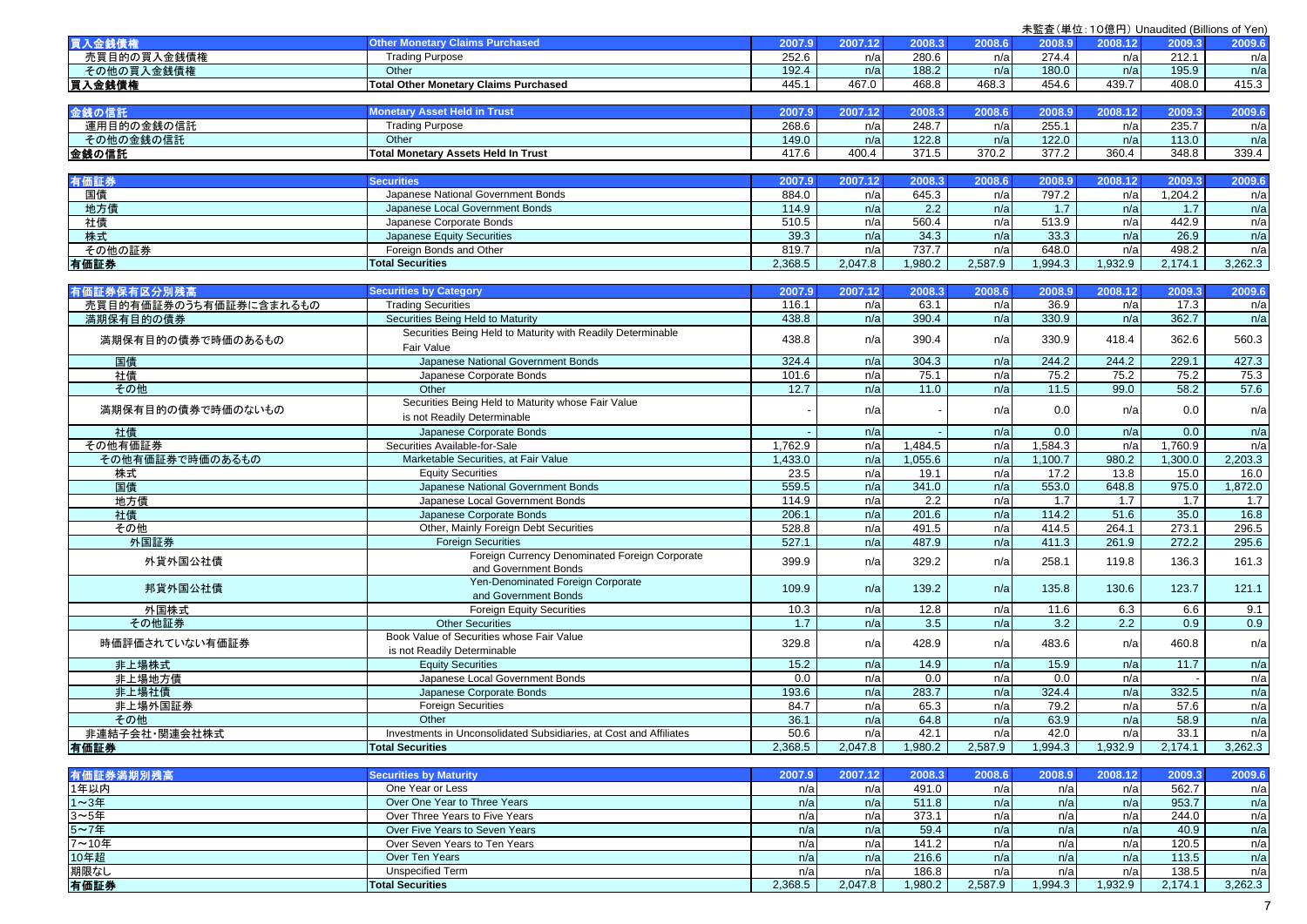|                        |                                                                        |         |         |         |         |                   | 未監査(単位:10億円) Unaudited (Billions of Yen) |         |         |
|------------------------|------------------------------------------------------------------------|---------|---------|---------|---------|-------------------|------------------------------------------|---------|---------|
| 買入金銭債権                 | <b>Other Monetary Claims Purchased</b>                                 | 2007.9  | 2007.12 | 2008.3  | 2008.6  | 2008.9            | 2008.12                                  | 2009.3  | 2009.6  |
| 売買目的の買入金銭債権            | <b>Trading Purpose</b>                                                 | 252.6   | n/a     | 280.6   | n/a     | 274.4             | n/a                                      | 212.1   | n/a     |
| その他の買入金銭債権             | Other                                                                  | 192.4   | n/a     | 188.2   | n/a     | 180.0             | n/a                                      | 195.9   | n/a     |
| 買入金銭債権                 | <b>Total Other Monetary Claims Purchased</b>                           | 445.1   | 467.0   | 468.8   | 468.3   | 454.6             | 439.7                                    | 408.0   | 415.3   |
|                        |                                                                        |         |         |         |         |                   |                                          |         |         |
| 金銭の信託                  | <b>Monetary Asset Held in Trust</b>                                    | 2007.9  | 2007.12 | 2008.3  | 2008.6  | 2008.9            | 2008.12                                  | 2009.3  | 2009.6  |
| 運用目的の金銭の信託             | <b>Trading Purpose</b>                                                 | 268.6   | n/a     | 248.7   | n/a     | 255.1             | n/a                                      | 235.7   | n/a     |
| その他の金銭の信託              | Other                                                                  | 149.0   | n/a     | 122.8   | n/a     | 122.0             | n/a                                      | 113.0   | n/a     |
| 金銭の信託                  | <b>Total Monetary Assets Held In Trust</b>                             | 417.6   | 400.4   | 371.5   | 370.2   | 377.2             | 360.4                                    | 348.8   | 339.4   |
|                        |                                                                        |         |         |         |         |                   |                                          |         |         |
| 有価証券                   | <b>Securities</b>                                                      | 2007.9  | 2007.12 | 2008.3  | 2008.6  | 2008.9            | 2008.12                                  | 2009.3  | 2009.6  |
| 国債                     | Japanese National Government Bonds                                     | 884.0   | n/a     | 645.3   | n/a     | 797.2             | n/a                                      | 1,204.2 | n/a     |
| 地方債                    | Japanese Local Government Bonds                                        | 114.9   | n/a     | 2.2     | n/a     | 1.7               | n/a                                      | 1.7     | n/a     |
| 社債                     | Japanese Corporate Bonds                                               | 510.5   | n/a     | 560.4   | n/a     | 513.9             | n/a                                      | 442.9   | n/a     |
| 株式                     | Japanese Equity Securities                                             | 39.3    | n/a     | 34.3    | n/a     | 33.3              | n/a                                      | 26.9    | n/a     |
| その他の証券                 | Foreign Bonds and Other                                                | 819.7   | n/a     | 737.7   | n/a     | 648.0             | n/a                                      | 498.2   | n/a     |
| 有価証券                   | <b>Total Securities</b>                                                | 2,368.5 | 2,047.8 | 1,980.2 | 2,587.9 | 1,994.3           | 1,932.9                                  | 2,174.1 | 3,262.3 |
|                        |                                                                        |         |         |         |         |                   |                                          |         |         |
| 有価証券保有区分別残高            | <b>Securities by Category</b>                                          | 2007.9  | 2007.12 | 2008.3  | 2008.6  | 2008.9            | 2008.12                                  | 2009.3  | 2009.6  |
| 売買目的有価証券のうち有価証券に含まれるもの | <b>Trading Securities</b>                                              | 116.1   | n/a     | 63.1    | n/a     | 36.9              | n/a                                      | 17.3    | n/a     |
| 満期保有目的の債券              | Securities Being Held to Maturity                                      | 438.8   | n/a     | 390.4   | n/a     | 330.9             | n/a                                      | 362.7   | n/a     |
|                        | Securities Being Held to Maturity with Readily Determinable            |         |         |         |         |                   |                                          |         |         |
| 満期保有目的の債券で時価のあるもの      | Fair Value                                                             | 438.8   | n/a     | 390.4   | n/a     | 330.9             | 418.4                                    | 362.6   | 560.3   |
| 国債                     | Japanese National Government Bonds                                     | 324.4   | n/a     | 304.3   | n/a     | 244.2             | 244.2                                    | 229.1   | 427.3   |
| 社債                     | Japanese Corporate Bonds                                               | 101.6   | n/a     | 75.1    | n/a     | 75.2              | 75.2                                     | 75.2    | 75.3    |
| その他                    | Other                                                                  | 12.7    | n/a     | 11.0    | n/a     | $\overline{11.5}$ | 99.0                                     | 58.2    | 57.6    |
|                        | Securities Being Held to Maturity whose Fair Value                     |         |         |         |         |                   |                                          |         |         |
| 満期保有目的の債券で時価のないもの      | is not Readily Determinable                                            |         | n/a     |         | n/a     | 0.0               | n/a                                      | 0.0     | n/a     |
| 社債                     | Japanese Corporate Bonds                                               |         | n/a     |         | n/a     | 0.0               | n/a                                      | 0.0     | n/a     |
| その他有価証券                | Securities Available-for-Sale                                          | 1,762.9 | n/a     | 1,484.5 | n/a     | 1,584.3           | n/a                                      | 1,760.9 | n/a     |
| その他有価証券で時価のあるもの        | Marketable Securities, at Fair Value                                   | 1,433.0 | n/a     | 1,055.6 | n/a     | 1,100.7           | 980.2                                    | 1,300.0 | 2,203.3 |
| 株式                     | <b>Equity Securities</b>                                               | 23.5    | n/a     | 19.1    | n/a     | 17.2              | 13.8                                     | 15.0    | 16.0    |
| 国債                     | Japanese National Government Bonds                                     | 559.5   | n/a     | 341.0   | n/a     | 553.0             | 648.8                                    | 975.0   | 1,872.0 |
| 地方債                    | Japanese Local Government Bonds                                        | 114.9   | n/a     | 2.2     | n/a     | 1.7               | 1.7                                      | 1.7     | 1.7     |
| 社債                     | Japanese Corporate Bonds                                               | 206.1   | n/a     | 201.6   | n/a     | 114.2             | 51.6                                     | 35.0    | 16.8    |
| その他                    | Other, Mainly Foreign Debt Securities                                  | 528.8   | n/a     | 491.5   | n/a     | 414.5             | 264.1                                    | 273.1   | 296.5   |
| 外国証券                   | <b>Foreign Securities</b>                                              | 527.1   | n/a     | 487.9   | n/a     | 411.3             | 261.9                                    | 272.2   | 295.6   |
| 外貨外国公社債                | Foreign Currency Denominated Foreign Corporate<br>and Government Bonds | 399.9   | n/a     | 329.2   | n/a     | 258.1             | 119.8                                    | 136.3   | 161.3   |
|                        | Yen-Denominated Foreign Corporate                                      |         |         |         |         |                   |                                          |         |         |
| 邦貨外国公社債                | and Government Bonds                                                   | 109.9   | n/a     | 139.2   | n/a     | 135.8             | 130.6                                    | 123.7   | 121.1   |
| 外国株式                   | <b>Foreign Equity Securities</b>                                       | 10.3    | n/a     | 12.8    | n/a     | 11.6              | 6.3                                      | 6.6     | 9.1     |
| その他証券                  | <b>Other Securities</b>                                                | 1.7     | n/a     | 3.5     | n/a     | 3.2               | $\overline{2.2}$                         | 0.9     | 0.9     |
|                        | Book Value of Securities whose Fair Value                              |         |         |         |         |                   |                                          |         |         |
| 時価評価されていない有価証券         | is not Readily Determinable                                            | 329.8   | n/a     | 428.9   | n/a     | 483.6             | n/a                                      | 460.8   | n/a     |
| 非上場株式                  | <b>Equity Securities</b>                                               | 15.2    | n/a     | 14.9    | n/a     | 15.9              | n/a                                      | 11.7    | n/a     |
| 非上場地方債                 | Japanese Local Government Bonds                                        | 0.0     | n/a     | 0.0     | n/a     | 0.0               | n/a                                      |         | n/a     |
| 非上場社債                  | Japanese Corporate Bonds                                               | 193.6   | n/a     | 283.7   | n/a     | 324.4             | n/a                                      | 332.5   | n/a     |
| 非上場外国証券                | <b>Foreign Securities</b>                                              | 84.7    | n/a     | 65.3    | n/a     | 79.2              | n/a                                      | 57.6    | n/a     |
| その他                    | Other                                                                  | 36.1    | n/a     | 64.8    | n/a     | 63.9              | n/a                                      | 58.9    | n/a     |
| 非連結子会社·関連会社株式          | Investments in Unconsolidated Subsidiaries, at Cost and Affiliates     | 50.6    | n/a     | 42.1    | n/a     | 42.0              | n/a                                      | 33.1    | n/a     |
| 有価証券                   | <b>Total Securities</b>                                                | 2,368.5 | 2,047.8 | 1,980.2 | 2,587.9 | 1,994.3           | 1,932.9                                  | 2,174.1 | 3,262.3 |
|                        |                                                                        |         |         |         |         |                   |                                          |         |         |
| 有価証券満期別残高              | <b>Securities by Maturity</b>                                          | 2007.9  | 2007.12 | 2008.3  | 2008.6  | 2008.9            | 2008.12                                  | 2009.3  | 2009.6  |
| 1年以内                   | One Year or Less                                                       | n/a     | n/a     | 491.0   | n/a     | n/a               | n/a                                      | 562.7   | n/a     |
| 1~3年                   | Over One Year to Three Years                                           | n/a     | n/a     | 511.8   | n/a     | n/a               | n/a                                      | 953.7   | n/a     |
| 3~5年                   | Over Three Years to Five Years                                         | n/a     | n/a     | 373.1   | n/a     | n/a               | n/a                                      | 244.0   | n/a     |
| 5~7年                   | Over Five Years to Seven Years                                         | n/a     | n/a     | 59.4    | n/a     | n/a               | n/a                                      | 40.9    | n/a     |
| 7~10年                  | Over Seven Years to Ten Years                                          | n/a     | n/a     | 141.2   | n/a     | n/a               | n/a                                      | 120.5   | n/a     |
| 10年超                   | Over Ten Years                                                         | n/a     | n/a     | 216.6   | n/a     | n/a               | n/a                                      | 113.5   | n/a     |
| 期限なし                   | <b>Unspecified Term</b>                                                | n/a     | n/a     | 186.8   | n/a     | n/a               | n/a                                      | 138.5   | n/a     |
| 有価証券                   | <b>Total Securities</b>                                                | 2.368.5 | 2.047.8 | 1.980.2 | 2.587.9 | 1.994.3           | 1.932.9                                  | 2.174.1 | 3.262.3 |

7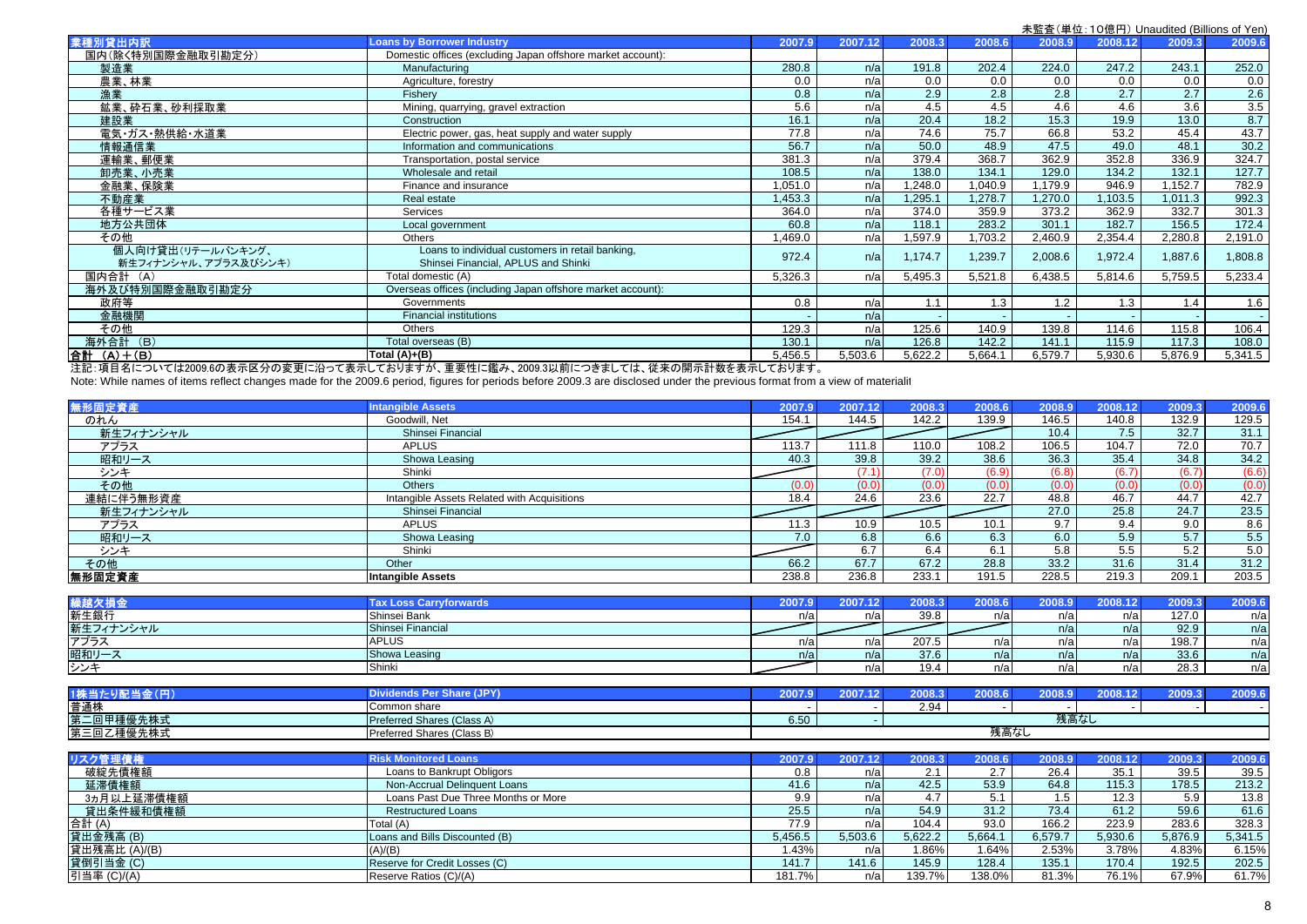|                                           |                                                                                         |                     |         |         |         |         |         | 木血宜\芈位. TO混门/ Undudited (Dillions of Ten. |         |
|-------------------------------------------|-----------------------------------------------------------------------------------------|---------------------|---------|---------|---------|---------|---------|-------------------------------------------|---------|
| 業種別貸出内訳                                   | <b>Loans by Borrower Industry</b>                                                       | 2007.9              | 2007.12 | 2008.3  | 2008.6  | 2008.9  | 2008.12 | 2009.3                                    | 2009.6  |
| 国内(除く特別国際金融取引勘定分)                         | Domestic offices (excluding Japan offshore market account):                             |                     |         |         |         |         |         |                                           |         |
| 製造業                                       | Manufacturing                                                                           | 280.8               | n/a     | 191.8   | 202.4   | 224.0   | 247.2   | 243.1                                     | 252.0   |
| 農業、林業                                     | Agriculture, forestry                                                                   | 0.0                 | n/a     | 0.0     | 0.0     | 0.0     | 0.0     | 0.0                                       | 0.0     |
| 漁業                                        | Fisherv                                                                                 | 0.8                 | n/a     | 2.9     | 2.8     | 2.8     | 2.7     | 2.7                                       | 2.6     |
| 鉱業、砕石業、砂利採取業                              | Mining, quarrying, gravel extraction                                                    | 5.6                 | n/a     | 4.5     | 4.5     | 4.6     | 4.6     | 3.6                                       | 3.5     |
| 建設業                                       | Construction                                                                            | 16.7                | n/a     | 20.4    | 18.2    | 15.3    | 19.9    | 13.0                                      | 8.7     |
| 電気・ガス・熱供給・水道業                             | Electric power, gas, heat supply and water supply                                       | 77.8                | n/a     | 74.6    | 75.7    | 66.8    | 53.2    | 45.4                                      | 43.7    |
| 情報通信業                                     | Information and communications                                                          | 56.7                | n/a     | 50.0    | 48.9    | 47.5    | 49.0    | 48.1                                      | 30.2    |
| 運輸業、郵便業                                   | Transportation, postal service                                                          | 381.3               | n/a     | 379.4   | 368.7   | 362.9   | 352.8   | 336.9                                     | 324.7   |
| 卸売業、小売業                                   | Wholesale and retail                                                                    | 108.5               | n/a     | 138.0   | 134.1   | 129.0   | 134.2   | 132.1                                     | 127.7   |
| 金融業、保険業                                   | Finance and insurance                                                                   | 1.051.0             | n/a     | .248.0  | 1.040.9 | 1.179.9 | 946.9   | 1.152.7                                   | 782.9   |
| 不動産業                                      | Real estate                                                                             | ,453.3              | n/a     | ,295.1  | .278.7  | 1.270.0 | 103.5   | 1.011.3                                   | 992.3   |
| 各種サービス業                                   | Services                                                                                | 364.0               | n/a     | 374.0   | 359.9   | 373.2   | 362.9   | 332.7                                     | 301.3   |
| 地方公共団体                                    | Local government                                                                        | 60.8                | n/a     | 118.1   | 283.2   | 301.1   | 182.7   | 156.5                                     | 172.4   |
| その他                                       | <b>Others</b>                                                                           | ,469.0              | n/a     | .597.9  | 1,703.2 | 2,460.9 | 2,354.4 | 2,280.8                                   | 2,191.0 |
| 個人向け貸出(リテールバンキング、<br>新生フィナンシャル、アプラス及びシンキ) | Loans to individual customers in retail banking,<br>Shinsei Financial, APLUS and Shinki | 972.4               | n/a     | 1.174.7 | 1,239.7 | 2,008.6 | 1,972.4 | 1,887.6                                   | 1,808.8 |
| 国内合計 (A)                                  | Total domestic (A)                                                                      | 5,326.3             | n/a     | 5,495.3 | 5,521.8 | 6,438.5 | 5,814.6 | 5,759.5                                   | 5,233.4 |
| 海外及び特別国際金融取引勘定分                           | Overseas offices (including Japan offshore market account):                             |                     |         |         |         |         |         |                                           |         |
| 政府等                                       | Governments                                                                             | 0.8                 | n/a     | 1.1     | 1.3     | 1.2     | 1.3     | 1.4                                       | 1.6     |
| 金融機関                                      | <b>Financial institutions</b>                                                           |                     | n/a     |         |         |         |         |                                           |         |
| その他                                       | <b>Others</b>                                                                           | 129.3               | n/a     | 125.6   | 140.9   | 139.8   | 114.6   | 115.8                                     | 106.4   |
| 海外合計 (B)                                  | Total overseas (B)                                                                      | 130.1               | n/a     | 126.8   | 142.2   | 141.1   | 115.9   | 117.3                                     | 108.0   |
| 合計 (A) + (B)                              | Total $(A)+(B)$                                                                         | 5,456.5             | 5,503.6 | 5,622.2 | 5.664.1 | 6,579.7 | 5,930.6 | 5,876.9                                   | 5,341.5 |
|                                           | 注句 经日点运营运输的的商业主席公务大王官议,才士已无地让大夫珍 千天地运输。 2000.00分钟,大夫儿之让 从大会眼上引出大士二                      | وبالمستوار المحارضي |         |         |         |         |         |                                           |         |

注記:項目名については2009.6の表示区分の変更に沿って表示しておりますが、重要性に鑑み、2009.3以前につきましては、従来の開示計数を表示しております。

Note: While names of items reflect changes made for the 2009.6 period, figures for periods before 2009.3 are disclosed under the previous format from a view of materialit

| 無形固定資産    | <b>Intangible Assets</b>                    | 2007.9 | 2007.12 | 2008.3 | 2008.6 | 2008.9 | 2008.12 | 2009.3 | 2009.6 |
|-----------|---------------------------------------------|--------|---------|--------|--------|--------|---------|--------|--------|
| のれん       | Goodwill, Net                               | 154.1  | 144.5   | 142.2  | 139.9  | 146.5  | 140.8   | 132.9  | 129.5  |
| 新生フィナンシャル | Shinsei Financial                           |        |         |        |        | 10.4   | 7.5     | 32.7   | 31.1   |
| アプラス      | <b>APLUS</b>                                | 113.7  | 111.8   | 110.0  | 108.2  | 106.5  | 104.7   | 72.0   | 70.7   |
| 昭和リース     | Showa Leasing                               | 40.3   | 39.8    | 39.2   | 38.6   | 36.3   | 35.4    | 34.8   | 34.2   |
| シンキ       | Shinki                                      |        | (7.1)   | (7.0)  | (6.9)  | (6.8)  | (6.7)   | (6.7)  | (6.6)  |
| その他       | <b>Others</b>                               | (0.0)  | (0.0)   | (0.0)  | (0.0)  | (0.0)  | (0.0)   | (0.0)  | (0.0)  |
| 連結に伴う無形資産 | Intangible Assets Related with Acquisitions | 18.4   | 24.6    | 23.6   | 22.7   | 48.8   | 46.7    | 44.7   | 42.7   |
| 新生フィナンシャル | Shinsei Financial                           |        |         |        |        | 27.0   | 25.8    | 24.7   | 23.5   |
| アプラス      | <b>APLUS</b>                                | 11.3   | 10.9    | 10.5   | 10.1   | 9.7    | 9.4     | 9.0    | 8.6    |
| 昭和リース     | Showa Leasing                               | 7.0    | 6.8     | 6.6    | 6.3    | 6.0    | 5.9     | 5.7    | 5.5    |
| シンキ       | Shinki                                      |        | 6.7     | 6.4    | 6.1    | 5.8    | 5.5     | 5.2    | 5.0    |
| その他       | Other                                       | 66.2   | 67.7    | 67.2   | 28.8   | 33.2   | 31.6    | 31.4   | 31.2   |
| 無形固定資産    | <b>Intangible Assets</b>                    | 238.8  | 236.8   | 233.1  | 191.5  | 228.5  | 219.3   | 209.1  | 203.5  |

| 錫 柿 万 福 今 | <b>Tax Loss Carrv</b><br><b>forwards</b> | ים לחחי | 2007<br>.12 <sub>1</sub> | 2008.3       | 8.8002 | 2008.9 | 12 <sup>°</sup> | 2009.3 | 2009. |
|-----------|------------------------------------------|---------|--------------------------|--------------|--------|--------|-----------------|--------|-------|
| 新生銀行      | Shinsei Bank                             |         | n/a                      | 200<br>39. ö | n/a    | n/al   | n/a             | 127.0  | n/a   |
| 新生フィナンシャル | Shinsei Financial                        |         |                          |              |        | n/a    | n/a             | 92.9   | n/a   |
| アプラス      | <b>APLUS</b>                             | n/a     | n/a                      | 207.5        | n/a    | n/al   | n/a             | 198.7  | n/a   |
| 昭和リース     | Showa Leasing                            | n/a     | n/a                      | 37.6         | n/a    | n/a    | n/a             | 33.6   | n/a   |
| トンンキ      | Shinki                                   |         | n/a                      |              | n/a    | n/a    | n/a             | 28.3   | n/a   |

| 1株当                | <b><i><u>STERN AND</u></i></b>    |      |  | $  -$  | $\sim$<br>шв | nnnn n | $\sim$ | $-0.00$ |  |
|--------------------|-----------------------------------|------|--|--------|--------------|--------|--------|---------|--|
| 普通株                | Common share                      |      |  | ו גם ר |              |        |        |         |  |
| 第二回甲種優先株式          | <b>Preferred Shares (Class A)</b> | 6.50 |  | 残高なし   |              |        |        |         |  |
| 第三回乙種優先株式<br>性変兀怀丸 | Preferred Shares (Class B)        | 残高なし |  |        |              |        |        |         |  |

| リスク管理債権       | <b>Risk Monitored Loans</b>         | 2007.9  |         | 2008.3   | 2008.61 | 2008.9  | 2008.12 | 2009.3  | 2009.6  |
|---------------|-------------------------------------|---------|---------|----------|---------|---------|---------|---------|---------|
| 破綻先債権額        | Loans to Bankrupt Obligors          | 0.8     | n/a     | 2.1      | 2.7     | 26.4    | 35.1    | 39.5    | 39.5    |
| 延滞債権額         | Non-Accrual Delinquent Loans        | 41.6    | n/a     | 42.5     | 53.9    | 64.8    | 115.3   | 178.5   | 213.2   |
| 3ヵ月以上延滞債権額    | Loans Past Due Three Months or More | 9.9     | n/a     |          | 5.1     | 1.5     | 12.3    | 5.9     | 13.8    |
| 貸出条件緩和債権額     | <b>Restructured Loans</b>           | 25.5    | n/a     | 54.9     | 31.2    | 73.4    | 61.2    | 59.6    | 61.6    |
| 合計 (A)        | Total (A)                           | 77.9    | n/a     | 104.4    | 93.0    | 166.2   | 223.9   | 283.6   | 328.3   |
| 貸出金残高 (B)     | Loans and Bills Discounted (B)      | 5,456.5 | 5,503.6 | 5,622.2  | 5,664.1 | 6,579.7 | 5,930.6 | 5,876.9 | 5,341.5 |
| 貸出残高比 (A)/(B) | (A)/(B)                             | 1.43%   | n/a     | $1.86\%$ | 1.64%   | 2.53%   | 3.78%   | 4.83%   | 6.15%   |
| 貸倒引当金(C)      | Reserve for Credit Losses (C)       | 141.7   | 141.6   | 145.9    | 128.4   | 135.1   | 170.4   | 192.5   | 202.5   |
| 引当率 (C)/(A)   | Reserve Ratios (C)/(A)              | 181.7%  | n/al    | 139.7%   | 138.0%  | 81.3%   | 76.1%   | 67.9%   | 61.7%   |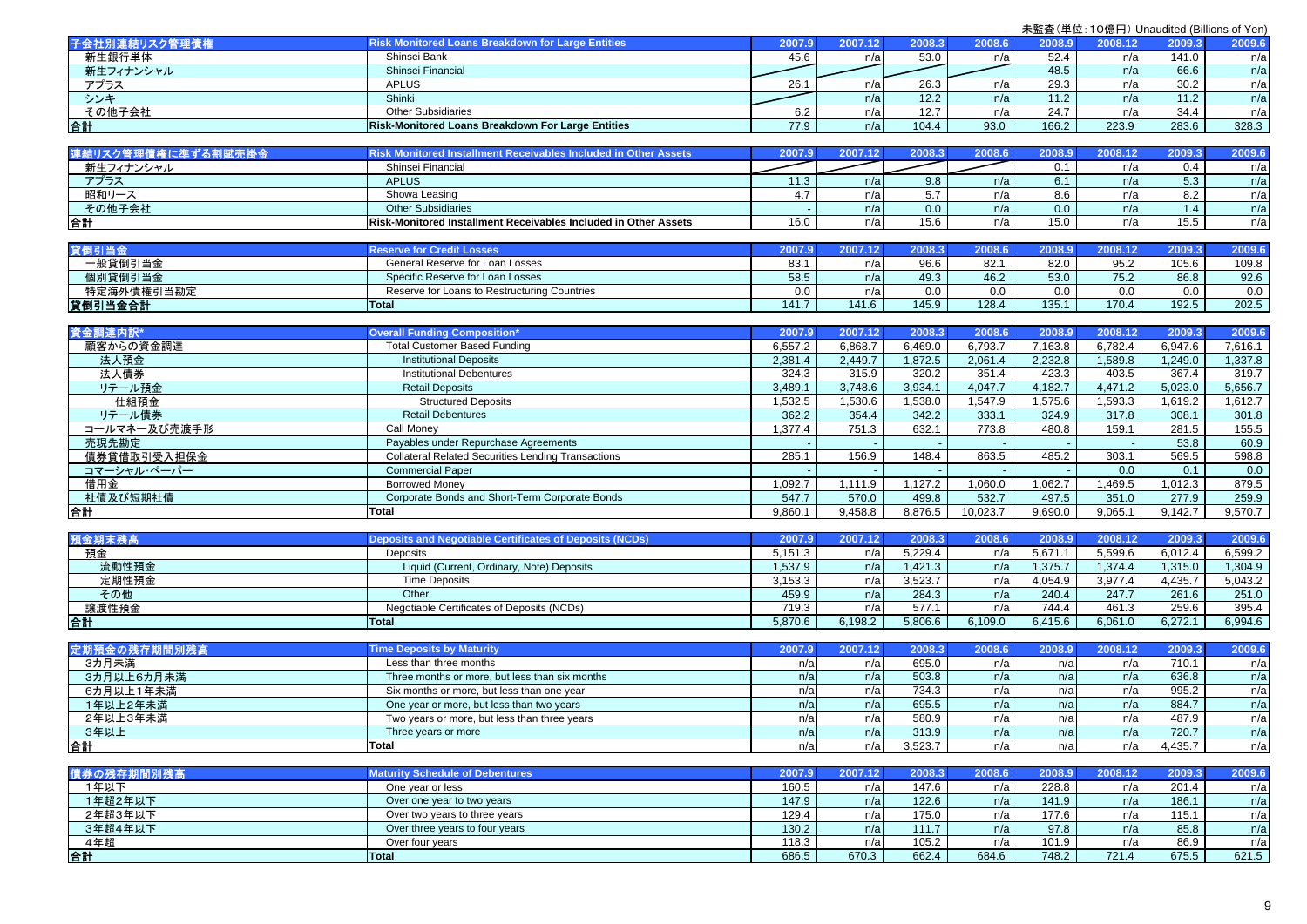|                    |                                                                        |         |         |         |          | ᄣᄘᆞ               |         |                  |            |
|--------------------|------------------------------------------------------------------------|---------|---------|---------|----------|-------------------|---------|------------------|------------|
| 子会社別連結リスク管理債権      | <b>Risk Monitored Loans Breakdown for Large Entities</b>               | 2007.9  | 2007.12 | 2008.3  | 2008.6   | 2008.9            | 2008.12 | 2009.3           | 2009.6     |
| 新生銀行単体             | Shinsei Bank                                                           | 45.6    | n/a     | 53.0    | n/a      | 52.4              | n/a     | 141.0            | n/a        |
| 新生フィナンシャル          | Shinsei Financial                                                      |         |         |         |          | 48.5              | n/a     | 66.6             | n/a        |
| アプラス               | <b>APLUS</b>                                                           | 26.1    | n/a     | 26.3    | n/a      | 29.3              | n/a     | 30.2             | n/a        |
| シンキ                | Shinki                                                                 |         | n/a     | 12.2    | n/a      | 11.2              | n/a     | 11.2             | n/a        |
| その他子会社             | <b>Other Subsidiaries</b>                                              | 6.2     | n/a     | 12.7    | n/a      | $\overline{24.7}$ | n/a     | 34.4             | n/a        |
| 合計                 | Risk-Monitored Loans Breakdown For Large Entities                      | 77.9    | n/a     | 104.4   | 93.0     | 166.2             | 223.9   | 283.6            | 328.3      |
|                    |                                                                        |         |         |         |          |                   |         |                  |            |
| 連結リスク管理債権に準ずる割賦売掛金 | <b>Risk Monitored Installment Receivables Included in Other Assets</b> | 2007.9  | 2007.12 | 2008.3  | 2008.6   | 2008.9            | 2008.12 | 2009.3           | 2009.6     |
| 新生フィナンシャル          | Shinsei Financial                                                      |         |         |         |          | 0.1               | n/a     | 0.4              |            |
| アプラス               | <b>APLUS</b>                                                           | 11.3    | n/a     | 9.8     | n/a      | 6.1               | n/a     | 5.3              | n/a<br>n/a |
|                    |                                                                        |         |         |         |          |                   |         |                  |            |
| 昭和リース              | Showa Leasing                                                          | 4.7     | n/a     | 5.7     | n/a      | 8.6               | n/a     | 8.2              | n/a        |
| その他子会社             | <b>Other Subsidiaries</b>                                              |         | n/a     | 0.0     | n/a      | 0.0               | n/a     | 1.4              | n/a        |
| 合計                 | Risk-Monitored Installment Receivables Included in Other Assets        | 16.0    | n/a     | 15.6    | n/a      | 15.0              | n/a     | 15.5             | n/a        |
|                    |                                                                        |         |         |         |          |                   |         |                  |            |
| 貸倒引当金              | <b>Reserve for Credit Losses</b>                                       | 2007.9  | 2007.12 | 2008.3  | 2008.6   | 2008.9            | 2008.12 | 2009.3           | 2009.6     |
| 一般貸倒引当金            | General Reserve for Loan Losses                                        | 83.1    | n/a     | 96.6    | 82.1     | 82.0              | 95.2    | 105.6            | 109.8      |
| 個別貸倒引当金            | Specific Reserve for Loan Losses                                       | 58.5    | n/a     | 49.3    | 46.2     | 53.0              | 75.2    | 86.8             | 92.6       |
| 特定海外債権引当勘定         | Reserve for Loans to Restructuring Countries                           | 0.0     | n/a     | 0.0     | 0.0      | 0.0               | 0.0     | 0.0              | 0.0        |
| 貸倒引当金合計            | <b>Total</b>                                                           | 141.7   | 141.6   | 145.9   | 128.4    | 135.1             | 170.4   | 192.5            | 202.5      |
|                    |                                                                        |         |         |         |          |                   |         |                  |            |
| 資金調達内訳*            | <b>Overall Funding Composition*</b>                                    | 2007.9  | 2007.12 | 2008.3  | 2008.6   | 2008.9            | 2008.12 | 2009.3           | 2009.6     |
| 顧客からの資金調達          | <b>Total Customer Based Funding</b>                                    | 6,557.2 | 6,868.7 | 6,469.0 | 6,793.7  | 7,163.8           | 6,782.4 | 6,947.6          | 7,616.1    |
| 法人預金               | <b>Institutional Deposits</b>                                          | 2,381.4 | 2,449.7 | 1,872.5 | 2,061.4  | 2,232.8           | 1,589.8 | 1,249.0          | 1,337.8    |
| 法人債券               | <b>Institutional Debentures</b>                                        | 324.3   | 315.9   | 320.2   | 351.4    | 423.3             | 403.5   | 367.4            | 319.7      |
| リテール預金             | <b>Retail Deposits</b>                                                 | 3,489.1 | 3,748.6 | 3,934.1 | 4,047.7  | 4,182.7           | 4,471.2 | 5,023.0          | 5,656.7    |
| 仕組預金               | <b>Structured Deposits</b>                                             | 1,532.5 | 1,530.6 | 1,538.0 | 1,547.9  | 1,575.6           | 1,593.3 | 1,619.2          | 1,612.7    |
| リテール債券             | <b>Retail Debentures</b>                                               | 362.2   | 354.4   | 342.2   | 333.1    | 324.9             | 317.8   | 308.1            | 301.8      |
| コールマネー及び売渡手形       | Call Monev                                                             | 1,377.4 | 751.3   | 632.1   | 773.8    | 480.8             | 159.1   | 281.5            | 155.5      |
| 売現先勘定              | Payables under Repurchase Agreements                                   |         |         |         |          |                   |         | 53.8             | 60.9       |
| 債券貸借取引受入担保金        | <b>Collateral Related Securities Lending Transactions</b>              | 285.1   | 156.9   | 148.4   | 863.5    | 485.2             | 303.1   | 569.5            | 598.8      |
| コマーシャル・ペーパー        | <b>Commercial Paper</b>                                                |         |         |         |          |                   | 0.0     | 0.1              | 0.0        |
| 借用金                | <b>Borrowed Money</b>                                                  | 1,092.7 | 1,111.9 | 1,127.2 | 1,060.0  | 1,062.7           | 1,469.5 | 1,012.3          | 879.5      |
| 社債及び短期社債           | Corporate Bonds and Short-Term Corporate Bonds                         | 547.7   | 570.0   | 499.8   | 532.7    | 497.5             | 351.0   | 277.9            | 259.9      |
| 合計                 | Total                                                                  | 9,860.1 | 9,458.8 | 8,876.5 | 10,023.7 | 9,690.0           | 9,065.1 | 9,142.7          | 9,570.7    |
|                    |                                                                        |         |         |         |          |                   |         |                  |            |
| 預金期末残高             | <b>Deposits and Negotiable Certificates of Deposits (NCDs)</b>         | 2007.9  | 2007.12 | 2008.3  | 2008.6   | 2008.9            | 2008.12 | 2009.3           | 2009.6     |
| 預金                 | Deposits                                                               | 5,151.3 | n/a     | 5,229.4 | n/a      | 5,671.1           | 5,599.6 | 6,012.4          | 6,599.2    |
| 流動性預金              | Liquid (Current, Ordinary, Note) Deposits                              | 1,537.9 | n/a     | 1,421.3 | n/a      | 1,375.7           | 1,374.4 | 1,315.0          | 1,304.9    |
|                    |                                                                        | 3,153.3 |         |         |          |                   |         |                  |            |
| 定期性預金              | <b>Time Deposits</b>                                                   |         | n/a     | 3,523.7 | n/a      | 4,054.9<br>240.4  | 3,977.4 | 4,435.7<br>261.6 | 5,043.2    |
| その他                | Other                                                                  | 459.9   | n/a     | 284.3   | n/a      |                   | 247.7   |                  | 251.0      |
| 讓渡性預金              | Negotiable Certificates of Deposits (NCDs)                             | 719.3   | n/a     | 577.1   | n/a      | 744.4             | 461.3   | 259.6            | 395.4      |
| 合計                 | <b>Total</b>                                                           | 5,870.6 | 6,198.2 | 5,806.6 | 6,109.0  | 6,415.6           | 6,061.0 | 6,272.1          | 6,994.6    |
|                    |                                                                        |         |         |         |          |                   |         |                  |            |
| 定期預金の残存期間別残高       | <b>Time Deposits by Maturity</b>                                       | 2007.9  | 2007.12 | 2008.3  | 2008.6   | 2008.9            | 2008.12 | 2009.3           | 2009.6     |
| 3カ月未満              | Less than three months                                                 | n/a     | n/a     | 695.0   | n/a      | n/a               | n/a     | 710.1            | n/a        |
| 3カ月以上6カ月未満         | Three months or more, but less than six months                         | n/a     | n/a     | 503.8   | n/a      | n/a               | n/a     | 636.8            | n/a        |
| 6カ月以上1年未満          | Six months or more, but less than one year                             | n/a     | n/a     | 734.3   | n/a      | n/a               | n/a     | 995.2            | n/a        |
| 1年以上2年未満           | One year or more, but less than two years                              | n/a     | n/a     | 695.5   | n/a      | n/a               | n/a     | 884.7            | n/a        |
| 2年以上3年未満           | Two years or more, but less than three years                           | n/a     | n/a     | 580.9   | n/a      | n/a               | n/a     | 487.9            | n/a        |
| 3年以上               | Three years or more                                                    | n/a     | n/a     | 313.9   | n/a      | n/a               | n/a     | 720.7            | n/a        |
| 合計                 | Total                                                                  | n/a     | n/a     | 3,523.7 | n/a      | n/a               | n/a     | 4,435.7          | n/a        |
|                    |                                                                        |         |         |         |          |                   |         |                  |            |
| 債券の残存期間別残高         | <b>Maturity Schedule of Debentures</b>                                 | 2007.9  | 2007.12 | 2008.3  | 2008.6   | 2008.9            | 2008.12 | 2009.3           | 2009.6     |
| 1年以下               | One year or less                                                       | 160.5   | n/a     | 147.6   | n/a      | 228.8             | n/a     | 201.4            | n/a        |
| 1年超2年以下            | Over one year to two years                                             | 147.9   | n/a     | 122.6   | n/a      | 141.9             | n/a     | 186.1            | n/a        |
| 2年超3年以下            | Over two years to three years                                          | 129.4   | n/a     | 175.0   | n/a      | 177.6             | n/a     | 115.1            | n/a        |
| 3年超4年以下            | Over three years to four years                                         | 130.2   | n/a     | 111.7   | n/a      | 97.8              | n/a     | 85.8             | n/a        |
| 4年超                | Over four years                                                        | 118.3   | n/a     | 105.2   | n/a      | 101.9             | n/a     | 86.9             | n/a        |
| 合計                 | Total                                                                  | 686.5   | 670.3   | 662.4   | 684.6    | 748.2             | 721.4   | 675.5            | 621.5      |
|                    |                                                                        |         |         |         |          |                   |         |                  |            |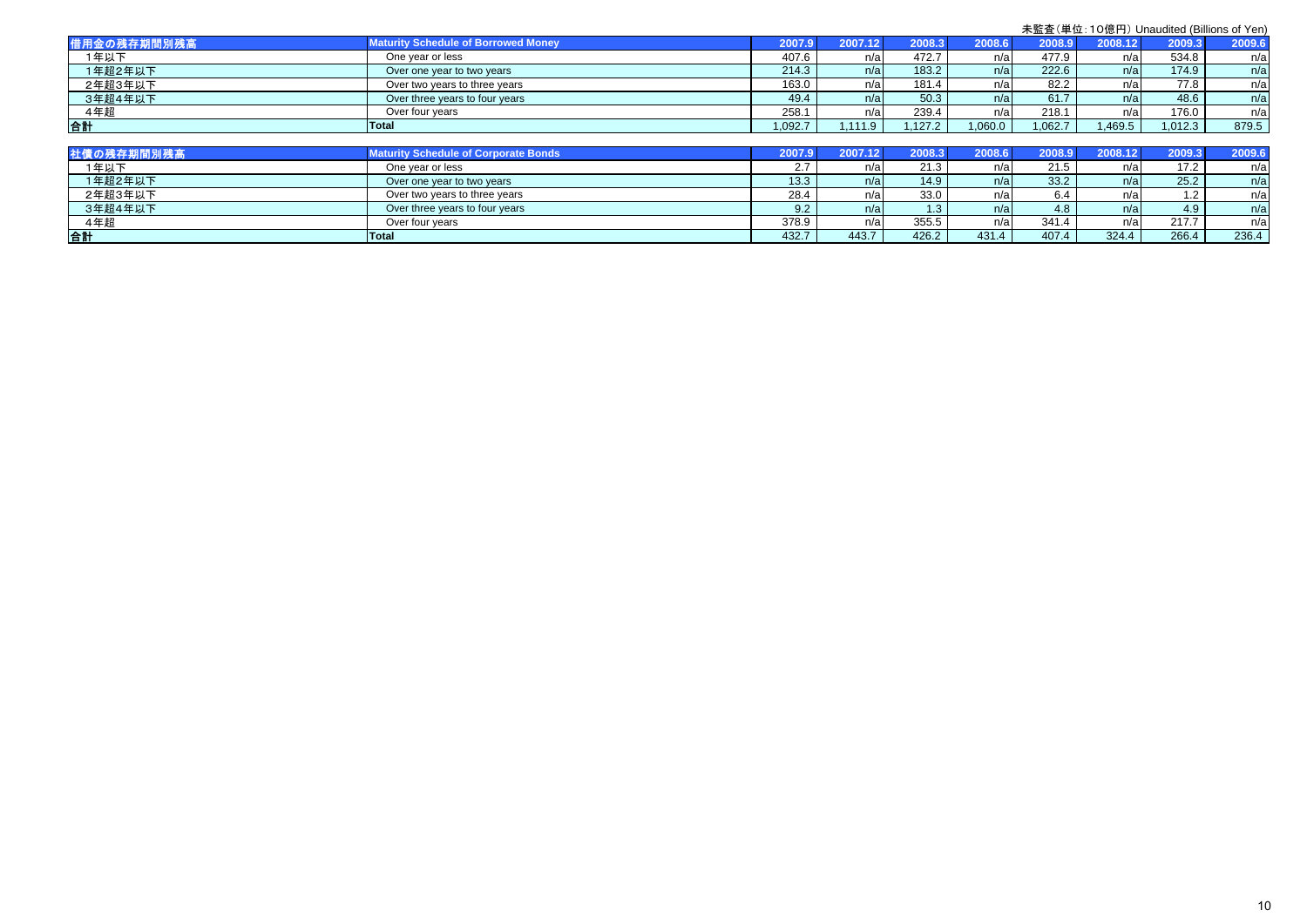| 借用金の残存期間別残高 | <b>Maturity Schedule of Borrowed Money</b> | 2007.91 | 2007.12 | 2008.3 | 2008.6  | 2008.9 | 2008.12 | 2009.3  | 2009.6 |
|-------------|--------------------------------------------|---------|---------|--------|---------|--------|---------|---------|--------|
| 1年以下        | One year or less                           | 407.6   | n/a     | 472.7  | n/al    | 477.9  | n/a     | 534.8   | n/a    |
| 1年超2年以下     | Over one year to two years                 | 214.3   | n/a     | 183.2  | n/a     | 222.6  | n/a     | 174.9   | n/a    |
| 2年超3年以下     | Over two years to three years              | 163.0   | n/al    | 181.4  | n/al    | 82.2   | n/a     | 77.8    | n/a    |
| 3年超4年以下     | Over three years to four years             | 49.4    | n/a     | 50.3   | n/a     | 61.7   | n/a     | 48.6    | n/a    |
| 4年超         | Over four years                            | 258.    | n/a     | 239.4  | n/a     | 218.1  | n/a     | 176.0   | n/a    |
| 合計          | Total                                      | 1,092.7 | 1110    | .127.2 | 0.060.0 | 062.7  | ,469.5  | 1,012.3 | 879.5  |

| 社債の残存期間別残高 | Maturity Schedule of Corporate Bonds | 2007.97 |       | 2008.3 | 2008.6 | 2008.9 | 2008.12 | 2009.3 | 2009.6 |
|------------|--------------------------------------|---------|-------|--------|--------|--------|---------|--------|--------|
| 1年以下       | One year or less                     |         | n/a   | 21.3   | n/a    | 21.5   | n/a     | 17.2   | n/a    |
| 1年超2年以下    | Over one year to two years           | 13.3    | n/a   | 14.9   | n/a    | 33.2   | n/a     | 25.2   | n/a    |
| 2年超3年以下    | Over two vears to three vears        | 28.4    | n/a   | 33.0   | n/a    |        | n/al    | 1.2    | n/a    |
| 3年超4年以下    | Over three years to four years       | 9.2     | n/a   | 1.3    | n/a    | 4.8    | n/a     | 4.9    | n/a    |
| 4年超        | Over four years                      | 378.9   | n/a   | 355.5  | n/a    | 341.4  | n/al    | 217.7  | n/a    |
| 合計         | <b>Total</b>                         | 432.7   | 443.7 | 426.2  | 431.4  | 407.4  | 324.4   | 266.4  | 236.4  |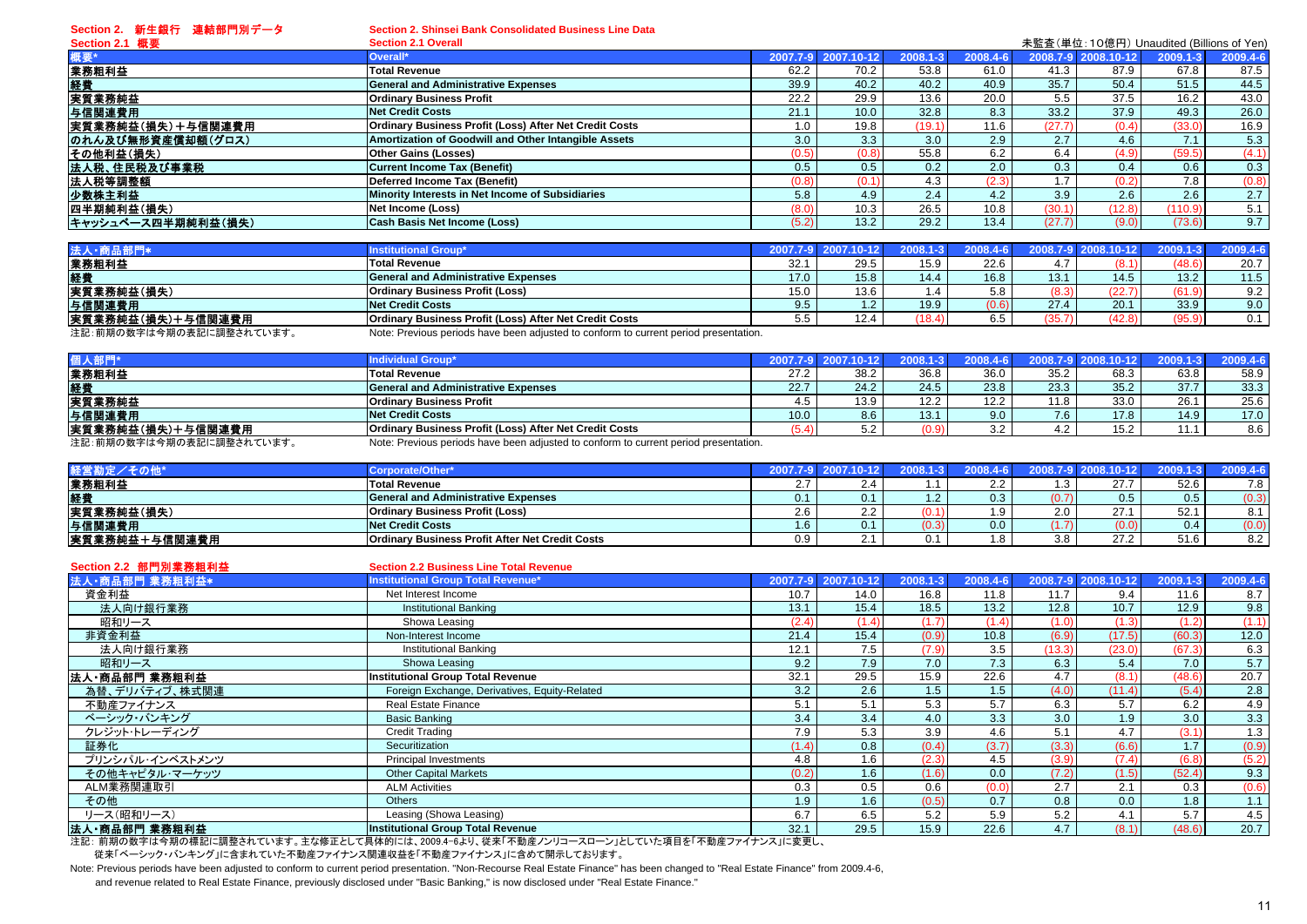**Section 2.** 新生銀行 連結部門別データ

**Section 2. Shinsei Bank Consolidated Business Line Data**

| Section 2.1 概要     | 未監査(単位:10億円) Unaudited (Billions of Yen)<br><b>Section 2.1 Overall</b> |       |                     |          |          |        |                     |                  |          |  |  |
|--------------------|------------------------------------------------------------------------|-------|---------------------|----------|----------|--------|---------------------|------------------|----------|--|--|
|                    | Overall*                                                               |       | 2007.7-9 2007.10-12 | 2008.1-3 | 2008.4-6 |        | 2008.7-9 2008.10-12 | 2009.1-3         | 2009.4-6 |  |  |
| 業務粗利益              | <b>Total Revenue</b>                                                   | 62.2  | 70.2                | 53.8     | 61.0     | 41.3   | 87.9                | 67.8             | 87.5     |  |  |
| 経費                 | <b>General and Administrative Expenses</b>                             | 39.9  | 40.2                | 40.2     | 40.9     | 35.7   | 50.4                | 51.5             | 44.5     |  |  |
| 実質業務純益             | <b>Ordinary Business Profit</b>                                        | 22.2  | 29.9                | 13.6     | 20.0     | 5.5    | 37.5                | 16.2             | 43.0     |  |  |
| 与信関連費用             | <b>Net Credit Costs</b>                                                | 21.1  | 10.0                | 32.8     | 8.3      | 33.2   | 37.9                | 49.3             | 26.0     |  |  |
| 実質業務純益(損失)+与信関連費用  | Ordinary Business Profit (Loss) After Net Credit Costs                 | 0. ا  | 19.8                | (19.1)   | 11.6     | (27.7) | (0.4)               | (33.0)           | 16.9     |  |  |
| のれん及び無形資産償却額(グロス)  | Amortization of Goodwill and Other Intangible Assets                   | 3.0   | 3.3                 | 3.0      | 2.9      | 2.7    | 4.6                 | 7.1              | 5.3      |  |  |
| その他利益(損失)          | <b>Other Gains (Losses)</b>                                            | (0.5) | (0.8)               | 55.8     | 6.2      | 6.4    | (4.9)               | (59.5)           | (4.1)    |  |  |
| 法人税、住民税及び事業税       | Current Income Tax (Benefit)                                           | 0.5   | 0.5                 | 0.2      | 2.0      | 0.3    | 0.4                 | 0.6              | 0.3      |  |  |
| 法人税等調整額            | Deferred Income Tax (Benefit)                                          | (0.8) | (0.1)               | 4.3      | (2.3)    | 1.7.   | (0.2)               | 7.8 <sub>1</sub> | (0.8)    |  |  |
| 少数株主利益             | Minority Interests in Net Income of Subsidiaries                       | 5.8   | 4.9                 | 2.4      | 4.2      | 3.9    | 2.6                 | 2.6              | 2.7      |  |  |
| 四半期純利益(損失)         | Net Income (Loss)                                                      | (8.0) | 10.3                | 26.5     | 10.8     | (30.1) | (12.8)              | (110.9)          | 5.1      |  |  |
| キャッシュベース四半期純利益(損失) | <b>Cash Basis Net Income (Loss)</b>                                    | (5.2) | 13.2                | 29.2     | 13.4     | (27.7) | (9.0)               | (73.6)           | 9.7      |  |  |

| <b>Institutional Group*</b>                                   |      |                                                                                      |              | $20084 - 6$ |        |        |            | 2009.4-6 |
|---------------------------------------------------------------|------|--------------------------------------------------------------------------------------|--------------|-------------|--------|--------|------------|----------|
| <b>Total Revenue</b>                                          | 32.1 | 29.5                                                                                 | 15.9         | 22.6        | 4.7    |        | (48.6)     | 20.7     |
| <b>General and Administrative Expenses</b>                    | 17.0 | 15.8                                                                                 | 14.4         | 16.8        | 13.1   | 14.5   | 13.2       | 11.5     |
| <b>Ordinary Business Profit (Loss)</b>                        | 15.0 | 13.6                                                                                 |              | 5.8         | (8.3)  |        | (61.9)     | 9.2      |
| Net Credit Costs                                              |      | $\mathcal{P}$                                                                        | 19.9         | (0.6)       | 27.4   | 20.1   | 33.9       | 9.0      |
| <b>Ordinary Business Profit (Loss) After Net Credit Costs</b> |      | 12.4                                                                                 | (18.4)       | 6.5         | (35.7) | (42.8) | (05C)      | 0.1      |
|                                                               |      |                                                                                      |              |             |        |        |            |          |
|                                                               |      | Note: Previous periods have been adjusted to conform to current period presentation. | $2007.7 - 9$ |             |        |        | 2008 7-9 2 |          |

| 個人部門*                    | Individual Group*                                                                    | 2007.7-9 2007. |      | $2008.1 - 3$ | 2008.4-6  |                  | 2008.7-9 2008.10-12 |      | 2009.4-6 |
|--------------------------|--------------------------------------------------------------------------------------|----------------|------|--------------|-----------|------------------|---------------------|------|----------|
| 業務粗利益                    | <b>Total Revenue</b>                                                                 | 27.2           | 38.2 | 36.8         | 36.0      | 35.2             | 68.3                | 63.8 | 58.9     |
| 経費                       | <b>General and Administrative Expenses</b>                                           | 22.7           | 24.2 | 24.5         | 23.8      | 23.3             | 35.2                | 37.7 | 33.3     |
| 実質業務純益                   | <b>Ordinary Business Profit</b>                                                      |                | 13.9 | 12.2         | 12.2      | 11.8             | 33.0                | 26.1 | 25.6     |
| 与信関連費用                   | Net Credit Costs                                                                     | 10.0           | 8.6  | 13.1         | 9.0       | 7.6 <sub>1</sub> | 17.8                | 14.9 | 17.0     |
| 実質業務純益(損失)+与信関連費用        | Ordinary Business Profit (Loss) After Net Credit Costs                               |                | ے.ت  | (0.9         | っっ<br>J.Z | 4.2              | 15.2                | .    | 8.6      |
| 注記:前期の数字は今期の表記に調整されています。 | Note: Previous periods have been adjusted to conform to current period presentation. |                |      |              |           |                  |                     |      |          |

| 経営勘定/その他*     | Corporate/Other*                                       | 2007.7-9 2007.10-12 | $2008.1 - 3$ | 2008.4-6     | 2008.7-9 2 | 008.10-12 |                  | 2009.4-6       |
|---------------|--------------------------------------------------------|---------------------|--------------|--------------|------------|-----------|------------------|----------------|
| 業務粗利益         | <b>Total Revenue</b>                                   |                     |              |              | .3         | 277       | 52.6             | 7.8            |
| 経費            | <b>General and Administrative Expenses</b>             |                     |              | 0.3          |            |           | 0.5 <sub>1</sub> | O.JI           |
| 実質業務純益(損失)    | <b>Ordinary Business Profit (Loss)</b>                 |                     |              | q            | 2.0        | 27        | 52.              | Q <sub>1</sub> |
| 与信関連費用        | Net Credit Costs                                       |                     | (0.3)        | $0.0\degree$ |            | (0.0)     |                  | (U.U)          |
| 実質業務純益+与信関連費用 | <b>Ordinary Business Profit After Net Credit Costs</b> |                     |              | .8           | 3.8        | 272       | 51.6             | 8.2            |

| Section 2.2 部門別業務粗利益 | <b>Section 2.2 Business Line Total Revenue</b>                                            |          |            |              |          |        |                     |          |          |
|----------------------|-------------------------------------------------------------------------------------------|----------|------------|--------------|----------|--------|---------------------|----------|----------|
| 法人·商品部門 業務粗利益*       | <b>Institutional Group Total Revenue*</b>                                                 | 2007.7-9 | 2007.10-12 | $2008.1 - 3$ | 2008.4-6 |        | 2008.7-9 2008.10-12 | 2009.1-3 | 2009.4-6 |
| 資金利益                 | Net Interest Income                                                                       | 10.7     | 14.0       | 16.8         | 11.8     | 11.7   | 9.4                 | 11.6     | 8.7      |
| 法人向け銀行業務             | <b>Institutional Banking</b>                                                              | 13.1     | 15.4       | 18.5         | 13.2     | 12.8   | 10.7                | 12.9     | 9.8      |
| 昭和リース                | Showa Leasing                                                                             | (2.4)    | (1.4)      | (1.7)        | (1.4)    | (1.0)  | (1.3)               | (1.2)    | (1.1)    |
| 非資金利益                | Non-Interest Income                                                                       | 21.4     | 15.4       | (0.9)        | 10.8     | (6.9)  | (17.5)              | (60.3)   | 12.0     |
| 法人向け銀行業務             | <b>Institutional Banking</b>                                                              | 12.1     | 7.5        | (7.9)        | 3.5      | (13.3) | (23.0)              | (67.3)   | 6.3      |
| 昭和リース                | Showa Leasing                                                                             | 9.2      | 7.9        | 7.0          | 7.3      | 6.3    | 5.4                 | 7.0      | 5.7      |
| 法人·商品部門 業務粗利益        | <b>Institutional Group Total Revenue</b>                                                  | 32.1     | 29.5       | 15.9         | 22.6     | 4.7    | (8.1)               | (48.6)   | 20.7     |
| 為替、デリバティブ、株式関連       | Foreign Exchange, Derivatives, Equity-Related                                             | 3.2      | 2.6        | 1.5          | 1.5      | (4.0)  | (11.4)              | (5.4)    | 2.8      |
| 不動産ファイナンス            | <b>Real Estate Finance</b>                                                                | 5.1      | 5.1        | 5.3          | 5.7      | 6.3    | 5.7                 | 6.2      | 4.9      |
| ベーシック・バンキング          | <b>Basic Banking</b>                                                                      | 3.4      | 3.4        | 4.0          | 3.3      | 3.0    | 1.9                 | 3.0      | 3.3      |
| クレジット・トレーディング        | <b>Credit Trading</b>                                                                     | 7.9      | 5.3        | 3.9          | 4.6      | 5.1    | 4.7                 | (3.1)    | 1.3      |
| 証券化                  | Securitization                                                                            | (1.4)    | 0.8        | (0.4)        | (3.7)    | (3.3)  | (6.6)               | 1.7      | (0.9)    |
| プリンシパル・インベストメンツ      | Principal Investments                                                                     | 4.8      | 1.6        | (2.3)        | 4.5      | (3.9)  | (7.4)               | (6.8)    | (5.2)    |
| その他キャピタル・マーケッツ       | <b>Other Capital Markets</b>                                                              | (0.2)    | 1.6        | (1.6)        | 0.0      | (7.2)  | (1.5)               | (52.4)   | 9.3      |
| ALM業務関連取引            | <b>ALM Activities</b>                                                                     | 0.3      | 0.5        | 0.6          | (0.0)    | 2.7    | 2.1                 | 0.3      | (0.6)    |
| その他                  | <b>Others</b>                                                                             | 1.9      | 1.6        | (0.5)        | 0.7      | 0.8    | 0.0                 | 1.8      | 1.1      |
| リース(昭和リース)           | Leasing (Showa Leasing)                                                                   | 6.7      | 6.5        | 5.2          | 5.9      | 5.2    | 4.1                 | 5.7      | 4.5      |
| 法人・商品部門 業務粗利益        | <b>Institutional Group Total Revenue</b>                                                  | 32.1     | 29.5       | 15.9         | 22.6     | 4.7    | (8.1)               | (48.6)   | 20.7     |
|                      | 注記: 前期の数字は今期の標記に調整されています。主な修正として具体的には、2009.4-6より、従来「不動産ノンリコースローン」としていた項目を「不動産ファイナンス」に変更し、 |          |            |              |          |        |                     |          |          |

従来「ベーシック・バンキング」に含まれていた不動産ファイナンス関連収益を「不動産ファイナンス」に含めて開示しております。

Note: Previous periods have been adjusted to conform to current period presentation. "Non-Recourse Real Estate Finance" has been changed to "Real Estate Finance" from 2009.4-6, and revenue related to Real Estate Finance, previously disclosed under "Basic Banking," is now disclosed under "Real Estate Finance."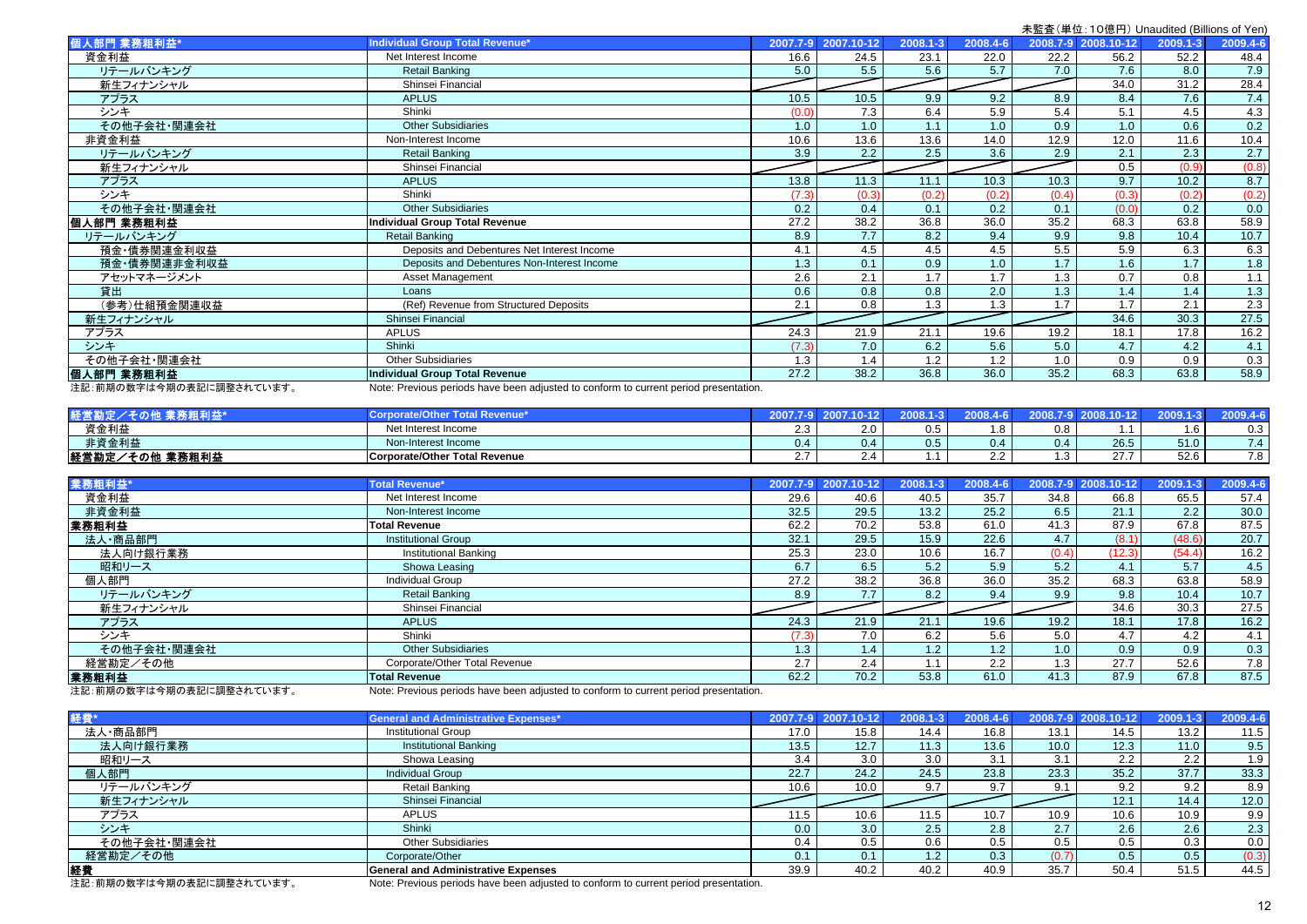|                           |                                                                                      |          |            |          |          |       |                     | 不血且 (十巴. + 아빠! )/ Ondduited (Dillions of Ten. |          |
|---------------------------|--------------------------------------------------------------------------------------|----------|------------|----------|----------|-------|---------------------|-----------------------------------------------|----------|
| 個人部門 業務粗利益*               | <b>Individual Group Total Revenue*</b>                                               | 2007.7-9 | 2007.10-12 | 2008.1-3 | 2008.4-6 |       | 2008.7-9 2008.10-12 | 2009.1-3                                      | 2009.4-6 |
| 資金利益                      | Net Interest Income                                                                  | 16.6     | 24.5       | 23.1     | 22.0     | 22.2  | 56.2                | 52.2                                          | 48.4     |
| リテールバンキング                 | <b>Retail Banking</b>                                                                | 5.0      | 5.5        | 5.6      | 5.7      | 7.0   | 7.6                 | 8.0                                           | 7.9      |
| 新生フィナンシャル                 | Shinsei Financial                                                                    |          |            |          |          |       | 34.0                | 31.2                                          | 28.4     |
| アプラス                      | <b>APLUS</b>                                                                         | 10.5     | 10.5       | 9.9      | 9.2      | 8.9   | 8.4                 | 7.6                                           | 7.4      |
| シンキ                       | Shinki                                                                               | (0.0)    | 7.3        | 6.4      | 5.9      | 5.4   | 5.1                 | 4.5                                           | 4.3      |
| その他子会社・関連会社               | <b>Other Subsidiaries</b>                                                            | 1.0      | 1.0        | 1.1      | 1.0      | 0.9   | 1.0                 | 0.6                                           | 0.2      |
| 非資金利益                     | Non-Interest Income                                                                  | 10.6     | 13.6       | 13.6     | 14.0     | 12.9  | 12.0                | 11.6                                          | 10.4     |
| リテールバンキング                 | <b>Retail Banking</b>                                                                | 3.9      | 2.2        | 2.5      | 3.6      | 2.9   | 2.1                 | 2.3                                           | 2.7      |
| 新生フィナンシャル                 | Shinsei Financial                                                                    |          |            |          |          |       | 0.5                 | (0.9)                                         | (0.8)    |
| アプラス                      | <b>APLUS</b>                                                                         | 13.8     | 11.3       | 11.1     | 10.3     | 10.3  | 9.7                 | 10.2                                          | 8.7      |
| シンキ                       | Shinki                                                                               | (7.3)    | (0.3)      | (0.2)    | (0.2)    | (0.4) | (0.3)               | (0.2)                                         | (0.2)    |
| その他子会社・関連会社               | <b>Other Subsidiaries</b>                                                            | 0.2      | 0.4        | 0.1      | 0.2      | 0.1   | (0.0)               | 0.2                                           | 0.0      |
| 個人部門 業務粗利益                | <b>Individual Group Total Revenue</b>                                                | 27.2     | 38.2       | 36.8     | 36.0     | 35.2  | 68.3                | 63.8                                          | 58.9     |
| リテールバンキング                 | <b>Retail Banking</b>                                                                | 8.9      | 7.7        | 8.2      | 9.4      | 9.9   | 9.8                 | 10.4                                          | 10.7     |
| 預金·債券関連金利収益               | Deposits and Debentures Net Interest Income                                          | 4.1      | 4.5        | 4.5      | 4.5      | 5.5   | 5.9                 | 6.3                                           | 6.3      |
| 預金·債券関連非金利収益              | Deposits and Debentures Non-Interest Income                                          | 1.3      | 0.1        | 0.9      | 1.0      | 1.7   | 1.6                 | 1.7                                           | 1.8      |
| アセットマネージメント               | Asset Management                                                                     | 2.6      | 2.1        | 1.7      | 1.7      | 1.3   | 0.7                 | 0.8                                           | 1.1      |
| 貸出                        | Loans                                                                                | 0.6      | 0.8        | 0.8      | 2.0      | 1.3   | 1.4                 | 1.4                                           | 1.3      |
| (参考)仕組預金関連収益              | (Ref) Revenue from Structured Deposits                                               | 2.1      | 0.8        | 1.3      | 1.3      | 1.7   | 1.7                 | 2.1                                           | 2.3      |
| 新生フィナンシャル                 | Shinsei Financial                                                                    |          |            |          |          |       | 34.6                | 30.3                                          | 27.5     |
| アプラス                      | <b>APLUS</b>                                                                         | 24.3     | 21.9       | 21.1     | 19.6     | 19.2  | 18.1                | 17.8                                          | 16.2     |
| シンキ                       | Shinki                                                                               | (7.3)    | 7.0        | 6.2      | 5.6      | 5.0   | 4.7                 | 4.2                                           | 4.1      |
| その他子会社・関連会社               | <b>Other Subsidiaries</b>                                                            | 1.3      | 1.4        | 1.2      | 1.2      | 1.0   | 0.9                 | 0.9                                           | 0.3      |
| 個人部門 業務粗利益                | <b>Individual Group Total Revenue</b>                                                | 27.2     | 38.2       | 36.8     | 36.0     | 35.2  | 68.3                | 63.8                                          | 58.9     |
| 注記: 前期の数字は今期の表記に調整されています。 | Note: Previous periods have been adjusted to conform to current period presentation. |          |            |          |          |       |                     |                                               |          |

| a and a             |                               |         |        |     |        |     |        |               |                                       |
|---------------------|-------------------------------|---------|--------|-----|--------|-----|--------|---------------|---------------------------------------|
| 資金利益                | Net Interest Income           | <u></u> | ່າ ∩ . |     |        | 0.8 |        | $\sim$<br>l.b | 0.3                                   |
| 非資金利益               | Non-Interest Income           | 0.4     | 0.4    | 0.5 | ()4    | 0.4 | 26.5   | 51.0          | $\overline{z}$                        |
| 経営勘定/<br>ンその他 業務粗利益 | Corporate/Other Total Revenue |         |        |     | $\sim$ |     | $\sim$ | 52.6          | $\overline{ }$ $\overline{ }$<br>ں. ا |

| <b>Total Revenue*</b>         |      |                  |                     | 2008.4-6 |                              |        | 2009.1-3                    | 2009.4-6 |
|-------------------------------|------|------------------|---------------------|----------|------------------------------|--------|-----------------------------|----------|
| Net Interest Income           | 29.6 | 40.6             | 40.5                | 35.7     | 34.8                         | 66.8   | 65.5                        | 57.4     |
| Non-Interest Income           | 32.5 | 29.5             | 13.2                | 25.2     | 6.5                          | 21.1   | 2.2                         | 30.0     |
| <b>Total Revenue</b>          | 62.2 | 70.2             | 53.8                | 61.0     | 41.3                         | 87.9   | 67.8                        | 87.5     |
| <b>Institutional Group</b>    | 32.1 | 29.5             | 15.9                | 22.6     | 4.7                          | (8.1)  | (48.6)                      | 20.7     |
| <b>Institutional Banking</b>  | 25.3 | 23.0             | 10.6                | 16.7     | (0.4)                        | (12.3) | (54.4)                      | 16.2     |
| Showa Leasing                 | 6.7  | 6.5              | 5.2                 | 5.9      | 5.2                          | 4.1    | 5.7                         | 4.5      |
| <b>Individual Group</b>       | 27.2 | 38.2             | 36.8                | 36.0     |                              | 68.3   | 63.8                        | 58.9     |
| <b>Retail Banking</b>         | 8.9  | 7.7              | 8.2                 | 9.4      | 9.9                          | 9.8    | 10.4                        | 10.7     |
| Shinsei Financial             |      |                  |                     |          |                              | 34.6   | 30.3                        | 27.5     |
| <b>APLUS</b>                  | 24.3 | 21.9             | 21.1                | 19.6     | 19.2                         | 18.1   | 17.8                        | 16.2     |
| Shinki                        |      | 7.0              | 6.2                 | 5.6      | 5.0                          | 4.7    | 4.2                         | 4.1      |
| <b>Other Subsidiaries</b>     | 1.3  | 1.4 <sub>1</sub> |                     | 1.2      | 1.0                          | 0.9    | 0.9 <sub>0</sub>            | 0.3      |
| Corporate/Other Total Revenue | 2.7  | 2.4              | $\mathbf{.1}$       | $2.2$ .  | 1.3                          | 27.7   | 52.6                        | 7.8      |
| <b>Total Revenue</b>          | 62.2 | 70.2             | 53.8                | 61.0     | 41.3                         | 87.9   | 67.8                        | 87.5     |
|                               |      | (7.3)            | 2007.7-9 2007.10-12 |          | 2008.1-3<br>1.2 <sub>1</sub> |        | 2008.7-9 2008.10-12<br>35.2 |          |

注記:前期の数字は今期の表記に調整されています。 Note: Previous periods have been adjusted to conform to current period presentation.

| 経費*                     | <b>General and Administrative Expenses*</b>                                         |                  | 2007.7-9 2007.10-12 | 2008.1-3         | 2008.4-6 |      | 2008.7-9 2008.10-12 | $2009.1 - 3$ | 2009.4-6 |
|-------------------------|-------------------------------------------------------------------------------------|------------------|---------------------|------------------|----------|------|---------------------|--------------|----------|
| 法人·商品部門                 | <b>Institutional Group</b>                                                          | 17.0             | 15.8                | 14.4             | 16.8     | 13.1 | 14.5                | 13.2         | 11.5     |
| 法人向け銀行業務                | <b>Institutional Banking</b>                                                        | 13.5             | 12.7                | 11.3             | 13.6     | 10.0 | 12.3                | 11.0         | 9.5      |
| 昭和リース                   | Showa Leasing                                                                       | 3.4              | $3.0\text{ }$       | 3.0              | 3.1      | 3.1  | $2.2^{\circ}$       | 2.2          | 1.9      |
| 個人部門                    | <b>Individual Group</b>                                                             | 22.7             | 24.2                | 24.5             | 23.8     | 23.3 | 35.2                | 37.7         | 33.3     |
| リテールバンキング               | Retail Banking                                                                      | 10.6             | 10.0                | 9.7              | 9.7      | 9.1  | 9.2                 | 9.2          | 8.9      |
| 新生フィナンシャル               | Shinsei Financial                                                                   |                  |                     |                  |          |      | 12.1                | 14.4         | 12.0     |
| アプラス                    | <b>APLUS</b>                                                                        | 11.5             | 10.6                | 11.5             | 10.7     | 10.9 | 10.6                | 10.9         | 9.9      |
| シンキ                     | Shinki                                                                              | 0.0 <sub>1</sub> | 3.0                 | 2.5              | 2.8      | 2.7  | 2.6                 | 2.6          | 2.3      |
| その他子会社・関連会社             | <b>Other Subsidiaries</b>                                                           | 0.4              | 0.5                 | 0.6              | 0.5      | 0.5  | 0.5                 | 0.3          | 0.0      |
| 経営勘定/その他                | Corporate/Other                                                                     | 0.1              | 0.1                 | 1.2 <sub>1</sub> | 0.3      |      | 0.5                 | 0.5          | (0.3)    |
| 経費                      | <b>General and Administrative Expenses</b>                                          | 39.9             | 40.2                | 40.2             | 40.9     | 35.7 | 50.4                | 51.5         | 44.5     |
| 注記,前期の数字は今期の丰記に調整されています | Note: Provious periods have been adjusted to conferm to current period prosentation |                  |                     |                  |          |      |                     |              |          |

注記:前期の数字は今期の表記に調整されています。 Mote: Previous periods have been adjusted to conform to current period presentation.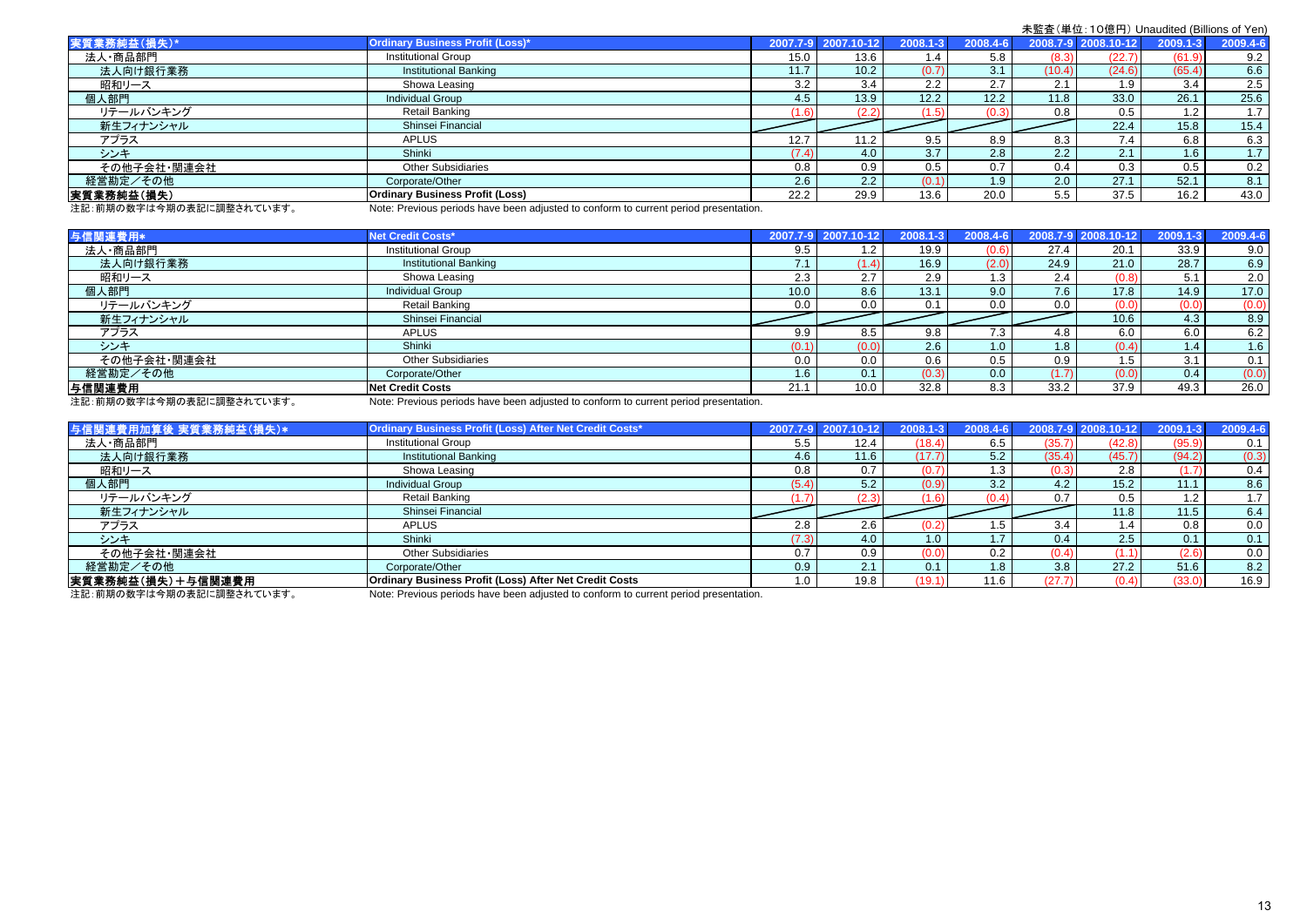| 実質業務純益(損失)*             | <b>Ordinary Business Profit (Loss)*</b>                                             |       | 2007.7-9 2007.10-12 | $2008.1 - 3$  | 2008.4-6 |        | 2008.7-9 2008.10-12 | $2009.1 - 3$ | 2009.4-6 |
|-------------------------|-------------------------------------------------------------------------------------|-------|---------------------|---------------|----------|--------|---------------------|--------------|----------|
| 法人·商品部門                 | <b>Institutional Group</b>                                                          | 15.0  | 13.6                | .4            | 5.8      | (8.3)  | (22.7)              | (61.9)       | 9.2      |
| 法人向け銀行業務                | <b>Institutional Banking</b>                                                        |       | 10.2                | (0.7)         | 3.1      | (10.4) | (24.6)              | (65.4)       | 6.6      |
| 昭和リース                   | Showa Leasing                                                                       | 3.2   | 3.4                 | $2.2^{\circ}$ | 2.7      | 2.1    | 1.9                 | 3.4          | 2.5      |
| 個人部門                    | <b>Individual Group</b>                                                             | 4.5   | 13.9                | 12.2          | 12.2     | 11.8   | 33.0                | 26.1         | 25.6     |
| リテールバンキング               | Retail Banking                                                                      |       | (2.2)               | (1.5)         | (0.3)    | 0.8    | 0.5                 | 1.2          | 1.7      |
| 新生フィナンシャル               | Shinsei Financial                                                                   |       |                     |               |          |        | 22.4                | 15.8         | 15.4     |
| アプラス                    | <b>APLUS</b>                                                                        | 12.7  |                     | 9.5           | 8.9      | 8.3    | 7.4                 | 6.8          | 6.3      |
| シンキ                     | Shinki                                                                              | (7.4) | 4.0                 | 3.7           | 2.8      | 2.2    | 2.1                 | 1.6          | 1.7      |
| その他子会社・関連会社             | <b>Other Subsidiaries</b>                                                           | 0.8   | 0.9                 | 0.5           | 0.7      | 0.4    | 0.3                 | 0.5          | 0.2      |
| 経営勘定/その他                | Corporate/Other                                                                     | 2.6   | 2.2                 | (0.1)         | 1.9      | 2.0    | 27.1                | 52.1         | 8.1      |
| 実質業務純益(損失)              | <b>Ordinary Business Profit (Loss)</b>                                              | 22.2  | 29.9                | 13.6          | 20.0     | 5.5    | 37.5                | 16.2         | 43.0     |
| 注記,前期の数字は今期の主記に調整されています | Note: Provisue periode have been adjusted to conferm to current period procentation |       |                     |               |          |        |                     |              |          |

注記: 前期の数字は今期の表記に調整されています。 Note: Previous periods have been adjusted to conform to current period presentation.

| 与信関連費用*     | Net Credit Costs*                                                                                                                                                                                                                 |        | 2007.7-9 2007.10-12 | $2008.1 - 3$ | 2008.4-6         |       | 2008.7-9 2008.10-12 | 2009.1-3 | 2009.4-6 |
|-------------|-----------------------------------------------------------------------------------------------------------------------------------------------------------------------------------------------------------------------------------|--------|---------------------|--------------|------------------|-------|---------------------|----------|----------|
| 法人·商品部門     | <b>Institutional Group</b>                                                                                                                                                                                                        | 9.5    | 1.2 <sub>1</sub>    | 19.9         | (0.6)            | 27.4  | 20.1                | 33.9     | 9.0      |
| 法人向け銀行業務    | <b>Institutional Banking</b>                                                                                                                                                                                                      | $\sim$ | (1.4)               | 16.9         | (2.0)            | 24.9  | 21.0                | 28.7     | 6.9      |
| 昭和リース       | Showa Leasing                                                                                                                                                                                                                     | 2.3    | 2.7                 | 2.9          | 1.3 <sub>1</sub> | 2.4   | (0.8)               | 5.1      | 2.0      |
| 個人部門        | <b>Individual Group</b>                                                                                                                                                                                                           | 10.0   | 8.6                 | 13.1         | 9.0              | 7.6   | 17.8                | 14.9     | 17.0     |
| リテールバンキング   | Retail Banking                                                                                                                                                                                                                    | 0.0    | 0.0                 | 0.1          | 0.0              | 0.0   | (0.0)               | (0.0)    | (0.0)    |
| 新生フィナンシャル   | Shinsei Financial                                                                                                                                                                                                                 |        |                     |              |                  |       | 10.6                | 4.3      | 8.9      |
| アプラス        | <b>APLUS</b>                                                                                                                                                                                                                      | 9.9    | 8.5                 | 9.8          | $7.3$ .          | 4.8   | 6.0                 | 6.0      | 6.2      |
| シンキ         | Shinki                                                                                                                                                                                                                            | (0.1)  | (0.0)               | 2.6          | 1.0 <sub>1</sub> | 1.8   | (0.4)               | 1.4      | 1.6      |
| その他子会社・関連会社 | <b>Other Subsidiaries</b>                                                                                                                                                                                                         | 0.0    | 0.0                 | 0.6          | 0.5              | 0.9   | 1.5                 | 3.1      | 0.1      |
| 経営勘定/その他    | Corporate/Other                                                                                                                                                                                                                   | 1.6    | 0.1                 | (0.3)        | 0.0 <sub>1</sub> | (1.7) | (0.0)               | 0.4      | (0.0)    |
| 与信関連費用      | Net Credit Costs                                                                                                                                                                                                                  | 21.1   | 10.0                | 32.8         | 8.3              | 33.2  | 37.9                | 49.3     | 26.0     |
|             | $\mathbf{a}$ , and a set of the set of the set of the set of the set of the set of the set of the set of the set of the set of the set of the set of the set of the set of the set of the set of the set of the set of the set of |        |                     |              |                  |       |                     |          |          |

注記: 前期の数字は今期の表記に調整されています。 Note: Previous periods have been adjusted to conform to current period presentation.

| 与信関連費用加算後 実質業務純益(損失)* | Ordinary Business Profit (Loss) After Net Credit Costs*                                                                                                                                                                                                                                                                                                                                                                                                      |       | 2007.7-9 2007.10- | 2008.  | 2008.4-6         |        | 2008.7-9 2008.10-12 | 2009   | 2009.4-6 |
|-----------------------|--------------------------------------------------------------------------------------------------------------------------------------------------------------------------------------------------------------------------------------------------------------------------------------------------------------------------------------------------------------------------------------------------------------------------------------------------------------|-------|-------------------|--------|------------------|--------|---------------------|--------|----------|
| 法人·商品部門               | <b>Institutional Group</b>                                                                                                                                                                                                                                                                                                                                                                                                                                   | 5.5   | 12.4              | (18.4) | 6.5              | (35.7) | (42.8)              | (95.9) | 0.1      |
| 法人向け銀行業務              | <b>Institutional Banking</b>                                                                                                                                                                                                                                                                                                                                                                                                                                 | 4.6   | 11.6              | (17.7) | 5.2              | (35.4) | (45.7)              | (94.2) | (0.3)    |
| 昭和リース                 | Showa Leasing                                                                                                                                                                                                                                                                                                                                                                                                                                                | 0.8   | 0.7               | (0.7)  | $1.3 -$          | (0.3)  | 2.8                 |        | 0.4      |
| 個人部門                  | <b>Individual Group</b>                                                                                                                                                                                                                                                                                                                                                                                                                                      | (5.4) | 5.2               | (0.9)  | 3.2              | 4.2    | 15.2                | 11.1   | 8.6      |
| リテールバンキング             | Retail Banking                                                                                                                                                                                                                                                                                                                                                                                                                                               |       | (2.3              |        |                  | 0.7    | 0.5                 | 1.2    | 1.7      |
| 新生フィナンシャル             | Shinsei Financial                                                                                                                                                                                                                                                                                                                                                                                                                                            |       |                   |        |                  |        | 11.8                | 11.5   | 6.4      |
| アプラス                  | <b>APLUS</b>                                                                                                                                                                                                                                                                                                                                                                                                                                                 | 2.8   | 2.6               | (0.2   | 1.5              | 3.4    | 1.4                 | 0.8    | 0.0      |
| シンキ                   | Shinki                                                                                                                                                                                                                                                                                                                                                                                                                                                       | (7.3) | 4.0               | 1.0    | 1.7              | 0.4    | 2.5                 | 0.1    | 0.1      |
| その他子会社・関連会社           | <b>Other Subsidiaries</b>                                                                                                                                                                                                                                                                                                                                                                                                                                    | 0.7   | 0.9               | (0.0)  | 0.2              | (0.4)  |                     | (2.6)  | 0.0      |
| 経営勘定/その他              | Corporate/Other                                                                                                                                                                                                                                                                                                                                                                                                                                              | 0.9   | 2.1               | 0.1    | 1.8 <sub>1</sub> | 3.8    | 27.2 <sub>1</sub>   | 51.6   | 8.2      |
| 実質業務純益(損失)+与信関連費用     | <b>Ordinary Business Profit (Loss) After Net Credit Costs</b>                                                                                                                                                                                                                                                                                                                                                                                                | 1.0   | 19.8              | (19.1) | 11.6             | (27.7) | (0.4)               | (33.0) | 16.9     |
|                       | $\mathbf{a} \cdot \mathbf{b} = \mathbf{a} \cdot \mathbf{b} = \mathbf{a} \cdot \mathbf{b} = \mathbf{a} \cdot \mathbf{b} = \mathbf{a} \cdot \mathbf{b} = \mathbf{a} \cdot \mathbf{b} = \mathbf{a} \cdot \mathbf{b} = \mathbf{a} \cdot \mathbf{b} = \mathbf{a} \cdot \mathbf{b} = \mathbf{a} \cdot \mathbf{b} = \mathbf{a} \cdot \mathbf{b} = \mathbf{a} \cdot \mathbf{b} = \mathbf{a} \cdot \mathbf{b} = \mathbf{a} \cdot \mathbf{b} = \mathbf{a} \cdot \math$ |       |                   |        |                  |        |                     |        |          |

注記:前期の数字は今期の表記に調整されています。 Note: Previous periods have been adjusted to conform to current period presentation.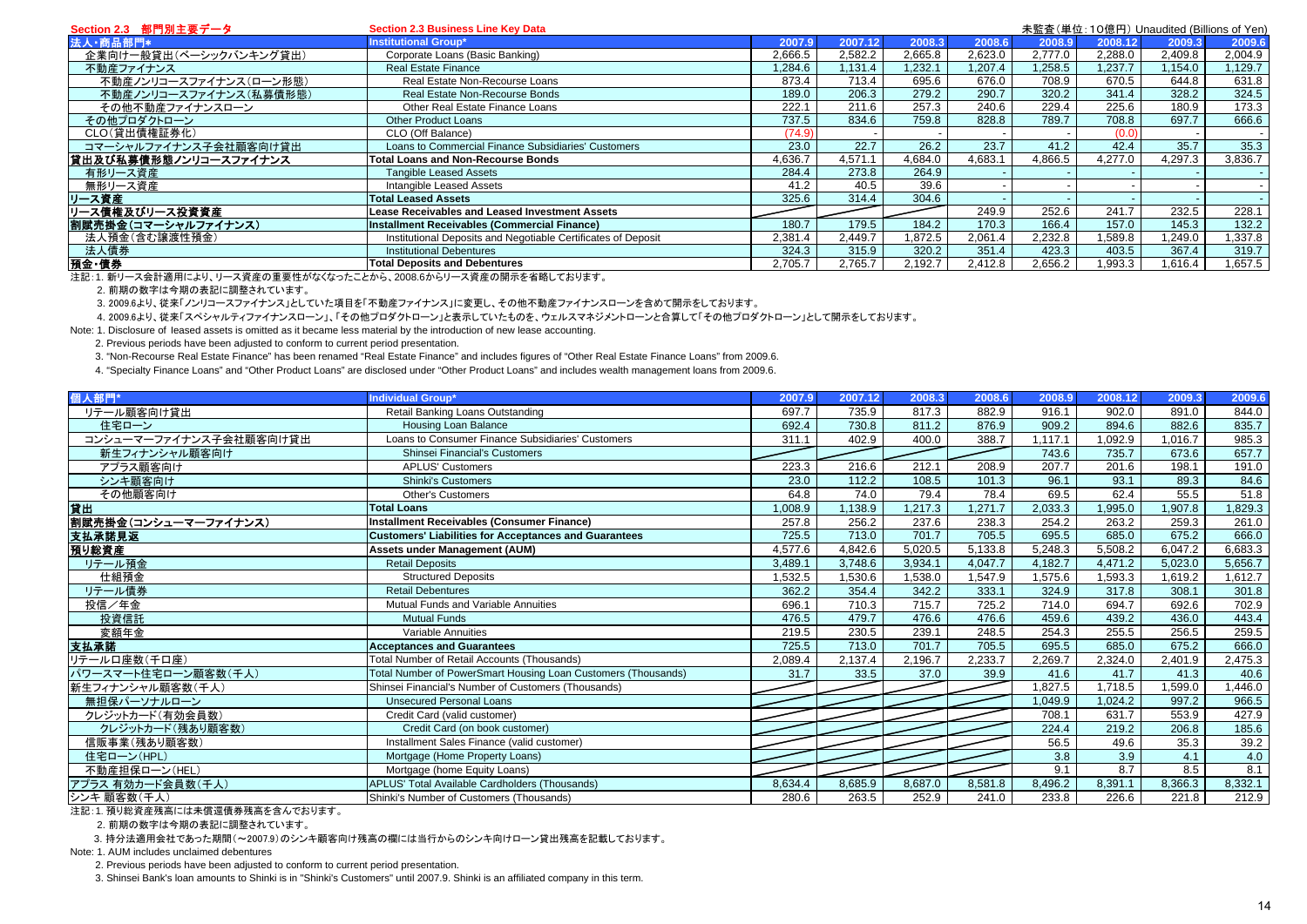| Section 2.3 部門別主要データ   | <b>Section 2.3 Business Line Key Data</b>                     |         |         |         |         |         | 未監査(単位:10億円) Unaudited (Billions of Yen) |         |         |
|------------------------|---------------------------------------------------------------|---------|---------|---------|---------|---------|------------------------------------------|---------|---------|
| 法人·商品部門*               | Institutional Group*                                          | 2007.9  | 2007.12 | 2008.3  | 2008.6  | 2008.9  | 2008.12                                  | 2009.3  | 2009.6  |
| 企業向け一般貸出(ベーシックバンキング貸出) | Corporate Loans (Basic Banking)                               | 2.666.5 | 2,582.2 | 2.665.8 | 2.623.0 | 2.777.0 | 2.288.0                                  | 2,409.8 | 2,004.9 |
| 不動産ファイナンス              | <b>Real Estate Finance</b>                                    | 1,284.6 | ,131.4  | ,232.1  | .207.4  | ,258.5  | ,237.7                                   | 1,154.0 | 1,129.7 |
| 不動産ノンリコースファイナンス(ローン形態) | Real Estate Non-Recourse Loans                                | 873.4   | 713.4   | 695.6   | 676.0   | 708.9   | 670.5                                    | 644.8   | 631.8   |
| 不動産ノンリコースファイナンス(私募債形態) | Real Estate Non-Recourse Bonds                                | 189.0   | 206.3   | 279.2   | 290.7   | 320.2   | 341.4                                    | 328.2   | 324.5   |
| その他不動産ファイナンスローン        | Other Real Estate Finance Loans                               | 222.7   | 211.6   | 257.3   | 240.6   | 229.4   | 225.6                                    | 180.9   | 173.3   |
| その他プロダクトローン            | <b>Other Product Loans</b>                                    | 737.5   | 834.6   | 759.8   | 828.8   | 789.7   | 708.8                                    | 697.7   | 666.6   |
| CLO(貸出債権証券化)           | CLO (Off Balance)                                             | (74.9)  |         |         |         |         | (0.0)                                    |         |         |
| コマーシャルファイナンス子会社顧客向け貸出  | Loans to Commercial Finance Subsidiaries' Customers           | 23.0    | 22.7    | 26.2    | 23.7    | 41.2    | 42.4                                     | 35.7    | 35.3    |
| 貸出及び私募債形態ノンリコースファイナンス  | <b>Total Loans and Non-Recourse Bonds</b>                     | 4.636.7 | 4.571.1 | 4,684.0 | 4,683.1 | 4,866.5 | 4.277.0                                  | 4,297.3 | 3,836.7 |
| 有形リース資産                | <b>Tangible Leased Assets</b>                                 | 284.4   | 273.8   | 264.9   |         |         |                                          |         |         |
| 無形リース資産                | Intangible Leased Assets                                      | 41.2    | 40.5    | 39.6    |         |         |                                          |         |         |
| リース資産                  | <b>Total Leased Assets</b>                                    | 325.6   | 314.4   | 304.6   |         |         |                                          |         |         |
| リース債権及びリース投資資産         | <b>Lease Receivables and Leased Investment Assets</b>         |         |         |         | 249.9   | 252.6   | 241.7                                    | 232.5   | 228.1   |
| 割賦売掛金(コマーシャルファイナンス)    | Installment Receivables (Commercial Finance)                  | 180.7   | 179.5   | 184.2   | 170.3   | 166.4   | 157.0                                    | 145.3   | 132.2   |
| 法人預金(含む讓渡性預金)          | Institutional Deposits and Negotiable Certificates of Deposit | 2.381.4 | 2.449.7 | .872.5  | 2.061.4 | 2.232.8 | .589.8                                   | .249.0  | 1,337.8 |
| 法人債券                   | <b>Institutional Debentures</b>                               | 324.3   | 315.9   | 320.2   | 351.4   | 423.3   | 403.5                                    | 367.4   | 319.7   |
| 預金·債券                  | <b>Total Deposits and Debentures</b>                          | 2.705.7 | 2,765.7 | 2,192.7 | 2.412.8 | 2,656.2 | ,993.3                                   | .616.4  | 1,657.5 |

.<br>注記:1. 新リース会計適用により、リース資産の重要性がなくなったことから、2008.6からリース資産の開示を省略しております。

2. 前期の数字は今期の表記に調整されています。

3. 2009.6より、従来「ノンリコースファイナンス」としていた項目を「不動産ファイナンス」に変更し、その他不動産ファイナンスローンを含めて開示をしております。

4. 2009.6より、従来「スペシャルティファイナンスローン」、「その他プロダクトローン」と表示していたものを、ウェルスマネジメントローンと合算して「その他プロダクトローン」として開示をしております。

Note: 1. Disclosure of leased assets is omitted as it became less material by the introduction of new lease accounting.

2. Previous periods have been adjusted to conform to current period presentation.

3. "Non-Recourse Real Estate Finance" has been renamed "Real Estate Finance" and includes figures of "Other Real Estate Finance Loans" from 2009.6.

4. "Specialty Finance Loans" and "Other Product Loans" are disclosed under "Other Product Loans" and includes wealth management loans from 2009.6.

| 個人部門*                  | Individual Group*                                             | 2007.9  | 2007.12 | 2008.3  | 2008.6  | 2008.9  | 2008.12 | 2009.3  | 2009.6  |
|------------------------|---------------------------------------------------------------|---------|---------|---------|---------|---------|---------|---------|---------|
| リテール顧客向け貸出             | Retail Banking Loans Outstanding                              | 697.7   | 735.9   | 817.3   | 882.9   | 916.1   | 902.0   | 891.0   | 844.0   |
| 住宅ローン                  | Housing Loan Balance                                          | 692.4   | 730.8   | 811.2   | 876.9   | 909.2   | 894.6   | 882.6   | 835.7   |
| コンシューマーファイナンス子会社顧客向け貸出 | Loans to Consumer Finance Subsidiaries' Customers             | 311.1   | 402.9   | 400.0   | 388.7   | .117.1  | 1.092.9 | 1.016.7 | 985.3   |
| 新生フィナンシャル顧客向け          | Shinsei Financial's Customers                                 |         |         |         |         | 743.6   | 735.7   | 673.6   | 657.7   |
| アプラス顧客向け               | <b>APLUS' Customers</b>                                       | 223.3   | 216.6   | 212.1   | 208.9   | 207.7   | 201.6   | 198.1   | 191.0   |
| シンキ顧客向け                | <b>Shinki's Customers</b>                                     | 23.0    | 112.2   | 108.5   | 101.3   | 96.1    | 93.1    | 89.3    | 84.6    |
| その他顧客向け                | <b>Other's Customers</b>                                      | 64.8    | 74.0    | 79.4    | 78.4    | 69.5    | 62.4    | 55.5    | 51.8    |
| 貸出                     | <b>Total Loans</b>                                            | 1,008.9 | 138.9   | 1,217.3 | 1.271.7 | 2,033.3 | ,995.0  | .907.8  | 1,829.3 |
| 割賦売掛金(コンシューマーファイナンス)   | Installment Receivables (Consumer Finance)                    | 257.8   | 256.2   | 237.6   | 238.3   | 254.2   | 263.2   | 259.3   | 261.0   |
| 支払承諾見返                 | <b>Customers' Liabilities for Acceptances and Guarantees</b>  | 725.5   | 713.0   | 701.7   | 705.5   | 695.5   | 685.0   | 675.2   | 666.0   |
| 預り総資産                  | <b>Assets under Management (AUM)</b>                          | 4,577.6 | 4,842.6 | 5,020.5 | 5,133.8 | 5,248.3 | 5,508.2 | 6,047.2 | 6,683.3 |
| リテール預金                 | <b>Retail Deposits</b>                                        | 3,489.1 | 3.748.6 | 3,934.1 | 4,047.7 | 4,182.7 | 4,471.2 | 5,023.0 | 5,656.7 |
| 仕組預金                   | <b>Structured Deposits</b>                                    | .532.5  | ,530.6  | 1.538.0 | 1.547.9 | .575.6  | ,593.3  | 1.619.2 | 1,612.7 |
| リテール債券                 | <b>Retail Debentures</b>                                      | 362.2   | 354.4   | 342.2   | 333.1   | 324.9   | 317.8   | 308.1   | 301.8   |
| 投信/年金                  | Mutual Funds and Variable Annuities                           | 696.1   | 710.3   | 715.7   | 725.2   | 714.0   | 694.7   | 692.6   | 702.9   |
| 投資信託                   | <b>Mutual Funds</b>                                           | 476.5   | 479.7   | 476.6   | 476.6   | 459.6   | 439.2   | 436.0   | 443.4   |
| 変額年金                   | Variable Annuities                                            | 219.5   | 230.5   | 239.1   | 248.5   | 254.3   | 255.5   | 256.5   | 259.5   |
| 支払承諾                   | <b>Acceptances and Guarantees</b>                             | 725.5   | 713.0   | 701.7   | 705.5   | 695.5   | 685.0   | 675.2   | 666.0   |
| リテールロ座数(千口座)           | Total Number of Retail Accounts (Thousands)                   | 2.089.4 | 2,137.4 | 2,196.7 | 2,233.7 | 2,269.7 | 2,324.0 | 2,401.9 | 2,475.3 |
| パワースマート住宅ローン顧客数(千人)    | Total Number of PowerSmart Housing Loan Customers (Thousands) | 31.7    | 33.5    | 37.0    | 39.9    | 41.6    | 41.7    | 41.3    | 40.6    |
| 新生フィナンシャル顧客数(千人)       | Shinsei Financial's Number of Customers (Thousands)           |         |         |         |         | ,827.5  | 1.718.5 | ,599.0  | ,446.0  |
| 無担保パーソナルローン            | <b>Unsecured Personal Loans</b>                               |         |         |         |         | ,049.9  | 1,024.2 | 997.2   | 966.5   |
| クレジットカード(有効会員数)        | Credit Card (valid customer)                                  |         |         |         |         | 708.1   | 631.7   | 553.9   | 427.9   |
| クレジットカード(残あり顧客数)       | Credit Card (on book customer)                                |         |         |         |         | 224.4   | 219.2   | 206.8   | 185.6   |
| 信販事業(残あり顧客数)           | Installment Sales Finance (valid customer)                    |         |         |         |         | 56.5    | 49.6    | 35.3    | 39.2    |
| 住宅ローン(HPL)             | Mortgage (Home Property Loans)                                |         |         |         |         | 3.8     | 3.9     | 4.1     | 4.0     |
| 不動産担保ローン(HEL)          | Mortgage (home Equity Loans)                                  |         |         |         |         | 9.1     | 8.7     | 8.5     | 8.1     |
| アプラス 有効カード会員数(千人)      | APLUS' Total Available Cardholders (Thousands)                | 8,634.4 | 8,685.9 | 8.687.0 | 8,581.8 | 8,496.2 | 8,391.1 | 8,366.3 | 8,332.1 |
| シンキ 顧客数(千人)            | Shinki's Number of Customers (Thousands)                      | 280.6   | 263.5   | 252.9   | 241.0   | 233.8   | 226.6   | 221.8   | 212.9   |

注記:1. 預り総資産残高には未償還債券残高を含んでおります。

2. 前期の数字は今期の表記に調整されています。

3. 持分法適用会社であった期間(~2007.9)のシンキ顧客向け残高の欄には当行からのシンキ向けローン貸出残高を記載しております。

Note: 1. AUM includes unclaimed debentures

2. Previous periods have been adjusted to conform to current period presentation.

3. Shinsei Bank's loan amounts to Shinki is in "Shinki's Customers" until 2007.9. Shinki is an affiliated company in this term.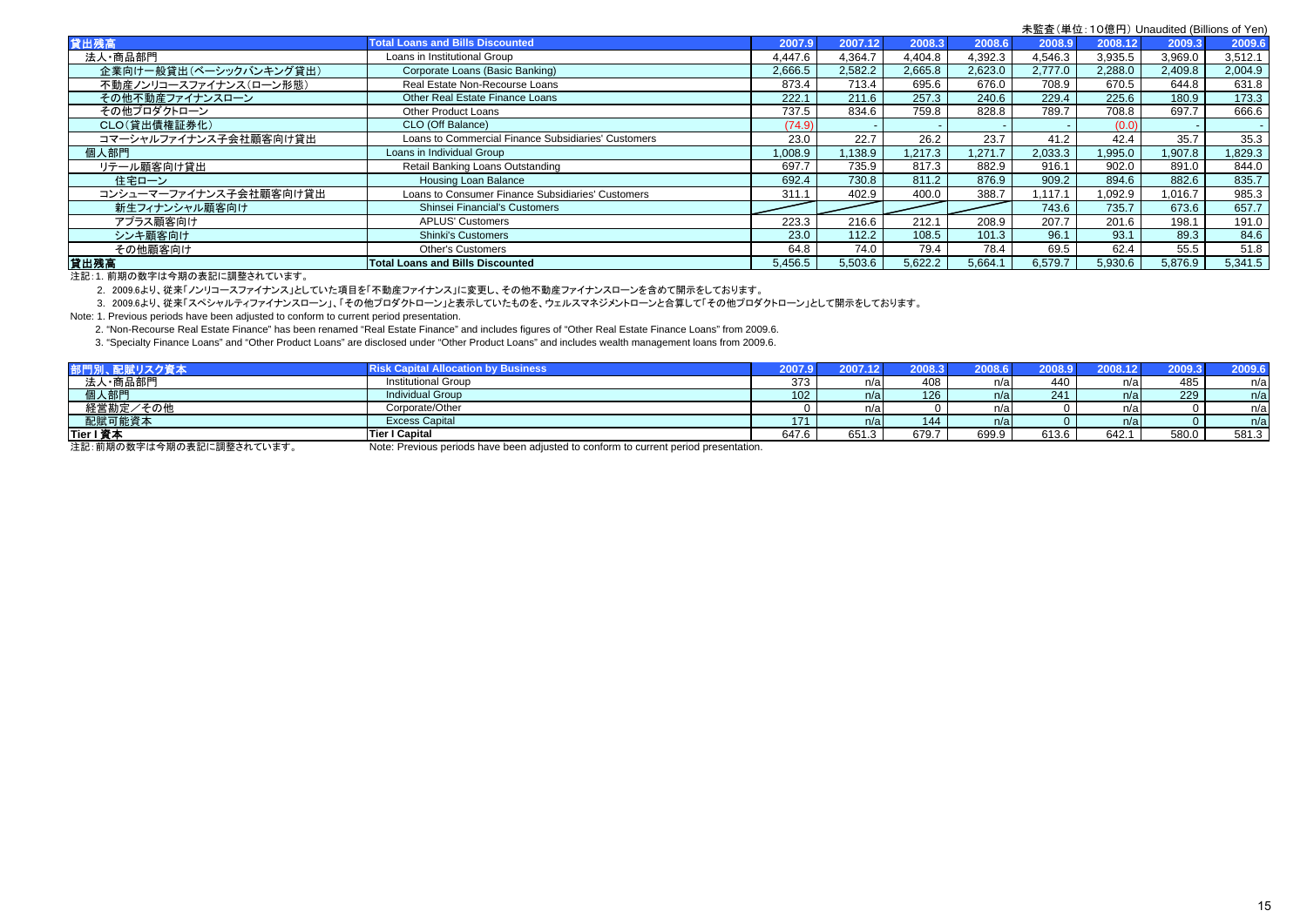| <b>Total Loans and Bills Discounted</b>             | 2007.9  | 2007.12 |         | 2008.6  | 2008.9  |         | 2009.3  | 2009.6  |
|-----------------------------------------------------|---------|---------|---------|---------|---------|---------|---------|---------|
| Loans in Institutional Group                        | 4.447.6 | 4,364.7 | 4,404.8 | 4,392.3 | 4,546.3 | 3,935.5 | 3,969.0 | 3,512.1 |
| Corporate Loans (Basic Banking)                     | 2,666.5 | 2,582.2 | 2,665.8 | 2,623.0 | 2,777.0 | 2,288.0 | 2,409.8 | 2.004.9 |
| Real Estate Non-Recourse Loans                      | 873.4   | 713.4   | 695.6   | 676.0   | 708.9   | 670.5   | 644.8   | 631.8   |
| Other Real Estate Finance Loans                     | 222.1   | 211.6   | 257.3   | 240.6   | 229.4   | 225.6   | 180.9   | 173.3   |
| Other Product Loans                                 | 737.5   | 834.6   | 759.8   | 828.8   | 789.7   | 708.8   | 697.7   | 666.6   |
| CLO (Off Balance)                                   | (74.9)  |         |         |         |         | (0.0)   |         |         |
| Loans to Commercial Finance Subsidiaries' Customers | 23.0    | 22.7    | 26.2    | 23.7    | 41.2    | 42.4    | 35.7    | 35.3    |
| Loans in Individual Group                           | 1,008.9 | ,138.9  | .217.3  | 1.271.7 | 2,033.3 | 1,995.0 | 1,907.8 | 1,829.3 |
| Retail Banking Loans Outstanding                    | 697.7   | 735.9   | 817.3   | 882.9   | 916.1   | 902.0   | 891.0   | 844.0   |
| Housing Loan Balance                                | 692.4   | 730.8   | 811.2   | 876.9   | 909.2   | 894.6   | 882.6   | 835.7   |
| Loans to Consumer Finance Subsidiaries' Customers   | 311.1   | 402.9   | 400.0   | 388.7   | .117.1  | ,092.9  | 1.016.7 | 985.3   |
| <b>Shinsei Financial's Customers</b>                |         |         |         |         | 743.6   | 735.7   | 673.6   | 657.7   |
| <b>APLUS' Customers</b>                             | 223.3   | 216.6   | 212.1   | 208.9   | 207.7   | 201.6   | 198.1   | 191.0   |
| <b>Shinki's Customers</b>                           | 23.0    | 112.2   | 108.5   | 101.3   | 96.1    | 93.1    | 89.3    | 84.6    |
| <b>Other's Customers</b>                            | 64.8    | 74.0    | 79.4    | 78.4    | 69.5    | 62.4    | 55.5    | 51.8    |
| <b>Total Loans and Bills Discounted</b>             | 5,456.5 | 5,503.6 | 5.622.2 | 5,664.1 | 6.579.7 | 5.930.6 | 5,876.9 | 5.341.5 |
|                                                     |         |         |         |         | 2008.3  |         |         | 2008.12 |

注記:1. 前期の数字は今期の表記に調整されています。

2. 2009.6より、従来「ノンリコースファイナンス」としていた項目を「不動産ファイナンス」に変更し、その他不動産ファイナンスローンを含めて開示をしております。

3. 2009.6より、従来「スペシャルティファイナンスローン」、「その他プロダクトローン」と表示していたものを、ウェルスマネジメントローンと合算して「その他プロダクトローン」として開示をしております。

Note: 1. Previous periods have been adjusted to conform to current period presentation.

2. "Non-Recourse Real Estate Finance" has been renamed "Real Estate Finance" and includes figures of "Other Real Estate Finance Loans" from 2009.6.

3. "Specialty Finance Loans" and "Other Product Loans" are disclosed under "Other Product Loans" and includes wealth management loans from 2009.6.

| 部門別、配賦リスク資本                                                                                                                                                                                                                                                                                                                                                                                                             | <b>Risk Capital Allocation by Business</b> | 2007.91 | 2007.12 | 2008.3 | 2008.6 | <b>2008.9</b> |       | 2009.3 | 2009.6 |
|-------------------------------------------------------------------------------------------------------------------------------------------------------------------------------------------------------------------------------------------------------------------------------------------------------------------------------------------------------------------------------------------------------------------------|--------------------------------------------|---------|---------|--------|--------|---------------|-------|--------|--------|
| 法人·商品部門                                                                                                                                                                                                                                                                                                                                                                                                                 | <b>Institutional Group</b>                 | 373     | n/a     | 408    | n/a    | 440           | n/a   | 485    | n/a    |
| 個人部門                                                                                                                                                                                                                                                                                                                                                                                                                    | <b>Individual Group</b>                    | 102     | n/a     | 126    | n/a    | 241           | n/a   | 229    | n/a    |
| 経営勘定/その他                                                                                                                                                                                                                                                                                                                                                                                                                | Corporate/Other                            |         | n/a     |        | n/a    |               | n/a   |        | n/a    |
| 配賦可能資本                                                                                                                                                                                                                                                                                                                                                                                                                  | <b>Excess Capital</b>                      | 171     | n/a     | 144    | n/a    |               | n/a   |        | n/a    |
| Tier I 資本                                                                                                                                                                                                                                                                                                                                                                                                               | <b>Tier I Capital</b>                      | 647.6   | 651.3   | 679.7  | 699.9  | 613.6         | 642.1 | 580.0  | 581.3  |
| $\mathbf{A} \mathbf{A} = \mathbf{A} \mathbf{A} + \mathbf{A} \mathbf{B} + \mathbf{A} \mathbf{A} + \mathbf{A} \mathbf{A} + \mathbf{A} \mathbf{A} + \mathbf{A} \mathbf{A} + \mathbf{A} \mathbf{A} + \mathbf{A} \mathbf{A} + \mathbf{A} \mathbf{A} + \mathbf{A} \mathbf{A} + \mathbf{A} \mathbf{A} + \mathbf{A} \mathbf{A} + \mathbf{A} \mathbf{A} + \mathbf{A} \mathbf{A} + \mathbf{A} \mathbf{A} + \mathbf{A} \mathbf{A}$ | $\cdots$<br>.                              |         |         |        |        |               |       |        |        |

注記:前期の数字は今期の表記に調整されています。 Note: Previous periods have been adjusted to conform to current period presentation.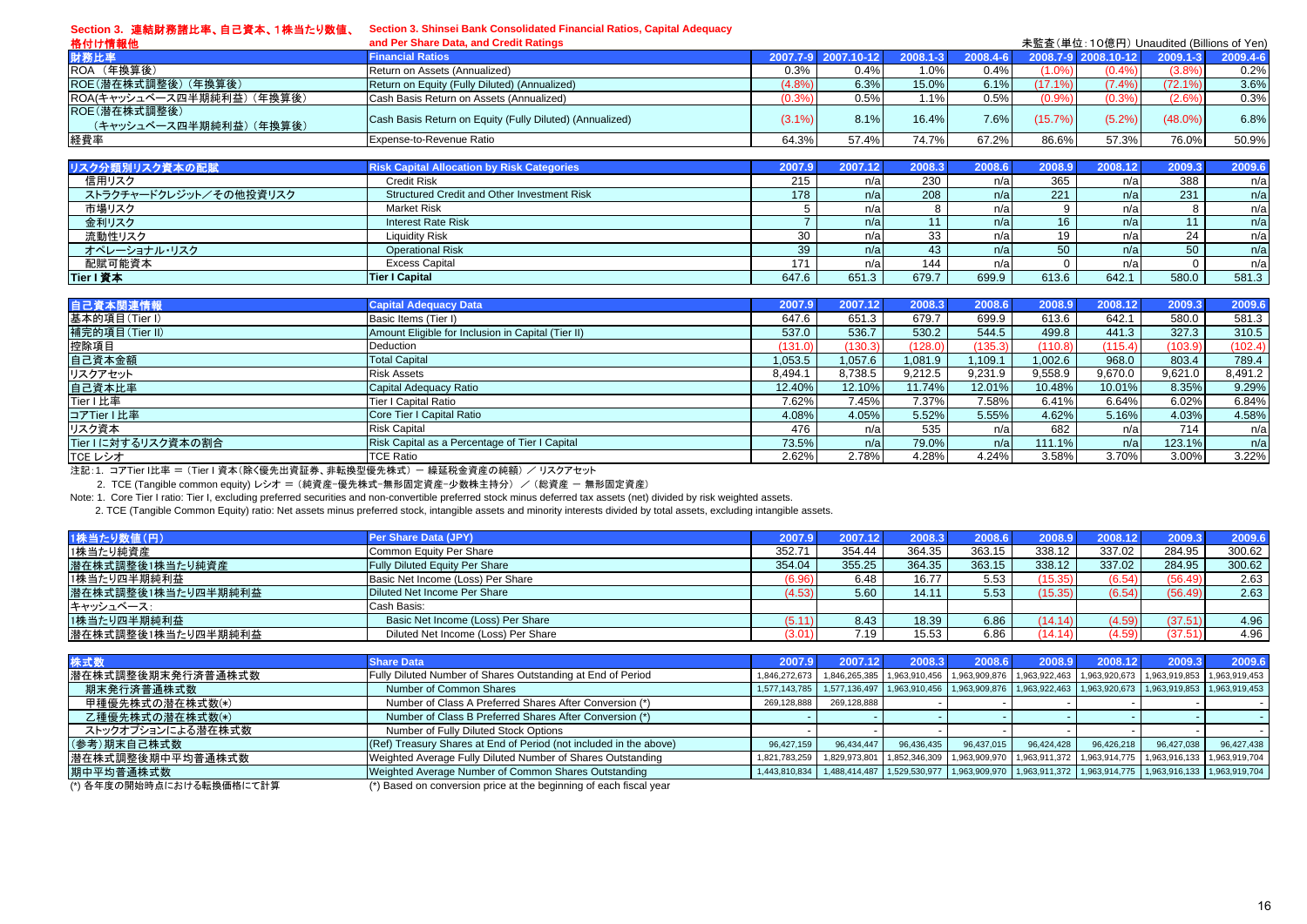| Section 3. 連結財務諸比率、自己資本、1株当たり数値、        | Section 3. Shinsei Bank Consolidated Financial Ratios, Capital Adequacy |           |            |          |          |            |                                          |            |          |
|-----------------------------------------|-------------------------------------------------------------------------|-----------|------------|----------|----------|------------|------------------------------------------|------------|----------|
| 格付け情報他                                  | and Per Share Data, and Credit Ratings                                  |           |            |          |          |            | 未監査(単位:10億円) Unaudited (Billions of Yen) |            |          |
| 財務比率                                    | <b>Financial Ratios</b>                                                 | 2007.7-9  | 2007.10-12 | 2008.1-3 | 2008.4-6 |            | 2008.7-9 2008.10-12                      | 2009.1-3   | 2009.4-6 |
| ROA (年換算後)                              | Return on Assets (Annualized)                                           | 0.3%      | 0.4%       | 1.0%     | 0.4%     | (1.0%      | (0.4%                                    | (3.8%      | 0.2%     |
| ROE(潜在株式調整後)(年換算後)                      | Return on Equity (Fully Diluted) (Annualized)                           | (4.8%     | 6.3%       | 15.0%    | 6.1%     | $(17.1\%)$ | (7.4%                                    | (72.1%     | 3.6%     |
| ROA(キャッシュベース四半期純利益) (年換算後)              | Cash Basis Return on Assets (Annualized)                                | (0.3%     | 0.5%       | 1.1%     | 0.5%     | (0.9%      | (0.3%                                    | (2.6%      | 0.3%     |
| ROE(潜在株式調整後)<br>(キャッシュベース四半期純利益) (年換算後) | Cash Basis Return on Equity (Fully Diluted) (Annualized)                | $(3.1\%)$ | 8.1%       | 16.4%    | 7.6%     | (15.7%)    | (5.2%)                                   | $(48.0\%)$ | 6.8%     |
| 経費率                                     | Expense-to-Revenue Ratio                                                | 64.3%     | 57.4%      | 74.7%    | 67.2%    | 86.6%      | 57.3%                                    | 76.0%      | 50.9%    |
|                                         |                                                                         |           |            |          |          |            |                                          |            |          |
| リスク分類別リスク資本の配賦                          | <b>Risk Capital Allocation by Risk Categories</b>                       | 2007.9    | 2007.12    | 2008.3   | 2008.6   | 2008.9     | 2008.12                                  | 2009.3     | 2009.6   |
| 信用リスク                                   | <b>Credit Risk</b>                                                      | 215       | n/a        | 230      | n/a      | 365        | n/a                                      | 388        | n/a      |
| ストラクチャードクレジット/その他投資リスク                  | Structured Credit and Other Investment Risk                             | 178       | n/a        | 208      | n/a      | 221        | n/a                                      | 231        | n/a      |
| 市場リスク                                   | <b>Market Risk</b>                                                      |           | n/a        | 8        | n/a      | 9          | n/a                                      | 8          | n/a      |
| 金利リスク                                   | <b>Interest Rate Risk</b>                                               |           | n/a        | 11       | n/a      | 16         | n/a                                      | 11         | n/a      |
| 流動性リスク                                  | <b>Liquidity Risk</b>                                                   | 30        | n/a        | 33       | n/a      | 19         | n/a                                      | 24         | n/a      |
| オペレーショナル・リスク                            | <b>Operational Risk</b>                                                 | 39        | n/a        | 43       | n/a      | 50         | n/a                                      | 50         | n/a      |
| 配賦可能資本                                  | <b>Excess Capital</b>                                                   | 171       | n/a        | 144      | n/a      |            | n/a                                      |            | n/a      |
| Tier I 資本                               | <b>Tier I Capital</b>                                                   | 647.6     | 651.3      | 679.7    | 699.9    | 613.6      | 642.1                                    | 580.0      | 581.3    |
|                                         |                                                                         |           |            |          |          |            |                                          |            |          |
| 自己資本関連情報                                | <b>Capital Adequacy Data</b>                                            | 2007.9    | 2007.12    | 2008.3   | 2008.6   | 2008.9     | 2008.12                                  | 2009.3     | 2009.6   |
| 基本的項目(Tier I)                           | Basic Items (Tier I)                                                    | 647.6     | 651.3      | 679.7    | 699.9    | 613.6      | 642.1                                    | 580.0      | 581.3    |
| 補完的項目(Tier II)                          | Amount Eligible for Inclusion in Capital (Tier II)                      | 537.0     | 536.7      | 530.2    | 544.5    | 499.8      | 441.3                                    | 327.3      | 310.5    |
| 控除項目                                    | <b>Deduction</b>                                                        | (131.0)   | (130.3)    | (128.0)  | (135.3)  | (110.8)    | (115.4)                                  | (103.9)    | (102.4)  |
| 自己資本金額                                  | <b>Total Capital</b>                                                    | 1.053.5   | 1.057.6    | 1.081.9  | 1.109.1  | 1.002.6    | 968.0                                    | 803.4      | 789.4    |
| リスクアセット                                 | <b>Risk Assets</b>                                                      | 8,494.1   | 8,738.5    | 9,212.5  | 9,231.9  | 9,558.9    | 9,670.0                                  | 9,621.0    | 8,491.2  |
| 自己資本比率                                  | Capital Adequacy Ratio                                                  | 12.40%    | 12.10%     | 11.74%   | 12.01%   | 10.48%     | 10.01%                                   | 8.35%      | 9.29%    |
| Tier I 比率                               | Tier I Capital Ratio                                                    | 7.62%     | 7.45%      | 7.37%    | 7.58%    | 6.41%      | 6.64%                                    | 6.02%      | 6.84%    |
| コアTier I 比率                             | Core Tier I Capital Ratio                                               | 4.08%     | 4.05%      | 5.52%    | 5.55%    | 4.62%      | 5.16%                                    | 4.03%      | 4.58%    |
| リスク資本                                   | <b>Risk Capital</b>                                                     | 476       | n/a        | 535      | n/a      | 682        | n/a                                      | 714        | n/a      |
| Tier Iに対するリスク資本の割合                      | Risk Capital as a Percentage of Tier I Capital                          | 73.5%     | n/a        | 79.0%    | n/a      | 111.1%     | n/a                                      | 123.1%     | n/a      |
| TCE レシオ                                 | <b>TCE Ratio</b>                                                        | 2.62%     | 2.78%      | 4.28%    | 4.24%    | 3.58%      | 3.70%                                    | 3.00%      | 3.22%    |

注記:1. コアTier I比率 = (Tier I 資本(除く優先出資証券、非転換型優先株式)ー 繰延税金資産の純額) / リスクアセット

2. TCE (Tangible common equity) レシオ = (純資産-優先株式-無形固定資産-少数株主持分) / (総資産 - 無形固定資産)

Note: 1. Core Tier I ratio: Tier I, excluding preferred securities and non-convertible preferred stock minus deferred tax assets (net) divided by risk weighted assets.

2. TCE (Tangible Common Equity) ratio: Net assets minus preferred stock, intangible assets and minority interests divided by total assets, excluding intangible assets.

| 1株当たり数値(円)         | Per Share Data (JPY)                  | 2007.9 | 2007.12 | 2008.3 | 2008.6 | 2008.9  | 2008.12 | 2009.3  | 2009.6 |
|--------------------|---------------------------------------|--------|---------|--------|--------|---------|---------|---------|--------|
| 1株当たり純資産           | Common Equity Per Share               | 352.71 | 354.44  | 364.35 | 363.15 | 338.12  | 337.02  | 284.95  | 300.62 |
| 潜在株式調整後1株当たり純資産    | <b>Fully Diluted Equity Per Share</b> | 354.04 | 355.25  | 364.35 | 363.15 | 338.12  | 337.02  | 284.95  | 300.62 |
| 1株当たり四半期純利益        | Basic Net Income (Loss) Per Share     | (6.96  | 6.48    | 16.77  | 5.53   | (15.35) | (6.54)  | (56.49) | 2.63   |
| 潜在株式調整後1株当たり四半期純利益 | Diluted Net Income Per Share          | 4.53   | 5.60    | 14.11  | 5.53   | (15.35) | (6.54)  | (56.49) | 2.63   |
| キャッシュベース:          | Cash Basis:                           |        |         |        |        |         |         |         |        |
| 1株当たり四半期純利益        | Basic Net Income (Loss) Per Share     | 5.11   | 8.43    | 18.39  | 6.86   | (14.14) | (4.59)  | (37.51) | 4.96   |
| 潜在株式調整後1株当たり四半期純利益 | Diluted Net Income (Loss) Per Share   | 3.01   | 7.19    | 15.53  | 6.86   | (14.14) | (4.59)  | (37.51) | 4.96   |

| 株式数                      | <b>Share Data</b>                                                  | 2007.9        | 2007.         | 2008.3     | 2008.6     | 2008.9     | 2008.12    | 2009.3                                                                                                          | 2009.6     |
|--------------------------|--------------------------------------------------------------------|---------------|---------------|------------|------------|------------|------------|-----------------------------------------------------------------------------------------------------------------|------------|
| 潜在株式調整後期末発行済普通株式数        | Fully Diluted Number of Shares Outstanding at End of Period        | 1.846.272.673 |               |            |            |            |            | 1,846,265,385 1,963,910,456 1,963,909,876 1,963,922,463 1,963,920,673 1,963,919,853 1,963,919,453               |            |
| 期末発行済普通株式数               | Number of Common Shares                                            | 1,577,143,785 |               |            |            |            |            | 1,577,136,497   1,963,910,456   1,963,909,876   1,963,922,463   1,963,920,673   1,963,919,853   1,963,919,453   |            |
| 甲種優先株式の潜在株式数(*)          | Number of Class A Preferred Shares After Conversion (*)            | 269,128,888   | 269,128,888   |            |            |            |            |                                                                                                                 |            |
| 乙種優先株式の潜在株式数(*)          | Number of Class B Preferred Shares After Conversion (*)            |               |               |            |            |            |            |                                                                                                                 |            |
| ストックオプションによる潜在株式数        | Number of Fully Diluted Stock Options                              |               |               |            |            |            |            |                                                                                                                 |            |
| (参考)期末自己株式数              | (Ref) Treasury Shares at End of Period (not included in the above) | 96.427.159    | 96.434.447    | 96,436,435 | 96,437,015 | 96,424,428 | 96,426,218 | 96,427,038                                                                                                      | 96,427,438 |
| 潜在株式調整後期中平均普通株式数         | Weighted Average Fully Diluted Number of Shares Outstanding        | 1,821,783,259 | 1,829,973,801 |            |            |            |            | 1,852,346,309 1,963,909,970 1,963,911,372 1,963,914,775 1,963,916,133 1,963,919,704                             |            |
| 期中平均普通株式数                | Weighted Average Number of Common Shares Outstanding               |               |               |            |            |            |            | 1,443,810,834 1,488,414,487 1,529,530,977 1,963,909,970 1,963,911,372 1,963,914,775 1,963,916,133 1,963,919,704 |            |
| (*) 各年度の開始時点における転換価格にて計算 | (*) Based on conversion price at the beginning of each fiscal year |               |               |            |            |            |            |                                                                                                                 |            |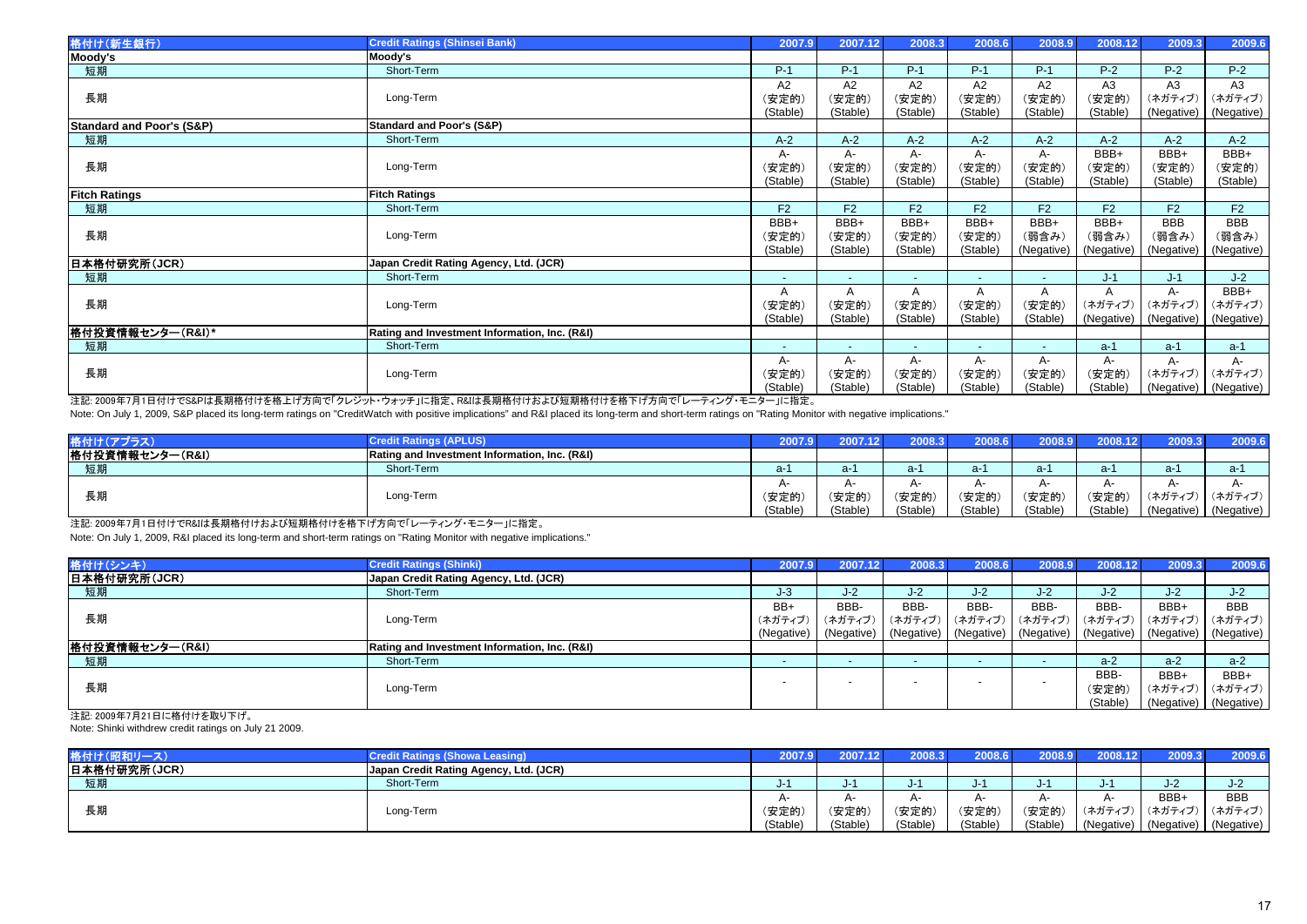| 格付け(新生銀行)                            | <b>Credit Ratings (Shinsei Bank)</b>          | 2007.9                   | 2007.12                  | 2008.3   | 2008.6   | 2008.9          | 2008.12        | 2009.3     | 2009.6                |
|--------------------------------------|-----------------------------------------------|--------------------------|--------------------------|----------|----------|-----------------|----------------|------------|-----------------------|
| Moody's                              | Moody's                                       |                          |                          |          |          |                 |                |            |                       |
| 短期                                   | Short-Term                                    | $P-1$                    | $P-1$                    | $P-1$    | $P-1$    | $P-1$           | $P-2$          | $P-2$      | $P-2$                 |
|                                      |                                               | A2                       | A2                       | A2       | A2       | A2              | A3             | A3         | A3                    |
| 長期                                   | Long-Term                                     | (安定的)                    | (安定的)                    | (安定的)    | (安定的)    | (安定的)           | (安定的)          | (ネガティブ)    | (ネガティブ)               |
|                                      |                                               | (Stable)                 | (Stable)                 | (Stable) | (Stable) | (Stable)        | (Stable)       | (Negative) | (Negative)            |
| <b>Standard and Poor's (S&amp;P)</b> | <b>Standard and Poor's (S&amp;P)</b>          |                          |                          |          |          |                 |                |            |                       |
| 短期                                   | Short-Term                                    | $A-2$                    | $A-2$                    | $A-2$    | $A-2$    | $A-2$           | $A-2$          | $A-2$      | $A-2$                 |
|                                      |                                               | A-                       | A-                       | А-       | А-       | A-              | BBB+           | BBB+       | BBB+                  |
| 長期                                   | Long-Term                                     | (安定的)                    | (安定的)                    | (安定的)    | (安定的)    | (安定的)           | (安定的)          | (安定的)      | (安定的)                 |
|                                      |                                               | (Stable)                 | (Stable)                 | (Stable) | (Stable) | (Stable)        | (Stable)       | (Stable)   | (Stable)              |
| <b>Fitch Ratings</b>                 | <b>Fitch Ratings</b>                          |                          |                          |          |          |                 |                |            |                       |
| 短期                                   | Short-Term                                    | F2                       | F2                       | F2       | F2       | F <sub>2</sub>  | F <sub>2</sub> | F2         | F2                    |
|                                      |                                               | BBB+                     | BBB+                     | BBB+     | BBB+     | BBB+            | BBB+           | <b>BBB</b> | BBB                   |
| 長期                                   | Long-Term                                     | (安定的)                    | (安定的)                    | (安定的)    | (安定的)    | (弱含み)           | (弱含み)          | (弱含み)      | (弱含み)                 |
|                                      |                                               | (Stable)                 | (Stable)                 | (Stable) | (Stable) | (Negative)      | (Negative)     | (Negative) | (Negative)            |
| 日本格付研究所(JCR)                         | Japan Credit Rating Agency, Ltd. (JCR)        |                          |                          |          |          |                 |                |            |                       |
| 短期                                   | Short-Term                                    |                          |                          |          |          |                 | $J-1$          | $J-1$      | $J-2$                 |
|                                      |                                               | A                        | A                        |          |          |                 |                | A-         | BBB+                  |
| 長期                                   | Long-Term                                     | (安定的)                    | (安定的)                    | (安定的)    | (安定的)    | (安定的)           | (ネガティブ)        | (ネガティブ)    | (ネガティブ)               |
|                                      |                                               | (Stable)                 | (Stable)                 | (Stable) | (Stable) | (Stable)        | (Negative)     |            | (Negative) (Negative) |
| 格付投資情報センター(R&I)*                     | Rating and Investment Information, Inc. (R&I) |                          |                          |          |          |                 |                |            |                       |
| 短期                                   | Short-Term                                    | $\overline{\phantom{a}}$ | $\overline{\phantom{0}}$ | $\sim$   | $\sim$   | $\sim$ 10 $\pm$ | $a-1$          | $a-1$      | $a-1$                 |
|                                      |                                               | A-                       | A-                       | A-       | А-       | A-              | A-             | А-         | A-                    |
| 長期                                   | Long-Term                                     | (安定的)                    | (安定的)                    | (安定的)    | (安定的)    | (安定的)           | (安定的)          | (ネガティブ)    | (ネガティブ)               |
|                                      |                                               | (Stable)                 | (Stable)                 | (Stable) | (Stable) | (Stable)        | (Stable)       |            | (Negative) (Negative) |

注記: 2009年7月1日付けでS&Pは長期格付けを格上げ方向で「クレジット・ウォッチ」に指定、R&Iは長期格付けおよび短期格付けを格下げ方向で「レーティング・モニター」に指定。 Note: On July 1, 2009, S&P placed its long-term ratings on "CreditWatch with positive implications" and R&I placed its long-term and short-term ratings on "Rating Monitor with negative implications."

| 格付け(ア           | <b>Credit Ratings (APLUS)</b>                 | 2007.9                    | 2007.12  |          | 2008.6   | ا 2008.9 | 2008.12  | 2009.3                | 2009.6                    |
|-----------------|-----------------------------------------------|---------------------------|----------|----------|----------|----------|----------|-----------------------|---------------------------|
| 格付投資情報センター(R&I) | Rating and Investment Information, Inc. (R&I) |                           |          |          |          |          |          |                       |                           |
| 短期              | Short-Term                                    | a-1                       | a-1      | a-1      | a-1      | $a-1$    | a-1      | $a-1$                 | a-1                       |
|                 |                                               | $\mathsf{A}^{\mathsf{A}}$ | A        |          |          |          |          | $\mathsf{A}$          | $\mathsf{A}^{\mathsf{A}}$ |
| 長期              | Long-Term                                     | (安定的)                     | (安定的)    | (安定的     | (安定的     | (安定的     | (安定的)    | (ネガティブ)               | (ネガティブ)                   |
|                 |                                               | (Stable)                  | (Stable) | (Stable) | (Stable) | (Stable) | (Stable) | (Negative) (Negative) |                           |

注記: 2009年7月1日付けでR&Iは長期格付けおよび短期格付けを格下げ方向で「レーティング・モニター」に指定。

Note: On July 1, 2009, R&I placed its long-term and short-term ratings on "Rating Monitor with negative implications."

| 格付け(シンキ)        | <b>Credit Ratings (Shinki)</b>                | 2007.9     | 2007.12                                                                                  | 2008.3 | 2008.6 | 2008.9 | 2008.12  | 2009.3 | 2009.6                |
|-----------------|-----------------------------------------------|------------|------------------------------------------------------------------------------------------|--------|--------|--------|----------|--------|-----------------------|
| 日本格付研究所(JCR)    | Japan Credit Rating Agency, Ltd. (JCR)        |            |                                                                                          |        |        |        |          |        |                       |
| 短期              | Short-Term                                    | $J-3$      | J-2                                                                                      | J-2    | J-2    | J-2    | $J-2$    | $J-2$  | $J-2$                 |
|                 |                                               | BB+        | BBB-                                                                                     | BBB-   | BBB-   | BBB-   | BBB-     | BBB+   | <b>BBB</b>            |
| 長期              | Long-Term                                     | (ネガティブ)    | (ネガティブ) (ネガティブ) (ネガティブ) (ネガティブ) (ネガティブ) (ネガティブ) (ネガティブ)                                  |        |        |        |          |        |                       |
|                 |                                               | (Negative) | (Negative)   (Negative)   (Negative)   (Negative)   (Negative)   (Negative)   (Negative) |        |        |        |          |        |                       |
| 格付投資情報センター(R&I) | Rating and Investment Information, Inc. (R&I) |            |                                                                                          |        |        |        |          |        |                       |
| 短期              | Short-Term                                    |            |                                                                                          |        |        |        | $a-2$    | $a-2$  | $a-2$                 |
|                 |                                               |            |                                                                                          |        |        |        | BBB-     | BBB+   | BBB+                  |
| 長期              | Long-Term                                     |            |                                                                                          |        |        |        | (安定的)    |        | (ネガティブ)│ (ネガティブ)│     |
|                 |                                               |            |                                                                                          |        |        |        | (Stable) |        | (Negative) (Negative) |

注記: 2009年7月21日に格付けを取り下げ。

Note: Shinki withdrew credit ratings on July 21 2009.

| 格付け(昭和リース)   | <b>Credit Ratings (Showa Leasing)</b>  |          |          | 2008.3   | 2008.6 l | 2008.9   | 2008.12 | 2009.3                           | 2009.6     |
|--------------|----------------------------------------|----------|----------|----------|----------|----------|---------|----------------------------------|------------|
| 日本格付研究所(JCR) | Japan Credit Rating Agency, Ltd. (JCR) |          |          |          |          |          |         |                                  |            |
| 短期           | Short-Term                             | - ل      |          |          |          |          |         |                                  | J-Z        |
|              |                                        | $A-$     | $A -$    |          |          |          |         | BBB+                             | <b>BBB</b> |
| 長期           | Long-Term                              | (安定的)    | (安定的)    | (安定的)    | (安定的)    | (安定的     | (ネガティブ  | (ネガティブ)                          | (ネガティブ)    |
|              |                                        | (Stable) | (Stable) | (Stable) | (Stable) | (Stable) |         | (Negative) (Negative) (Negative) |            |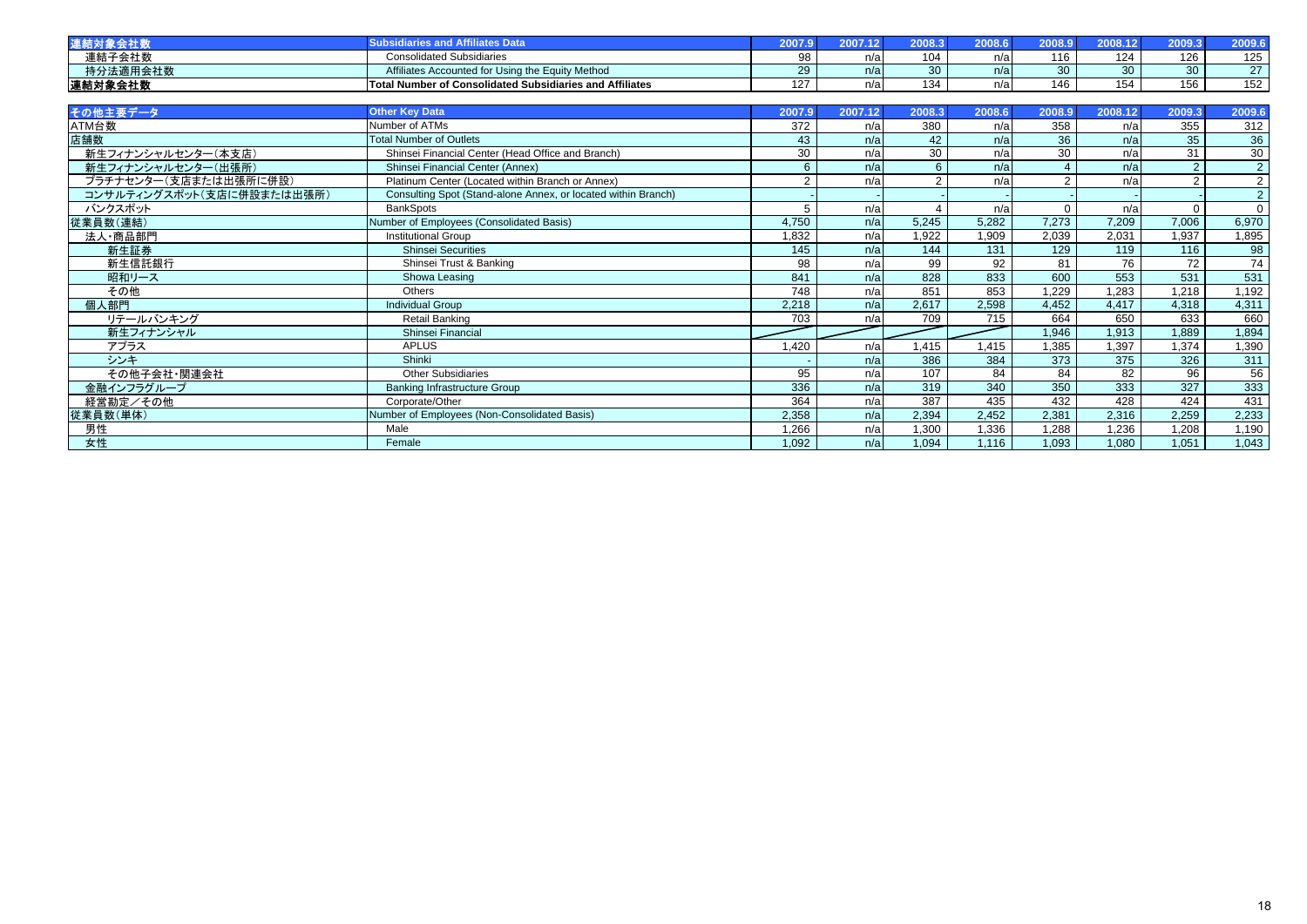| 道結       |                                                          |               | .    |     |     |     |                        |        |
|----------|----------------------------------------------------------|---------------|------|-----|-----|-----|------------------------|--------|
| 連結子会社数   | <b>Consolidated Subsidiaries</b>                         |               | TV d | 104 |     | 124 | 126                    | 125    |
| 持分法適用会社数 | Affiliates Accounted for Using the Equity Method         | 29            | n/a  |     | n/a | ว∩∶ | nn                     | $\sim$ |
| 連結対象会社数  | Total Number of Consolidated Subsidiaries and Affiliates | 107<br>$\sim$ | ll/d | 134 | n/a | سى. | 55 <sub>6</sub><br>טטו | 152    |

| その他主要データ                  | <b>Other Key Data</b>                                         | 2007.9         | 2007.12 | 2008.3 | 2008.6 | 2008.9   | 2008.12         | 2009.3   | 2009.6         |
|---------------------------|---------------------------------------------------------------|----------------|---------|--------|--------|----------|-----------------|----------|----------------|
| ATM台数                     | Number of ATMs                                                | 372            | n/a     | 380    | n/a    | 358      | n/a             | 355      | 312            |
| 店舗数                       | <b>Total Number of Outlets</b>                                | 43             | n/a     | 42     | n/a    | 36       | n/a             | 35       | 36             |
| 新生フィナンシャルセンター(本支店)        | Shinsei Financial Center (Head Office and Branch)             | 30             | n/a     | 30     | n/a    | 30       | n/a             | 31       | 30             |
| 新生フィナンシャルセンター(出張所)        | Shinsei Financial Center (Annex)                              | 6              | n/a     | 6      | n/a    |          | n/a             | 2        | $\overline{2}$ |
| プラチナセンター(支店または出張所に併設)     | Platinum Center (Located within Branch or Annex)              | $\mathfrak{p}$ | n/a     | 2      | n/a    | ີ        | n/a             | 2        | $\overline{2}$ |
| コンサルティングスポット(支店に併設または出張所) | Consulting Spot (Stand-alone Annex, or located within Branch) |                |         |        |        |          |                 |          | 2 <sup>1</sup> |
| バンクスポット                   | <b>BankSpots</b>                                              | 5              | n/a     |        | n/a    | $\Omega$ | n/a             | $\Omega$ | $\overline{0}$ |
| 従業員数(連結)                  | Number of Employees (Consolidated Basis)                      | 4,750          | n/a     | 5,245  | 5,282  | 7,273    | 7,209           | 7,006    | 6,970          |
| 法人·商品部門                   | <b>Institutional Group</b>                                    | 1,832          | n/a     | 1,922  | 1,909  | 2,039    | 2,031           | 1,937    | 1,895          |
| 新生証券                      | <b>Shinsei Securities</b>                                     | 145            | n/a     | 144    | 131    | 129      | 119             | 116      | 98             |
| 新生信託銀行                    | Shinsei Trust & Banking                                       | 98             | n/a     | 99     | 92     | 81       | 76              | 72       | 74             |
| 昭和リース                     | Showa Leasing                                                 | 841            | n/a     | 828    | 833    | 600      | 553             | 531      | 531            |
| その他                       | Others                                                        | 748            | n/a     | 851    | 853    | 1,229    | 1,283           | 1,218    | 1,192          |
| 個人部門                      | <b>Individual Group</b>                                       | 2,218          | n/a     | 2,617  | 2,598  | 4,452    | 4,417           | 4,318    | 4,311          |
| リテールバンキング                 | Retail Banking                                                | 703            | n/a     | 709    | 715    | 664      | 650             | 633      | 660            |
| 新生フィナンシャル                 | Shinsei Financial                                             |                |         |        |        | 1,946    | 1,913           | 1,889    | 1,894          |
| アプラス                      | <b>APLUS</b>                                                  | 1.420          | n/a     | .415   | 1.415  | 1,385    | 1,397           | 1,374    | 1,390          |
| シンキ                       | Shinki                                                        |                | n/a     | 386    | 384    | 373      | 375             | 326      | 311            |
| その他子会社・関連会社               | <b>Other Subsidiaries</b>                                     | 95             | n/a     | 107    | 84     | 84       | $\overline{82}$ | 96       | 56             |
| 金融インフラグループ                | <b>Banking Infrastructure Group</b>                           | 336            | n/a     | 319    | 340    | 350      | 333             | 327      | 333            |
| 経営勘定/その他                  | Corporate/Other                                               | 364            | n/a     | 387    | 435    | 432      | 428             | 424      | 431            |
| 従業員数(単体)                  | Number of Employees (Non-Consolidated Basis)                  | 2,358          | n/a     | 2,394  | 2,452  | 2,381    | 2,316           | 2,259    | 2,233          |
| 男性                        | Male                                                          | 1,266          | n/a     | 1.300  | 1,336  | 1.288    | 1,236           | 1,208    | 1,190          |
| 女性                        | Female                                                        | 1,092          | n/a     | 1.094  | 1,116  | 1,093    | 1,080           | 1,051    | 1,043          |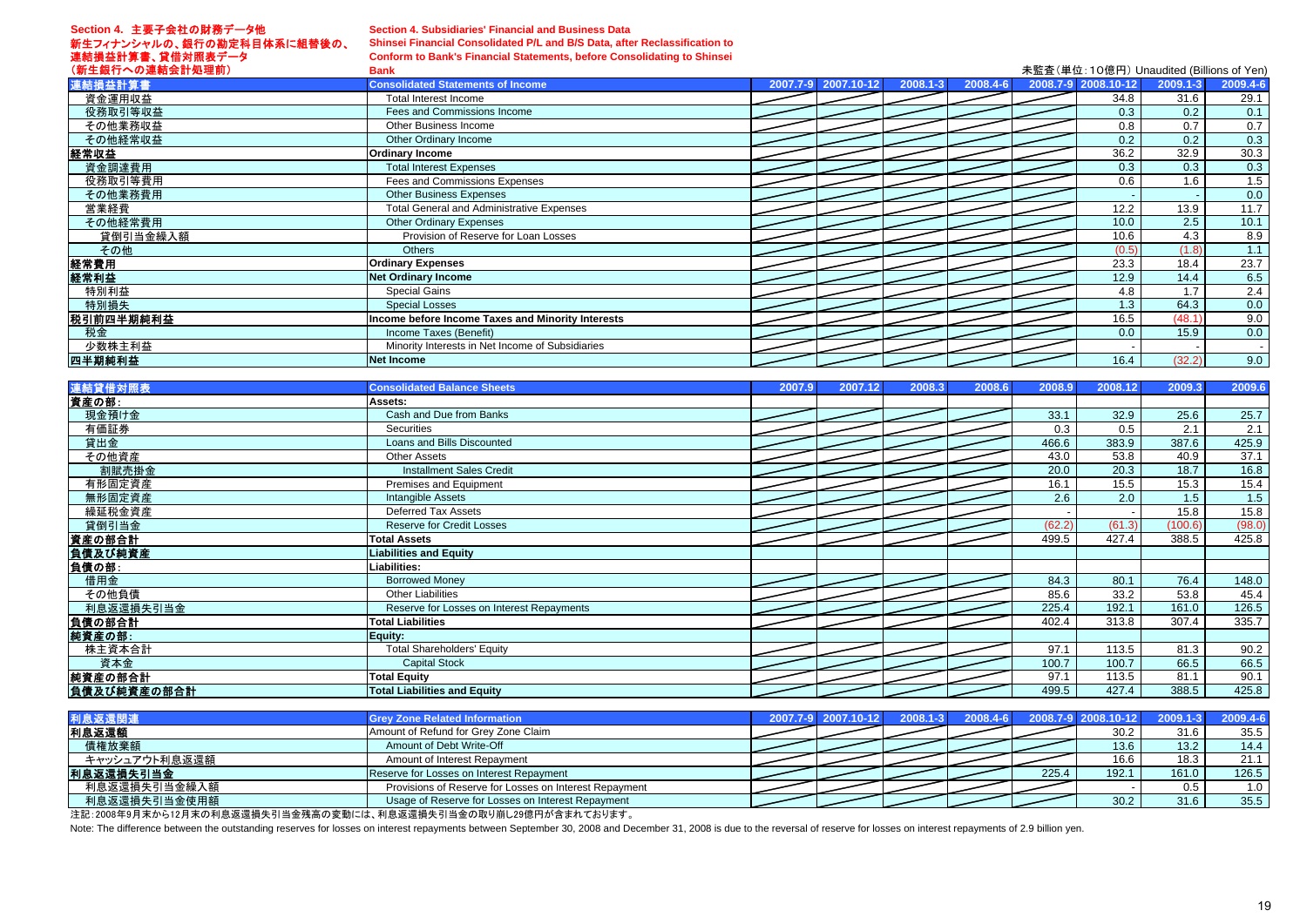# **Section 4.** 主要子会社の財務データ他

# **Section 4. Subsidiaries' Financial and Business Data**

新生フィナンシャルの、銀行の勘定科目体系に組替後の、 連結損益計算書、貸借対照表データ

# **Shinsei Financial Consolidated P/L and B/S Data, after Reclassification to**

**Conform to Bank's Financial Statements, before Consolidating to Shinsei**

| (新生銀行への連結会計処理前) | <b>Bank</b>                                       |                     |                                | 未監査(単位:10億円) Unaudited (Billions of Yen) |          |                          |
|-----------------|---------------------------------------------------|---------------------|--------------------------------|------------------------------------------|----------|--------------------------|
| 連結損益計算書         | <b>Consolidated Statements of Income</b>          | 2007.7-9 2007.10-12 | $ 2008.4 - 6 $<br>$2008.1 - 3$ | 2008.7-9 2008.10-12                      | 2009.1-3 | 2009.4-6                 |
| 資金運用収益          | Total Interest Income                             |                     |                                | 34.8                                     | 31.6     | 29.1                     |
| 役務取引等収益         | Fees and Commissions Income                       |                     |                                | 0.3                                      | 0.2      | 0.1                      |
| その他業務収益         | Other Business Income                             |                     |                                | 0.8                                      | 0.7      | 0.7                      |
| その他経常収益         | Other Ordinary Income                             |                     |                                | 0.2                                      | 0.2      | 0.3                      |
| 経常収益            | <b>Ordinary Income</b>                            |                     |                                | 36.2                                     | 32.9     | 30.3                     |
| 資金調達費用          | <b>Total Interest Expenses</b>                    |                     |                                | 0.3                                      | 0.3      | 0.3                      |
| 役務取引等費用         | Fees and Commissions Expenses                     |                     |                                | 0.6                                      | 1.6      | 1.5                      |
| その他業務費用         | <b>Other Business Expenses</b>                    |                     |                                |                                          |          | 0.0                      |
| 営業経費            | <b>Total General and Administrative Expenses</b>  |                     |                                | 12.2                                     | 13.9     | 11.7                     |
| その他経常費用         | <b>Other Ordinary Expenses</b>                    |                     |                                | 10.0                                     | 2.5      | 10.1                     |
| 貸倒引当金繰入額        | Provision of Reserve for Loan Losses              |                     |                                | 10.6                                     | 4.3      | 8.9                      |
| その他             | <b>Others</b>                                     |                     |                                | (0.5)                                    | (1.8)    | 1.1                      |
| 経常費用            | <b>Ordinary Expenses</b>                          |                     |                                | 23.3                                     | 18.4     | 23.7                     |
| 経常利益            | <b>Net Ordinary Income</b>                        |                     |                                | 12.9                                     | 14.4     | 6.5                      |
| 特別利益            | <b>Special Gains</b>                              |                     |                                | 4.8                                      | 1.7      | 2.4                      |
| 特別損失            | <b>Special Losses</b>                             |                     |                                | 1.3                                      | 64.3     | 0.0                      |
| 税引前四半期純利益       | Income before Income Taxes and Minority Interests |                     |                                | 16.5                                     | (48.1)   | 9.0                      |
| 税金              | Income Taxes (Benefit)                            |                     |                                | 0.0                                      | 15.9     | 0.0                      |
| 少数株主利益          | Minority Interests in Net Income of Subsidiaries  |                     |                                |                                          |          | $\overline{\phantom{a}}$ |
| 四半期純利益          | <b>Net Income</b>                                 |                     |                                | 16.4                                     | (32.2)   | 9.0                      |

| 連結貸借対照表     | <b>Consolidated Balance Sheets</b>        | 2007.9 | 2007.12 | 2008.3 | 2008.6 | 2008.9 | 2008.12 | 2009.3  | 2009.6 |
|-------------|-------------------------------------------|--------|---------|--------|--------|--------|---------|---------|--------|
| 資産の部:       | Assets:                                   |        |         |        |        |        |         |         |        |
| 現金預け金       | Cash and Due from Banks                   |        |         |        |        | 33.1   | 32.9    | 25.6    | 25.7   |
| 有価証券        | Securities                                |        |         |        |        | 0.3    | 0.5     | 2.1     | 2.1    |
| 貸出金         | Loans and Bills Discounted                |        |         |        |        | 466.6  | 383.9   | 387.6   | 425.9  |
| その他資産       | <b>Other Assets</b>                       |        |         |        |        | 43.0   | 53.8    | 40.9    | 37.1   |
| 割賦売掛金       | <b>Installment Sales Credit</b>           |        |         |        |        | 20.0   | 20.3    | 18.7    | 16.8   |
| 有形固定資産      | Premises and Equipment                    |        |         |        |        | 16.1   | 15.5    | 15.3    | 15.4   |
| 無形固定資産      | <b>Intangible Assets</b>                  |        |         |        |        | 2.6    | 2.0     | 1.5     | 1.5    |
| 繰延税金資産      | Deferred Tax Assets                       |        |         |        |        |        |         | 15.8    | 15.8   |
| 貸倒引当金       | <b>Reserve for Credit Losses</b>          |        |         |        |        | (62.2) | (61.3)  | (100.6) | (98.0) |
| 資産の部合計      | <b>Total Assets</b>                       |        |         |        |        | 499.5  | 427.4   | 388.5   | 425.8  |
| 負債及び純資産     | <b>Liabilities and Equity</b>             |        |         |        |        |        |         |         |        |
| 負債の部:       | Liabilities:                              |        |         |        |        |        |         |         |        |
| 借用金         | <b>Borrowed Money</b>                     |        |         |        |        | 84.3   | 80.1    | 76.4    | 148.0  |
| その他負債       | <b>Other Liabilities</b>                  |        |         |        |        | 85.6   | 33.2    | 53.8    | 45.4   |
| 利息返還損失引当金   | Reserve for Losses on Interest Repayments |        |         |        |        | 225.4  | 192.1   | 161.0   | 126.5  |
| 負債の部合計      | <b>Total Liabilities</b>                  |        |         |        |        | 402.4  | 313.8   | 307.4   | 335.7  |
| 純資産の部:      | Equity:                                   |        |         |        |        |        |         |         |        |
| 株主資本合計      | <b>Total Shareholders' Equity</b>         |        |         |        |        | 97.1   | 113.5   | 81.3    | 90.2   |
| 資本金         | <b>Capital Stock</b>                      |        |         |        |        | 100.7  | 100.7   | 66.5    | 66.5   |
| 純資産の部合計     | <b>Total Equity</b>                       |        |         |        |        | 97.1   | 113.5   | 81.1    | 90.1   |
| 負債及び純資産の部合計 | <b>Total Liabilities and Equity</b>       |        |         |        |        | 499.5  | 427.4   | 388.5   | 425.8  |

| 利息返還関連        | <b>Grey Zone Related Information</b>                   |  |  |       | 2007.7-9 2007.10-12 2008.1-3 2008.4-6 2008.7-9 2008.10-12 2009.1-3 2009.4-6 |       |                  |
|---------------|--------------------------------------------------------|--|--|-------|-----------------------------------------------------------------------------|-------|------------------|
| 利息返還額         | Amount of Refund for Grev Zone Claim                   |  |  |       | 30.2                                                                        | 31.6  | 35.5             |
| 債権放棄額         | Amount of Debt Write-Off                               |  |  |       | 13.6                                                                        | 13.2  | 14.4             |
| キャッシュアウト利息返還額 | Amount of Interest Repayment                           |  |  |       | 16.6                                                                        | 18.3  | 21.1             |
| 利息返還損失引当金     | Reserve for Losses on Interest Repayment               |  |  | 225.4 | 192.1                                                                       | 161.0 | 126.5            |
| 利息返還損失引当金繰入額  | Provisions of Reserve for Losses on Interest Repayment |  |  |       |                                                                             | 0.5   | 1.0 <sub>1</sub> |
| 利息返還損失引当金使用額  | Usage of Reserve for Losses on Interest Repayment      |  |  |       | 30.2                                                                        | 31.6  | 35.5             |

注記:2008年9月末から12月末の利息返還損失引当金残高の変動には、利息返還損失引当金の取り崩し29億円が含まれております。

Note: The difference between the outstanding reserves for losses on interest repayments between September 30, 2008 and December 31, 2008 is due to the reversal of reserve for losses on interest repayments of 2.9 billion ye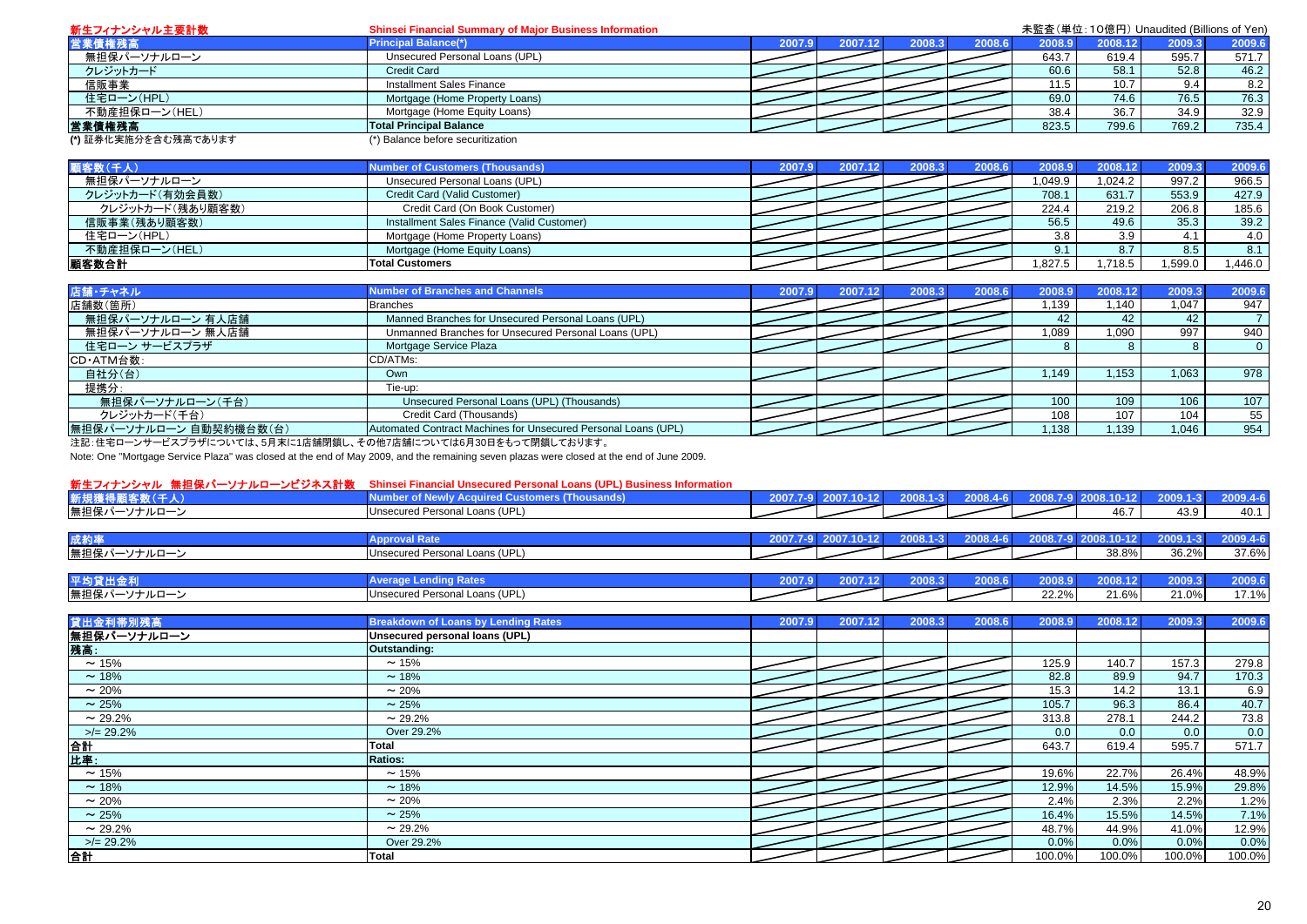| 新生フィナンシャル主要計数        | <b>Shinsei Financial Summary of Major Business Information</b> |        |         |        |        | 未監査(単位:10億円) Unaudited (Billions of Yen) |         |        |        |
|----------------------|----------------------------------------------------------------|--------|---------|--------|--------|------------------------------------------|---------|--------|--------|
| 営業債権残高               | <b>Principal Balance(*)</b>                                    | 2007.9 | 2007.12 | 2008.3 | 2008.6 | 2008.9                                   | 2008.12 | 2009.3 | 2009.6 |
| 無担保パーソナルローン          | Unsecured Personal Loans (UPL)                                 |        |         |        |        | 643.7                                    | 619.4   | 595.7  | 571.7  |
| クレジットカード             | <b>Credit Card</b>                                             |        |         |        |        | 60.6                                     | 58.1    | 52.8   | 46.2   |
| 信販事業                 | Installment Sales Finance                                      |        |         |        |        | 11.5                                     | 10.7    |        | 8.2    |
| 住宅ローン(HPL)           | Mortgage (Home Property Loans)                                 |        |         |        |        | 69.0                                     | 74.6    | 76.5   | 76.3   |
| 不動産担保ローン(HEL)        | Mortgage (Home Equity Loans)                                   |        |         |        |        | 38.4                                     | 36.7    | 34.9   | 32.9   |
| 営業債権残高               | <b>Total Principal Balance</b>                                 |        |         |        |        | 823.5                                    | 799.6   | 769.2  | 735.4  |
| (*) 証券化実施分を含む残高であります | (*) Balance before securitization                              |        |         |        |        |                                          |         |        |        |

| 顧客数(千人)          | <b>Number of Customers (Thousands)</b>     |  | 2008.3 | 2008.6 | 2008.9 | 2008.12 | 2009.3 | 2009.6 |
|------------------|--------------------------------------------|--|--------|--------|--------|---------|--------|--------|
| 無担保パーソナルローン      | Unsecured Personal Loans (UPL)             |  |        |        | .049.9 | .024.2  | 997.2  | 966.5  |
| クレジットカード(有効会員数)  | Credit Card (Valid Customer)               |  |        |        | 708.1  | 631.7   | 553.9  | 427.9  |
| クレジットカード(残あり顧客数) | Credit Card (On Book Customer)             |  |        |        | 224.4  | 219.2   | 206.8  | 185.6  |
| 信販事業(残あり顧客数)     | Installment Sales Finance (Valid Customer) |  |        |        | 56.5   | 49.6    | 35.3   | 39.2   |
| 住宅ローン(HPL)       | Mortgage (Home Property Loans)             |  |        |        | 3.8    | 3.9     |        | 4.0    |
| 不動産担保ローン(HEL)    | Mortgage (Home Equity Loans)               |  |        |        |        |         | 8.5    |        |
| 顧客数合計            | <b>Total Customers</b>                     |  |        |        | ,827.5 | 718.5   | .599.0 | .446.0 |

| 店舗・チャネル                | <b>Number of Branches and Channels</b>                         | 2007.9 | 2007.12 | 2008.3 | 2008.6 | 2008.9 | 2008.12 | 2009.3 | 2009.6   |
|------------------------|----------------------------------------------------------------|--------|---------|--------|--------|--------|---------|--------|----------|
| 店舗数(箇所)                | <b>Branches</b>                                                |        |         |        |        | i.139  | 1.140   | 1.047  | 947      |
| 無担保パーソナルローン 有人店舗       | Manned Branches for Unsecured Personal Loans (UPL)             |        |         |        |        | 42     | 42      | 42     |          |
| 無担保パーソナルローン 無人店舗       | Unmanned Branches for Unsecured Personal Loans (UPL)           |        |         |        |        | 1.089  | .090    | 997    | 940      |
| 住宅ローン サービスプラザ          | Mortgage Service Plaza                                         |        |         |        |        |        |         |        | $\Omega$ |
| CD·ATM台数:              | CD/ATMs:                                                       |        |         |        |        |        |         |        |          |
| 自社分(台)                 | Own                                                            |        |         |        |        | 1.149  | 1.153   | 1,063  | 978      |
| 提携分:                   | Tie-up:                                                        |        |         |        |        |        |         |        |          |
| 無担保パーソナルローン(千台)        | Unsecured Personal Loans (UPL) (Thousands)                     |        |         |        |        | 100    | 109     | 106    | 107      |
| クレジットカード(千台)           | Credit Card (Thousands)                                        |        |         |        |        | 108    | $107$ . | 104    | 55       |
| 無担保パーソナルローン 自動契約機台数(台) | Automated Contract Machines for Unsecured Personal Loans (UPL) |        |         |        |        | .138   | 1,139   | 1,046  | 954      |

注記:住宅ローンサービスプラザについては、5月末に1店舗閉鎖し、その他7店舗については6月30日をもって閉鎖しております。

Note: One "Mortgage Service Plaza" was closed at the end of May 2009, and the remaining seven plazas were closed at the end of June 2009.

### 新生フィナンシャル 無担保パーソナルローンビジネス計数 **Shinsei Financial Unsecured Personal Loans (UPL) Business Information**

| 例エノイノン ノキル ボにいり<br>,,,,,,<br>ノーノ コントローエム | <b>Umistra manual Unstantu Provial Lugare (UPL) Dusiness imprimation</b> |        |  |          |        |            |          |          |
|------------------------------------------|--------------------------------------------------------------------------|--------|--|----------|--------|------------|----------|----------|
| 新規獲得                                     |                                                                          | 2007.7 |  | 2008.4-6 |        |            | 2009.1-3 | 2009.4-6 |
| 無担保パーソナルローン                              | Unsecured Personal Loans (UPL)                                           |        |  |          |        | 46.7       | 43.9     | 40.1     |
|                                          |                                                                          |        |  |          |        |            |          |          |
| 成約                                       |                                                                          | 2007.  |  | 2008.4-6 | 2008.7 | 2008.10-12 | 2009.1-3 | 2009.4-6 |
| 無担保パーソナルローン                              | Unsecured Personal Loans (UPL)                                           |        |  |          |        | 38.8%      | 36.2%    | 37.6%    |
|                                          |                                                                          |        |  |          |        |            |          |          |

| 平均                  |                                                                        | лим |  |                   |        |                  |               |
|---------------------|------------------------------------------------------------------------|-----|--|-------------------|--------|------------------|---------------|
| 無担保パー<br>.<br>ラフレレッ | $\cdots$<br>ີ <sup>D</sup> ersonal ∟.<br>' ∩an√<br>Unsecured<br>וטו פו |     |  | ∕וסר רי<br>22.270 | 24.60/ | 24.001<br>$.0\%$ | $\rightarrow$ |

| 貸出金利帯別残高     | <b>Breakdown of Loans by Lending Rates</b> | 2007.9 | 2007.12 | 2008.3 | 2008.6 | 2008.9 | 2008.12 | 2009.3 | 2009.6 |
|--------------|--------------------------------------------|--------|---------|--------|--------|--------|---------|--------|--------|
| 無担保パーソナルローン  | Unsecured personal loans (UPL)             |        |         |        |        |        |         |        |        |
| 残高:          | Outstanding:                               |        |         |        |        |        |         |        |        |
| $\sim$ 15%   | $\sim$ 15%                                 |        |         |        |        | 125.9  | 140.7   | 157.3  | 279.8  |
| $\sim$ 18%   | $~18\%$                                    |        |         |        |        | 82.8   | 89.9    | 94.7   | 170.3  |
| $\sim$ 20%   | $\sim$ 20%                                 |        |         |        |        | 15.3   | 14.2    | 13.1   | 6.9    |
| $\sim$ 25%   | $\sim$ 25%                                 |        |         |        |        | 105.7  | 96.3    | 86.4   | 40.7   |
| $\sim$ 29.2% | $\sim$ 29.2%                               |        |         |        |        | 313.8  | 278.1   | 244.2  | 73.8   |
| $>$ /= 29.2% | Over 29.2%                                 |        |         |        |        | 0.0    | 0.0     | 0.0    | 0.0    |
| 合計           | <b>Total</b>                               |        |         |        |        | 643.7  | 619.4   | 595.7  | 571.7  |
| <b>比率:</b>   | <b>Ratios:</b>                             |        |         |        |        |        |         |        |        |
| $\sim$ 15%   | $\sim$ 15%                                 |        |         |        |        | 19.6%  | 22.7%   | 26.4%  | 48.9%  |
| $\sim$ 18%   | $~18\%$                                    |        |         |        |        | 12.9%  | 14.5%   | 15.9%  | 29.8%  |
| $\sim$ 20%   | $\sim$ 20%                                 |        |         |        |        | 2.4%   | 2.3%    | 2.2%   | 1.2%   |
| $\sim$ 25%   | $\sim$ 25%                                 |        |         |        |        | 16.4%  | 15.5%   | 14.5%  | 7.1%   |
| $\sim$ 29.2% | $\sim$ 29.2%                               |        |         |        |        | 48.7%  | 44.9%   | 41.0%  | 12.9%  |
| $>$ /= 29.2% | Over 29.2%                                 |        |         |        |        | 0.0%   | $0.0\%$ | 0.0%   | 0.0%   |
| 合計           | Total                                      |        |         |        |        | 100.0% | 100.0%  | 100.0% | 100.0% |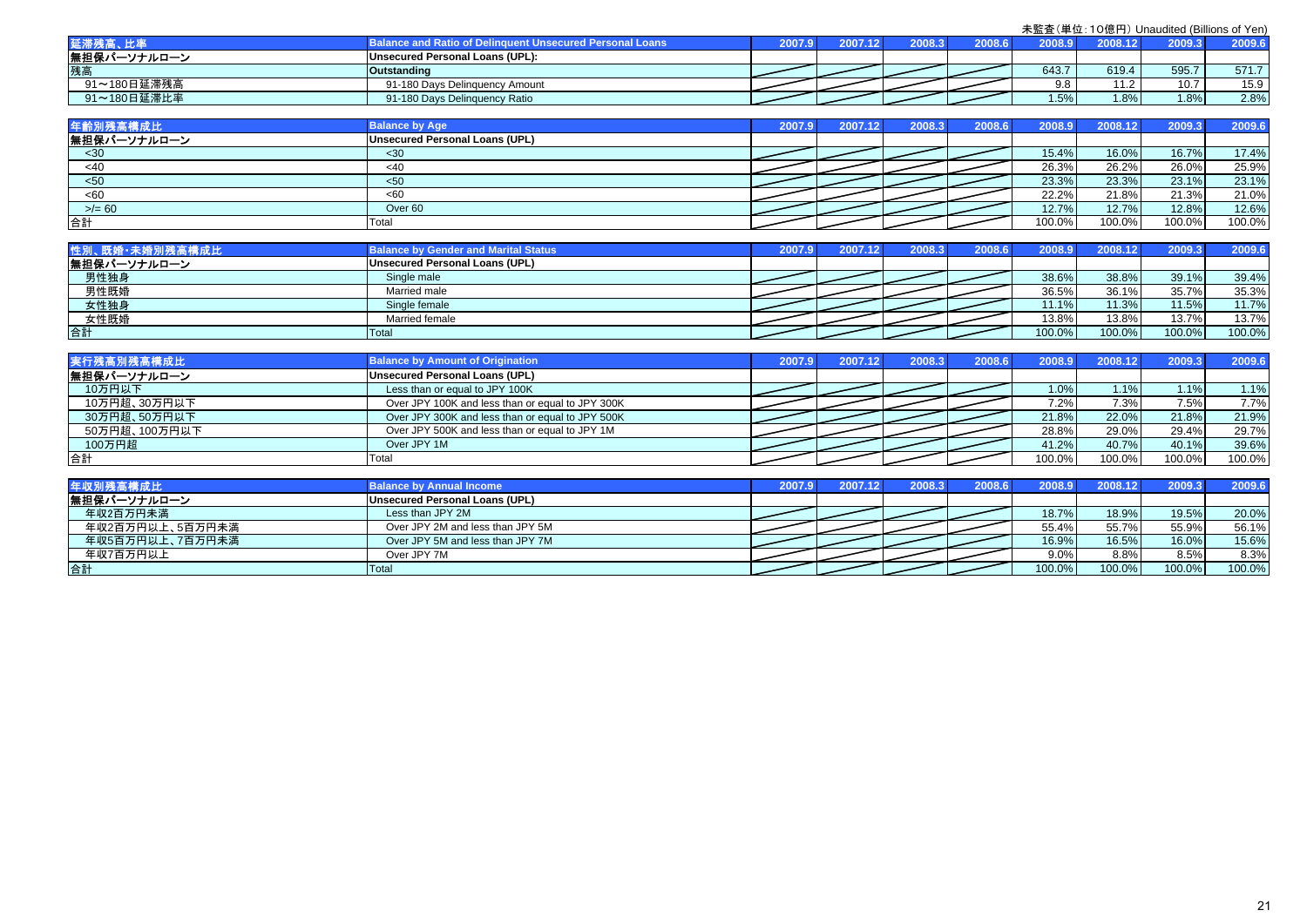|             | <b>Induent Unsecured Personal Loans</b> | 2007.97 | 2007.12 |  | 0.8008 | $\sim$ $\sim$ $\sim$ $\sim$ | 2000.2 | 2009.6 |
|-------------|-----------------------------------------|---------|---------|--|--------|-----------------------------|--------|--------|
| 無担保パーソナルローン | Unsecured Personal Loans (UPL):         |         |         |  |        |                             |        |        |
| 残高          | <b>Outstanding</b>                      |         |         |  | 643.7  | 619.4                       | 595.   | 571.7  |
| 91~180日延滞残高 | 91-180 Days Delinguency Amount          |         |         |  | 9.8    | 110                         | 407    | 15.9   |
| 91~180日延滞比率 | 91-180 Days Delinquency Ratio           |         |         |  | 1.5%   | 1.8%                        | 1.8%   | 2.8%   |

| 年齢別残高       | <b>Balance by Age</b>          | 2007.97 | 2007.1 | 2008 : | 2008.61 | 2008.91 |        |        | 2009.6 |
|-------------|--------------------------------|---------|--------|--------|---------|---------|--------|--------|--------|
| 無担保パーソナルローン | Unsecured Personal Loans (UPL) |         |        |        |         |         |        |        |        |
| $30$        | $30$                           |         |        |        |         | 15.4%   | 16.0%  | 16.7%  | 17.4%  |
| <40         | <40                            |         |        |        |         | 26.3%   | 26.2%  | 26.0%  | 25.9%  |
| < 50        | $50$                           |         |        |        |         | 23.3%   | 23.3%  | 23.1%  | 23.1%  |
| <60         | <60                            |         |        |        |         | 22.2%   | 21.8%  | 21.3%  | 21.0%  |
| $>= 60$     | Over <sub>60</sub>             |         |        |        |         | 12.7%   | 12.7%  | 12.8%  | 12.6%  |
| 合計          | Total                          |         |        |        |         | 100.0%  | 100.0% | 100.0% | 100.0% |

| 性別、既婚·未婚別残高構成比 | <b>Balance by Gender and Marital Status</b> | 2007.9 | 2008.3. | 2008.6 | 2008.9 | 2008.12   | 2009.3 | 2009.6 |
|----------------|---------------------------------------------|--------|---------|--------|--------|-----------|--------|--------|
| 無担保パーソナルローン    | Unsecured Personal Loans (UPL)              |        |         |        |        |           |        |        |
| 男性独身           | Single male                                 |        |         |        | 38.6%  | 38.8%     | 39.1%  | 39.4%  |
| 男性既婚           | Married male                                |        |         |        | 36.5%  | 36.1%     | 35.7%  | 35.3%  |
| 女性独身           | Single female                               |        |         |        | 11.1%  | 11.3%     | 11.5%  | 11.7%  |
| 女性既婚           | Married female                              |        |         |        | 13.8%  | 13.8%     | 13.7%  | 13.7%  |
| 合計             | Total                                       |        |         |        | 100.0% | $100.0\%$ | 100.0% | 100.0% |

| 実行残高別残高構成比    | <b>Balance by Amount of Origination</b>          | 2007.9 | 2007.12 | 2008.3 | 2008.6 | 2008.9  | 2008.12 | 2009.3  | 2009.6 |
|---------------|--------------------------------------------------|--------|---------|--------|--------|---------|---------|---------|--------|
| 無担保パーソナルローン   | Unsecured Personal Loans (UPL)                   |        |         |        |        |         |         |         |        |
| 10万円以下        | Less than or equal to JPY 100K                   |        |         |        |        | $1.0\%$ | $1.1\%$ | $1.1\%$ | 1.1%   |
| 10万円超、30万円以下  | Over JPY 100K and less than or equal to JPY 300K |        |         |        |        | 7.2%    | 7.3%    | 7.5%    | 7.7%   |
| 30万円超、50万円以下  | Over JPY 300K and less than or equal to JPY 500K |        |         |        |        | 21.8%   | 22.0%   | 21.8%   | 21.9%  |
| 50万円超、100万円以下 | Over JPY 500K and less than or equal to JPY 1M   |        |         |        |        | 28.8%   | 29.0%   | 29.4%   | 29.7%  |
| 100万円超        | Over JPY 1M                                      |        |         |        |        | 41.2%   | 40.7%   | 40.1%   | 39.6%  |
| 合計            | Total                                            |        |         |        |        | 100.0%  | 100.0%  | 100.0%  | 100.0% |

| 年収別残高構成比        | <b>Balance by Annual Income</b>  |  | 2008.3 | 8.8002 | 2008.9  | 2008.12 | 2009.3 | 2009.6 |
|-----------------|----------------------------------|--|--------|--------|---------|---------|--------|--------|
| 無担保パーソナルローン     | Unsecured Personal Loans (UPL)   |  |        |        |         |         |        |        |
| 年収2百万円未満        | Less than JPY 2M                 |  |        |        | 18.7%   | 18.9%   | 19.5%  | 20.0%  |
| 年収2百万円以上、5百万円未満 | Over JPY 2M and less than JPY 5M |  |        |        | 55.4%   | 55.7%   | 55.9%  | 56.1%  |
| 年収5百万円以上、7百万円未満 | Over JPY 5M and less than JPY 7M |  |        |        | 16.9%   | 16.5%   | 16.0%  | 15.6%  |
| 年収7百万円以上        | Over JPY 7M                      |  |        |        | $9.0\%$ | 8.8%    | 8.5%   | 8.3%   |
| 合計              | Total                            |  |        |        | 100.0%  | 100.0%  | 100.0% | 100.0% |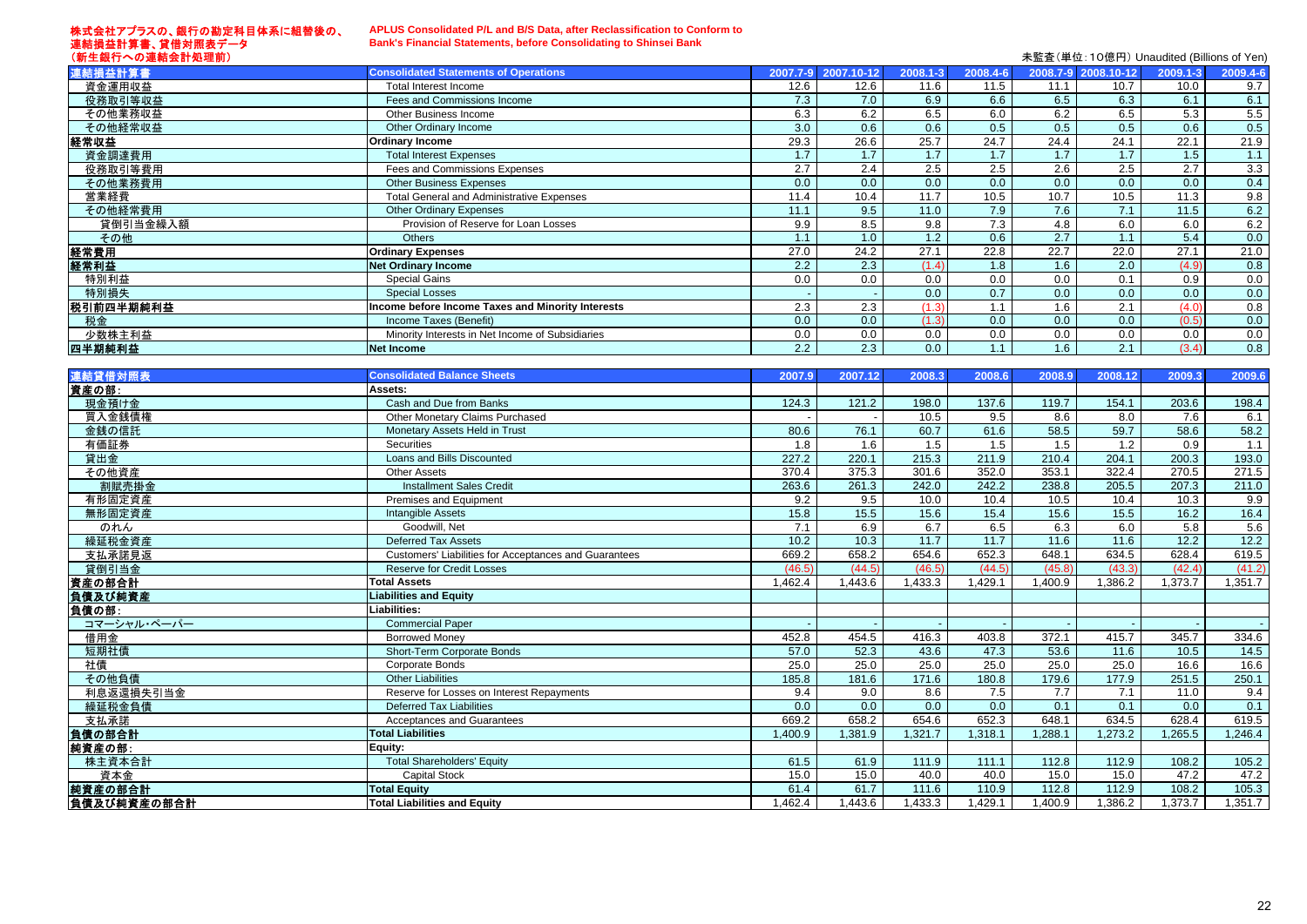#### 株式会社アプラスの、銀行の勘定科目体系に組替後の、 連結損益計算書、貸借対照表データ (新生銀行への連結会計処理前)

#### **APLUS Consolidated P/L and B/S Data, after Reclassification to Conform to Bank's Financial Statements, before Consolidating to Shinsei Bank**

|                  |                                                       |         |                     |          |          |         |                     | 木壶宜\串位. TO混口/ Orladdited (billions of Terr) |               |
|------------------|-------------------------------------------------------|---------|---------------------|----------|----------|---------|---------------------|---------------------------------------------|---------------|
| 連結損益計算書          | <b>Consolidated Statements of Operations</b>          |         | 2007.7-9 2007.10-12 | 2008.1-3 | 2008.4-6 |         | 2008.7-9 2008.10-12 | 2009.1-3                                    | 2009.4-6      |
| 資金運用収益           | Total Interest Income                                 | 12.6    | 12.6                | 11.6     | 11.5     | 11.1    | 10.7                | 10.0                                        | 9.7           |
| 役務取引等収益          | Fees and Commissions Income                           | 7.3     | 7.0                 | 6.9      | 6.6      | 6.5     | 6.3                 | 6.1                                         | 6.1           |
| その他業務収益          | Other Business Income                                 | 6.3     | 6.2                 | 6.5      | 6.0      | 6.2     | 6.5                 | 5.3                                         | 5.5           |
| その他経常収益          | Other Ordinary Income                                 | 3.0     | 0.6                 | 0.6      | 0.5      | 0.5     | 0.5                 | 0.6                                         | 0.5           |
| 経常収益             | <b>Ordinary Income</b>                                | 29.3    | 26.6                | 25.7     | 24.7     | 24.4    | 24.1                | 22.1                                        | 21.9          |
| 資金調達費用           | <b>Total Interest Expenses</b>                        | 1.7     | 1.7                 | 1.7      | 1.7      | 1.7     | $1.7$               | 1.5                                         | 1.1           |
| 役務取引等費用          | Fees and Commissions Expenses                         | 2.7     | 2.4                 | 2.5      | 2.5      | 2.6     | 2.5                 | 2.7                                         | 3.3           |
| その他業務費用          | <b>Other Business Expenses</b>                        | 0.0     | 0.0                 | 0.0      | 0.0      | 0.0     | 0.0                 | 0.0                                         | 0.4           |
| 営業経費             | <b>Total General and Administrative Expenses</b>      | 11.4    | 10.4                | 11.7     | 10.5     | 10.7    | 10.5                | 11.3                                        | 9.8           |
| その他経常費用          | <b>Other Ordinary Expenses</b>                        | 11.1    | 9.5                 | 11.0     | 7.9      | 7.6     | 7.1                 | 11.5                                        | 6.2           |
| 貸倒引当金繰入額         | Provision of Reserve for Loan Losses                  | 9.9     | 8.5                 | 9.8      | 7.3      | 4.8     | 6.0                 | 6.0                                         | 6.2           |
| その他              | <b>Others</b>                                         | 1.1     | 1.0                 | 1.2      | 0.6      | 2.7     | 1.1                 | 5.4                                         | 0.0           |
| 経常費用             | <b>Ordinary Expenses</b>                              | 27.0    | 24.2                | 27.1     | 22.8     | 22.7    | 22.0                | 27.1                                        | 21.0          |
| 経常利益             | <b>Net Ordinary Income</b>                            | 2.2     | 2.3                 | (1.4)    | 1.8      | 1.6     | 2.0                 | (4.9)                                       | 0.8           |
| 特別利益             | <b>Special Gains</b>                                  | 0.0     | 0.0                 | 0.0      | 0.0      | 0.0     | 0.1                 | 0.9                                         | 0.0           |
| 特別損失             | <b>Special Losses</b>                                 |         |                     | 0.0      | 0.7      | 0.0     | 0.0                 | $\overline{0.0}$                            | 0.0           |
| 税引前四半期純利益        | Income before Income Taxes and Minority Interests     | 2.3     | 2.3                 | (1.3)    | 1.1      | 1.6     | 2.1                 | (4.0)                                       | 0.8           |
| 税金               | Income Taxes (Benefit)                                | 0.0     | 0.0                 | (1.3)    | 0.0      | 0.0     | 0.0                 | (0.5)                                       | 0.0           |
| 少数株主利益           | Minority Interests in Net Income of Subsidiaries      | 0.0     | 0.0                 | 0.0      | 0.0      | 0.0     | 0.0                 | 0.0                                         | 0.0           |
| 四半期純利益           | <b>Net Income</b>                                     | 2.2     | 2.3                 | 0.0      | 1.1      | 1.6     | 2.1                 | (3.4)                                       | 0.8           |
|                  |                                                       |         |                     |          |          |         |                     |                                             |               |
| 連結貸借対照表          | <b>Consolidated Balance Sheets</b>                    | 2007.9  | 2007.12             | 2008.3   | 2008.6   | 2008.9  | 2008.12             | 2009.3                                      | 2009.6        |
| 資産の部:            | Assets:                                               |         |                     |          |          |         |                     |                                             |               |
| 現金預け金            | Cash and Due from Banks                               | 124.3   | 121.2               | 198.0    | 137.6    | 119.7   | 154.1               | 203.6                                       | 198.4         |
| 買入金銭債権           | Other Monetary Claims Purchased                       |         |                     | 10.5     | 9.5      | 8.6     | 8.0                 | 7.6                                         | 6.1           |
| 金銭の信託            | Monetary Assets Held in Trust                         | 80.6    | 76.1                | 60.7     | 61.6     | 58.5    | 59.7                | 58.6                                        | 58.2          |
| 有価証券             | <b>Securities</b>                                     | 1.8     | 1.6                 | 1.5      | 1.5      | 1.5     | 1.2                 | 0.9                                         | 1.1           |
| 貸出金              | Loans and Bills Discounted                            | 227.2   | 220.1               | 215.3    | 211.9    | 210.4   | 204.1               | 200.3                                       | 193.0         |
| その他資産            | <b>Other Assets</b>                                   | 370.4   | 375.3               | 301.6    | 352.0    | 353.1   | 322.4               | 270.5                                       | 271.5         |
| 割賦売掛金            | <b>Installment Sales Credit</b>                       | 263.6   | 261.3               | 242.0    | 242.2    | 238.8   | 205.5               | 207.3                                       | 211.0         |
| 有形固定資産           | Premises and Equipment                                | 9.2     | 9.5                 | 10.0     | 10.4     | 10.5    | 10.4                | 10.3                                        | 9.9           |
| 無形固定資産           | Intangible Assets                                     | 15.8    | 15.5                | 15.6     | 15.4     | 15.6    | 15.5                | 16.2                                        | 16.4          |
| のれん              | Goodwill, Net                                         | 7.1     | 6.9                 | 6.7      | 6.5      | 6.3     | 6.0                 | 5.8                                         | 5.6           |
| 繰延税金資産           | <b>Deferred Tax Assets</b>                            | 10.2    | 10.3                | 11.7     | 11.7     | 11.6    | 11.6                | 12.2                                        | 12.2          |
| 支払承諾見返           | Customers' Liabilities for Acceptances and Guarantees | 669.2   | 658.2               | 654.6    | 652.3    | 648.1   | 634.5               | 628.4                                       | 619.5         |
| 貸倒引当金            | <b>Reserve for Credit Losses</b>                      | (46.5)  | (44.5)              | (46.5)   | (44.5)   | (45.8)  | (43.3)              | (42.4)                                      | (41.2)        |
| 資産の部合計           | <b>Total Assets</b>                                   | 1,462.4 | 1,443.6             | 1,433.3  | 1,429.1  | 1,400.9 | 1,386.2             | 1,373.7                                     | 1,351.7       |
| 負債及び純資産          | <b>Liabilities and Equity</b>                         |         |                     |          |          |         |                     |                                             |               |
| 負債の部:            | Liabilities:                                          |         |                     |          |          |         |                     |                                             |               |
| コマーシャル・ペーパー      | <b>Commercial Paper</b>                               |         |                     |          |          |         |                     |                                             | $\sim$ $\sim$ |
| 借用金              | <b>Borrowed Money</b>                                 | 452.8   | 454.5               | 416.3    | 403.8    | 372.1   | 415.7               | 345.7                                       | 334.6         |
| 短期社債             | Short-Term Corporate Bonds                            | 57.0    | 52.3                | 43.6     | 47.3     | 53.6    | 11.6                | 10.5                                        | 14.5          |
| 社債               | Corporate Bonds                                       | 25.0    | 25.0                | 25.0     | 25.0     | 25.0    | 25.0                | 16.6                                        | 16.6          |
| その他負債            | <b>Other Liabilities</b>                              | 185.8   | 181.6               | 171.6    | 180.8    | 179.6   | 177.9               | 251.5                                       | 250.1         |
| 利息返還損失引当金        | Reserve for Losses on Interest Repayments             | 9.4     | 9.0                 | 8.6      | 7.5      | 7.7     | 7.1                 | 11.0                                        | 9.4           |
| 繰延税金負債           | <b>Deferred Tax Liabilities</b>                       | 0.0     | 0.0                 | 0.0      | 0.0      | 0.1     | 0.1                 | 0.0                                         | 0.1           |
| 支払承諾             | Acceptances and Guarantees                            | 669.2   | 658.2               | 654.6    | 652.3    | 648.1   | 634.5               | 628.4                                       | 619.5         |
| 負債の部合計           | <b>Total Liabilities</b>                              | 1,400.9 | 1,381.9             | 1,321.7  | 1,318.1  | 1,288.1 | 1,273.2             | 1,265.5                                     | 1,246.4       |
|                  | Equity:                                               |         |                     |          |          |         |                     |                                             |               |
| 純資産の部:<br>株主資本合計 | <b>Total Shareholders' Equity</b>                     | 61.5    | 61.9                | 111.9    | 111.1    | 112.8   | 112.9               | 108.2                                       | 105.2         |
|                  | <b>Capital Stock</b>                                  | 15.0    | 15.0                | 40.0     | 40.0     | 15.0    | 15.0                | 47.2                                        | 47.2          |
| 資本金              |                                                       |         |                     |          |          |         |                     |                                             |               |
| 純資産の部合計          | <b>Total Equity</b>                                   | 61.4    | 61.7                | 111.6    | 110.9    | 112.8   | 112.9               | 108.2                                       | 105.3         |
| 負債及び純資産の部合計      | <b>Total Liabilities and Equity</b>                   | 1,462.4 | 1,443.6             | 1,433.3  | 1,429.1  | 1,400.9 | 1,386.2             | 1,373.7                                     | 1,351.7       |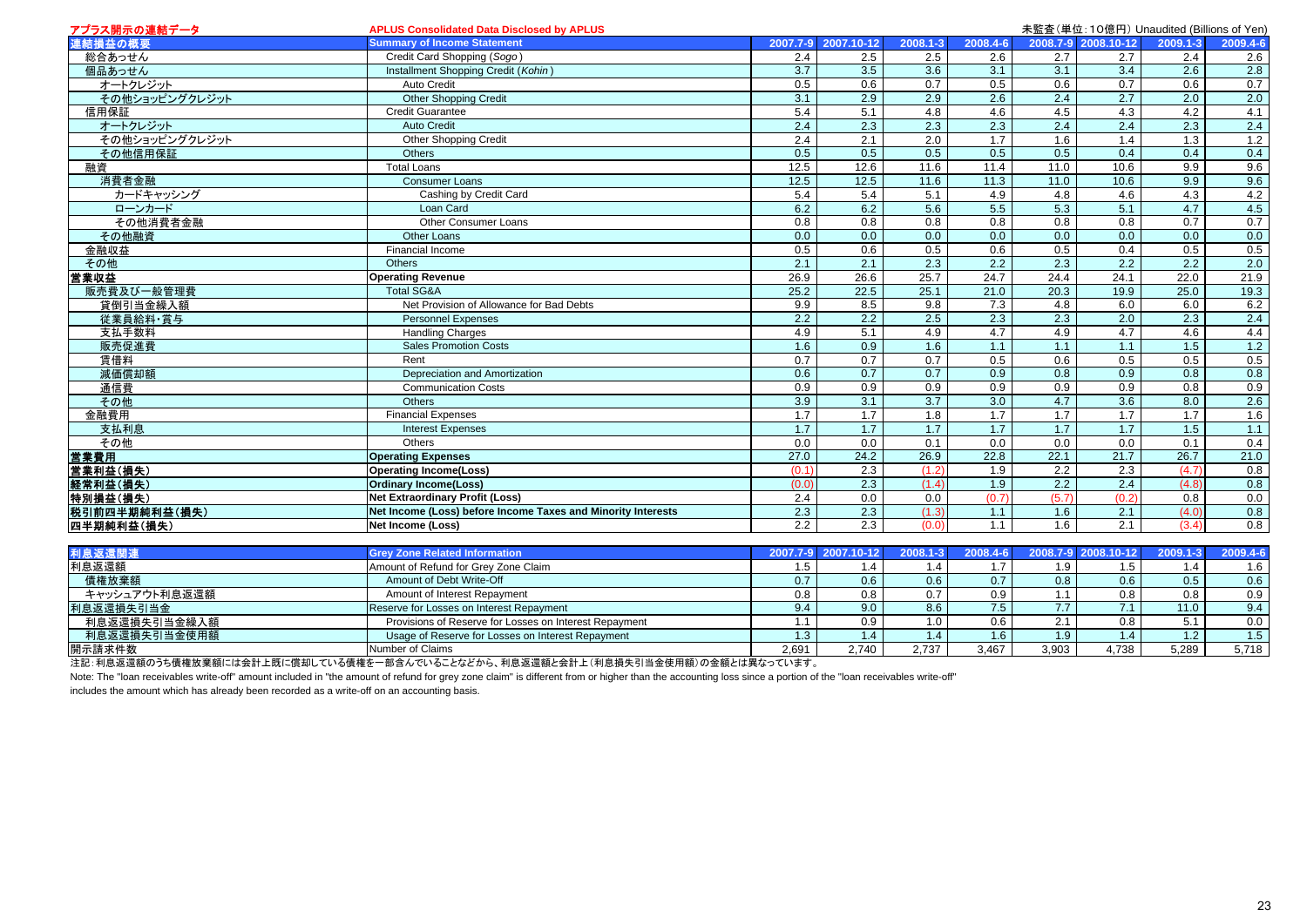| アプラス開示の連結データ   | <b>APLUS Consolidated Data Disclosed by APLUS</b>            |                   |                  |                  |                  |                  | 未監査(単位:10億円) Unaudited (Billions of Yen) |                  |              |
|----------------|--------------------------------------------------------------|-------------------|------------------|------------------|------------------|------------------|------------------------------------------|------------------|--------------|
| 連結損益の概要        | <b>Summary of Income Statement</b>                           | 2007.7-9          | 2007.10-12       | 2008.1-3         | 2008.4-6         |                  | 2008.7-9 2008.10-12                      | 2009.1-3         | $2009.4 - 6$ |
| 総合あっせん         | Credit Card Shopping (Sogo)                                  | 2.4               | 2.5              | 2.5              | 2.6              | $2.7\,$          | 2.7                                      | 2.4              | 2.6          |
| 個品あっせん         | Installment Shopping Credit (Kohin)                          | $\overline{3.7}$  | 3.5              | 3.6              | 3.1              | 3.1              | 3.4                                      | 2.6              | 2.8          |
| オートクレジット       | Auto Credit                                                  | 0.5               | 0.6              | 0.7              | 0.5              | 0.6              | 0.7                                      | 0.6              | 0.7          |
| その他ショッピングクレジット | <b>Other Shopping Credit</b>                                 | 3.1               | 2.9              | 2.9              | $\overline{2.6}$ | 2.4              | 2.7                                      | $\overline{2.0}$ | 2.0          |
| 信用保証           | <b>Credit Guarantee</b>                                      | 5.4               | 5.1              | 4.8              | 4.6              | 4.5              | 4.3                                      | 4.2              | 4.1          |
| オートクレジット       | <b>Auto Credit</b>                                           | 2.4               | 2.3              | 2.3              | 2.3              | 2.4              | 2.4                                      | 2.3              | 2.4          |
| その他ショッピングクレジット | Other Shopping Credit                                        | $\overline{2.4}$  | 2.1              | 2.0              | 1.7              | 1.6              | 1.4                                      | 1.3              | 1.2          |
| その他信用保証        | <b>Others</b>                                                | 0.5               | $\overline{0.5}$ | 0.5              | 0.5              | $\overline{0.5}$ | 0.4                                      | 0.4              | 0.4          |
| 融資             | <b>Total Loans</b>                                           | 12.5              | 12.6             | 11.6             | 11.4             | 11.0             | 10.6                                     | 9.9              | 9.6          |
| 消費者金融          | <b>Consumer Loans</b>                                        | 12.5              | 12.5             | 11.6             | 11.3             | 11.0             | 10.6                                     | 9.9              | 9.6          |
| カードキャッシング      | Cashing by Credit Card                                       | 5.4               | 5.4              | 5.1              | 4.9              | 4.8              | 4.6                                      | 4.3              | 4.2          |
| ローンカード         | Loan Card                                                    | 6.2               | 6.2              | 5.6              | 5.5              | 5.3              | 5.1                                      | 4.7              | 4.5          |
| その他消費者金融       | Other Consumer Loans                                         | 0.8               | 0.8              | 0.8              | 0.8              | 0.8              | 0.8                                      | 0.7              | 0.7          |
| その他融資          | Other Loans                                                  | 0.0               | 0.0              | 0.0              | 0.0              | 0.0              | 0.0                                      | 0.0              | 0.0          |
| 金融収益           | Financial Income                                             | 0.5               | 0.6              | 0.5              | 0.6              | 0.5              | 0.4                                      | 0.5              | 0.5          |
| その他            | Others                                                       | 2.1               | 2.1              | $\overline{2.3}$ | $\overline{2.2}$ | $\overline{2.3}$ | $\overline{2.2}$                         | $\overline{2.2}$ | 2.0          |
| 営業収益           | <b>Operating Revenue</b>                                     | 26.9              | 26.6             | 25.7             | 24.7             | 24.4             | 24.1                                     | 22.0             | 21.9         |
| 販売費及び一般管理費     | <b>Total SG&amp;A</b>                                        | 25.2              | 22.5             | 25.1             | 21.0             | 20.3             | 19.9                                     | 25.0             | 19.3         |
| 貸倒引当金繰入額       | Net Provision of Allowance for Bad Debts                     | 9.9               | 8.5              | 9.8              | 7.3              | 4.8              | 6.0                                      | 6.0              | 6.2          |
| 従業員給料·賞与       | <b>Personnel Expenses</b>                                    | $\overline{2.2}$  | $\overline{2.2}$ | 2.5              | 2.3              | $\overline{2.3}$ | 2.0                                      | 2.3              | 2.4          |
| 支払手数料          | <b>Handling Charges</b>                                      | 4.9               | 5.1              | 4.9              | 4.7              | 4.9              | 4.7                                      | 4.6              | 4.4          |
| 販売促進費          | <b>Sales Promotion Costs</b>                                 | 1.6               | 0.9              | 1.6              | 1.1              | 1.1              | 1.1                                      | 1.5              | 1.2          |
| 賃借料            | Rent                                                         | 0.7               | 0.7              | 0.7              | 0.5              | 0.6              | 0.5                                      | 0.5              | 0.5          |
| 減価償却額          | Depreciation and Amortization                                | 0.6               | $\overline{0.7}$ | $\overline{0.7}$ | 0.9              | $\overline{0.8}$ | 0.9                                      | 0.8              | 0.8          |
| 通信費            | <b>Communication Costs</b>                                   | 0.9               | 0.9              | 0.9              | 0.9              | 0.9              | 0.9                                      | 0.8              | 0.9          |
| その他            | <b>Others</b>                                                | 3.9               | $\overline{3.1}$ | $\overline{3.7}$ | $\overline{3.0}$ | 4.7              | $\overline{3.6}$                         | 8.0              | 2.6          |
| 金融費用           | <b>Financial Expenses</b>                                    | 1.7               | 1.7              | 1.8              | 1.7              | 1.7              | 1.7                                      | 1.7              | 1.6          |
| 支払利息           | <b>Interest Expenses</b>                                     | 1.7               | 1.7              | 1.7              | 1.7              | 1.7              | 1.7                                      | 1.5              | 1.1          |
| その他            | Others                                                       | 0.0               | 0.0              | 0.1              | 0.0              | 0.0              | 0.0                                      | 0.1              | 0.4          |
| 営業費用           | <b>Operating Expenses</b>                                    | $\overline{27.0}$ | 24.2             | 26.9             | 22.8             | 22.1             | 21.7                                     | 26.7             | 21.0         |
| 営業利益(損失)       | <b>Operating Income(Loss)</b>                                | (0.1)             | $\overline{2.3}$ | (1.2)            | 1.9              | $\overline{2.2}$ | $\overline{2.3}$                         | (4.7)            | 0.8          |
| 経常利益(損失)       | <b>Ordinary Income(Loss)</b>                                 | (0.0)             | 2.3              | (1.4)            | 1.9              | 2.2              | 2.4                                      | (4.8)            | 0.8          |
| 特別損益(損失)       | <b>Net Extraordinary Profit (Loss)</b>                       | 2.4               | 0.0              | 0.0              | (0.7)            | (5.7)            | (0.2)                                    | 0.8              | 0.0          |
| 税引前四半期純利益(損失)  | Net Income (Loss) before Income Taxes and Minority Interests | 2.3               | 2.3              | (1.3)            | 1.1              | 1.6              | 2.1                                      | (4.0)            | 0.8          |
| 四半期純利益(損失)     | Net Income (Loss)                                            | $\overline{2.2}$  | $\overline{2.3}$ | (0.0)            | 1.1              | 1.6              | 2.1                                      | (3.4)            | 0.8          |
|                |                                                              |                   |                  |                  |                  |                  |                                          |                  |              |
| 利息返還関連         | <b>Grev Zone Related Information</b>                         | 2007.7-9          | 2007.10-12       | 2008.1-3         | 2008.4-6         | 2008.7-9         | 2008.10-12                               | 2009.1-3         | 2009.4-6     |
| 利息返還額          | Amount of Refund for Grey Zone Claim                         | 1.5               | 1.4              | 1.4              | 1.7              | 1.9              | 1.5                                      | 1.4              | 1.6          |
| 債権放棄額          | Amount of Debt Write-Off                                     | 0.7               | 0.6              | 0.6              | 0.7              | $\overline{0.8}$ | 0.6                                      | $\overline{0.5}$ | 0.6          |
| キャッシュアウト利息返還額  | Amount of Interest Repayment                                 | 0.8               | 0.8              | 0.7              | 0.9              | 1.1              | 0.8                                      | 0.8              | 0.9          |
| 利息返還損失引当金      | Reserve for Losses on Interest Repayment                     | 9.4               | 9.0              | 8.6              | 7.5              | 7.7              | 7.1                                      | 11.0             | 9.4          |
| 利息返還損失引当金繰入額   | Provisions of Reserve for Losses on Interest Repayment       | 1.1               | 0.9              | 1.0              | 0.6              | 2.1              | 0.8                                      | 5.1              | 0.0          |
| 利息返還損失引当金使用額   | Usage of Reserve for Losses on Interest Repayment            | 1.3               | 1.4              | 1.4              | 1.6              | 1.9              | 1.4                                      | 1.2              | 1.5          |
| 開示請求件数         | Number of Claims                                             | 2.691             | 2,740            | 2,737            | 3,467            | 3,903            | 4,738                                    | 5,289            | 5,718        |

注記:利息返還額のうち債権放棄額には会計上既に償却している債権を一部含んでいることなどから、利息返還額と会計上(利息損失引当金使用額)の金額とは異なっています。

note: The "loan receivables write-off" amount included in "the amount of refund for grey zone claim" is different from or higher than the accounting loss since a portion of the "loan receivables write-off"

includes the amount which has already been recorded as a write-off on an accounting basis.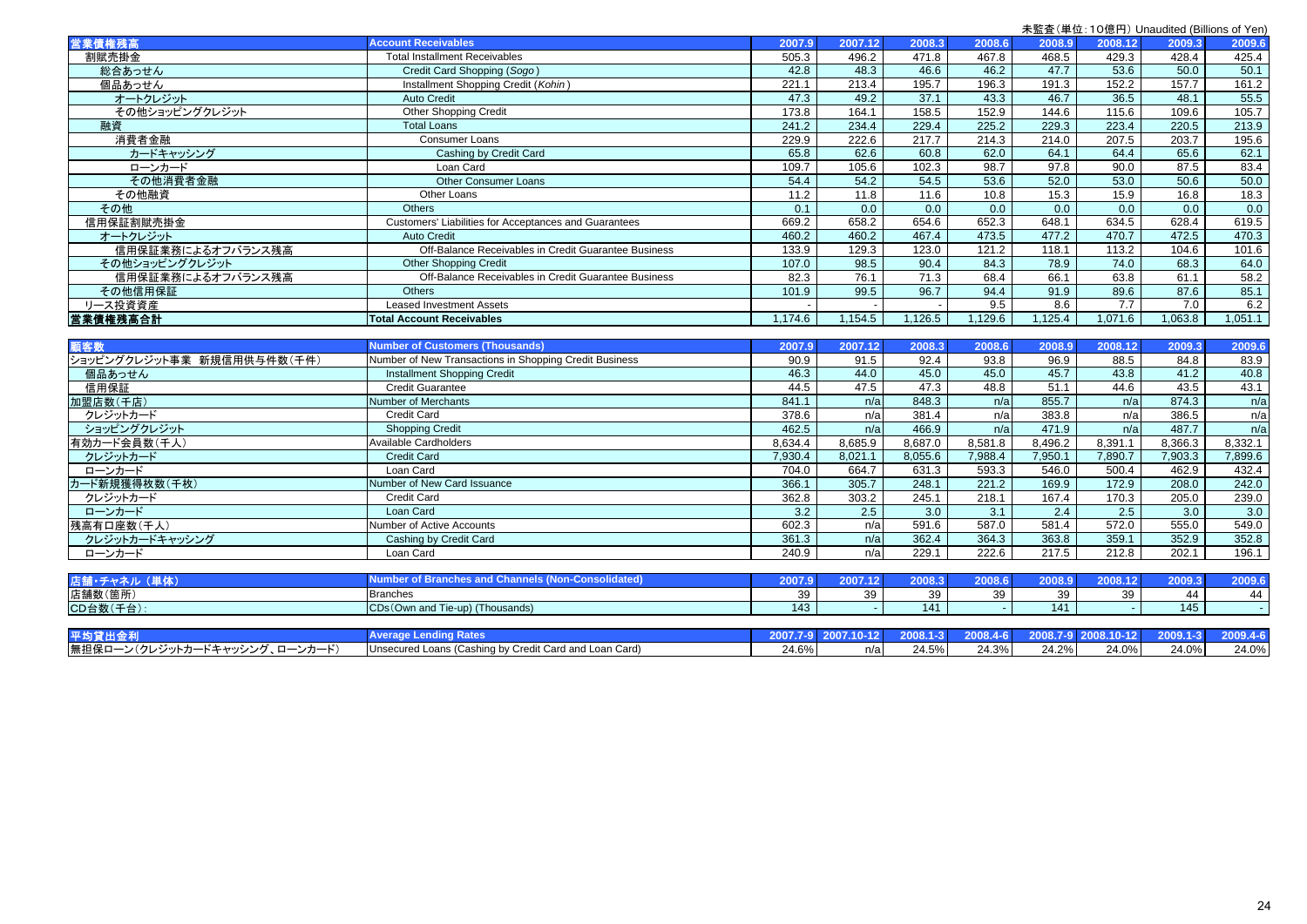|                   |                                                                                                                            |            |         |         |        |         |         | $\frac{1}{2}$ , $\frac{1}{2}$ , $\frac{1}{2}$ , $\frac{1}{2}$ , $\frac{1}{2}$ , $\frac{1}{2}$ , $\frac{1}{2}$ , $\frac{1}{2}$ , $\frac{1}{2}$ , $\frac{1}{2}$ , $\frac{1}{2}$ , $\frac{1}{2}$ , $\frac{1}{2}$ , $\frac{1}{2}$ , $\frac{1}{2}$ , $\frac{1}{2}$ , $\frac{1}{2}$ , $\frac{1}{2}$ , $\frac{1$ |         |
|-------------------|----------------------------------------------------------------------------------------------------------------------------|------------|---------|---------|--------|---------|---------|-----------------------------------------------------------------------------------------------------------------------------------------------------------------------------------------------------------------------------------------------------------------------------------------------------------|---------|
| 営業債権残高            | <b>Account Receivables</b>                                                                                                 | 2007.9     | 2007.12 | 2008.3  | 2008.6 | 2008.9  | 2008.12 | 2009.3                                                                                                                                                                                                                                                                                                    | 2009.6  |
| 割賦売掛金             | <b>Total Installment Receivables</b>                                                                                       | 505.3      | 496.2   | 471.8   | 467.8  | 468.5   | 429.3   | 428.4                                                                                                                                                                                                                                                                                                     | 425.4   |
| 総合あっせん            | Credit Card Shopping (Sogo)                                                                                                | 42.8       | 48.3    | 46.6    | 46.2   | 47.7    | 53.6    | 50.0                                                                                                                                                                                                                                                                                                      | 50.1    |
| 個品あっせん            | Installment Shopping Credit (Kohin)                                                                                        | 221.1      | 213.4   | 195.7   | 196.3  | 191.3   | 152.2   | 157.7                                                                                                                                                                                                                                                                                                     | 161.2   |
| オートクレジット          | <b>Auto Credit</b>                                                                                                         | 47.3       | 49.2    | 37.1    | 43.3   | 46.7    | 36.5    | 48.1                                                                                                                                                                                                                                                                                                      | 55.5    |
| その他ショッピングクレジット    | <b>Other Shopping Credit</b>                                                                                               | 173.8      | 164.1   | 158.5   | 152.9  | 144.6   | 115.6   | 109.6                                                                                                                                                                                                                                                                                                     | 105.7   |
| 融資                | <b>Total Loans</b>                                                                                                         | 241.2      | 234.4   | 229.4   | 225.2  | 229.3   | 223.4   | 220.5                                                                                                                                                                                                                                                                                                     | 213.9   |
| 消費者金融             | <b>Consumer Loans</b>                                                                                                      | 229.9      | 222.6   | 217.7   | 214.3  | 214.0   | 207.5   | 203.7                                                                                                                                                                                                                                                                                                     | 195.6   |
| カードキャッシング         | Cashing by Credit Card                                                                                                     | 65.8       | 62.6    | 60.8    | 62.0   | 64.1    | 64.4    | 65.6                                                                                                                                                                                                                                                                                                      | 62.1    |
| ローンカード            | Loan Card                                                                                                                  | 109.7      | 105.6   | 102.3   | 98.7   | 97.8    | 90.0    | 87.5                                                                                                                                                                                                                                                                                                      | 83.4    |
| その他消費者金融          | <b>Other Consumer Loans</b>                                                                                                | 54.4       | 54.2    | 54.5    | 53.6   | 52.0    | 53.0    | 50.6                                                                                                                                                                                                                                                                                                      | 50.0    |
| その他融資             | Other Loans                                                                                                                | 11.2       | 11.8    | 11.6    | 10.8   | 15.3    | 15.9    | 16.8                                                                                                                                                                                                                                                                                                      | 18.3    |
| その他               | <b>Others</b>                                                                                                              | 0.1        | 0.0     | 0.0     | 0.0    | 0.0     | 0.0     | 0.0                                                                                                                                                                                                                                                                                                       | 0.0     |
| 信用保証割賦売掛金         | Customers' Liabilities for Acceptances and Guarantees                                                                      | 669.2      | 658.2   | 654.6   | 652.3  | 648.1   | 634.5   | 628.4                                                                                                                                                                                                                                                                                                     | 619.5   |
| オートクレジット          | <b>Auto Credit</b>                                                                                                         | 460.2      | 460.2   | 467.4   | 473.5  | 477.2   | 470.7   | 472.5                                                                                                                                                                                                                                                                                                     | 470.3   |
| 信用保証業務によるオフバランス残高 | Off-Balance Receivables in Credit Guarantee Business                                                                       | 133.9      | 129.3   | 123.0   | 121.2  | 118.1   | 113.2   | 104.6                                                                                                                                                                                                                                                                                                     | 101.6   |
| その他ショッピングクレジット    | <b>Other Shopping Credit</b>                                                                                               | 107.0      | 98.5    | 90.4    | 84.3   | 78.9    | 74.0    | 68.3                                                                                                                                                                                                                                                                                                      | 64.0    |
| 信用保証業務によるオフバランス残高 | Off-Balance Receivables in Credit Guarantee Business                                                                       | 82.3       | 76.1    | 71.3    | 68.4   | 66.1    | 63.8    | 61.1                                                                                                                                                                                                                                                                                                      | 58.2    |
| その他信用保証           | <b>Others</b>                                                                                                              | 101.9      | 99.5    | 96.7    | 94.4   | 91.9    | 89.6    | 87.6                                                                                                                                                                                                                                                                                                      | 85.1    |
| リース投資資産           | <b>Leased Investment Assets</b>                                                                                            |            |         |         | 9.5    | 8.6     | 7.7     | 7.0                                                                                                                                                                                                                                                                                                       | 6.2     |
| 営業債権残高合計          | <b>Total Account Receivables</b>                                                                                           | 174.6      | 154.5   | 1,126.5 | 129.6  | 1,125.4 | 1,071.6 | ,063.8                                                                                                                                                                                                                                                                                                    | 1,051.1 |
|                   |                                                                                                                            |            |         |         |        |         |         |                                                                                                                                                                                                                                                                                                           |         |
| <b>CONTRACTOR</b> | <b>The Community of the Community of the Community of the Community of the Community of the Community of the Community</b> | . <b>.</b> |         |         |        |         |         |                                                                                                                                                                                                                                                                                                           | .       |

| 顧客数                        | <b>Number of Customers (Thousands)</b>                 | 2007.9  | 2007.12 | 2008.3  | 2008.6  | 2008.9  | 2008.12 | 2009.3  | 2009.6  |
|----------------------------|--------------------------------------------------------|---------|---------|---------|---------|---------|---------|---------|---------|
| ショッピングクレジット事業 新規信用供与件数(千件) | Number of New Transactions in Shopping Credit Business | 90.9    | 91.5    | 92.4    | 93.8    | 96.9    | 88.5    | 84.8    | 83.9    |
| 個品あっせん                     | <b>Installment Shopping Credit</b>                     | 46.3    | 44.0    | 45.0    | 45.0    | 45.7    | 43.8    | 41.2    | 40.8    |
| 信用保証                       | <b>Credit Guarantee</b>                                | 44.5    | 47.5    | 47.3    | 48.8    | 51.1    | 44.6    | 43.5    | 43.1    |
| 加盟店数(千店)                   | Number of Merchants                                    | 841.    | n/a     | 848.3   | n/al    | 855.7   | n/a     | 874.3   | n/a     |
| クレジットカード                   | Credit Card                                            | 378.6   | n/a     | 381.4   | n/a     | 383.8   | n/a     | 386.5   | n/a     |
| ショッピングクレジット                | <b>Shopping Credit</b>                                 | 462.5   | n/a     | 466.9   | n/al    | 471.9   | n/al    | 487.7   | n/a     |
| 有効カード会員数(千人)               | Available Cardholders                                  | 8,634.4 | 8,685.9 | 8,687.0 | 8,581.8 | 8,496.2 | 8,391.1 | 8,366.3 | 8,332.1 |
| クレジットカード                   | <b>Credit Card</b>                                     | 7,930.4 | 8,021.1 | 8,055.6 | 7,988.4 | 7,950.1 | 7,890.7 | 7,903.3 | 7,899.6 |
| ローンカード                     | Loan Card                                              | 704.0   | 664.7   | 631.3   | 593.3   | 546.0   | 500.4   | 462.9   | 432.4   |
| カード新規獲得枚数(千枚)              | Number of New Card Issuance                            | 366.1   | 305.7   | 248.1   | 221.2   | 169.9   | 172.9   | 208.0   | 242.0   |
| クレジットカード                   | Credit Card                                            | 362.8   | 303.2   | 245.1   | 218.1   | 167.4   | 170.3   | 205.0   | 239.0   |
| ローンカード                     | Loan Card                                              | 3.2     | 2.5     | 3.0     | 3.1     | 2.4     | 2.5     | 3.0     | 3.0     |
| 残高有口座数(千人)                 | Number of Active Accounts                              | 602.3   | n/a     | 591.6   | 587.0   | 581.4   | 572.0   | 555.0   | 549.0   |
| クレジットカードキャッシング             | Cashing by Credit Card                                 | 361.3   | n/a     | 362.4   | 364.3   | 363.8   | 359.1   | 352.9   | 352.8   |
| ローンカード                     | Loan Card                                              | 240.9   | n/a     | 229.1   | 222.6   | 217.5   | 212.8   | 202.1   | 196.1   |
|                            |                                                        |         |         |         |         |         |         |         |         |
| PEARL PLUM II (MON-)       | Number of Pranches and Channels (Nen-Conseildated)     | 00070   | 000749  | 00000   | onno e  | 00000   | 000042  | 20002   | onno e  |

| ■店舗・チャネル (単体)                 | Number of Branches and Chair                           | 2007.9   | 2007.12 | 2008.3   | 2008.6   |       | 2008.12             |              | 2009.6   |
|-------------------------------|--------------------------------------------------------|----------|---------|----------|----------|-------|---------------------|--------------|----------|
| 店舗数(箇所)                       | <b>Branches</b>                                        | 39       |         |          |          | 39    |                     | 1 A          | 44       |
| CD台数(千台):                     | CDs (Own and Tie-up) (Thousands)                       | 143      |         | 141      |          | 141   |                     | 145          |          |
|                               |                                                        |          |         |          |          |       |                     |              |          |
| 平均貸出金利                        | <b>Average Lending Rates</b>                           | 2007.7-9 |         | 2008.1-3 | 2008.4-6 |       | 2008.7-9 2008.10-12 | $2009.1 - 3$ | 2009.4-6 |
| 無担保ローン(クレジットカードキャッシング、ローンカード) | Unsecured Loans (Cashing by Credit Card and Loan Card) | 24.6%    |         | 24.5%    | 24.3%    | 24.2% | 24.0%               | 24.0%        | 24.0%    |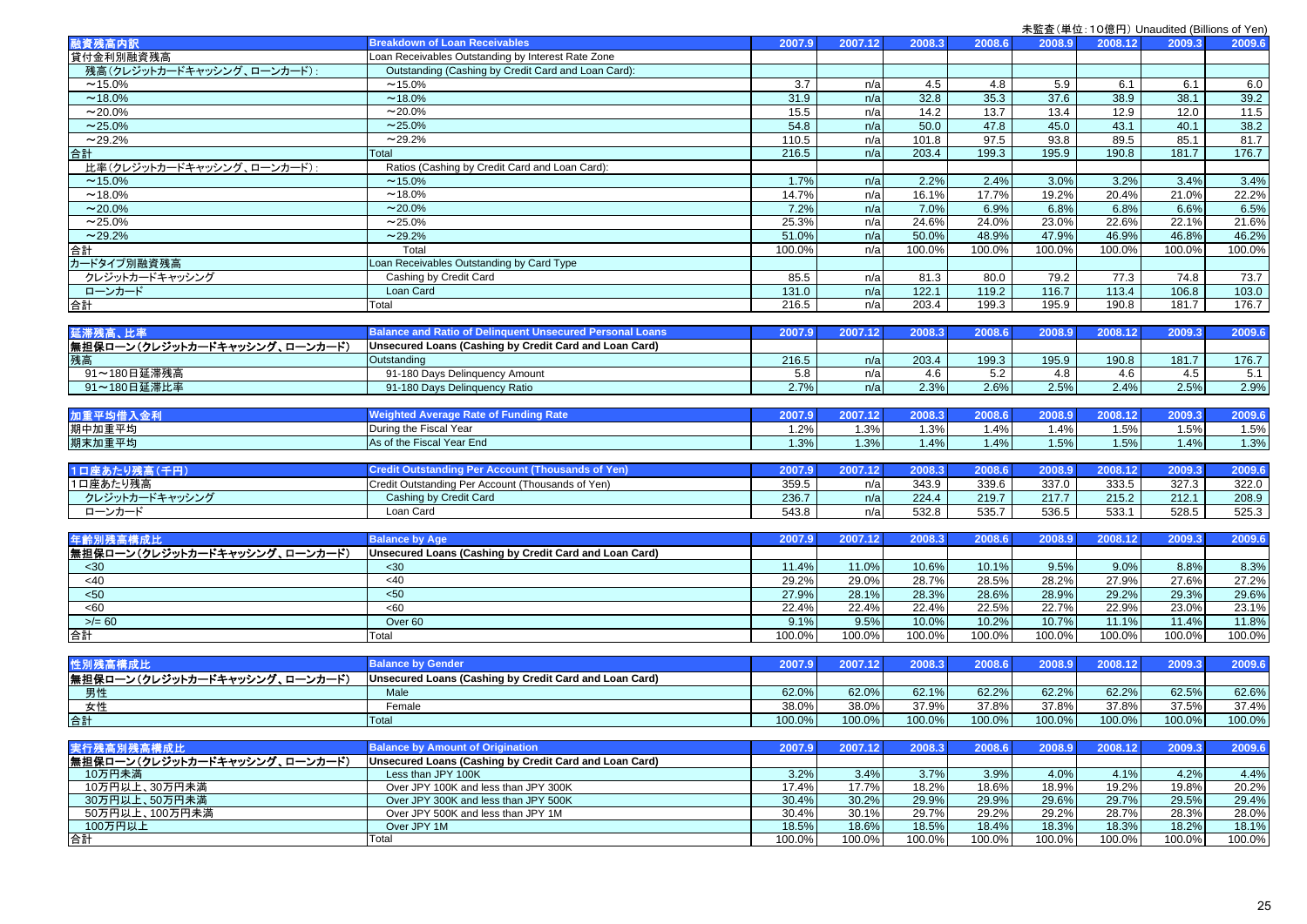| 融資残高内訳                        | <b>Breakdown of Loan Receivables</b>                                         | 2007.9 | 2007.12 | 2008.3 | 2008.6         | 2008.9         | 2008.12       | 2009.3        | 2009.6 |
|-------------------------------|------------------------------------------------------------------------------|--------|---------|--------|----------------|----------------|---------------|---------------|--------|
| 貸付金利別融資残高                     | Loan Receivables Outstanding by Interest Rate Zone                           |        |         |        |                |                |               |               |        |
| 残高(クレジットカードキャッシング、ローンカード):    | Outstanding (Cashing by Credit Card and Loan Card):                          |        |         |        |                |                |               |               |        |
| $~15.0\%$                     | $~15.0\%$                                                                    | 3.7    | n/a     | 4.5    | 4.8            | 5.9            | 6.1           | 6.1           | 6.0    |
| $~18.0\%$                     | $~18.0\%$                                                                    | 31.9   | n/a     | 32.8   | 35.3           | 37.6           | 38.9          | 38.1          | 39.2   |
|                               | $~20.0\%$                                                                    |        |         |        |                |                |               |               |        |
| $~20.0\%$                     |                                                                              | 15.5   | n/a     | 14.2   | 13.7           | 13.4           | 12.9          | 12.0          | 11.5   |
| $~25.0\%$                     | $~25.0\%$                                                                    | 54.8   | n/a     | 50.0   | 47.8           | 45.0           | 43.1          | 40.1          | 38.2   |
| $~29.2\%$                     | $~29.2\%$                                                                    | 110.5  | n/a     | 101.8  | 97.5           | 93.8           | 89.5          | 85.1          | 81.7   |
| 台計                            | Total                                                                        | 216.5  | n/a     | 203.4  | 199.3          | 195.9          | 190.8         | 181.7         | 176.7  |
| 比率(クレジットカードキャッシング、ローンカード):    | Ratios (Cashing by Credit Card and Loan Card):                               |        |         |        |                |                |               |               |        |
| $~15.0\%$                     | $~15.0\%$                                                                    | 1.7%   | n/a     | 2.2%   | 2.4%           | 3.0%           | 3.2%          | 3.4%          | 3.4%   |
| $~18.0\%$                     | $~18.0\%$                                                                    | 14.7%  | n/a     | 16.1%  | 17.7%          | 19.2%          | 20.4%         | 21.0%         | 22.2%  |
| $~20.0\%$                     | $~20.0\%$                                                                    | 7.2%   | n/a     | 7.0%   | 6.9%           | 6.8%           | 6.8%          | 6.6%          | 6.5%   |
| $~25.0\%$                     | $~25.0\%$                                                                    | 25.3%  | n/a     | 24.6%  | 24.0%          | 23.0%          | 22.6%         | 22.1%         | 21.6%  |
| ~29.2%                        | $~29.2\%$                                                                    | 51.0%  | n/a     | 50.0%  | 48.9%          | 47.9%          | 46.9%         | 46.8%         | 46.2%  |
| 合計                            | Total                                                                        | 100.0% | n/a     | 100.0% | 100.0%         | 100.0%         | 100.0%        | 100.0%        | 100.0% |
| カードタイプ別融資残高                   | Loan Receivables Outstanding by Card Type                                    |        |         |        |                |                |               |               |        |
| クレジットカードキャッシング                | Cashing by Credit Card                                                       | 85.5   | n/a     | 81.3   | 80.0           | 79.2           | 77.3          | 74.8          | 73.7   |
| ローンカード                        | Loan Card                                                                    | 131.0  | n/a     | 122.1  | 119.2          | 116.7          | 113.4         | 106.8         | 103.0  |
| 合計                            | Total                                                                        | 216.5  | n/a     | 203.4  | 199.3          | 195.9          | 190.8         | 181.7         | 176.7  |
|                               |                                                                              |        |         |        |                |                |               |               |        |
|                               | <b>Balance and Ratio of Delinquent Unsecured Personal Loans</b>              | 2007.9 |         |        |                | 2008.9         |               | 2009.3        |        |
| 延滞残高、比率                       |                                                                              |        | 2007.12 | 2008.3 | 2008.6         |                | 2008.12       |               | 2009.6 |
| 無担保ローン(クレジットカードキャッシング、ローンカード) | Unsecured Loans (Cashing by Credit Card and Loan Card)                       |        |         |        |                |                |               |               |        |
| 残高                            | Outstanding                                                                  | 216.5  | n/a     | 203.4  | 199.3          | 195.9          | 190.8         | 181.7         | 176.7  |
| 91~180日延滞残高                   | 91-180 Days Delinquency Amount                                               | 5.8    | n/a     | 4.6    | 5.2            | 4.8            | 4.6           | 4.5           | 5.1    |
| 91~180日延滞比率                   | 91-180 Days Delinquency Ratio                                                | 2.7%   | n/a     | 2.3%   | 2.6%           | 2.5%           | 2.4%          | 2.5%          | 2.9%   |
|                               |                                                                              |        |         |        |                |                |               |               |        |
| 加重平均借入金利                      | <b>Weighted Average Rate of Funding Rate</b>                                 | 2007.9 | 2007.12 | 2008.3 | 2008.6         | 2008.9         | 2008.12       | 2009.3        | 2009.6 |
| 期中加重平均                        | During the Fiscal Year                                                       | 1.2%   | 1.3%    | 1.3%   | 1.4%           | 1.4%           | 1.5%          | 1.5%          | 1.5%   |
| 期末加重平均                        | As of the Fiscal Year End                                                    | 1.3%   | 1.3%    | 1.4%   | 1.4%           | 1.5%           | 1.5%          | 1.4%          | 1.3%   |
|                               |                                                                              |        |         |        |                |                |               |               |        |
| 1口座あたり残高 (千円)                 | <b>Credit Outstanding Per Account (Thousands of Yen)</b>                     | 2007.9 | 2007.12 | 2008.3 | 2008.6         | 2008.9         | 2008.12       | 2009.3        | 2009.6 |
| 1口座あたり残高                      | Credit Outstanding Per Account (Thousands of Yen)                            | 359.5  | n/a     | 343.9  | 339.6          | 337.0          | 333.5         | 327.3         | 322.0  |
| クレジットカードキャッシング                | Cashing by Credit Card                                                       | 236.7  | n/a     | 224.4  | 219.7          | 217.7          | 215.2         | 212.1         | 208.9  |
| ローンカード                        | Loan Card                                                                    | 543.8  | n/a     | 532.8  | 535.7          | 536.5          | 533.1         | 528.5         | 525.3  |
|                               |                                                                              |        |         |        |                |                |               |               |        |
| 年齡別残高構成比                      | <b>Balance by Age</b>                                                        | 2007.9 | 2007.12 | 2008.3 | 2008.6         | 2008.9         | 2008.12       | 2009.3        | 2009.6 |
| 無担保ローン(クレジットカードキャッシング、ローンカード) | Unsecured Loans (Cashing by Credit Card and Loan Card)                       |        |         |        |                |                |               |               |        |
|                               |                                                                              |        |         |        |                | 9.5%           |               |               |        |
| <30<br><40                    | $30$                                                                         | 11.4%  | 11.0%   | 10.6%  | 10.1%<br>28.5% |                | 9.0%<br>27.9% | 8.8%<br>27.6% | 8.3%   |
|                               | <40                                                                          | 29.2%  | 29.0%   | 28.7%  |                | 28.2%          |               |               | 27.2%  |
| 50 <sub>50</sub>              | 50<                                                                          | 27.9%  | 28.1%   | 28.3%  | 28.6%          | 28.9%          | 29.2%         | 29.3%         | 29.6%  |
| <60                           | <60                                                                          | 22.4%  | 22.4%   | 22.4%  | 22.5%          | 22.7%          | 22.9%         | 23.0%         | 23.1%  |
| $>/- 60$                      | Over <sub>60</sub>                                                           | 9.1%   | 9.5%    | 10.0%  | 10.2%          | 10.7%          | 11.1%         | 11.4%         | 11.8%  |
| 台計                            | Total                                                                        | 100.0% | 100.0%  | 100.0% | 100.0%         | 100.0%         | 100.0%        | 100.0%        | 100.0% |
|                               |                                                                              |        |         |        |                |                |               |               |        |
| 性別残高構成比                       | <b>Balance by Gender</b>                                                     | 2007.9 | 2007.12 | 2008.3 | 2008.6         | 2008.9         | 2008.12       | 2009.3        | 2009.6 |
| 無担保ローン(クレジットカードキャッシング、ローンカード) | Unsecured Loans (Cashing by Credit Card and Loan Card)                       |        |         |        |                |                |               |               |        |
| 男性                            | Male                                                                         | 62.0%  | 62.0%   | 62.1%  | 62.2%          | 62.2%          | 62.2%         | 62.5%         | 62.6%  |
| 女性                            | Female                                                                       | 38.0%  | 38.0%   | 37.9%  | 37.8%          | 37.8%          | 37.8%         | 37.5%         | 37.4%  |
| 合計                            | Total                                                                        | 100.0% | 100.0%  | 100.0% | 100.0%         | 100.0%         | 100.0%        | 100.0%        | 100.0% |
|                               |                                                                              |        |         |        |                |                |               |               |        |
| 実行残高別残高構成比                    | <b>Balance by Amount of Origination</b>                                      | 2007.9 | 2007.12 | 2008.3 | 2008.6         | 2008.9         | 2008.12       | 2009.3        | 2009.6 |
| 無担保ローン(クレジットカードキャッシング、ローンカード) | Unsecured Loans (Cashing by Credit Card and Loan Card)                       |        |         |        |                |                |               |               |        |
| 10万円未満                        | Less than JPY 100K                                                           | 3.2%   | 3.4%    | 3.7%   | 3.9%           | 4.0%           | 4.1%          | 4.2%          | 4.4%   |
| 10万円以上、30万円未満                 |                                                                              | 17.4%  | 17.7%   | 18.2%  | 18.6%          | 18.9%          | 19.2%         | 19.8%         | 20.2%  |
|                               | Over JPY 100K and less than JPY 300K<br>Over JPY 300K and less than JPY 500K | 30.4%  | 30.2%   | 29.9%  |                |                | 29.7%         | 29.5%         | 29.4%  |
| 30万円以上、50万円未満                 | Over JPY 500K and less than JPY 1M                                           | 30.4%  | 30.1%   | 29.7%  | 29.9%<br>29.2% | 29.6%<br>29.2% |               |               | 28.0%  |
| 50万円以上、100万円未満                |                                                                              |        |         |        |                |                | 28.7%         | 28.3%         |        |
| 100万円以上                       | Over JPY 1M                                                                  | 18.5%  | 18.6%   | 18.5%  | 18.4%          | 18.3%          | 18.3%         | 18.2%         | 18.1%  |
| 合計                            | Total                                                                        | 100.0% | 100.0%  | 100.0% | 100.0%         | 100.0%         | 100.0%        | 100.0%        | 100.0% |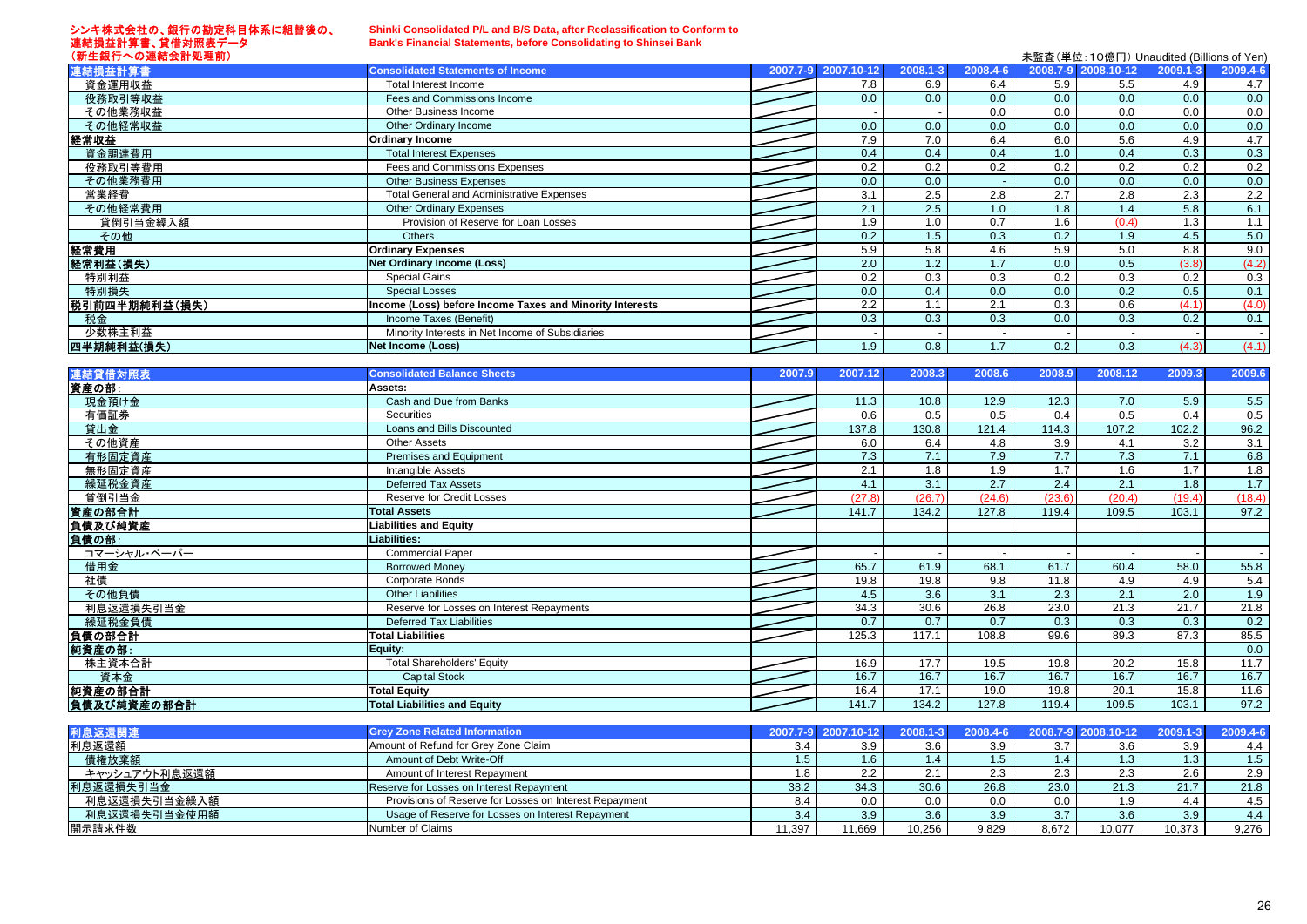#### シンキ株式会社の、銀行の勘定科目体系に組替後の、 連結損益計算書、貸借対照表データ (新生銀行への連結会計処理前)

開示請求件数

### **Shinki Consolidated P/L and B/S Data, after Reclassification to Conform to Bank's Financial Statements, before Consolidating to Shinsei Bank**

| (新生銀行への連結会計処理前) |                                                          |                     |              |          |     | 未監査(単位:10億円) Unaudited (Billions of Yen) |              |          |
|-----------------|----------------------------------------------------------|---------------------|--------------|----------|-----|------------------------------------------|--------------|----------|
| 連結損益計算書         | <b>Consolidated Statements of Income</b>                 | 2007.7-9 2007.10-12 | $2008.1 - 3$ | 2008.4-6 |     | 2008.7-9 2008.10-12                      | $2009.1 - 3$ | 2009.4-6 |
| 資金運用収益          | Total Interest Income                                    | 7.8                 | 6.9          | 6.4      | 5.9 | 5.5                                      | 4.9          | 4.7      |
| 役務取引等収益         | Fees and Commissions Income                              | 0.0                 | 0.0          | 0.0      | 0.0 | 0.0                                      | 0.0          | 0.0      |
| その他業務収益         | Other Business Income                                    |                     |              | 0.0      | 0.0 | 0.0                                      | 0.0          | 0.0      |
| その他経常収益         | Other Ordinary Income                                    | 0.0                 | 0.0          | 0.0      | 0.0 | 0.0                                      | 0.0          | 0.0      |
| 経常収益            | <b>Ordinary Income</b>                                   | 7.9                 | 7.0          | 6.4      | 6.0 | 5.6                                      | 4.9          | 4.7      |
| 資金調達費用          | <b>Total Interest Expenses</b>                           | 0.4                 | 0.4          | 0.4      | 1.0 | 0.4                                      | 0.3          | 0.3      |
| 役務取引等費用         | Fees and Commissions Expenses                            | 0.2                 | 0.2          | 0.2      | 0.2 | 0.2                                      | 0.2          | 0.2      |
| その他業務費用         | <b>Other Business Expenses</b>                           | 0.0                 | 0.0          |          | 0.0 | 0.0                                      | 0.0          | 0.0      |
| 営業経費            | <b>Total General and Administrative Expenses</b>         | 3.1                 | 2.5          | 2.8      | 2.7 | 2.8                                      | 2.3          | 2.2      |
| その他経常費用         | <b>Other Ordinary Expenses</b>                           | 2.1                 | 2.5          | 1.0      | 1.8 | 1.4                                      | 5.8          | 6.1      |
| 貸倒引当金繰入額        | Provision of Reserve for Loan Losses                     | 1.9                 | 1.0          | 0.7      | 1.6 | (0.4)                                    | 1.3          | 1.1      |
| その他             | <b>Others</b>                                            | 0.2                 | 1.5          | 0.3      | 0.2 | 1.9                                      | 4.5          | 5.0      |
| 経常費用            | <b>Ordinary Expenses</b>                                 | 5.9                 | 5.8          | 4.6      | 5.9 | 5.0                                      | 8.8          | 9.0      |
| 経常利益(損失)        | <b>Net Ordinary Income (Loss)</b>                        | 2.0                 | 1.2          | 1.7      | 0.0 | 0.5                                      | (3.8)        | (4.2)    |
| 特別利益            | Special Gains                                            | 0.2                 | 0.3          | 0.3      | 0.2 | 0.3                                      | 0.2          | 0.3      |
| 特別損失            | <b>Special Losses</b>                                    | 0.0                 | 0.4          | 0.0      | 0.0 | 0.2                                      | 0.5          | 0.1      |
| 税引前四半期純利益(損失)   | Income (Loss) before Income Taxes and Minority Interests | 2.2                 | 1.1          | 2.1      | 0.3 | 0.6                                      | (4.1)        | (4.0)    |
| 税金              | Income Taxes (Benefit)                                   | 0.3                 | 0.3          | 0.3      | 0.0 | 0.3                                      | 0.2          | 0.1      |
| 少数株主利益          | Minority Interests in Net Income of Subsidiaries         |                     |              |          |     |                                          |              |          |
| 四半期純利益(損失)      | <b>Net Income (Loss)</b>                                 | 1.9                 | 0.8          | 1.7      | 0.2 | 0.3                                      | (4.3)        | (4.1)    |
|                 |                                                          |                     |              |          |     |                                          |              |          |

| 連結貸借対照表       | <b>Consolidated Balance Sheets</b>                     | 2007.9   | 2007.12    | 2008.3   | 2008.6   | 2008.9 | 2008.12             | 2009.3   | 2009.6           |
|---------------|--------------------------------------------------------|----------|------------|----------|----------|--------|---------------------|----------|------------------|
| 資産の部:         | Assets:                                                |          |            |          |          |        |                     |          |                  |
| 現金預け金         | Cash and Due from Banks                                |          | 11.3       | 10.8     | 12.9     | 12.3   | 7.0                 | 5.9      | 5.5              |
| 有価証券          | <b>Securities</b>                                      |          | 0.6        | 0.5      | 0.5      | 0.4    | 0.5                 | 0.4      | 0.5              |
| 貸出金           | Loans and Bills Discounted                             |          | 137.8      | 130.8    | 121.4    | 114.3  | 107.2               | 102.2    | 96.2             |
| その他資産         | <b>Other Assets</b>                                    |          | 6.0        | 6.4      | 4.8      | 3.9    | 4.1                 | 3.2      | $\overline{3.1}$ |
| 有形固定資産        | Premises and Equipment                                 |          | 7.3        | 7.1      | 7.9      | 7.7    | 7.3                 | 7.1      | 6.8              |
| 無形固定資産        | Intangible Assets                                      |          | 2.1        | 1.8      | 1.9      | 1.7    | 1.6                 | 1.7      | 1.8              |
| 繰延税金資産        | <b>Deferred Tax Assets</b>                             |          | 4.1        | 3.1      | 2.7      | 2.4    | 2.1                 | 1.8      | 1.7              |
| 貸倒引当金         | Reserve for Credit Losses                              |          | (27.8)     | (26.7)   | (24.6)   | (23.6) | (20.4)              | (19.4)   | (18.4)           |
| 資産の部合計        | <b>Total Assets</b>                                    |          | 141.7      | 134.2    | 127.8    | 119.4  | 109.5               | 103.1    | 97.2             |
| 負債及び純資産       | iabilities and Equity                                  |          |            |          |          |        |                     |          |                  |
| 負債の部:         | Liabilities:                                           |          |            |          |          |        |                     |          |                  |
| コマーシャル・ペーパー   | <b>Commercial Paper</b>                                |          |            |          |          |        |                     |          |                  |
| 借用金           | <b>Borrowed Monev</b>                                  |          | 65.7       | 61.9     | 68.1     | 61.7   | 60.4                | 58.0     | 55.8             |
| 社債            | Corporate Bonds                                        |          | 19.8       | 19.8     | 9.8      | 11.8   | 4.9                 | 4.9      | 5.4              |
| その他負債         | <b>Other Liabilities</b>                               |          | 4.5        | 3.6      | 3.1      | 2.3    | 2.1                 | 2.0      | 1.9              |
| 利息返還損失引当金     | Reserve for Losses on Interest Repayments              |          | 34.3       | 30.6     | 26.8     | 23.0   | 21.3                | 21.7     | 21.8             |
| 繰延税金負債        | <b>Deferred Tax Liabilities</b>                        |          | 0.7        | 0.7      | 0.7      | 0.3    | 0.3                 | 0.3      | 0.2              |
| 負債の部合計        | <b>Total Liabilities</b>                               |          | 125.3      | 117.1    | 108.8    | 99.6   | 89.3                | 87.3     | 85.5             |
| 純資産の部:        | Equity:                                                |          |            |          |          |        |                     |          | 0.0              |
| 株主資本合計        | <b>Total Shareholders' Equity</b>                      |          | 16.9       | 17.7     | 19.5     | 19.8   | 20.2                | 15.8     | 11.7             |
| 資本金           | <b>Capital Stock</b>                                   |          | 16.7       | 16.7     | 16.7     | 16.7   | 16.7                | 16.7     | 16.7             |
| 純資産の部合計       | <b>Total Equity</b>                                    |          | 16.4       | 17.1     | 19.0     | 19.8   | 20.1                | 15.8     | 11.6             |
| 負債及び純資産の部合計   | <b>Total Liabilities and Equity</b>                    |          | 141.7      | 134.2    | 127.8    | 119.4  | 109.5               | 103.1    | 97.2             |
|               |                                                        |          |            |          |          |        |                     |          |                  |
| 利息返還関連        | <b>Grev Zone Related Information</b>                   | 2007.7-9 | 2007.10-12 | 2008.1-3 | 2008.4-6 |        | 2008.7-9 2008.10-12 | 2009.1-3 | 2009.4-6         |
| 利息返還額         | Amount of Refund for Grey Zone Claim                   | 3.4      | 3.9        | 3.6      | 3.9      | 3.7    | 3.6                 | 3.9      | 4.4              |
| 債権放棄額         | Amount of Debt Write-Off                               | 1.5      | 1.6        | 1.4      | 1.5      | 1.4    | 1.3                 | 1.3      | 1.5              |
| キャッシュアウト利息返還額 | Amount of Interest Repayment                           | 1.8      | 2.2        | 2.1      | 2.3      | 2.3    | 2.3                 | 2.6      | 2.9              |
| 利息返還損失引当金     | Reserve for Losses on Interest Repayment               | 38.2     | 34.3       | 30.6     | 26.8     | 23.0   | 21.3                | 21.7     | 21.8             |
| 利息返還損失引当金繰入額  | Provisions of Reserve for Losses on Interest Repayment | 8.4      | 0.0        | 0.0      | 0.0      | 0.0    | 1.9                 | 4.4      | 4.5              |
| 利息返還損失引当金使用額  | Usage of Reserve for Losses on Interest Repayment      | 3.4      | 3.9        | 3.6      | 3.9      | 3.7    | 3.6                 | 3.9      | 4.4              |

Number of Claims 11,397 11,669 10,256 9,829 8,672 10,077 10,373 9,276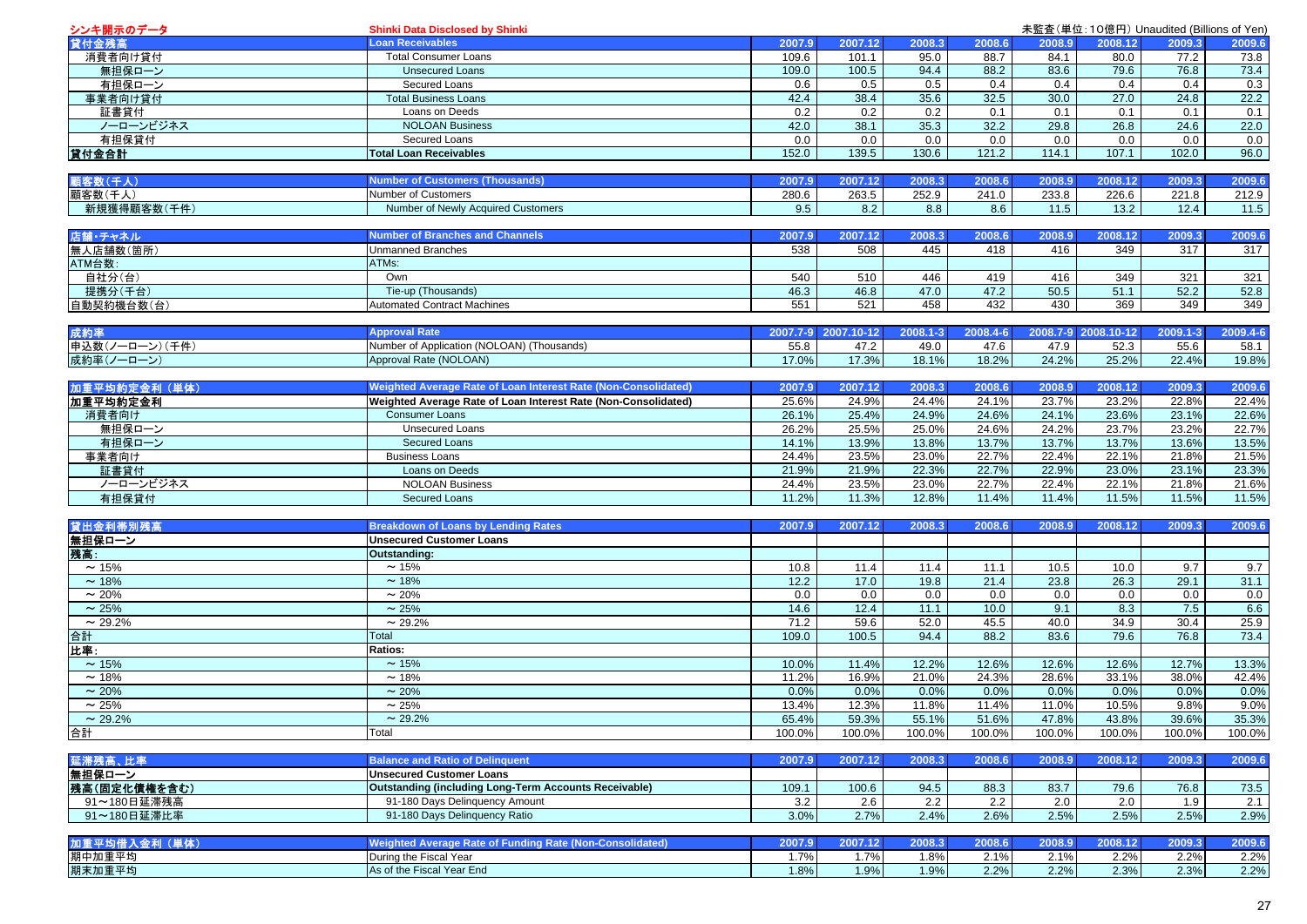| <b>Loan Receivables</b><br>貸付金残高<br>2007.9<br>2007.12<br>2008.3<br>2008.6<br>消費者向け貸付<br><b>Total Consumer Loans</b><br>109.6<br>101.1<br>95.0<br>88.7<br>無担保ローン<br><b>Unsecured Loans</b><br>109.0<br>100.5<br>94.4<br>88.2<br>有担保ローン<br>Secured Loans<br>0.6<br>0.5<br>0.5<br>0.4<br><b>Total Business Loans</b><br>42.4<br>38.4<br>35.6<br>32.5<br>事業者向け貸付<br>証書貸付<br>Loans on Deeds<br>0.2<br>0.2<br>0.2<br>0.1<br>ノーローンビジネス<br>38.1<br>35.3<br>32.2<br><b>NOLOAN Business</b><br>42.0<br>有担保貸付<br>0.0<br>0.0<br>0.0<br>Secured Loans<br>0.0<br>152.0<br>139.5<br>130.6<br>121.2<br>貸付金合計<br><b>Total Loan Receivables</b><br>顧客数(千人)<br><b>Number of Customers (Thousands)</b><br>2007.9<br>2007.12<br>2008.3<br>2008.6<br>顧客数(千人)<br>Number of Customers<br>280.6<br>263.5<br>252.9<br>241.0<br>新規獲得顧客数(千件)<br>Number of Newly Acquired Customers<br>9.5<br>8.2<br>8.8<br>8.6<br><b>Number of Branches and Channels</b><br>店舗・チャネル<br>2007.9<br>2007.12<br>2008.3<br>2008.6<br>無人店舗数(箇所)<br>538<br>445<br><b>Unmanned Branches</b><br>508<br>418<br>ATM台数:<br>ATMs:<br>自社分(台)<br>Own<br>540<br>510<br>446<br>419<br>提携分(千台)<br>Tie-up (Thousands)<br>46.3<br>46.8<br>47.0<br>47.2 | 2008.9<br>2008.12<br>84.1<br>80.0<br>83.6<br>79.6<br>0.4<br>0.4<br>30.0<br>27.0<br>0.1<br>0.1<br>29.8<br>26.8<br>0.0<br>0.0<br>107.1<br>114.1<br>2008.9<br>2008.12<br>233.8<br>226.6<br>11.5<br>13.2<br>2008.9<br>2008.12<br>416<br>349 | 2009.3<br>77.2<br>76.8<br>0.4<br>24.8<br>0.1<br>24.6<br>0.0<br>102.0<br>2009.3<br>221.8<br>12.4<br>2009.3 | 2009.6<br>73.8<br>73.4<br>0.3<br>22.2<br>0.1<br>22.0<br>0.0<br>96.0<br>2009.6<br>212.9<br>$11.5$ |
|----------------------------------------------------------------------------------------------------------------------------------------------------------------------------------------------------------------------------------------------------------------------------------------------------------------------------------------------------------------------------------------------------------------------------------------------------------------------------------------------------------------------------------------------------------------------------------------------------------------------------------------------------------------------------------------------------------------------------------------------------------------------------------------------------------------------------------------------------------------------------------------------------------------------------------------------------------------------------------------------------------------------------------------------------------------------------------------------------------------------------------------------------------------------------------------|-----------------------------------------------------------------------------------------------------------------------------------------------------------------------------------------------------------------------------------------|-----------------------------------------------------------------------------------------------------------|--------------------------------------------------------------------------------------------------|
|                                                                                                                                                                                                                                                                                                                                                                                                                                                                                                                                                                                                                                                                                                                                                                                                                                                                                                                                                                                                                                                                                                                                                                                        |                                                                                                                                                                                                                                         |                                                                                                           |                                                                                                  |
|                                                                                                                                                                                                                                                                                                                                                                                                                                                                                                                                                                                                                                                                                                                                                                                                                                                                                                                                                                                                                                                                                                                                                                                        |                                                                                                                                                                                                                                         |                                                                                                           |                                                                                                  |
|                                                                                                                                                                                                                                                                                                                                                                                                                                                                                                                                                                                                                                                                                                                                                                                                                                                                                                                                                                                                                                                                                                                                                                                        |                                                                                                                                                                                                                                         |                                                                                                           |                                                                                                  |
|                                                                                                                                                                                                                                                                                                                                                                                                                                                                                                                                                                                                                                                                                                                                                                                                                                                                                                                                                                                                                                                                                                                                                                                        |                                                                                                                                                                                                                                         |                                                                                                           |                                                                                                  |
|                                                                                                                                                                                                                                                                                                                                                                                                                                                                                                                                                                                                                                                                                                                                                                                                                                                                                                                                                                                                                                                                                                                                                                                        |                                                                                                                                                                                                                                         |                                                                                                           |                                                                                                  |
|                                                                                                                                                                                                                                                                                                                                                                                                                                                                                                                                                                                                                                                                                                                                                                                                                                                                                                                                                                                                                                                                                                                                                                                        |                                                                                                                                                                                                                                         |                                                                                                           |                                                                                                  |
|                                                                                                                                                                                                                                                                                                                                                                                                                                                                                                                                                                                                                                                                                                                                                                                                                                                                                                                                                                                                                                                                                                                                                                                        |                                                                                                                                                                                                                                         |                                                                                                           |                                                                                                  |
|                                                                                                                                                                                                                                                                                                                                                                                                                                                                                                                                                                                                                                                                                                                                                                                                                                                                                                                                                                                                                                                                                                                                                                                        |                                                                                                                                                                                                                                         |                                                                                                           |                                                                                                  |
|                                                                                                                                                                                                                                                                                                                                                                                                                                                                                                                                                                                                                                                                                                                                                                                                                                                                                                                                                                                                                                                                                                                                                                                        |                                                                                                                                                                                                                                         |                                                                                                           |                                                                                                  |
|                                                                                                                                                                                                                                                                                                                                                                                                                                                                                                                                                                                                                                                                                                                                                                                                                                                                                                                                                                                                                                                                                                                                                                                        |                                                                                                                                                                                                                                         |                                                                                                           |                                                                                                  |
|                                                                                                                                                                                                                                                                                                                                                                                                                                                                                                                                                                                                                                                                                                                                                                                                                                                                                                                                                                                                                                                                                                                                                                                        |                                                                                                                                                                                                                                         |                                                                                                           |                                                                                                  |
|                                                                                                                                                                                                                                                                                                                                                                                                                                                                                                                                                                                                                                                                                                                                                                                                                                                                                                                                                                                                                                                                                                                                                                                        |                                                                                                                                                                                                                                         |                                                                                                           |                                                                                                  |
|                                                                                                                                                                                                                                                                                                                                                                                                                                                                                                                                                                                                                                                                                                                                                                                                                                                                                                                                                                                                                                                                                                                                                                                        |                                                                                                                                                                                                                                         |                                                                                                           |                                                                                                  |
|                                                                                                                                                                                                                                                                                                                                                                                                                                                                                                                                                                                                                                                                                                                                                                                                                                                                                                                                                                                                                                                                                                                                                                                        |                                                                                                                                                                                                                                         |                                                                                                           |                                                                                                  |
|                                                                                                                                                                                                                                                                                                                                                                                                                                                                                                                                                                                                                                                                                                                                                                                                                                                                                                                                                                                                                                                                                                                                                                                        |                                                                                                                                                                                                                                         |                                                                                                           | 2009.6                                                                                           |
|                                                                                                                                                                                                                                                                                                                                                                                                                                                                                                                                                                                                                                                                                                                                                                                                                                                                                                                                                                                                                                                                                                                                                                                        |                                                                                                                                                                                                                                         | 317                                                                                                       | 317                                                                                              |
|                                                                                                                                                                                                                                                                                                                                                                                                                                                                                                                                                                                                                                                                                                                                                                                                                                                                                                                                                                                                                                                                                                                                                                                        |                                                                                                                                                                                                                                         |                                                                                                           |                                                                                                  |
|                                                                                                                                                                                                                                                                                                                                                                                                                                                                                                                                                                                                                                                                                                                                                                                                                                                                                                                                                                                                                                                                                                                                                                                        | 416<br>349                                                                                                                                                                                                                              | 321                                                                                                       | 321                                                                                              |
|                                                                                                                                                                                                                                                                                                                                                                                                                                                                                                                                                                                                                                                                                                                                                                                                                                                                                                                                                                                                                                                                                                                                                                                        | 50.5<br>51.1                                                                                                                                                                                                                            | 52.2                                                                                                      | 52.8                                                                                             |
| 521<br>458<br>432<br>自動契約機台数(台)<br><b>Automated Contract Machines</b><br>551                                                                                                                                                                                                                                                                                                                                                                                                                                                                                                                                                                                                                                                                                                                                                                                                                                                                                                                                                                                                                                                                                                           | 430<br>369                                                                                                                                                                                                                              | 349                                                                                                       | 349                                                                                              |
|                                                                                                                                                                                                                                                                                                                                                                                                                                                                                                                                                                                                                                                                                                                                                                                                                                                                                                                                                                                                                                                                                                                                                                                        |                                                                                                                                                                                                                                         |                                                                                                           |                                                                                                  |
| <b>Approval Rate</b><br>成約率<br>2007.7-9 2007.10-12<br>2008.1-3<br>2008.4-6                                                                                                                                                                                                                                                                                                                                                                                                                                                                                                                                                                                                                                                                                                                                                                                                                                                                                                                                                                                                                                                                                                             | 2008.7-9 2008.10-12                                                                                                                                                                                                                     | 2009.1-3                                                                                                  | 2009.4-6                                                                                         |
| 申込数(ノーローン)(千件)<br>Number of Application (NOLOAN) (Thousands)<br>55.8<br>47.2<br>49.0<br>47.6                                                                                                                                                                                                                                                                                                                                                                                                                                                                                                                                                                                                                                                                                                                                                                                                                                                                                                                                                                                                                                                                                           | 47.9<br>52.3                                                                                                                                                                                                                            | 55.6                                                                                                      | 58.1                                                                                             |
| 成約率(ノーローン)<br>17.0%<br>17.3%<br>18.1%<br>18.2%<br>Approval Rate (NOLOAN)                                                                                                                                                                                                                                                                                                                                                                                                                                                                                                                                                                                                                                                                                                                                                                                                                                                                                                                                                                                                                                                                                                               | 24.2%<br>25.2%                                                                                                                                                                                                                          | 22.4%                                                                                                     | 19.8%                                                                                            |
|                                                                                                                                                                                                                                                                                                                                                                                                                                                                                                                                                                                                                                                                                                                                                                                                                                                                                                                                                                                                                                                                                                                                                                                        |                                                                                                                                                                                                                                         |                                                                                                           |                                                                                                  |
| Weighted Average Rate of Loan Interest Rate (Non-Consolidated)<br>加重平均約定金利 (単体)<br>2007.9<br>2007.12<br>2008.3<br>2008.6                                                                                                                                                                                                                                                                                                                                                                                                                                                                                                                                                                                                                                                                                                                                                                                                                                                                                                                                                                                                                                                               | 2008.12<br>2008.9                                                                                                                                                                                                                       | 2009.3                                                                                                    | 2009.6                                                                                           |
| 24.9%<br>加重平均約定金利<br>Weighted Average Rate of Loan Interest Rate (Non-Consolidated)<br>25.6%<br>24.4%<br>24.1%                                                                                                                                                                                                                                                                                                                                                                                                                                                                                                                                                                                                                                                                                                                                                                                                                                                                                                                                                                                                                                                                         | 23.7%<br>23.2%                                                                                                                                                                                                                          | 22.8%                                                                                                     | 22.4%                                                                                            |
| <b>Consumer Loans</b><br>26.1%<br>25.4%<br>24.9%<br>24.6%<br>消費者向け                                                                                                                                                                                                                                                                                                                                                                                                                                                                                                                                                                                                                                                                                                                                                                                                                                                                                                                                                                                                                                                                                                                     | 24.1%<br>23.6%                                                                                                                                                                                                                          | 23.1%                                                                                                     | 22.6%                                                                                            |
| 無担保ローン<br><b>Unsecured Loans</b><br>26.2%<br>25.5%<br>25.0%<br>24.6%                                                                                                                                                                                                                                                                                                                                                                                                                                                                                                                                                                                                                                                                                                                                                                                                                                                                                                                                                                                                                                                                                                                   | 24.2%<br>23.7%                                                                                                                                                                                                                          | 23.2%                                                                                                     | 22.7%                                                                                            |
| 有担保ローン<br>Secured Loans<br>14.1%<br>13.9%<br>13.8%<br>13.7%                                                                                                                                                                                                                                                                                                                                                                                                                                                                                                                                                                                                                                                                                                                                                                                                                                                                                                                                                                                                                                                                                                                            | 13.7%<br>13.7%                                                                                                                                                                                                                          | 13.6%                                                                                                     | 13.5%                                                                                            |
| <b>Business Loans</b><br>24.4%<br>23.5%<br>23.0%<br>22.7%<br>事業者向け                                                                                                                                                                                                                                                                                                                                                                                                                                                                                                                                                                                                                                                                                                                                                                                                                                                                                                                                                                                                                                                                                                                     | 22.4%<br>22.1%                                                                                                                                                                                                                          | 21.8%                                                                                                     | 21.5%                                                                                            |
| 証書貸付<br>Loans on Deeds<br>21.9%<br>21.9%<br>22.3%<br>22.7%                                                                                                                                                                                                                                                                                                                                                                                                                                                                                                                                                                                                                                                                                                                                                                                                                                                                                                                                                                                                                                                                                                                             | 22.9%<br>23.0%                                                                                                                                                                                                                          | 23.1%                                                                                                     | 23.3%                                                                                            |
| 24.4%<br>23.5%<br>23.0%<br>22.7%<br>ノーローンビジネス<br><b>NOLOAN Business</b>                                                                                                                                                                                                                                                                                                                                                                                                                                                                                                                                                                                                                                                                                                                                                                                                                                                                                                                                                                                                                                                                                                                | 22.4%<br>22.1%                                                                                                                                                                                                                          | 21.8%                                                                                                     | 21.6%                                                                                            |
| 有担保貸付<br><b>Secured Loans</b><br>11.2%<br>12.8%<br>11.4%<br>11.3%                                                                                                                                                                                                                                                                                                                                                                                                                                                                                                                                                                                                                                                                                                                                                                                                                                                                                                                                                                                                                                                                                                                      | 11.4%<br>11.5%                                                                                                                                                                                                                          | 11.5%                                                                                                     | 11.5%                                                                                            |
|                                                                                                                                                                                                                                                                                                                                                                                                                                                                                                                                                                                                                                                                                                                                                                                                                                                                                                                                                                                                                                                                                                                                                                                        |                                                                                                                                                                                                                                         |                                                                                                           |                                                                                                  |
| 貸出金利帯別残高<br><b>Breakdown of Loans by Lending Rates</b><br>2007.12<br>2007.9<br>2008.3<br>2008.6                                                                                                                                                                                                                                                                                                                                                                                                                                                                                                                                                                                                                                                                                                                                                                                                                                                                                                                                                                                                                                                                                        | 2008.9<br>2008.12                                                                                                                                                                                                                       | 2009.3                                                                                                    | 2009.6                                                                                           |
| 無担保ローン<br><b>Unsecured Customer Loans</b>                                                                                                                                                                                                                                                                                                                                                                                                                                                                                                                                                                                                                                                                                                                                                                                                                                                                                                                                                                                                                                                                                                                                              |                                                                                                                                                                                                                                         |                                                                                                           |                                                                                                  |
| 残高:<br>Outstanding:                                                                                                                                                                                                                                                                                                                                                                                                                                                                                                                                                                                                                                                                                                                                                                                                                                                                                                                                                                                                                                                                                                                                                                    |                                                                                                                                                                                                                                         |                                                                                                           |                                                                                                  |
| $\sim 15\%$<br>$\sim$ 15%<br>10.8<br>11.4<br>11.1<br>11.4                                                                                                                                                                                                                                                                                                                                                                                                                                                                                                                                                                                                                                                                                                                                                                                                                                                                                                                                                                                                                                                                                                                              | 10.5<br>10.0                                                                                                                                                                                                                            | 9.7                                                                                                       | 9.7                                                                                              |
| 12.2<br>$\sim$ 18%<br>~18%<br>17.0<br>19.8<br>21.4                                                                                                                                                                                                                                                                                                                                                                                                                                                                                                                                                                                                                                                                                                                                                                                                                                                                                                                                                                                                                                                                                                                                     | 23.8<br>26.3                                                                                                                                                                                                                            | 29.1                                                                                                      | 31.1                                                                                             |
| $\sim$ 20%<br>$\sim$ 20%<br>0.0<br>0.0<br>0.0<br>0.0                                                                                                                                                                                                                                                                                                                                                                                                                                                                                                                                                                                                                                                                                                                                                                                                                                                                                                                                                                                                                                                                                                                                   | 0.0<br>0.0                                                                                                                                                                                                                              | 0.0                                                                                                       | 0.0                                                                                              |
| $\sim 25\%$<br>$\sim$ 25%<br>14.6<br>12.4<br>11.1<br>10.0                                                                                                                                                                                                                                                                                                                                                                                                                                                                                                                                                                                                                                                                                                                                                                                                                                                                                                                                                                                                                                                                                                                              | 9.1<br>8.3                                                                                                                                                                                                                              | 7.5                                                                                                       | 6.6                                                                                              |
| $\sim$ 29.2%<br>$\sim$ 29.2%<br>71.2<br>59.6<br>52.0<br>45.5                                                                                                                                                                                                                                                                                                                                                                                                                                                                                                                                                                                                                                                                                                                                                                                                                                                                                                                                                                                                                                                                                                                           | 40.0<br>34.9                                                                                                                                                                                                                            | 30.4                                                                                                      | 25.9                                                                                             |
| 合計<br>109.0<br>100.5<br>94.4<br>88.2<br>Total                                                                                                                                                                                                                                                                                                                                                                                                                                                                                                                                                                                                                                                                                                                                                                                                                                                                                                                                                                                                                                                                                                                                          | 83.6<br>79.6                                                                                                                                                                                                                            | 76.8                                                                                                      | 73.4                                                                                             |
| 比率:<br>Ratios:                                                                                                                                                                                                                                                                                                                                                                                                                                                                                                                                                                                                                                                                                                                                                                                                                                                                                                                                                                                                                                                                                                                                                                         |                                                                                                                                                                                                                                         |                                                                                                           |                                                                                                  |
| $\sim$ 15%<br>$\sim$ 15%<br>12.2%<br>12.6%<br>10.0%<br>11.4%                                                                                                                                                                                                                                                                                                                                                                                                                                                                                                                                                                                                                                                                                                                                                                                                                                                                                                                                                                                                                                                                                                                           | 12.6%<br>12.6%                                                                                                                                                                                                                          | 12.7%                                                                                                     | 13.3%                                                                                            |
| ~18%<br>16.9%<br>21.0%<br>24.3%<br>~18%<br>11.2%                                                                                                                                                                                                                                                                                                                                                                                                                                                                                                                                                                                                                                                                                                                                                                                                                                                                                                                                                                                                                                                                                                                                       | 28.6%<br>33.1%                                                                                                                                                                                                                          | 38.0%                                                                                                     | 42.4%                                                                                            |
| $\sim 20\%$<br>$\sim 20\%$<br>0.0%<br>0.0%<br>0.0%<br>0.0%                                                                                                                                                                                                                                                                                                                                                                                                                                                                                                                                                                                                                                                                                                                                                                                                                                                                                                                                                                                                                                                                                                                             | 0.0%<br>0.0%                                                                                                                                                                                                                            | 0.0%                                                                                                      | 0.0%                                                                                             |
| $\sim$ 25%<br>$\sim 25%$<br>13.4%<br>12.3%<br>11.8%<br>11.4%                                                                                                                                                                                                                                                                                                                                                                                                                                                                                                                                                                                                                                                                                                                                                                                                                                                                                                                                                                                                                                                                                                                           | 11.0%<br>10.5%                                                                                                                                                                                                                          | 9.8%                                                                                                      | 9.0%                                                                                             |
| 51.6%<br>$\sim$ 29.2%<br>$\sim$ 29.2%<br>65.4%<br>59.3%<br>55.1%                                                                                                                                                                                                                                                                                                                                                                                                                                                                                                                                                                                                                                                                                                                                                                                                                                                                                                                                                                                                                                                                                                                       | 47.8%<br>43.8%                                                                                                                                                                                                                          | 39.6%                                                                                                     | 35.3%                                                                                            |
| 合計<br>100.0%<br>100.0%<br>100.0%<br>100.0%<br>Total                                                                                                                                                                                                                                                                                                                                                                                                                                                                                                                                                                                                                                                                                                                                                                                                                                                                                                                                                                                                                                                                                                                                    | 100.0%<br>100.0%                                                                                                                                                                                                                        | 100.0%                                                                                                    | 100.0%                                                                                           |
|                                                                                                                                                                                                                                                                                                                                                                                                                                                                                                                                                                                                                                                                                                                                                                                                                                                                                                                                                                                                                                                                                                                                                                                        |                                                                                                                                                                                                                                         |                                                                                                           |                                                                                                  |
| 2007.12<br>2008.3<br>延滞残高、比率<br><b>Balance and Ratio of Delinquent</b><br>2007.9<br>2008.6                                                                                                                                                                                                                                                                                                                                                                                                                                                                                                                                                                                                                                                                                                                                                                                                                                                                                                                                                                                                                                                                                             | 2008.12<br>2008.9                                                                                                                                                                                                                       | 2009.3                                                                                                    | 2009.6                                                                                           |
| 無担保ローン<br><b>Unsecured Customer Loans</b>                                                                                                                                                                                                                                                                                                                                                                                                                                                                                                                                                                                                                                                                                                                                                                                                                                                                                                                                                                                                                                                                                                                                              |                                                                                                                                                                                                                                         |                                                                                                           |                                                                                                  |
| <b>Outstanding (including Long-Term Accounts Receivable)</b><br> 残高(固定化債権を含む)<br>109.1<br>100.6<br>94.5<br>88.3                                                                                                                                                                                                                                                                                                                                                                                                                                                                                                                                                                                                                                                                                                                                                                                                                                                                                                                                                                                                                                                                        | 83.7<br>79.6                                                                                                                                                                                                                            | 76.8                                                                                                      | 73.5                                                                                             |
| 91-180 Days Delinquency Amount<br>2.2<br>2.2<br>91~180日延滞残高<br>3.2<br>2.6                                                                                                                                                                                                                                                                                                                                                                                                                                                                                                                                                                                                                                                                                                                                                                                                                                                                                                                                                                                                                                                                                                              | 2.0<br>2.0                                                                                                                                                                                                                              | 1.9                                                                                                       | 2.1                                                                                              |
| 91~180日延滞比率<br>91-180 Days Delinquency Ratio<br>3.0%<br>2.7%<br>2.4%<br>2.6%                                                                                                                                                                                                                                                                                                                                                                                                                                                                                                                                                                                                                                                                                                                                                                                                                                                                                                                                                                                                                                                                                                           | 2.5%<br>2.5%                                                                                                                                                                                                                            | 2.5%                                                                                                      | 2.9%                                                                                             |
|                                                                                                                                                                                                                                                                                                                                                                                                                                                                                                                                                                                                                                                                                                                                                                                                                                                                                                                                                                                                                                                                                                                                                                                        |                                                                                                                                                                                                                                         |                                                                                                           |                                                                                                  |
| 加重平均借入金利 (単体)<br>Weighted Average Rate of Funding Rate (Non-Consolidated)<br>2007.9<br>2007.12<br>2008.3<br>2008.6                                                                                                                                                                                                                                                                                                                                                                                                                                                                                                                                                                                                                                                                                                                                                                                                                                                                                                                                                                                                                                                                     | 2008.9<br>2008.12                                                                                                                                                                                                                       | 2009.3                                                                                                    | 2009.6                                                                                           |
| 期中加重平均<br>During the Fiscal Year<br>1.7%<br>2.1%<br>1.7%<br>1.8%                                                                                                                                                                                                                                                                                                                                                                                                                                                                                                                                                                                                                                                                                                                                                                                                                                                                                                                                                                                                                                                                                                                       | 2.1%<br>2.2%                                                                                                                                                                                                                            | 2.2%                                                                                                      | 2.2%                                                                                             |
| 2.2%<br>期末加重平均<br>As of the Fiscal Year End<br>1.8%<br>1.9%<br>1.9%                                                                                                                                                                                                                                                                                                                                                                                                                                                                                                                                                                                                                                                                                                                                                                                                                                                                                                                                                                                                                                                                                                                    | 2.2%<br>2.3%                                                                                                                                                                                                                            | 2.3%                                                                                                      | 2.2%                                                                                             |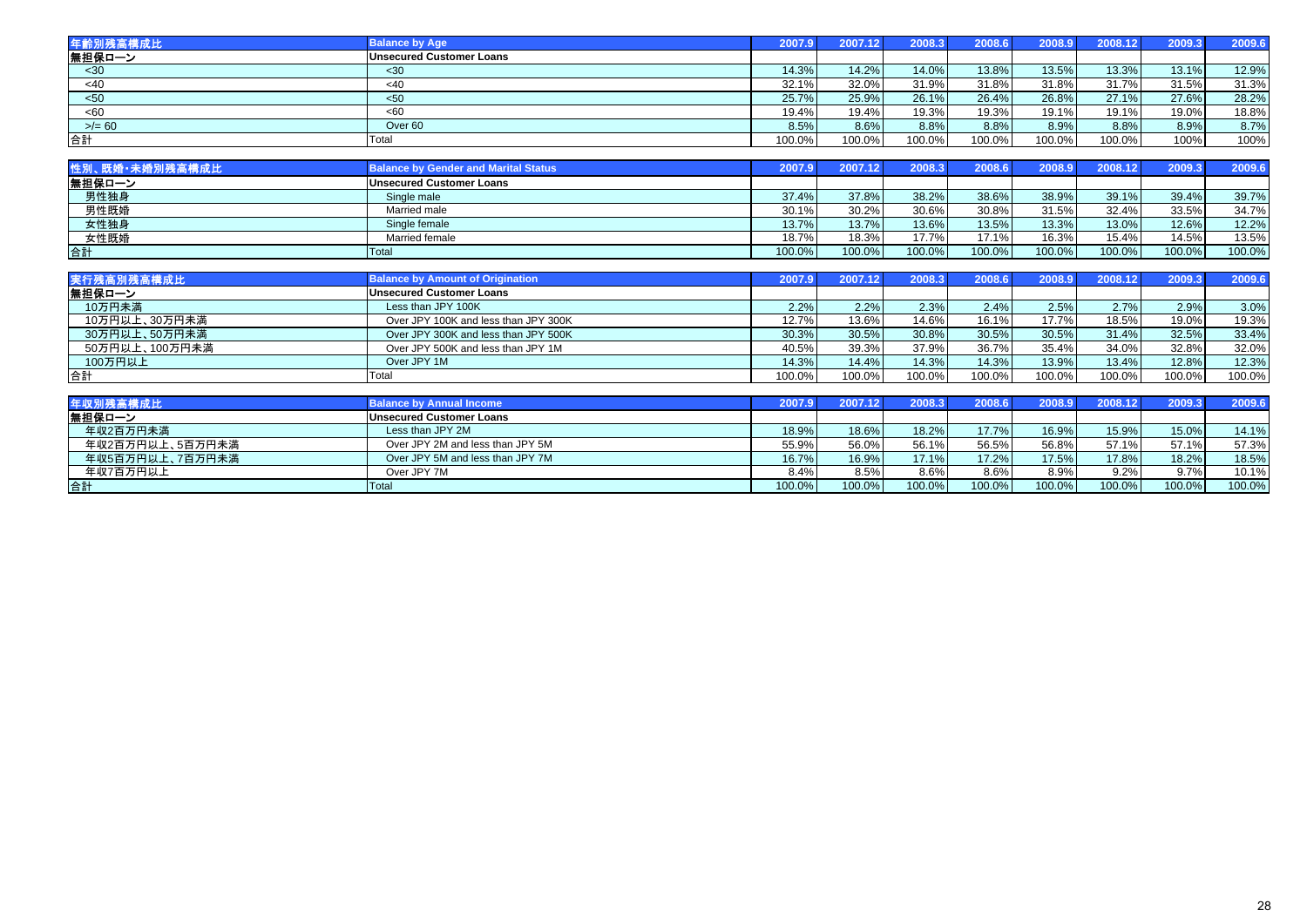| 年齡別残高構成比  | <b>Balance by Age</b>           | 2007.9 | 2007.12 | 2008.3 | 2008.6 | 2008.9 | 2008.12 | 2009.3 | 2009.6 |
|-----------|---------------------------------|--------|---------|--------|--------|--------|---------|--------|--------|
| 無担保ローン    | <b>Unsecured Customer Loans</b> |        |         |        |        |        |         |        |        |
| $30$      | <30                             | 14.3%  | 14.2%   | 14.0%  | 13.8%  | 13.5%  | 13.3%   | 13.1%  | 12.9%  |
| $<$ 40    | $<$ 40                          | 32.1%  | 32.0%   | 31.9%  | 31.8%  | 31.8%  | 31.7%   | 31.5%  | 31.3%  |
| $50$      | $50$                            | 25.7%  | 25.9%   | 26.1%  | 26.4%  | 26.8%  | 27.1%   | 27.6%  | 28.2%  |
| <60       | < 60                            | 19.4%  | 19.4%   | 19.3%  | 19.3%  | 19.1%  | 19.1%   | 19.0%  | 18.8%  |
| $>$ /= 60 | Over 60                         | 8.5%   | 8.6%    | 8.8%   | 8.8%   | 8.9%   | 8.8%    | 8.9%   | 8.7%   |
| 合計        | Total                           | 100.0% | 100.0%  | 100.0% | 100.0% | 100.0% | 100.0%  | 100%   | 100%   |

| 性別、既婚・未婚別残高構成比 | <b>Balance by Gender and Marital Status</b> | 2007.9 I |        | 2008.3    | 2008.6 | 2008.9 | 2008.12 | 2009.3 | 2009.6 |
|----------------|---------------------------------------------|----------|--------|-----------|--------|--------|---------|--------|--------|
| 無担保ローン         | <b>Unsecured Customer Loans</b>             |          |        |           |        |        |         |        |        |
| 男性独身           | Single male                                 | 37.4%    | 37.8%  | 38.2%     | 38.6%  | 38.9%  | 39.1%   | 39.4%  | 39.7%  |
| 男性既婚           | Married male                                | 30.1%    | 30.2%  | 30.6%     | 30.8%  | 31.5%  | 32.4%   | 33.5%  | 34.7%  |
| 女性独身           | Single female                               | 13.7%    | 13.7%  | 13.6%     | 13.5%  | 13.3%  | 13.0%   | 12.6%  | 12.2%  |
| 女性既婚           | Married female                              | 18.7%    | 18.3%  | 17.7%     | 17.1%  | 16.3%  | 15.4%   | 14.5%  | 13.5%  |
| 合計             | Total                                       | 100.0%   | 100.0% | $100.0\%$ | 100.0% | 100.0% | 100.0%  | 100.0% | 100.0% |

| 実行残高別残高構成比     | <b>Balance by Amount of Origination</b> | 2007.91 | 2007.12 | 2008.3 | 2008.6 | 2008.9 | 2008.12 | 2009.3 | 2009.6 |
|----------------|-----------------------------------------|---------|---------|--------|--------|--------|---------|--------|--------|
| │無担保ローン        | <b>Unsecured Customer Loans</b>         |         |         |        |        |        |         |        |        |
| 10万円未満         | Less than JPY 100K                      | 2.2%    | $2.2\%$ | 2.3%   | 2.4%   | 2.5%   | 2.7%    | 2.9%   | 3.0%   |
| 10万円以上、30万円未満  | Over JPY 100K and less than JPY 300K    | 12.7%   | 13.6%   | 14.6%  | 16.1%  | 17.7%  | 18.5%   | 19.0%  | 19.3%  |
| 30万円以上、50万円未満  | Over JPY 300K and less than JPY 500K    | 30.3%   | 30.5%   | 30.8%  | 30.5%  | 30.5%  | 31.4%   | 32.5%  | 33.4%  |
| 50万円以上、100万円未満 | Over JPY 500K and less than JPY 1M      | 40.5%   | 39.3%   | 37.9%  | 36.7%  | 35.4%  | 34.0%   | 32.8%  | 32.0%  |
| 100万円以上        | Over JPY 1M                             | 14.3%   | 14.4%   | 14.3%  | 14.3%  | 13.9%  | 13.4%   | 12.8%  | 12.3%  |
| 合計             | Total                                   | 100.0%  | 100.0%  | 100.0% | 100.0% | 100.0% | 100.0%  | 100.0% | 100.0% |

| 年収別残高構成比        | <b>Balance by Annual Income</b>  | 2007.9 | 2007.12   | 2008.3    | 2008.6    | 2008.9  | 2008.12 | 2009.3 | 2009.6 |
|-----------------|----------------------------------|--------|-----------|-----------|-----------|---------|---------|--------|--------|
| 無担保ローン          | <b>Unsecured Customer Loans</b>  |        |           |           |           |         |         |        |        |
| 年収2百万円未満        | Less than JPY 2M                 | 18.9%  | 18.6%     | 18.2%     | 17.7%     | 16.9%   | 15.9%   | 15.0%  | 14.1%  |
| 年収2百万円以上、5百万円未満 | Over JPY 2M and less than JPY 5M | 55.9%  | 56.0%     | 56.1%     | 56.5%     | 56.8%   | 57.1%   | 57.1%  | 57.3%  |
| 年収5百万円以上、7百万円未満 | Over JPY 5M and less than JPY 7M | 16.7%  | 16.9%     | 17.1%     | 17.2%     | 17.5%   | 17.8%   | 18.2%  | 18.5%  |
| 年収7百万円以上        | Over JPY 7M                      | 8.4%   | 8.5%      | $8.6\%$   | $8.6\%$   | $8.9\%$ | 9.2%    | 9.7%   | 10.1%  |
| 合計              | <b>Total</b>                     | 100.0% | $100.0\%$ | $100.0\%$ | $100.0\%$ | 100.0%  | 100.0%  | 100.0% | 100.0% |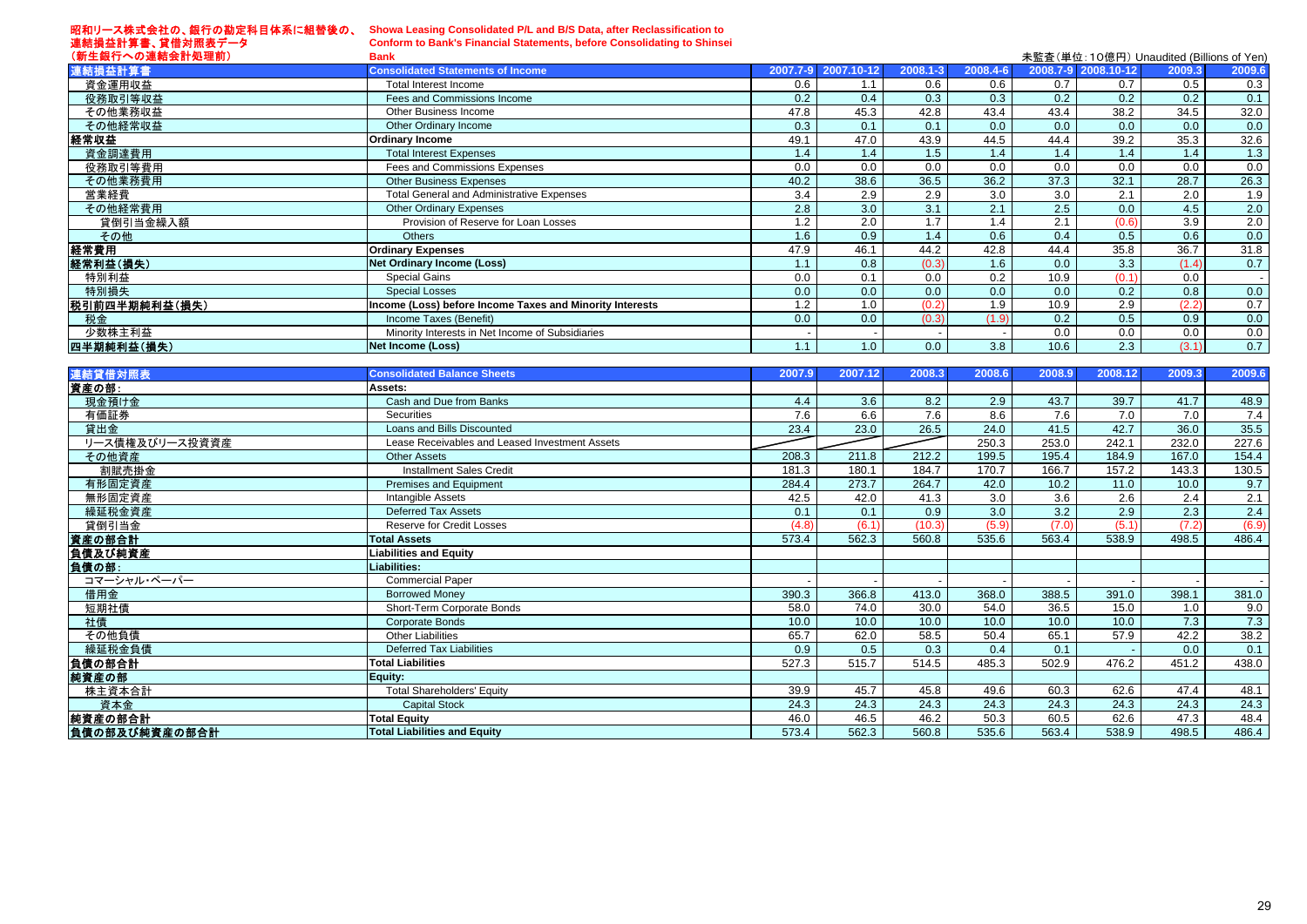昭和リース株式会社の、銀行の勘定科目体系に組替後の、

連結損益計算書、貸借対照表データ

**Showa Leasing Consolidated P/L and B/S Data, after Reclassification to**

**Conform to Bank's Financial Statements, before Consolidating to Shinsei**

| (新生銀行への連結会計処理前)    | <b>Bank</b>                                              |          |            |          |          |        |                     | 未監査(単位:10億円) Unaudited (Billions of Yen) |        |
|--------------------|----------------------------------------------------------|----------|------------|----------|----------|--------|---------------------|------------------------------------------|--------|
| 連結損益計算書            | <b>Consolidated Statements of Income</b>                 | 2007.7-9 | 2007.10-12 | 2008.1-3 | 2008.4-6 |        | 2008.7-9 2008.10-12 | 2009.3                                   | 2009.6 |
| 資金運用収益             | Total Interest Income                                    | 0.6      | 1.1        | 0.6      | 0.6      | 0.7    | 0.7                 | 0.5                                      | 0.3    |
| 役務取引等収益            | Fees and Commissions Income                              | 0.2      | 0.4        | 0.3      | 0.3      | 0.2    | 0.2                 | 0.2                                      | 0.1    |
| その他業務収益            | Other Business Income                                    | 47.8     | 45.3       | 42.8     | 43.4     | 43.4   | 38.2                | 34.5                                     | 32.0   |
| その他経常収益            | Other Ordinary Income                                    | 0.3      | 0.1        | 0.1      | 0.0      | 0.0    | 0.0                 | 0.0                                      | 0.0    |
| 経常収益               | <b>Ordinary Income</b>                                   | 49.1     | 47.0       | 43.9     | 44.5     | 44.4   | 39.2                | 35.3                                     | 32.6   |
| 資金調達費用             | <b>Total Interest Expenses</b>                           | 1.4      | 1.4        | 1.5      | 1.4      | 1.4    | 1.4                 | 1.4                                      | 1.3    |
| 役務取引等費用            | Fees and Commissions Expenses                            | 0.0      | 0.0        | 0.0      | 0.0      | 0.0    | 0.0                 | 0.0                                      | 0.0    |
| その他業務費用            | <b>Other Business Expenses</b>                           | 40.2     | 38.6       | 36.5     | 36.2     | 37.3   | 32.1                | 28.7                                     | 26.3   |
| 営業経費               | <b>Total General and Administrative Expenses</b>         | 3.4      | 2.9        | 2.9      | 3.0      | 3.0    | 2.1                 | 2.0                                      | 1.9    |
| その他経常費用            | <b>Other Ordinary Expenses</b>                           | 2.8      | 3.0        | 3.1      | 2.1      | 2.5    | 0.0                 | 4.5                                      | 2.0    |
| 貸倒引当金繰入額           | Provision of Reserve for Loan Losses                     | 1.2      | 2.0        | 1.7      | 1.4      | 2.1    | (0.6)               | 3.9                                      | 2.0    |
| その他                | <b>Others</b>                                            | 1.6      | 0.9        | 1.4      | 0.6      | 0.4    | 0.5                 | 0.6                                      | 0.0    |
| 経常費用               | <b>Ordinary Expenses</b>                                 | 47.9     | 46.1       | 44.2     | 42.8     | 44.4   | 35.8                | 36.7                                     | 31.8   |
| 経常利益(損失)           | <b>Net Ordinary Income (Loss)</b>                        | 1.1      | 0.8        | (0.3)    | 1.6      | 0.0    | 3.3                 | (1.4)                                    | 0.7    |
| 特別利益               | <b>Special Gains</b>                                     | 0.0      | 0.1        | 0.0      | 0.2      | 10.9   | (0.1)               | 0.0                                      |        |
| 特別損失               | <b>Special Losses</b>                                    | 0.0      | 0.0        | 0.0      | 0.0      | 0.0    | 0.2                 | 0.8                                      | 0.0    |
| 税引前四半期純利益(損失)      | Income (Loss) before Income Taxes and Minority Interests | 1.2      | 1.0        | (0.2)    | 1.9      | 10.9   | 2.9                 | (2.2)                                    | 0.7    |
| 税金                 | Income Taxes (Benefit)                                   | 0.0      | 0.0        | (0.3)    | (1.9)    | 0.2    | 0.5                 | 0.9                                      | 0.0    |
| 少数株主利益             | Minority Interests in Net Income of Subsidiaries         |          |            |          |          | 0.0    | 0.0                 | 0.0                                      | 0.0    |
| 四半期純利益(損失)         | Net Income (Loss)                                        | 1.1      | 1.0        | 0.0      | 3.8      | 10.6   | 2.3                 | (3.1)                                    | 0.7    |
|                    |                                                          |          |            |          |          |        |                     |                                          |        |
| 連結貸借対照表            | <b>Consolidated Balance Sheets</b>                       | 2007.9   | 2007.12    | 2008.3   | 2008.6   | 2008.9 | 2008.12             | 2009.3                                   | 2009.6 |
| 資産の部:              | Assets:                                                  |          |            |          |          |        |                     |                                          |        |
| 現金預け金              | Cash and Due from Banks                                  | 4.4      | 3.6        | 8.2      | 2.9      | 43.7   | 39.7                | 41.7                                     | 48.9   |
| 有価証券               | <b>Securities</b>                                        | 7.6      | 6.6        | 7.6      | 8.6      | 7.6    | 7.0                 | 7.0                                      | 7.4    |
| 貸出金                | Loans and Bills Discounted                               | 23.4     | 23.0       | 26.5     | 24.0     | 41.5   | 42.7                | 36.0                                     | 35.5   |
| Ⅱ―7 債権 ™ バⅡ―7 投資資産 | l esse Receivables and Lessed Investment Assets          |          |            |          | 250.3    | 2530   | 2421                | 232 O                                    | 2276   |

| 貸出金            | Loans and Bills Discounted                     | 23.4  | 23.0  | 26.5   | 24.0  | 41.5  | 42.7  | 36.0  | 35.5  |
|----------------|------------------------------------------------|-------|-------|--------|-------|-------|-------|-------|-------|
| リース債権及びリース投資資産 | Lease Receivables and Leased Investment Assets |       |       |        | 250.3 | 253.0 | 242.1 | 232.0 | 227.6 |
| その他資産          | <b>Other Assets</b>                            | 208.3 | 211.8 | 212.2  | 199.5 | 195.4 | 184.9 | 167.0 | 154.4 |
| 割賦売掛金          | <b>Installment Sales Credit</b>                | 181.3 | 180.1 | 184.7  | 170.7 | 166.7 | 157.2 | 143.3 | 130.5 |
| 有形固定資産         | Premises and Equipment                         | 284.4 | 273.7 | 264.7  | 42.0  | 10.2  | 11.0  | 10.0  | 9.7   |
| 無形固定資産         | Intangible Assets                              | 42.5  | 42.0  | 41.3   | 3.0   | 3.6   | 2.6   | 2.4   | 2.1   |
| 繰延税金資産         | <b>Deferred Tax Assets</b>                     | 0.1   | 0.1   | 0.9    | 3.0   | 3.2   | 2.9   | 2.3   | 2.4   |
| 貸倒引当金          | <b>Reserve for Credit Losses</b>               | (4.8) | (6.1) | (10.3) | (5.9) | (7.0) | (5.1) | (7.2) | (6.9) |
| 資産の部合計         | <b>Total Assets</b>                            | 573.4 | 562.3 | 560.8  | 535.6 | 563.4 | 538.9 | 498.5 | 486.4 |
| 負債及び純資産        | <b>Liabilities and Equity</b>                  |       |       |        |       |       |       |       |       |
| 負債の部:          | Liabilities:                                   |       |       |        |       |       |       |       |       |
| コマーシャル・ペーパー    | <b>Commercial Paper</b>                        |       |       |        |       |       |       |       |       |
| 借用金            | <b>Borrowed Money</b>                          | 390.3 | 366.8 | 413.0  | 368.0 | 388.5 | 391.0 | 398.1 | 381.0 |
| 短期社債           | Short-Term Corporate Bonds                     | 58.0  | 74.0  | 30.0   | 54.0  | 36.5  | 15.0  | 1.0   | 9.0   |
| 社債             | <b>Corporate Bonds</b>                         | 10.0  | 10.0  | 10.0   | 10.0  | 10.0  | 10.0  | 7.3   | 7.3   |
| その他負債          | <b>Other Liabilities</b>                       | 65.7  | 62.0  | 58.5   | 50.4  | 65.1  | 57.9  | 42.2  | 38.2  |
| 繰延税金負債         | <b>Deferred Tax Liabilities</b>                | 0.9   | 0.5   | 0.3    | 0.4   | 0.1   |       | 0.0   | 0.1   |
| 負債の部合計         | <b>Total Liabilities</b>                       | 527.3 | 515.7 | 514.5  | 485.3 | 502.9 | 476.2 | 451.2 | 438.0 |
| 純資産の部          | Equity:                                        |       |       |        |       |       |       |       |       |
| 株主資本合計         | <b>Total Shareholders' Equity</b>              | 39.9  | 45.7  | 45.8   | 49.6  | 60.3  | 62.6  | 47.4  | 48.1  |
| 資本金            | <b>Capital Stock</b>                           | 24.3  | 24.3  | 24.3   | 24.3  | 24.3  | 24.3  | 24.3  | 24.3  |
| 純資産の部合計        | <b>Total Equity</b>                            | 46.0  | 46.5  | 46.2   | 50.3  | 60.5  | 62.6  | 47.3  | 48.4  |
| 負債の部及び純資産の部合計  | <b>Total Liabilities and Equity</b>            | 573.4 | 562.3 | 560.8  | 535.6 | 563.4 | 538.9 | 498.5 | 486.4 |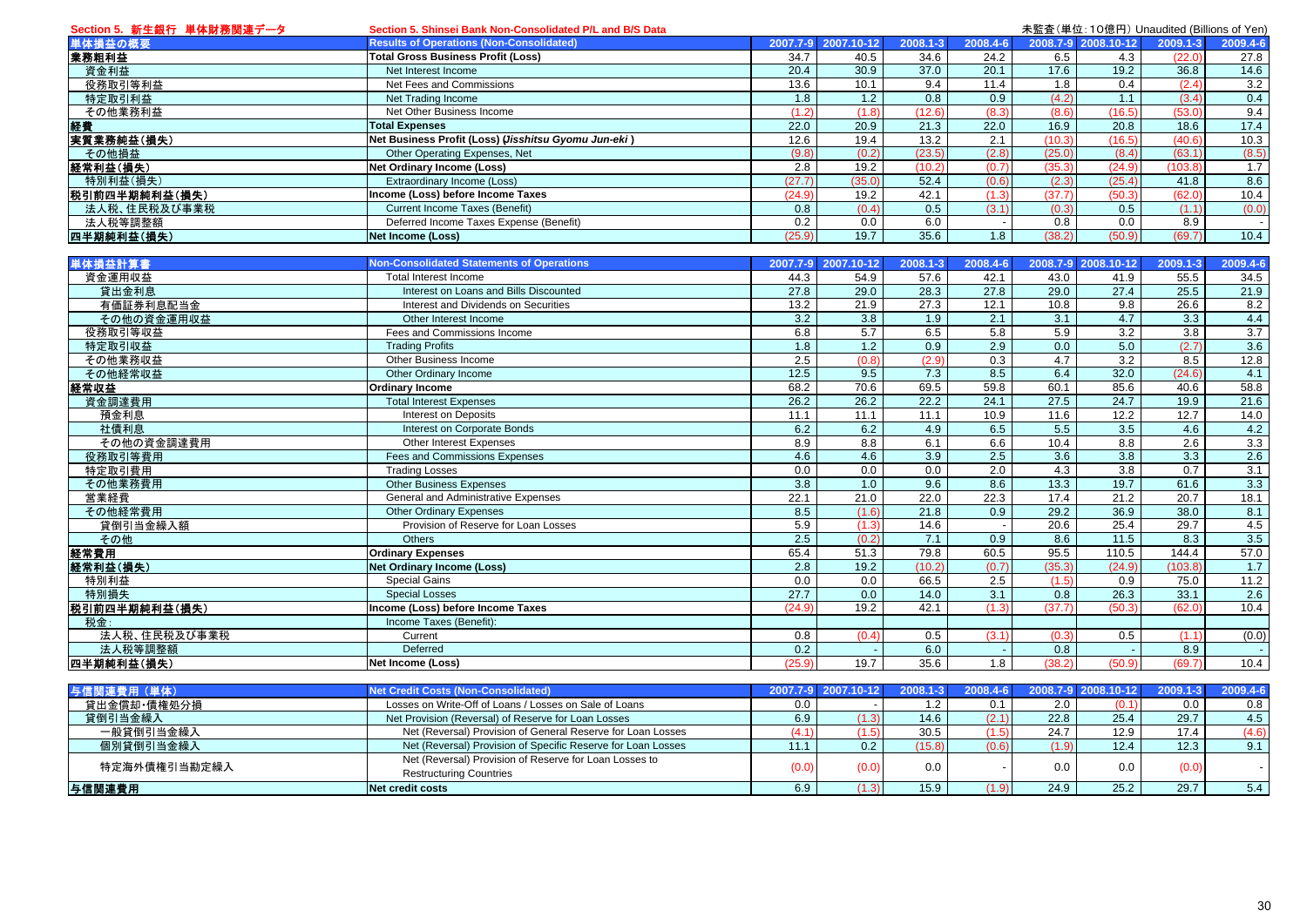| Section 5. 新生銀行 単体財務関連データ | Section 5. Shinsei Bank Non-Consolidated P/L and B/S Data    |                  |                     |          |                  | 未監査(単位:10億円) Unaudited (Billions of Yen) |                     |          |          |  |  |  |  |  |
|---------------------------|--------------------------------------------------------------|------------------|---------------------|----------|------------------|------------------------------------------|---------------------|----------|----------|--|--|--|--|--|
| 単体損益の概要                   | <b>Results of Operations (Non-Consolidated)</b>              |                  | 2007.7-9 2007.10-12 | 2008.1-3 | 2008.4-6         |                                          | 2008.7-9 2008.10-12 | 2009.1-3 | 2009.4-6 |  |  |  |  |  |
| 業務粗利益                     | <b>Total Gross Business Profit (Loss)</b>                    | 34.7             | 40.5                | 34.6     | 24.2             | 6.5                                      | 4.3                 | (22.0)   | 27.8     |  |  |  |  |  |
| 資金利益                      | Net Interest Income                                          | 20.4             | 30.9                | 37.0     | 20.1             | 17.6                                     | 19.2                | 36.8     | 14.6     |  |  |  |  |  |
| 役務取引等利益                   | Net Fees and Commissions                                     | 13.6             | 10.1                | 9.4      | 11.4             | 1.8                                      | 0.4                 | (2.4)    | 3.2      |  |  |  |  |  |
| 特定取引利益                    | Net Trading Income                                           | 1.8              | 1.2                 | 0.8      | 0.9              | (4.2)                                    | 1.1                 | (3.4)    | 0.4      |  |  |  |  |  |
| その他業務利益                   | Net Other Business Income                                    | (1.2)            | (1.8)               | (12.6)   | (8.3)            | (8.6)                                    | (16.5)              | (53.0)   | 9.4      |  |  |  |  |  |
| 経費                        | <b>Total Expenses</b>                                        | 22.0             | 20.9                | 21.3     | 22.0             | 16.9                                     | 20.8                | 18.6     | 17.4     |  |  |  |  |  |
| 実質業務純益(損失)                | Net Business Profit (Loss) (Jisshitsu Gyomu Jun-eki)         | 12.6             | 19.4                | 13.2     | 2.1              | (10.3)                                   | (16.5)              | (40.6)   | 10.3     |  |  |  |  |  |
| その他損益                     | Other Operating Expenses, Net                                | (9.8)            | (0.2)               | (23.5)   | (2.8)            | (25.0)                                   | (8.4)               | (63.1)   | (8.5)    |  |  |  |  |  |
| 経常利益(損失)                  | <b>Net Ordinary Income (Loss)</b>                            | 2.8              | 19.2                | (10.2)   | (0.7)            | (35.3)                                   | (24.9)              | (103.8)  | 1.7      |  |  |  |  |  |
| 特別利益(損失)                  | Extraordinary Income (Loss)                                  | (27.7)           | (35.0)              | 52.4     | (0.6)            | (2.3)                                    | (25.4)              | 41.8     | 8.6      |  |  |  |  |  |
| 税引前四半期純利益(損失)             | Income (Loss) before Income Taxes                            | (24.9)           | 19.2                | 42.1     | (1.3)            | (37.7)                                   | (50.3)              | (62.0)   | 10.4     |  |  |  |  |  |
| 法人税、住民税及び事業税              | <b>Current Income Taxes (Benefit)</b>                        | 0.8              | (0.4)               | 0.5      | (3.1)            | (0.3)                                    | 0.5                 | (1.1)    | (0.0)    |  |  |  |  |  |
| 法人税等調整額                   | Deferred Income Taxes Expense (Benefit)                      | 0.2              | 0.0                 | 6.0      | $\sim$           | 0.8                                      | 0.0                 | 8.9      | $\sim$   |  |  |  |  |  |
| 四半期純利益(損失)                | <b>Net Income (Loss)</b>                                     | (25.9)           | 19.7                | 35.6     | 1.8              | (38.2)                                   | (50.9)              | (69.7)   | 10.4     |  |  |  |  |  |
|                           |                                                              |                  |                     |          |                  |                                          |                     |          |          |  |  |  |  |  |
| 単体損益計算書                   | <b>Non-Consolidated Statements of Operations</b>             |                  | 2007.7-9 2007.10-12 | 2008.1-3 | 2008.4-6         |                                          | 2008.7-9 2008.10-12 | 2009.1-3 | 2009.4-6 |  |  |  |  |  |
| 資金運用収益                    | Total Interest Income                                        | 44.3             | 54.9                | 57.6     | 42.1             | 43.0                                     | 41.9                | 55.5     | 34.5     |  |  |  |  |  |
| 貸出金利息                     | Interest on Loans and Bills Discounted                       | 27.8             | 29.0                | 28.3     | 27.8             | 29.0                                     | 27.4                | 25.5     | 21.9     |  |  |  |  |  |
| 有価証券利息配当金                 | Interest and Dividends on Securities                         | 13.2             | 21.9                | 27.3     | 12.1             | 10.8                                     | 9.8                 | 26.6     | 8.2      |  |  |  |  |  |
| その他の資金運用収益                | Other Interest Income                                        | 3.2              | 3.8                 | 1.9      | 2.1              | 3.1                                      | 4.7                 | 3.3      | 4.4      |  |  |  |  |  |
| 役務取引等収益                   | Fees and Commissions Income                                  | 6.8              | 5.7                 | 6.5      | 5.8              | 5.9                                      | 3.2                 | 3.8      | 3.7      |  |  |  |  |  |
| 特定取引収益                    | <b>Trading Profits</b>                                       | 1.8              | 1.2                 | 0.9      | $\overline{2.9}$ | 0.0                                      | 5.0                 | (2.7)    | 3.6      |  |  |  |  |  |
| その他業務収益                   | Other Business Income                                        | 2.5              | (0.8)               | (2.9)    | 0.3              | 4.7                                      | 3.2                 | 8.5      | 12.8     |  |  |  |  |  |
| その他経常収益                   | Other Ordinary Income                                        | 12.5             | 9.5                 | 7.3      | 8.5              | 6.4                                      | 32.0                | (24.6)   | 4.1      |  |  |  |  |  |
| 経常収益                      | <b>Ordinary Income</b>                                       | 68.2             | 70.6                | 69.5     | 59.8             | 60.1                                     | 85.6                | 40.6     | 58.8     |  |  |  |  |  |
| 資金調達費用                    | <b>Total Interest Expenses</b>                               | 26.2             | 26.2                | 22.2     | 24.1             | 27.5                                     | 24.7                | 19.9     | 21.6     |  |  |  |  |  |
| 預金利息                      | <b>Interest on Deposits</b>                                  | 11.1             | 11.1                | 11.1     | 10.9             | 11.6                                     | 12.2                | 12.7     | 14.0     |  |  |  |  |  |
| 社債利息                      | Interest on Corporate Bonds                                  | 6.2              | 6.2                 | 4.9      | 6.5              | 5.5                                      | 3.5                 | 4.6      | 4.2      |  |  |  |  |  |
| その他の資金調達費用                | Other Interest Expenses                                      | 8.9              | 8.8                 | 6.1      | 6.6              | 10.4                                     | 8.8                 | 2.6      | 3.3      |  |  |  |  |  |
| 役務取引等費用                   | Fees and Commissions Expenses                                | 4.6              | 4.6                 | 3.9      | 2.5              | 3.6                                      | 3.8                 | 3.3      | 2.6      |  |  |  |  |  |
| 特定取引費用                    | <b>Trading Losses</b>                                        | 0.0              | 0.0                 | 0.0      | $\overline{2.0}$ | 4.3                                      | 3.8                 | 0.7      | 3.1      |  |  |  |  |  |
| その他業務費用                   | <b>Other Business Expenses</b>                               | $\overline{3.8}$ | 1.0                 | 9.6      | 8.6              | 13.3                                     | 19.7                | 61.6     | 3.3      |  |  |  |  |  |
| 営業経費                      | General and Administrative Expenses                          | 22.1             | 21.0                | 22.0     | 22.3             | 17.4                                     | 21.2                | 20.7     | 18.1     |  |  |  |  |  |
| その他経常費用                   | <b>Other Ordinary Expenses</b>                               | 8.5              | (1.6)               | 21.8     | 0.9              | 29.2                                     | 36.9                | 38.0     | 8.1      |  |  |  |  |  |
| 貸倒引当金繰入額                  | Provision of Reserve for Loan Losses                         | 5.9              | (1.3)               | 14.6     |                  | 20.6                                     | 25.4                | 29.7     | 4.5      |  |  |  |  |  |
| その他                       | <b>Others</b>                                                | 2.5              | (0.2)               | 7.1      | 0.9              | 8.6                                      | 11.5                | 8.3      | 3.5      |  |  |  |  |  |
| 経常費用                      | <b>Ordinary Expenses</b>                                     | 65.4             | 51.3                | 79.8     | 60.5             | 95.5                                     | 110.5               | 144.4    | 57.0     |  |  |  |  |  |
| 経常利益(損失)                  | <b>Net Ordinary Income (Loss)</b>                            | 2.8              | 19.2                | (10.2)   | (0.7)            | (35.3)                                   | (24.9)              | (103.8)  | 1.7      |  |  |  |  |  |
| 特別利益                      | <b>Special Gains</b>                                         | 0.0              | 0.0                 | 66.5     | 2.5              | (1.5)                                    | 0.9                 | 75.0     | 11.2     |  |  |  |  |  |
| 特別損失                      | <b>Special Losses</b>                                        | 27.7             | 0.0                 | 14.0     | 3.1              | 0.8                                      | 26.3                | 33.1     | 2.6      |  |  |  |  |  |
| 税引前四半期純利益(損失)             | Income (Loss) before Income Taxes                            | (24.9)           | 19.2                | 42.1     | (1.3)            | (37.7)                                   | (50.3)              | (62.0)   | 10.4     |  |  |  |  |  |
| 税金:                       | Income Taxes (Benefit):                                      |                  |                     |          |                  |                                          |                     |          |          |  |  |  |  |  |
|                           | Current                                                      | 0.8              | (0.4)               | 0.5      | (3.1)            | (0.3)                                    | 0.5                 | (1.1)    |          |  |  |  |  |  |
| 法人税、住民税及び事業税              | Deferred                                                     | 0.2              |                     | 6.0      |                  | 0.8                                      |                     | 8.9      | (0.0)    |  |  |  |  |  |
| 法人税等調整額                   |                                                              | (25.9)           | 19.7                | 35.6     | 1.8              | (38.2)                                   |                     | (69.7)   |          |  |  |  |  |  |
| 四半期純利益(損失)                | <b>Net Income (Loss)</b>                                     |                  |                     |          |                  |                                          | (50.9)              |          | 10.4     |  |  |  |  |  |
|                           | <b>Net Credit Costs (Non-Consolidated)</b>                   |                  |                     |          |                  |                                          |                     |          | 2009.4-6 |  |  |  |  |  |
| 与信関連費用 (単体)               |                                                              |                  | 2007.7-9 2007.10-12 | 2008.1-3 | 2008.4-6         |                                          | 2008.7-9 2008.10-12 | 2009.1-3 |          |  |  |  |  |  |
| 貸出金償却・債権処分損               | Losses on Write-Off of Loans / Losses on Sale of Loans       | 0.0              |                     | 1.2      | 0.1              | 2.0                                      | (0.1)               | 0.0      | 0.8      |  |  |  |  |  |
| 貸倒引当金繰入                   | Net Provision (Reversal) of Reserve for Loan Losses          | 6.9              | (1.3)               | 14.6     | (2.1)            | 22.8                                     | 25.4                | 29.7     | 4.5      |  |  |  |  |  |
| 一般貸倒引当金繰入                 | Net (Reversal) Provision of General Reserve for Loan Losses  | (4.1)            | (1.5)               | 30.5     | (1.5)            | 24.7                                     | 12.9                | 17.4     | (4.6)    |  |  |  |  |  |
| 個別貸倒引当金繰入                 | Net (Reversal) Provision of Specific Reserve for Loan Losses | 11.1             | 0.2                 | (15.8)   | (0.6)            | (1.9)                                    | 12.4                | 12.3     | 9.1      |  |  |  |  |  |
| 特定海外債権引当勘定繰入              | Net (Reversal) Provision of Reserve for Loan Losses to       | (0.0)            | (0.0)               | 0.0      |                  | 0.0                                      | 0.0                 | (0.0)    |          |  |  |  |  |  |
|                           | <b>Restructuring Countries</b>                               |                  |                     |          |                  |                                          |                     |          |          |  |  |  |  |  |
| 与信関連費用                    | <b>Net credit costs</b>                                      | 6.9              | (1.3)               | 15.9     | (1.9)            | 24.9                                     | 25.2                | 29.7     | 5.4      |  |  |  |  |  |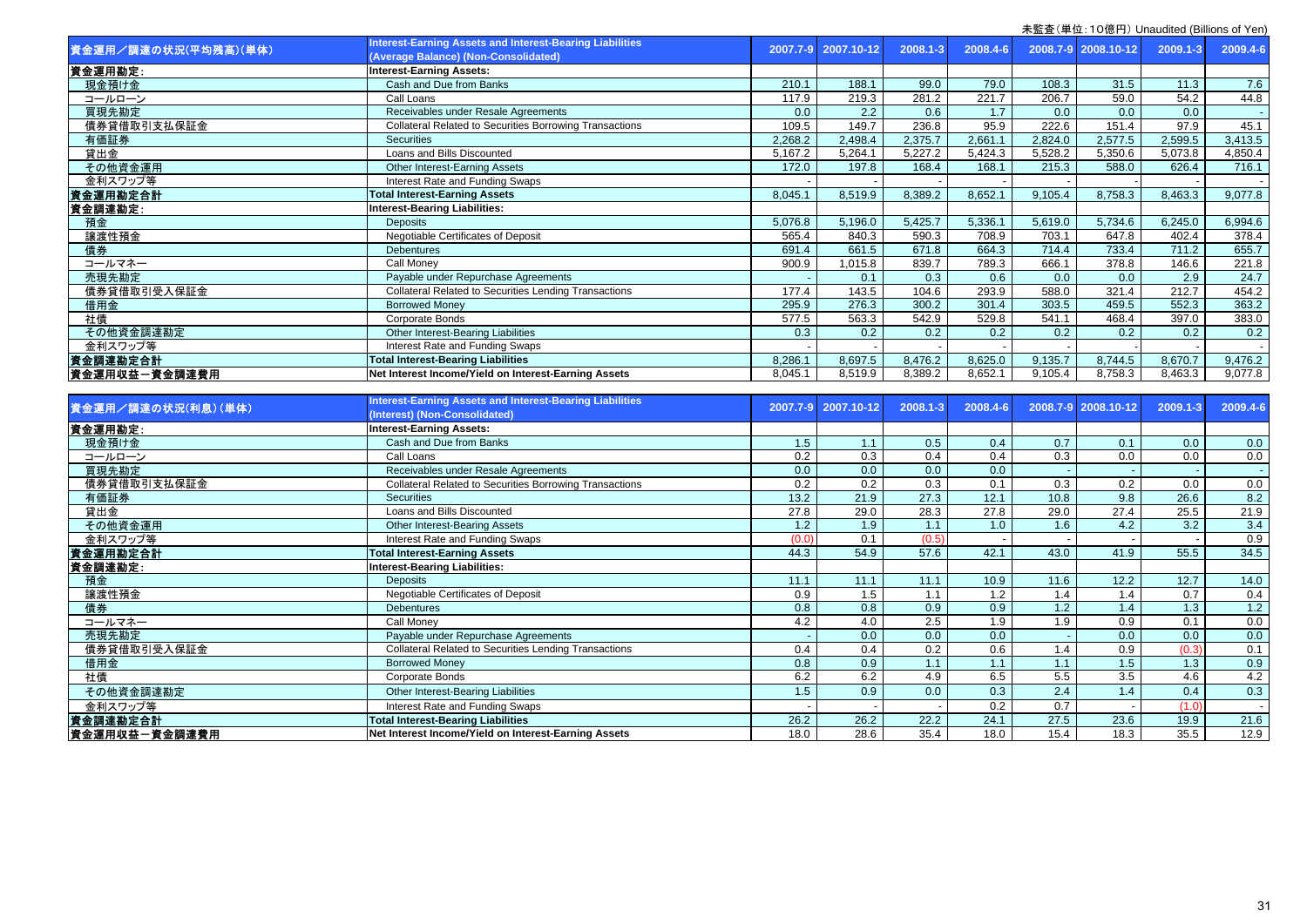| 資金運用/調達の状況(平均残高)(単体) | <b>Interest-Earning Assets and Interest-Bearing Liabilities</b><br>(Average Balance) (Non-Consolidated) | 2007.7-9 | 2007.10-12 | 2008.1-3 | 2008.4-6         |         | 2008.7-9 2008.10-12 | 2009.1-3 | 2009.4-6                 |
|----------------------|---------------------------------------------------------------------------------------------------------|----------|------------|----------|------------------|---------|---------------------|----------|--------------------------|
| 資金運用勘定:              | <b>Interest-Earning Assets:</b>                                                                         |          |            |          |                  |         |                     |          |                          |
| 現金預け金                | Cash and Due from Banks                                                                                 | 210.1    | 188.1      | 99.0     | 79.0             | 108.3   | 31.5                | 11.3     | 7.6                      |
| コールローン               | Call Loans                                                                                              | 117.9    | 219.3      | 281.2    | 221.7            | 206.7   | 59.0                | 54.2     | 44.8                     |
| 買現先勘定                | Receivables under Resale Agreements                                                                     | 0.0      | 2.2        | 0.6      | 1.7              | 0.0     | 0.0                 | 0.0      |                          |
| 債券貸借取引支払保証金          | <b>Collateral Related to Securities Borrowing Transactions</b>                                          | 109.5    | 149.7      | 236.8    | 95.9             | 222.6   | 151.4               | 97.9     | 45.1                     |
| 有価証券                 | Securities                                                                                              | 2,268.2  | 2,498.4    | 2,375.7  | 2,661.1          | 2,824.0 | 2,577.5             | 2,599.5  | 3,413.5                  |
| 貸出金                  | Loans and Bills Discounted                                                                              | 5,167.2  | 5,264.1    | 5,227.2  | 5,424.3          | 5,528.2 | 5,350.6             | 5,073.8  | 4,850.4                  |
| その他資金運用              | Other Interest-Earning Assets                                                                           | 172.0    | 197.8      | 168.4    | 168.1            | 215.3   | 588.0               | 626.4    | 716.1                    |
| 金利スワップ等              | Interest Rate and Funding Swaps                                                                         |          |            |          |                  |         |                     |          |                          |
| 資金運用勘定合計             | <b>Total Interest-Earning Assets</b>                                                                    | 8,045.1  | 8,519.9    | 8,389.2  | 8,652.1          | 9,105.4 | 8,758.3             | 8,463.3  | 9,077.8                  |
| 資金調達勘定:              | <b>Interest-Bearing Liabilities:</b>                                                                    |          |            |          |                  |         |                     |          |                          |
| 預金                   | <b>Deposits</b>                                                                                         | 5,076.8  | 5,196.0    | 5,425.7  | 5,336.1          | 5,619.0 | 5,734.6             | 6,245.0  | 6,994.6                  |
| 讓渡性預金                | Negotiable Certificates of Deposit                                                                      | 565.4    | 840.3      | 590.3    | 708.9            | 703.1   | 647.8               | 402.4    | 378.4                    |
| 債券                   | <b>Debentures</b>                                                                                       | 691.4    | 661.5      | 671.8    | 664.3            | 714.4   | 733.4               | 711.2    | 655.7                    |
| コールマネー               | Call Monev                                                                                              | 900.9    | 1,015.8    | 839.7    | 789.3            | 666.1   | 378.8               | 146.6    | 221.8                    |
| 売現先勘定                | Payable under Repurchase Agreements                                                                     |          | 0.1        | 0.3      | 0.6              | 0.0     | 0.0                 | 2.9      | 24.7                     |
| 債券貸借取引受入保証金          | <b>Collateral Related to Securities Lending Transactions</b>                                            | 177.4    | 143.5      | 104.6    | 293.9            | 588.0   | 321.4               | 212.7    | 454.2                    |
| 借用金                  | <b>Borrowed Money</b>                                                                                   | 295.9    | 276.3      | 300.2    | 301.4            | 303.5   | 459.5               | 552.3    | 363.2                    |
| 社債                   | <b>Corporate Bonds</b>                                                                                  | 577.5    | 563.3      | 542.9    | 529.8            | 541.1   | 468.4               | 397.0    | 383.0                    |
| その他資金調達勘定            | Other Interest-Bearing Liabilities                                                                      | 0.3      | 0.2        | 0.2      | 0.2              | 0.2     | 0.2                 | 0.2      | 0.2                      |
| 金利スワップ等              | <b>Interest Rate and Funding Swaps</b>                                                                  |          |            |          |                  |         |                     |          |                          |
| 資金調達勘定合計             | <b>Total Interest-Bearing Liabilities</b>                                                               | 8,286.1  | 8,697.5    | 8,476.2  | 8,625.0          | 9,135.7 | 8,744.5             | 8,670.7  | 9,476.2                  |
| 資金運用収益一資金調達費用        | Net Interest Income/Yield on Interest-Earning Assets                                                    | 8,045.1  | 8,519.9    | 8,389.2  | 8,652.1          | 9,105.4 | 8,758.3             | 8,463.3  | 9,077.8                  |
|                      |                                                                                                         |          |            |          |                  |         |                     |          |                          |
|                      | <b>Interest-Earning Assets and Interest-Bearing Liabilities</b>                                         |          |            |          |                  |         |                     |          |                          |
| 資金運用/調達の状況(利息)(単体)   | (Interest) (Non-Consolidated)                                                                           | 2007.7-9 | 2007.10-12 | 2008.1-3 | 2008.4-6         |         | 2008.7-9 2008.10-12 | 2009.1-3 | 2009.4-6                 |
| 資金運用勘定:              | <b>Interest-Earning Assets:</b>                                                                         |          |            |          |                  |         |                     |          |                          |
| 現金預け金                | Cash and Due from Banks                                                                                 | 1.5      | 1.1        | 0.5      | 0.4              | 0.7     | 0.1                 | 0.0      | 0.0                      |
| コールローン               | Call Loans                                                                                              | 0.2      | 0.3        | 0.4      | 0.4              | 0.3     | 0.0                 | 0.0      | 0.0                      |
| 買現先勘定                | Receivables under Resale Agreements                                                                     | 0.0      | 0.0        | 0.0      | 0.0              |         |                     |          | $\overline{\phantom{a}}$ |
| 債券貸借取引支払保証金          | Collateral Related to Securities Borrowing Transactions                                                 | 0.2      | 0.2        | 0.3      | 0.1              | 0.3     | 0.2                 | 0.0      | 0.0                      |
| 有価証券                 | <b>Securities</b>                                                                                       | 13.2     | 21.9       | 27.3     | 12.1             | 10.8    | 9.8                 | 26.6     | 8.2                      |
| 貸出金                  | Loans and Bills Discounted                                                                              | 27.8     | 29.0       | 28.3     | 27.8             | 29.0    | 27.4                | 25.5     | 21.9                     |
| その他資金運用              | Other Interest-Bearing Assets                                                                           | 1.2      | 1.9        | 1.1      | 1.0              | 1.6     | 4.2                 | 3.2      | 3.4                      |
| 金利スワップ等              | Interest Rate and Funding Swaps                                                                         | (0.0)    | 0.1        | (0.5)    |                  |         |                     |          | 0.9                      |
| 資金運用勘定合計             | <b>Total Interest-Earning Assets</b>                                                                    | 44.3     | 54.9       | 57.6     | 42.1             | 43.0    | 41.9                | 55.5     | 34.5                     |
| 資金調達勘定:              | <b>Interest-Bearing Liabilities:</b>                                                                    |          |            |          |                  |         |                     |          |                          |
| 預金                   | <b>Deposits</b>                                                                                         | 11.1     | 11.1       | 11.1     | 10.9             | 11.6    | 12.2                | 12.7     | 14.0                     |
| 讓渡性預金                | Negotiable Certificates of Deposit                                                                      | 0.9      | 1.5        | 1.1      | $\overline{1.2}$ | 1.4     | 1.4                 | 0.7      | 0.4                      |
| 債券                   | <b>Debentures</b>                                                                                       | 0.8      | 0.8        | 0.9      | 0.9              | 1.2     | 1.4                 | 1.3      | 1.2                      |
| コールマネー               | Call Money                                                                                              | 4.2      | 4.0        | 2.5      | 1.9              | 1.9     | 0.9                 | 0.1      | 0.0                      |
| 売現先勘定                | Payable under Repurchase Agreements                                                                     |          | 0.0        | 0.0      | 0.0              |         | 0.0                 | 0.0      | 0.0                      |
| 債券貸借取引受入保証金          | <b>Collateral Related to Securities Lending Transactions</b>                                            | 0.4      | 0.4        | 0.2      | 0.6              | 1.4     | 0.9                 | (0.3)    | 0.1                      |
| 借用金                  | <b>Borrowed Money</b>                                                                                   | 0.8      | 0.9        | 1.1      | 1.1              | 1.1     | 1.5                 | 1.3      | 0.9                      |
| 社債                   | Corporate Bonds                                                                                         | 6.2      | 6.2        | 4.9      | 6.5              | 5.5     | 3.5                 | 4.6      | 4.2                      |
| その他資金調達勘定            |                                                                                                         | 1.5      |            | 0.0      | 0.3              | 2.4     | 1.4                 | 0.4      | 0.3                      |
|                      | Other Interest-Bearing Liabilities                                                                      |          | 0.9        |          |                  |         |                     |          |                          |
|                      | Interest Rate and Funding Swaps                                                                         |          |            |          | 0.2              | 0.7     |                     | (1.0)    | $\sim$                   |
| 金利スワップ等<br>資金調達勘定合計  | <b>Total Interest-Bearing Liabilities</b>                                                               | 26.2     | 26.2       | 22.2     | 24.1             | 27.5    | 23.6                | 19.9     | 21.6                     |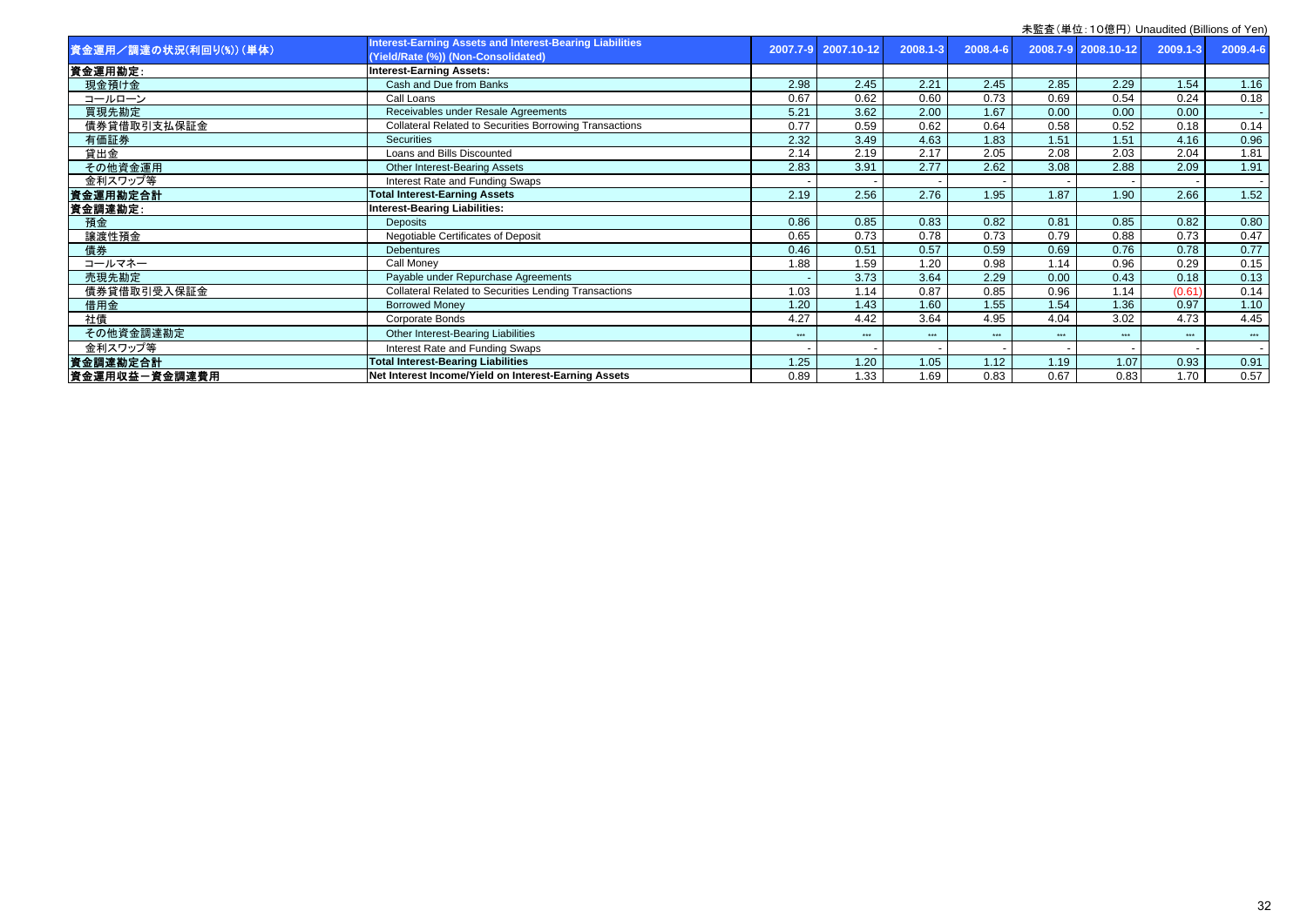| 資金運用/調達の状況(利回り(%)) (単体) | <b>Interest-Earning Assets and Interest-Bearing Liabilities</b><br>(Yield/Rate (%)) (Non-Consolidated) |      | 2007.7-9 2007.10-12 | 2008.1-3 | 2008.4-6 |       | 2008.7-9 2008.10-12 | $2009.1 - 3$ | 2009.4-6 |
|-------------------------|--------------------------------------------------------------------------------------------------------|------|---------------------|----------|----------|-------|---------------------|--------------|----------|
| 資金運用勘定:                 | <b>Interest-Earning Assets:</b>                                                                        |      |                     |          |          |       |                     |              |          |
| 現金預け金                   | Cash and Due from Banks                                                                                | 2.98 | 2.45                | 2.21     | 2.45     | 2.85  | 2.29                | 1.54         | 1.16     |
| コールローン                  | Call Loans                                                                                             | 0.67 | 0.62                | 0.60     | 0.73     | 0.69  | 0.54                | 0.24         | 0.18     |
| 買現先勘定                   | Receivables under Resale Agreements                                                                    | 5.21 | 3.62                | 2.00     | 1.67     | 0.00  | 0.00                | 0.00         |          |
| 債券貸借取引支払保証金             | <b>Collateral Related to Securities Borrowing Transactions</b>                                         | 0.77 | 0.59                | 0.62     | 0.64     | 0.58  | 0.52                | 0.18         | 0.14     |
| 有価証券                    | Securities                                                                                             | 2.32 | 3.49                | 4.63     | 1.83     | 1.51  | 1.51                | 4.16         | 0.96     |
| 貸出金                     | Loans and Bills Discounted                                                                             | 2.14 | 2.19                | 2.17     | 2.05     | 2.08  | 2.03                | 2.04         | 1.81     |
| その他資金運用                 | Other Interest-Bearing Assets                                                                          | 2.83 | 3.91                | 2.77     | 2.62     | 3.08  | 2.88                | 2.09         | 1.91     |
| 金利スワップ等                 | Interest Rate and Funding Swaps                                                                        |      |                     |          |          |       |                     |              |          |
| 資金運用勘定合計                | <b>Total Interest-Earning Assets</b>                                                                   | 2.19 | 2.56                | 2.76     | 1.95     | 1.87  | 1.90                | 2.66         | 1.52     |
| 資金調達勘定:                 | <b>Interest-Bearing Liabilities:</b>                                                                   |      |                     |          |          |       |                     |              |          |
| 預金                      | <b>Deposits</b>                                                                                        | 0.86 | 0.85                | 0.83     | 0.82     | 0.81  | 0.85                | 0.82         | 0.80     |
| 讓渡性預金                   | Negotiable Certificates of Deposit                                                                     | 0.65 | 0.73                | 0.78     | 0.73     | 0.79  | 0.88                | 0.73         | 0.47     |
| 債券                      | <b>Debentures</b>                                                                                      | 0.46 | 0.51                | 0.57     | 0.59     | 0.69  | 0.76                | 0.78         | 0.77     |
| コールマネー                  | Call Monev                                                                                             | 1.88 | 1.59                | 1.20     | 0.98     | 1.14  | 0.96                | 0.29         | 0.15     |
| 売現先勘定                   | Payable under Repurchase Agreements                                                                    |      | 3.73                | 3.64     | 2.29     | 0.00  | 0.43                | 0.18         | 0.13     |
| 債券貸借取引受入保証金             | <b>Collateral Related to Securities Lending Transactions</b>                                           | 1.03 | 1.14                | 0.87     | 0.85     | 0.96  | 1.14                | (0.61)       | 0.14     |
| 借用金                     | <b>Borrowed Money</b>                                                                                  | 1.20 | 1.43                | 1.60     | 1.55     | 1.54  | 1.36                | 0.97         | 1.10     |
| 社債                      | Corporate Bonds                                                                                        | 4.27 | 4.42                | 3.64     | 4.95     | 4.04  | 3.02                | 4.73         | 4.45     |
| その他資金調達勘定               | Other Interest-Bearing Liabilities                                                                     | ***  | ***                 | ***      | ***      | $***$ | ***                 | ***          | ***      |
| 金利スワップ等                 | Interest Rate and Funding Swaps                                                                        |      |                     |          |          |       |                     |              |          |
| 資金調達勘定合計                | <b>Total Interest-Bearing Liabilities</b>                                                              | 1.25 | 1.20                | 1.05     | 1.12     | 1.19  | 1.07                | 0.93         | 0.91     |
| 資金運用収益一資金調達費用           | Net Interest Income/Yield on Interest-Earning Assets                                                   | 0.89 | 1.33                | 1.69     | 0.83     | 0.67  | 0.83                | 1.70         | 0.57     |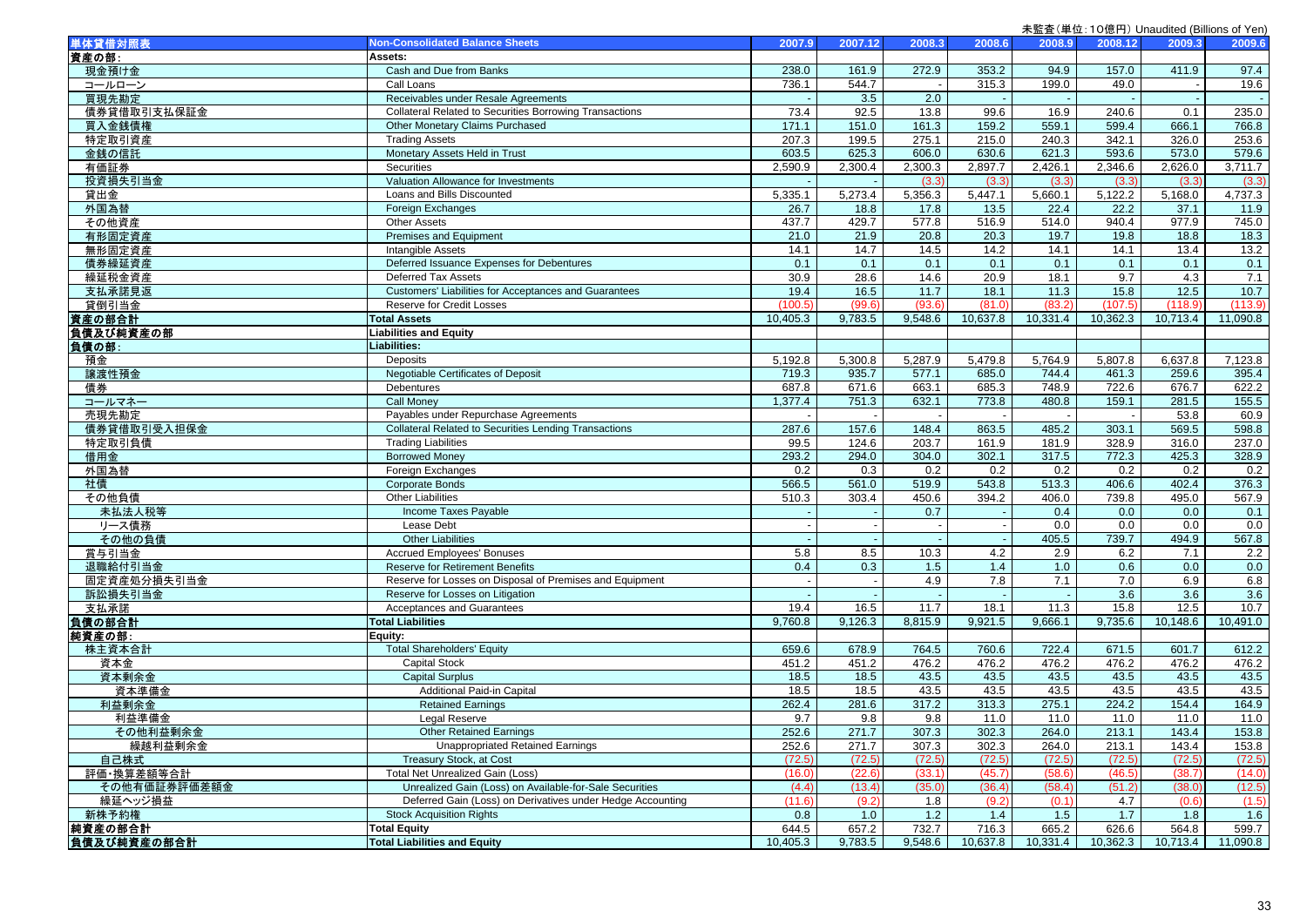| 単体貸借対照表             | <b>Non-Consolidated Balance Sheets</b>                         | 2007.9   | 2007.12 | 2008.3                   | 2008.6   | 2008.9   | 2008.12  | 2009.3   | 2009.6   |
|---------------------|----------------------------------------------------------------|----------|---------|--------------------------|----------|----------|----------|----------|----------|
| 資産の部:               | Assets:                                                        |          |         |                          |          |          |          |          |          |
| 現金預け金               | Cash and Due from Banks                                        | 238.0    | 161.9   | 272.9                    | 353.2    | 94.9     | 157.0    | 411.9    | 97.4     |
| コールローン              | Call Loans                                                     | 736.1    | 544.7   |                          | 315.3    | 199.0    | 49.0     |          | 19.6     |
| 買現先勘定               | Receivables under Resale Agreements                            |          | 3.5     | 2.0                      |          |          |          |          |          |
| 債券貸借取引支払保証金         | <b>Collateral Related to Securities Borrowing Transactions</b> | 73.4     | 92.5    | 13.8                     | 99.6     | 16.9     | 240.6    | 0.1      | 235.0    |
| 買入金銭債権              | Other Monetary Claims Purchased                                | 171.1    | 151.0   | 161.3                    | 159.2    | 559.1    | 599.4    | 666.1    | 766.8    |
| 特定取引資産              | <b>Trading Assets</b>                                          | 207.3    | 199.5   | 275.1                    | 215.0    | 240.3    | 342.1    | 326.0    | 253.6    |
| 金銭の信託               | Monetary Assets Held in Trust                                  | 603.5    | 625.3   | 606.0                    | 630.6    | 621.3    | 593.6    | 573.0    | 579.6    |
| 有価証券                | Securities                                                     | 2,590.9  | 2,300.4 | 2,300.3                  | 2,897.7  | 2,426.1  | 2,346.6  | 2,626.0  | 3,711.7  |
| 投資損失引当金             | Valuation Allowance for Investments                            |          |         | (3.3)                    | (3.3)    | (3.3)    | (3.3)    | (3.3)    | (3.3)    |
| 貸出金                 | Loans and Bills Discounted                                     | 5,335.1  | 5,273.4 | 5,356.3                  | 5,447.1  | 5,660.1  | 5,122.2  | 5,168.0  | 4,737.3  |
| 外国為替                | Foreign Exchanges                                              | 26.7     | 18.8    | 17.8                     | 13.5     | 22.4     | 22.2     | 37.1     | 11.9     |
| その他資産               | <b>Other Assets</b>                                            | 437.7    | 429.7   | 577.8                    | 516.9    | 514.0    | 940.4    | 977.9    | 745.0    |
| 有形固定資産              | Premises and Equipment                                         | 21.0     | 21.9    | 20.8                     | 20.3     | 19.7     | 19.8     | 18.8     | 18.3     |
| 無形固定資産              | <b>Intangible Assets</b>                                       | 14.1     | 14.7    | 14.5                     | 14.2     | 14.1     | 14.1     | 13.4     | 13.2     |
| 債券繰延資産              | Deferred Issuance Expenses for Debentures                      | 0.1      | 0.1     | 0.1                      | 0.1      | 0.1      | 0.1      | 0.1      | 0.1      |
| 繰延税金資産              | Deferred Tax Assets                                            | 30.9     | 28.6    | 14.6                     | 20.9     | 18.1     | 9.7      | 4.3      | 7.1      |
| 支払承諾見返              | Customers' Liabilities for Acceptances and Guarantees          | 19.4     | 16.5    | 11.7                     | 18.1     | 11.3     | 15.8     | 12.5     | $10.7$   |
| 貸倒引当金               | Reserve for Credit Losses                                      | 100.5    | (99.6)  | (93.6)                   | (81.0)   | (83.2)   | (107.5)  | (118.9)  | (113.9)  |
|                     | <b>Total Assets</b>                                            | 10,405.3 | 9,783.5 | 9,548.6                  | 10,637.8 | 10,331.4 | 10,362.3 | 10,713.4 | 11,090.8 |
| 資産の部合計<br>負債及び純資産の部 | <b>Liabilities and Equity</b>                                  |          |         |                          |          |          |          |          |          |
| 負債の部:               | Liabilities:                                                   |          |         |                          |          |          |          |          |          |
| 預金                  | Deposits                                                       | 5,192.8  | 5,300.8 | 5,287.9                  | 5,479.8  | 5,764.9  | 5,807.8  | 6,637.8  | 7,123.8  |
| 讓渡性預金               | Negotiable Certificates of Deposit                             | 719.3    | 935.7   | 577.1                    | 685.0    | 744.4    | 461.3    | 259.6    | 395.4    |
| 債券                  | Debentures                                                     | 687.8    | 671.6   | 663.1                    | 685.3    | 748.9    | 722.6    | 676.7    | 622.2    |
| コールマネー              | <b>Call Money</b>                                              | 1,377.4  | 751.3   | 632.1                    | 773.8    | 480.8    | 159.1    | 281.5    | 155.5    |
| 売現先勘定               | Payables under Repurchase Agreements                           |          |         |                          |          |          |          | 53.8     | 60.9     |
| 債券貸借取引受入担保金         | <b>Collateral Related to Securities Lending Transactions</b>   | 287.6    | 157.6   | 148.4                    | 863.5    | 485.2    | 303.1    | 569.5    | 598.8    |
| 特定取引負債              | <b>Trading Liabilities</b>                                     | 99.5     | 124.6   | 203.7                    | 161.9    | 181.9    | 328.9    | 316.0    | 237.0    |
| 借用金                 | <b>Borrowed Money</b>                                          | 293.2    | 294.0   | 304.0                    | 302.1    | 317.5    | 772.3    | 425.3    | 328.9    |
| 外国為替                | Foreign Exchanges                                              | 0.2      | 0.3     | 0.2                      | 0.2      | 0.2      | 0.2      | 0.2      | 0.2      |
| 社債                  | <b>Corporate Bonds</b>                                         | 566.5    | 561.0   | 519.9                    | 543.8    | 513.3    | 406.6    | 402.4    | 376.3    |
| その他負債               | <b>Other Liabilities</b>                                       | 510.3    | 303.4   | 450.6                    | 394.2    | 406.0    | 739.8    | 495.0    | 567.9    |
| 未払法人税等              | Income Taxes Payable                                           |          |         | 0.7                      |          | 0.4      | 0.0      | 0.0      | 0.1      |
| リース債務               | Lease Debt                                                     |          | $\sim$  | $\overline{\phantom{a}}$ |          | 0.0      | 0.0      | 0.0      | 0.0      |
| その他の負債              | <b>Other Liabilities</b>                                       |          |         |                          |          | 405.5    | 739.7    | 494.9    | 567.8    |
| 賞与引当金               | <b>Accrued Employees' Bonuses</b>                              | 5.8      | 8.5     | 10.3                     | 4.2      | 2.9      | 6.2      | 7.1      | 2.2      |
| 退職給付引当金             | <b>Reserve for Retirement Benefits</b>                         | 0.4      | 0.3     | 1.5                      | 1.4      | 1.0      | 0.6      | 0.0      | 0.0      |
| 固定資産処分損失引当金         | Reserve for Losses on Disposal of Premises and Equipment       |          | $\sim$  | 4.9                      | 7.8      | 7.1      | 7.0      | 6.9      | 6.8      |
| 訴訟損失引当金             | Reserve for Losses on Litigation                               |          |         |                          |          |          | 3.6      | 3.6      | 3.6      |
| 支払承諾                | Acceptances and Guarantees                                     | 19.4     | 16.5    | 11.7                     | 18.1     | 11.3     | 15.8     | 12.5     | 10.7     |
| 負債の部合計              | <b>Total Liabilities</b>                                       | 9,760.8  | 9,126.3 | 8,815.9                  | 9,921.5  | 9,666.1  | 9,735.6  | 10,148.6 | 10,491.0 |
| 純資産の部:              | Equity:                                                        |          |         |                          |          |          |          |          |          |
| 株主資本合計              | <b>Total Shareholders' Equity</b>                              | 659.6    | 678.9   | 764.5                    | 760.6    | 722.4    | 671.5    | 601.7    | 612.2    |
| 資本金                 | <b>Capital Stock</b>                                           | 451.2    | 451.2   | 476.2                    | 476.2    | 476.2    | 476.2    | 476.2    | 476.2    |
| 資本剰余金               | Capital Surplus                                                | 18.5     | 18.5    | 43.5                     | 43.5     | 43.5     | 43.5     | 43.5     | 43.5     |
| 資本準備金               | Additional Paid-in Capital                                     | 18.5     | 18.5    | 43.5                     | 43.5     | 43.5     | 43.5     | 43.5     | 43.5     |
| 利益剰余金               | <b>Retained Earnings</b>                                       | 262.4    | 281.6   | 317.2                    | 313.3    | 275.1    | 224.2    | 154.4    | 164.9    |
| 利益準備金               | Legal Reserve                                                  | 9.7      | 9.8     | 9.8                      | 11.0     | 11.0     | 11.0     | 11.0     | 11.0     |
| その他利益剰余金            | <b>Other Retained Earnings</b>                                 | 252.6    | 271.7   | 307.3                    | 302.3    | 264.0    | 213.1    | 143.4    | 153.8    |
| 繰越利益剰余金             | <b>Unappropriated Retained Earnings</b>                        | 252.6    | 271.7   | 307.3                    | 302.3    | 264.0    | 213.1    | 143.4    | 153.8    |
| 自己株式                | Treasury Stock, at Cost                                        | (72.5)   | (72.5)  | (72.5)                   | (72.5)   | (72.5)   | (72.5)   | (72.5)   | (72.5)   |
| 評価・換算差額等合計          | Total Net Unrealized Gain (Loss)                               | (16.0)   | (22.6)  | (33.1)                   | (45.7)   | (58.6)   | (46.5)   | (38.7)   | (14.0)   |
| その他有価証券評価差額金        | Unrealized Gain (Loss) on Available-for-Sale Securities        | (4.4)    | (13.4)  | (35.0)                   | (36.4)   | (58.4)   | (51.2)   | (38.0)   | (12.5)   |
| 繰延ヘッジ損益             | Deferred Gain (Loss) on Derivatives under Hedge Accounting     | (11.6)   | (9.2)   | 1.8                      | (9.2)    | (0.1)    | 4.7      | (0.6)    | (1.5)    |
| 新株予約権               | <b>Stock Acquisition Rights</b>                                | 0.8      | 1.0     | 1.2                      | 1.4      | 1.5      | 1.7      | 1.8      | 1.6      |
| 純資産の部合計             | <b>Total Equity</b>                                            | 644.5    | 657.2   | 732.7                    | 716.3    | 665.2    | 626.6    | 564.8    | 599.7    |
| 負債及び純資産の部合計         | <b>Total Liabilities and Equity</b>                            | 10,405.3 | 9,783.5 | 9,548.6                  | 10,637.8 | 10,331.4 | 10,362.3 | 10,713.4 | 11,090.8 |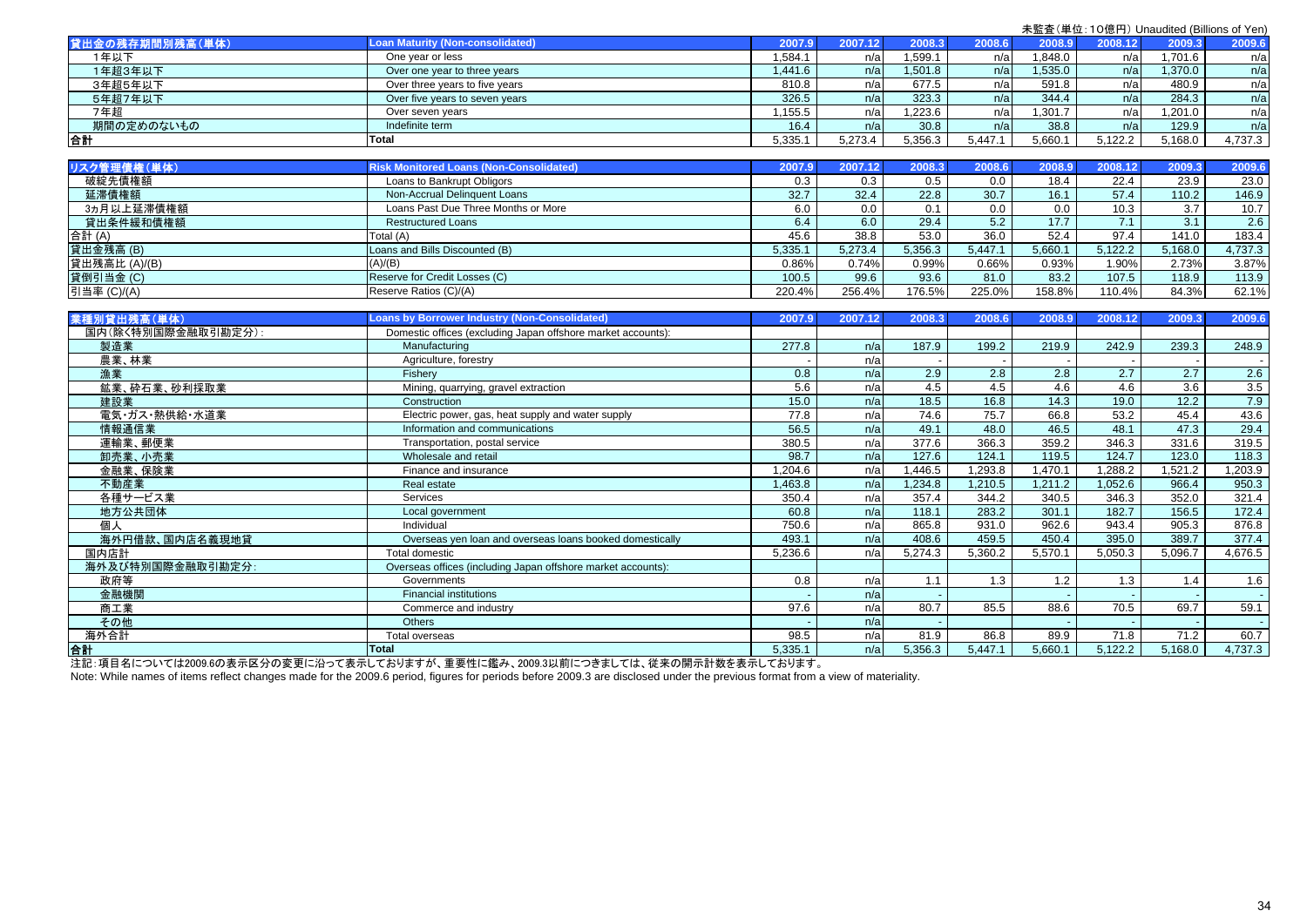| 未監査(単位:10億円) Unaudited (Billions of Yen) |  |  |  |
|------------------------------------------|--|--|--|
|------------------------------------------|--|--|--|

| 貸出金の残存期間別残高(単体)    | <b>Loan Maturity (Non-consolidated)</b>                      | 2007.9           | 2007.12 | 2008.3            | 2008.6           | 2008.9           | 2008.12 | 2009.3           | 2009.6  |
|--------------------|--------------------------------------------------------------|------------------|---------|-------------------|------------------|------------------|---------|------------------|---------|
| 1年以下               | One year or less                                             | 1,584.1          | n/a     | 1,599.1           | n/a              | 1,848.0          | n/a     | 1,701.6          | n/a     |
| 1年超3年以下            | Over one year to three years                                 | 1,441.6          | n/a     | 1,501.8           | n/a              | 1,535.0          | n/a     | 1,370.0          | n/a     |
| 3年超5年以下            | Over three years to five years                               | 810.8            | n/a     | 677.5             | n/a              | 591.8            | n/a     | 480.9            | n/a     |
| 5年超7年以下            | Over five years to seven years                               | 326.5            | n/a     | 323.3             | n/a              | 344.4            | n/a     | 284.3            | n/a     |
| 7年超                | Over seven years                                             | 1,155.5          | n/a     | 1,223.6           | n/a              | 1,301.7          | n/a     | 1,201.0          | n/a     |
| 期間の定めのないもの         | Indefinite term                                              | 16.4             | n/a     | 30.8              | n/a              | 38.8             | n/a     | 129.9            | n/a     |
| 合計                 | <b>Total</b>                                                 | 5,335.1          | 5,273.4 | 5,356.3           | 5,447.1          | 5,660.1          | 5,122.2 | 5.168.0          | 4,737.3 |
|                    |                                                              |                  |         |                   |                  |                  |         |                  |         |
| リスク管理債権(単体)        | <b>Risk Monitored Loans (Non-Consolidated)</b>               | 2007.9           | 2007.12 | 2008.3            | 2008.6           | 2008.9           | 2008.12 | 2009.3           | 2009.6  |
| 破綻先債権額             | Loans to Bankrupt Obligors                                   | 0.3              | 0.3     | 0.5               | 0.0              | 18.4             | 22.4    | 23.9             | 23.0    |
| 延滞債権額              | Non-Accrual Delinquent Loans                                 | 32.7             | 32.4    | 22.8              | 30.7             | 16.1             | 57.4    | 110.2            | 146.9   |
| 3ヵ月以上延滞債権額         | Loans Past Due Three Months or More                          | 6.0              | 0.0     | 0.1               | 0.0              | 0.0              | 10.3    | $\overline{3.7}$ | 10.7    |
| 貸出条件緩和債権額          | <b>Restructured Loans</b>                                    | 6.4              | 6.0     | 29.4              | 5.2              | 17.7             | 7.1     | 3.1              | 2.6     |
| 合計(A)              | Total (A)                                                    | 45.6             | 38.8    | 53.0              | 36.0             | 52.4             | 97.4    | 141.0            | 183.4   |
| 貸出金残高 (B)          | Loans and Bills Discounted (B)                               | 5.335.1          | 5,273.4 | 5,356.3           | 5,447.1          | 5,660.1          | 5,122.2 | 5,168.0          | 4,737.3 |
| 貸出残高比 (A)/(B)      | (A)/(B)                                                      | 0.86%            | 0.74%   | 0.99%             | 0.66%            | 0.93%            | 1.90%   | 2.73%            | 3.87%   |
| 貸倒引当金 (C)          | Reserve for Credit Losses (C)                                | 100.5            | 99.6    | 93.6              | 81.0             | 83.2             | 107.5   | 118.9            | 113.9   |
| 引当率 (C)/(A)        | Reserve Ratios (C)/(A)                                       | 220.4%           | 256.4%  | 176.5%            | 225.0%           | 158.8%           | 110.4%  | 84.3%            | 62.1%   |
|                    |                                                              |                  |         |                   |                  |                  |         |                  |         |
| 業種別貸出残高(単体)        | <b>Loans by Borrower Industry (Non-Consolidated)</b>         | 2007.9           | 2007.12 | 2008.3            | 2008.6           | 2008.9           | 2008.12 | 2009.3           | 2009.6  |
| 国内(除く特別国際金融取引勘定分): | Domestic offices (excluding Japan offshore market accounts): |                  |         |                   |                  |                  |         |                  |         |
| 製造業                | Manufacturing                                                | 277.8            | n/a     | 187.9             | 199.2            | 219.9            | 242.9   | 239.3            | 248.9   |
| 農業、林業              | Agriculture, forestry                                        |                  | n/a     |                   |                  |                  |         |                  |         |
| 漁業                 | Fisherv                                                      | $\overline{0.8}$ | n/a     | 2.9               | $\overline{2.8}$ | $\overline{2.8}$ | 2.7     | 2.7              | 2.6     |
| 鉱業、砕石業、砂利採取業       | Mining, quarrying, gravel extraction                         | 5.6              | n/a     | 4.5               | 4.5              | 4.6              | 4.6     | 3.6              | 3.5     |
| 建設業                | Construction                                                 | 15.0             | n/a     | $\overline{18.5}$ | 16.8             | 14.3             | 19.0    | 12.2             | 7.9     |
| 電気・ガス・熱供給・水道業      | Electric power, gas, heat supply and water supply            | 77.8             | n/a     | 74.6              | 75.7             | 66.8             | 53.2    | 45.4             | 43.6    |
| 情報通信業              | Information and communications                               | 56.5             | n/a     | 49.1              | 48.0             | 46.5             | 48.1    | 47.3             | 29.4    |
| 運輸業、郵便業            | Transportation, postal service                               | 380.5            | n/a     | 377.6             | 366.3            | 359.2            | 346.3   | 331.6            | 319.5   |
| 卸売業、小売業            | Wholesale and retail                                         | 98.7             | n/a     | 127.6             | 124.1            | 119.5            | 124.7   | 123.0            | 118.3   |
| 金融業、保険業            | Finance and insurance                                        | 1,204.6          | n/a     | 1,446.5           | 1,293.8          | 1,470.1          | 1,288.2 | 1,521.2          | 1,203.9 |
| 不動産業               | Real estate                                                  | 1,463.8          | n/a     | 1,234.8           | 1,210.5          | 1,211.2          | 1,052.6 | 966.4            | 950.3   |
| 各種サービス業            | Services                                                     | 350.4            | n/a     | 357.4             | 344.2            | 340.5            | 346.3   | 352.0            | 321.4   |
| 地方公共団体             | Local government                                             | 60.8             | n/a     | 118.1             | 283.2            | 301.1            | 182.7   | 156.5            | 172.4   |
| 個人                 | Individual                                                   | 750.6            | n/a     | 865.8             | 931.0            | 962.6            | 943.4   | 905.3            | 876.8   |
| 海外円借款、国内店名義現地貸     | Overseas yen loan and overseas loans booked domestically     | 493.1            | n/a     | 408.6             | 459.5            | 450.4            | 395.0   | 389.7            | 377.4   |
| 国内店計               | <b>Total domestic</b>                                        | 5,236.6          | n/a     | 5,274.3           | 5,360.2          | 5,570.1          | 5,050.3 | 5,096.7          | 4,676.5 |
| 海外及び特別国際金融取引勘定分:   | Overseas offices (including Japan offshore market accounts): |                  |         |                   |                  |                  |         |                  |         |
| 政府等                | Governments                                                  | 0.8              | n/a     | 1.1               | 1.3              | 1.2              | 1.3     | 1.4              | 1.6     |
| 金融機関               | <b>Financial institutions</b>                                |                  | n/a     |                   |                  |                  |         |                  | $\sim$  |
| 商工業                | Commerce and industry                                        | 97.6             | n/a     | 80.7              | 85.5             | 88.6             | 70.5    | 69.7             | 59.1    |
| その他                | Others                                                       |                  | n/a     |                   |                  |                  |         |                  | $\sim$  |
| 海外合計               | Total overseas                                               | 98.5             | n/a     | 81.9              | 86.8             | 89.9             | 71.8    | 71.2             | 60.7    |
| 合計                 | <b>Total</b>                                                 | 5,335.1          | n/a     | 5,356.3           | 5,447.1          | 5,660.1          | 5,122.2 | 5,168.0          | 4,737.3 |
|                    |                                                              |                  |         |                   |                  |                  |         |                  |         |

注記:項目名については2009.6の表示区分の変更に沿って表示しておりますが、重要性に鑑み、2009.3以前につきましては、従来の開示計数を表示しております。

Note: While names of items reflect changes made for the 2009.6 period, figures for periods before 2009.3 are disclosed under the previous format from a view of materiality.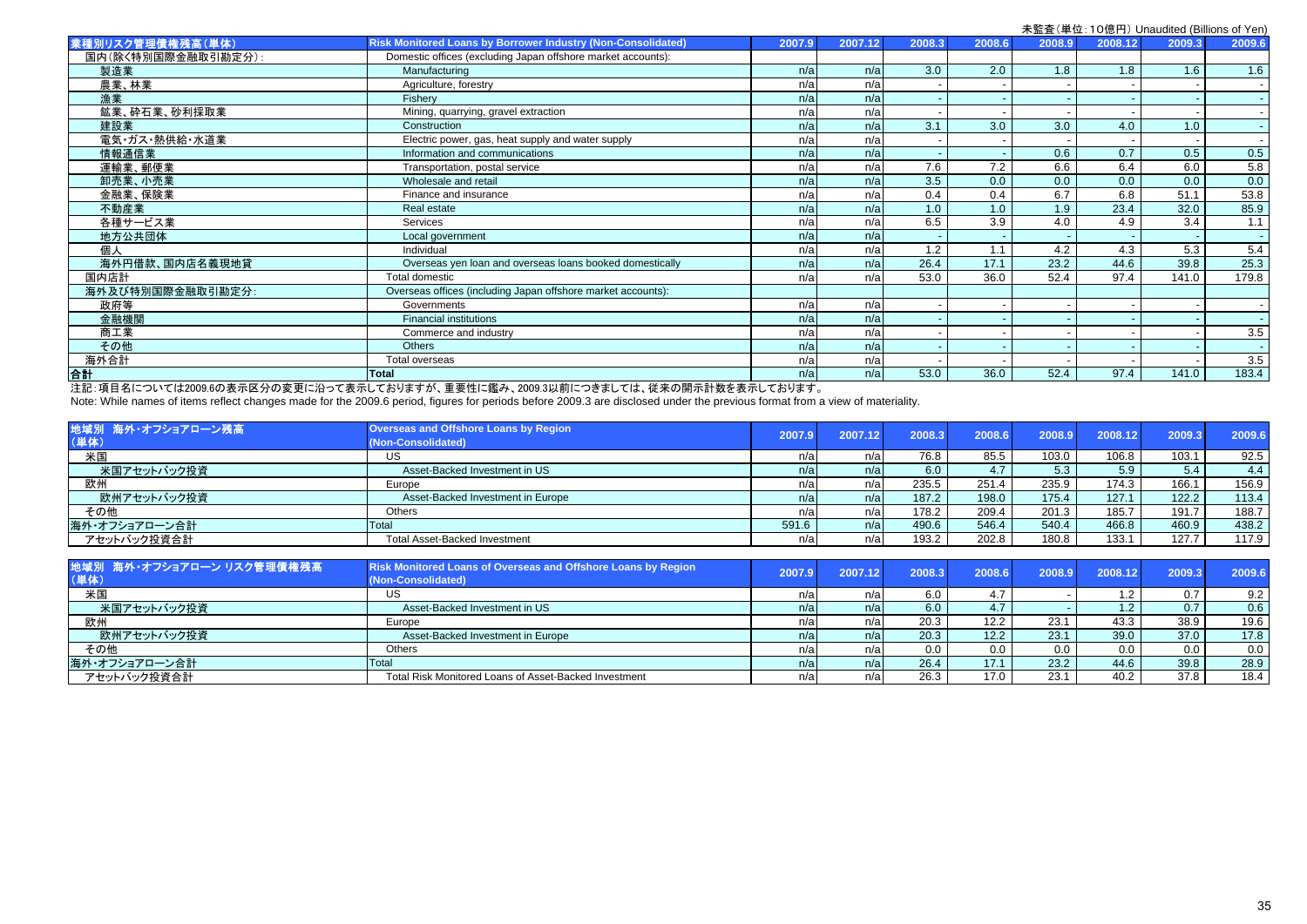|                    |                                                                     |        |         |        |        |        |         | 木血且\丰世. TVi忘门/ Urladdited (Dillions of Ten. |                |
|--------------------|---------------------------------------------------------------------|--------|---------|--------|--------|--------|---------|---------------------------------------------|----------------|
| 業種別リスク管理債権残高(単体)   | <b>Risk Monitored Loans by Borrower Industry (Non-Consolidated)</b> | 2007.9 | 2007.12 | 2008.3 | 2008.6 | 2008.9 | 2008.12 | 2009.3                                      | 2009.6         |
| 国内(除く特別国際金融取引勘定分): | Domestic offices (excluding Japan offshore market accounts):        |        |         |        |        |        |         |                                             |                |
| 製造業                | Manufacturing                                                       | n/a    | n/a     | 3.0    | 2.0    | 1.8    | 1.8     | 1.6                                         | 1.6            |
| 農業、林業              | Agriculture, forestry                                               | n/a    | n/a     |        |        |        |         |                                             |                |
| 漁業                 | Fishery                                                             | n/a    | n/a     |        |        |        |         |                                             |                |
| 鉱業、砕石業、砂利採取業       | Mining, quarrying, gravel extraction                                | n/a    | n/a     |        |        |        |         |                                             |                |
| 建設業                | Construction                                                        | n/a    | n/a     | 3.1    | 3.0    | 3.0    | 4.0     | 1.0                                         | $\overline{a}$ |
| 電気・ガス・熱供給・水道業      | Electric power, gas, heat supply and water supply                   | n/a    | n/a     |        |        |        |         |                                             |                |
| 情報通信業              | Information and communications                                      | n/a    | n/a     |        |        | 0.6    | 0.7     | 0.5                                         | 0.5            |
| 運輸業、郵便業            | Transportation, postal service                                      | n/a    | n/a     | 7.6    | 7.2    | 6.6    | 6.4     | 6.0                                         | 5.8            |
| 卸売業、小売業            | Wholesale and retail                                                | n/a    | n/a     | 3.5    | 0.0    | 0.0    | 0.0     | 0.0                                         | 0.0            |
| 金融業、保険業            | Finance and insurance                                               | n/a    | n/a     | 0.4    | 0.4    | 6.7    | 6.8     | 51.1                                        | 53.8           |
| 不動産業               | Real estate                                                         | n/a    | n/a     | 1.0    | 1.0    | 1.9    | 23.4    | 32.0                                        | 85.9           |
| 各種サービス業            | Services                                                            | n/a    | n/a     | 6.5    | 3.9    | 4.0    | 4.9     | 3.4                                         | 1.1            |
| 地方公共団体             | Local government                                                    | n/a    | n/a     |        |        |        |         |                                             |                |
| 個人                 | Individual                                                          | n/a    | n/a     | 1.2    | 1.1    | 4.2    | 4.3     | 5.3                                         | 5.4            |
| 海外円借款、国内店名義現地貸     | Overseas yen loan and overseas loans booked domestically            | n/a    | n/a     | 26.4   | 17.1   | 23.2   | 44.6    | 39.8                                        | 25.3           |
| 国内店計               | Total domestic                                                      | n/a    | n/a     | 53.0   | 36.0   | 52.4   | 97.4    | 141.0                                       | 179.8          |
| 海外及び特別国際金融取引勘定分:   | Overseas offices (including Japan offshore market accounts):        |        |         |        |        |        |         |                                             |                |
| 政府等                | Governments                                                         | n/a    | n/a     |        |        |        |         | $\overline{\phantom{a}}$                    |                |
| 金融機関               | <b>Financial institutions</b>                                       | n/a    | n/a     |        |        |        |         |                                             |                |
| 商工業                | Commerce and industry                                               | n/a    | n/a     |        |        |        |         |                                             | 3.5            |
| その他                | <b>Others</b>                                                       | n/a    | n/a     |        |        |        |         |                                             |                |
| 海外合計               | Total overseas                                                      | n/a    | n/a     |        |        |        |         |                                             | 3.5            |
| 合計                 | <b>Total</b>                                                        | n/a    | n/a     | 53.0   | 36.0   | 52.4   | 97.4    | 141.0                                       | 183.4          |
|                    |                                                                     |        |         |        |        |        |         |                                             |                |

注記:項目名については2009.6の表示区分の変更に沿って表示しておりますが、重要性に鑑み、2009.3以前につきましては、従来の開示計数を表示しております。

Note: While names of items reflect changes made for the 2009.6 period, figures for periods before 2009.3 are disclosed under the previous format from a view of materiality.

| 地域別 海外・オフショアローン残高<br>(単体) | <b>Overseas and Offshore Loans by Region</b><br>(Non-Consolidated) | 2007.9 | 2007.12 | 2008.3 | 2008.6           | 2008.9 | 2008.12 | 2009.3 | 2009.6 |
|---------------------------|--------------------------------------------------------------------|--------|---------|--------|------------------|--------|---------|--------|--------|
| 米国                        | US                                                                 | n/al   | n/al    | 76.8   | 85.5             | 103.0  | 106.8   | 103.1  | 92.5   |
| 米国アセットバック投資               | Asset-Backed Investment in US                                      | n/a    | n/a     | 6.0    | 4.7 <sup>1</sup> | 5.3    | 5.9     | 5.4    | 4.4    |
| 欧州                        | Europe                                                             | n/a    | n/a     | 235.5  | 251.4            | 235.9  | 174.3   | 166.   | 156.9  |
| 欧州アセットバック投資               | Asset-Backed Investment in Europe                                  | n/a    | n/a     | 187.2  | 198.0            | 175.4  | 127.1   | 122.2  | 113.4  |
| その他                       | <b>Others</b>                                                      | n/al   | n/a     | 178.2  | 209.4            | 201.3  | 185.7   | 191.7  | 188.7  |
| 海外・オフショアローン合計             | Total                                                              | 591.6  | n/a     | 490.6  | 546.4            | 540.4  | 466.8   | 460.9  | 438.2  |
| アセットバック投資合計               | <b>Total Asset-Backed Investment</b>                               | n/a    | n/a     | 193.2  | 202.8            | 180.8  | 133.1   | 127.7  | 117.9  |

| 地域別 海外・オフショアローン リスク管理債権残高<br>(単体) | Risk Monitored Loans of Overseas and Offshore Loans by Region<br>(Non-Consolidated) | 2007.9 | 2007.12 | 2008.3            | 2008.6 | 2008.9 | 2008.12          | 2009.3 | 2009.6 |
|-----------------------------------|-------------------------------------------------------------------------------------|--------|---------|-------------------|--------|--------|------------------|--------|--------|
| 米国                                | US                                                                                  |        | n/al    | 6.0               | 4.7    |        | 1.2              | 0.7    | 9.2    |
| 米国アセットバック投資                       | Asset-Backed Investment in US                                                       | n/al   | n/a     | 6.0               | 4.7    |        | 1.2 <sub>2</sub> | 0.7    | 0.6    |
| 欧州                                | Europe                                                                              |        | n/al    | 20.3 <sub>1</sub> | 12.2   | 23.1   | 43.3             | 38.9   | 19.6   |
| 欧州アセットバック投資                       | Asset-Backed Investment in Europe                                                   | n/a    | n/a     | 20.3              | 12.2   | 23.1   | 39.0             | 37.0   | 17.8   |
| その他                               | Others                                                                              |        | n/a     | 0.0               | 0.0    | 0.0    | 0.0              | 0.0    | 0.0    |
| 海外・オフショアローン合計                     | Total                                                                               | n/a    | n/a     | 26.4              | 17.1   | 23.2   | 44.6             | 39.8   | 28.9   |
| アセットバック投資合計                       | Total Risk Monitored Loans of Asset-Backed Investment                               | า/a    | n/a     | 26.3              | 17.0   | 23.1   | 40.2             | 37.8   | 18.4   |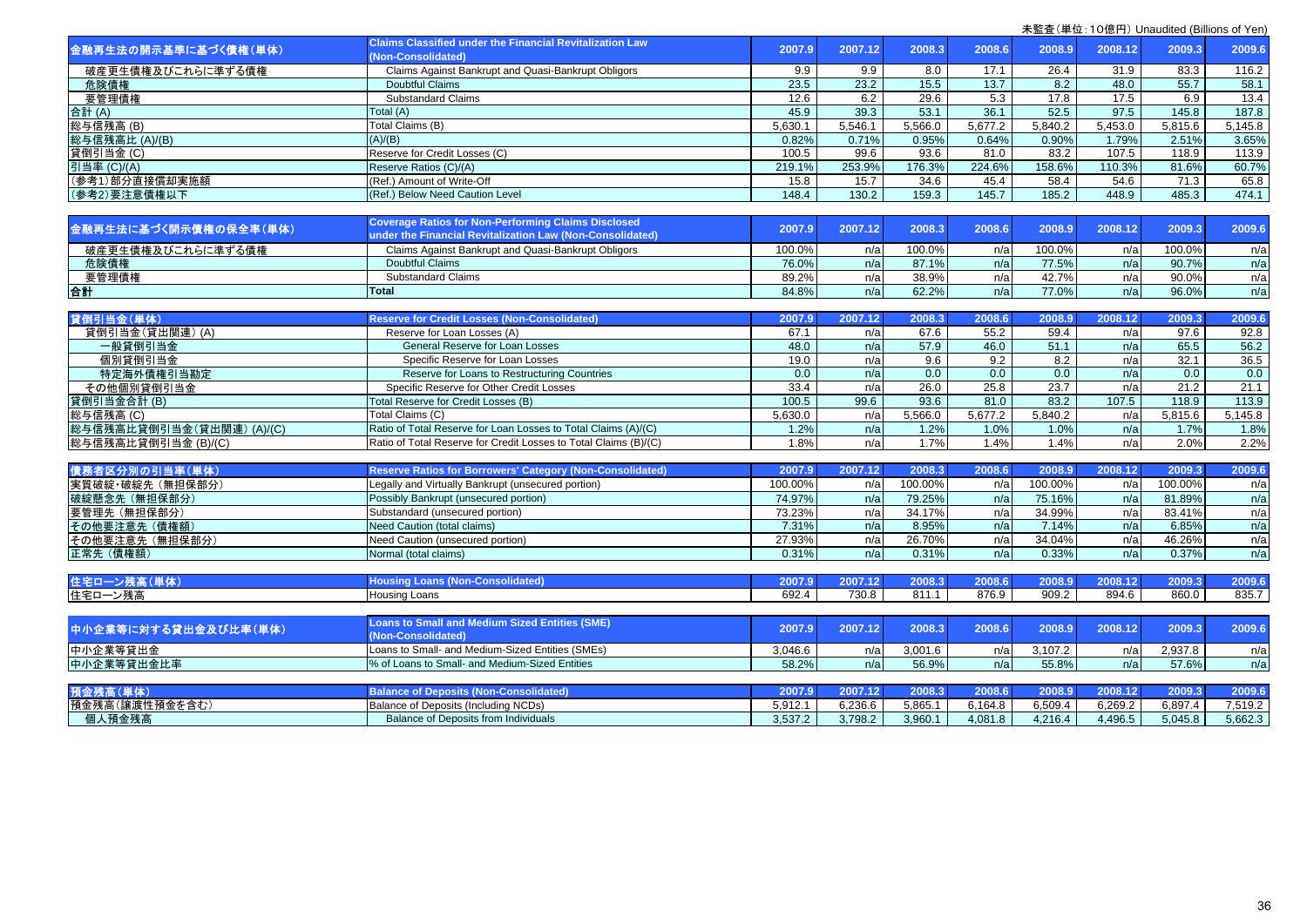|                          | <b>Claims Classified under the Financial Revitalization Law</b>  |         |         |         |         |         |         |         |         |
|--------------------------|------------------------------------------------------------------|---------|---------|---------|---------|---------|---------|---------|---------|
| 金融再生法の開示基準に基づく債権(単体)     | (Non-Consolidated)                                               | 2007.9  | 2007.12 | 2008.3  | 2008.6  | 2008.9  | 2008.12 | 2009.3  | 2009.6  |
| 破産更生債権及びこれらに準ずる債権        | Claims Against Bankrupt and Quasi-Bankrupt Obligors              | 9.9     | 9.9     | 8.0     | 17.1    | 26.4    | 31.9    | 83.3    | 116.2   |
| 危険債権                     | <b>Doubtful Claims</b>                                           | 23.5    | 23.2    | 15.5    | 13.7    | 8.2     | 48.0    | 55.7    | 58.1    |
| 要管理債権                    | <b>Substandard Claims</b>                                        | 12.6    | 6.2     | 29.6    | 5.3     | 17.8    | 17.5    | 6.9     | 13.4    |
| 合計 (A)                   | Total (A)                                                        | 45.9    | 39.3    | 53.1    | 36.1    | 52.5    | 97.5    | 145.8   | 187.8   |
| 総与信残高(B)                 | Total Claims (B)                                                 | 5,630.1 | 5,546.1 | 5,566.0 | 5,677.2 | 5,840.2 | 5,453.0 | 5,815.6 | 5,145.8 |
| 総与信残高比 (A)/(B)           | (A)/(B)                                                          | 0.82%   | 0.71%   | 0.95%   | 0.64%   | 0.90%   | 1.79%   | 2.51%   | 3.65%   |
| 貸倒引当金 (C)                | Reserve for Credit Losses (C)                                    | 100.5   | 99.6    | 93.6    | 81.0    | 83.2    | 107.5   | 118.9   | 113.9   |
| 引当率 (C)/(A)              | Reserve Ratios (C)/(A)                                           | 219.1%  | 253.9%  | 176.3%  | 224.6%  | 158.6%  | 110.3%  | 81.6%   | 60.7%   |
| (参考1)部分直接償却実施額           | (Ref.) Amount of Write-Off                                       | 15.8    | 15.7    | 34.6    | 45.4    | 58.4    | 54.6    | 71.3    | 65.8    |
| (参考2)要注意債権以下             | (Ref.) Below Need Caution Level                                  | 148.4   | 130.2   | 159.3   | 145.7   | 185.2   | 448.9   | 485.3   | 474.1   |
|                          |                                                                  |         |         |         |         |         |         |         |         |
|                          | <b>Coverage Ratios for Non-Performing Claims Disclosed</b>       |         |         |         |         |         |         |         |         |
| 金融再生法に基づく開示債権の保全率(単体)    | under the Financial Revitalization Law (Non-Consolidated)        | 2007.9  | 2007.12 | 2008.3  | 2008.6  | 2008.9  | 2008.12 | 2009.3  | 2009.6  |
| 破産更生債権及びこれらに準ずる債権        | Claims Against Bankrupt and Quasi-Bankrupt Obligors              | 100.0%  | n/a     | 100.0%  | n/a     | 100.0%  | n/a     | 100.0%  | n/a     |
| 危険債権                     | <b>Doubtful Claims</b>                                           | 76.0%   | n/a     | 87.1%   | n/a     | 77.5%   | n/a     | 90.7%   | n/a     |
| 要管理債権                    | <b>Substandard Claims</b>                                        | 89.2%   | n/a     | 38.9%   | n/a     | 42.7%   | n/a     | 90.0%   | n/a     |
| 合計                       | <b>Total</b>                                                     | 84.8%   | n/a     | 62.2%   | n/a     | 77.0%   | n/a     | 96.0%   | n/a     |
|                          |                                                                  |         |         |         |         |         |         |         |         |
| 貸倒引当金(単体)                | <b>Reserve for Credit Losses (Non-Consolidated)</b>              | 2007.9  | 2007.12 | 2008.3  | 2008.6  | 2008.9  | 2008.12 | 2009.3  | 2009.6  |
| 貸倒引当金(貸出関連)(A)           | Reserve for Loan Losses (A)                                      | 67.1    | n/a     | 67.6    | 55.2    | 59.4    | n/a     | 97.6    | 92.8    |
| 一般貸倒引当金                  | General Reserve for Loan Losses                                  | 48.0    | n/a     | 57.9    | 46.0    | 51.1    | n/a     | 65.5    | 56.2    |
| 個別貸倒引当金                  | Specific Reserve for Loan Losses                                 | 19.0    | n/a     | 9.6     | 9.2     | 8.2     | n/a     | 32.1    | 36.5    |
| 特定海外債権引当勘定               | Reserve for Loans to Restructuring Countries                     | 0.0     | n/a     | 0.0     | 0.0     | 0.0     | n/a     | 0.0     | 0.0     |
| その他個別貸倒引当金               | Specific Reserve for Other Credit Losses                         | 33.4    | n/a     | 26.0    | 25.8    | 23.7    | n/a     | 21.2    | 21.1    |
| 貸倒引当金合計(B)               | Total Reserve for Credit Losses (B)                              | 100.5   | 99.6    | 93.6    | 81.0    | 83.2    | 107.5   | 118.9   | 113.9   |
| 総与信残高 (C)                | Total Claims (C)                                                 | 5,630.0 | n/a     | 5,566.0 | 5,677.2 | 5,840.2 | n/a     | 5,815.6 | 5,145.8 |
| 総与信残高比貸倒引当金(貸出関連)(A)/(C) | Ratio of Total Reserve for Loan Losses to Total Claims (A)/(C)   | 1.2%    | n/a     | 1.2%    | 1.0%    | 1.0%    | n/a     | 1.7%    | 1.8%    |
| 総与信残高比貸倒引当金 (B)/(C)      | Ratio of Total Reserve for Credit Losses to Total Claims (B)/(C) | 1.8%    | n/a     | 1.7%    | 1.4%    | 1.4%    | n/a     | 2.0%    | 2.2%    |
|                          |                                                                  |         |         |         |         |         |         |         |         |
| 債務者区分別の引当率(単体)           | <b>Reserve Ratios for Borrowers' Category (Non-Consolidated)</b> | 2007.9  | 2007.12 | 2008.3  | 2008.6  | 2008.9  | 2008.12 | 2009.3  | 2009.6  |
| 実質破綻·破綻先 (無担保部分)         | Legally and Virtually Bankrupt (unsecured portion)               | 100.00% | n/a     | 100.00% | n/a     | 100.00% | n/a     | 100.00% | n/a     |
| 破綻懸念先 (無担保部分)            | Possibly Bankrupt (unsecured portion)                            | 74.97%  | n/a     | 79.25%  | n/a     | 75.16%  | n/a     | 81.89%  | n/a     |
| 要管理先 (無担保部分)             | Substandard (unsecured portion)                                  | 73.23%  | n/a     | 34.17%  | n/a     | 34.99%  | n/a     | 83.41%  | n/a     |
| その他要注意先(債権額)             | Need Caution (total claims)                                      | 7.31%   | n/a     | 8.95%   | n/a     | 7.14%   | n/a     | 6.85%   | n/a     |
| その他要注意先 (無担保部分)          | Need Caution (unsecured portion)                                 | 27.93%  | n/a     | 26.70%  | n/a     | 34.04%  | n/a     | 46.26%  | n/a     |
| 正常先 (債権額)                | Normal (total claims)                                            | 0.31%   | n/a     | 0.31%   | n/a     | 0.33%   | n/a     | 0.37%   | n/a     |
|                          |                                                                  |         |         |         |         |         |         |         |         |
| 住宅ローン残高(単体)              | <b>Housing Loans (Non-Consolidated)</b>                          | 2007.9  | 2007.12 | 2008.3  | 2008.6  | 2008.9  | 2008.12 | 2009.3  | 2009.6  |
| 住宅ローン残高                  | Housing Loans                                                    | 692.4   | 730.8   | 811.1   | 876.9   | 909.2   | 894.6   | 860.0   | 835.7   |
|                          |                                                                  |         |         |         |         |         |         |         |         |
| 中小企業等に対する貸出金及び比率(単体)     | <b>Loans to Small and Medium Sized Entities (SME)</b>            | 2007.9  | 2007.12 | 2008.3  | 2008.6  | 2008.9  | 2008.12 | 2009.3  | 2009.6  |
|                          | (Non-Consolidated)                                               |         |         |         |         |         |         |         |         |
| 中小企業等貸出金                 | Loans to Small- and Medium-Sized Entities (SMEs)                 | 3.046.6 | n/a     | 3,001.6 | n/a     | 3,107.2 | n/a     | 2,937.8 | n/a     |
| 中小企業等貸出金比率               | % of Loans to Small- and Medium-Sized Entities                   | 58.2%   | n/a     | 56.9%   | n/a     | 55.8%   | n/a     | 57.6%   | n/a     |
|                          |                                                                  |         |         |         |         |         |         |         |         |
| 預金残高(単体)                 | <b>Balance of Deposits (Non-Consolidated)</b>                    | 2007.9  | 2007.12 | 2008.3  | 2008.6  | 2008.9  | 2008.12 | 2009.3  | 2009.6  |
| 預金残高(譲渡性預金を含む)           | Balance of Deposits (Including NCDs)                             | 5,912.1 | 6,236.6 | 5,865.1 | 6,164.8 | 6,509.4 | 6,269.2 | 6,897.4 | 7,519.2 |
| 個人預金残高                   | Balance of Deposits from Individuals                             | 3,537.2 | 3,798.2 | 3,960.1 | 4,081.8 | 4,216.4 | 4,496.5 | 5,045.8 | 5,662.3 |